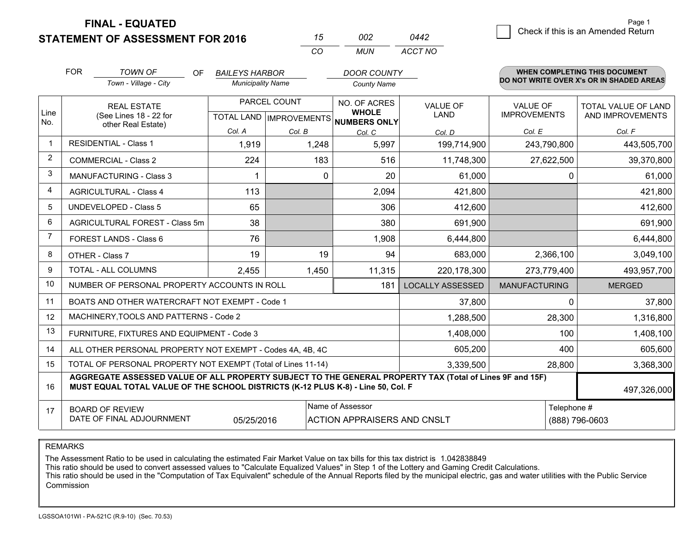**STATEMENT OF ASSESSMENT FOR 2016** 

**FINAL - EQUATED**

|                         | <b>FOR</b>                   | <b>TOWN OF</b><br>OF.                                                                                                                                                                        | <b>BAILEYS HARBOR</b>    |              | <b>DOOR COUNTY</b>                                   |                         |                      | <b>WHEN COMPLETING THIS DOCUMENT</b>     |  |
|-------------------------|------------------------------|----------------------------------------------------------------------------------------------------------------------------------------------------------------------------------------------|--------------------------|--------------|------------------------------------------------------|-------------------------|----------------------|------------------------------------------|--|
|                         |                              | Town - Village - City                                                                                                                                                                        | <b>Municipality Name</b> |              | <b>County Name</b>                                   |                         |                      | DO NOT WRITE OVER X's OR IN SHADED AREAS |  |
|                         |                              | <b>REAL ESTATE</b>                                                                                                                                                                           |                          | PARCEL COUNT | NO. OF ACRES                                         | VALUE OF                | <b>VALUE OF</b>      | <b>TOTAL VALUE OF LAND</b>               |  |
| Line<br>No.             |                              | (See Lines 18 - 22 for                                                                                                                                                                       |                          |              | <b>WHOLE</b><br>TOTAL LAND IMPROVEMENTS NUMBERS ONLY | LAND                    | <b>IMPROVEMENTS</b>  | AND IMPROVEMENTS                         |  |
|                         |                              | other Real Estate)                                                                                                                                                                           | Col. A                   | Col. B       | Col. C                                               | Col. D                  | Col. E               | Col. F                                   |  |
| $\mathbf{1}$            | <b>RESIDENTIAL - Class 1</b> |                                                                                                                                                                                              | 1,919                    | 1,248        | 5,997                                                | 199,714,900             | 243,790,800          | 443,505,700                              |  |
| $\overline{2}$          |                              | <b>COMMERCIAL - Class 2</b>                                                                                                                                                                  | 224                      | 183          | 516                                                  | 11,748,300              | 27,622,500           | 39,370,800                               |  |
| 3                       |                              | <b>MANUFACTURING - Class 3</b>                                                                                                                                                               |                          |              | 20<br>0                                              | 61,000                  |                      | 61,000<br>0                              |  |
| $\overline{\mathbf{4}}$ |                              | <b>AGRICULTURAL - Class 4</b>                                                                                                                                                                | 113                      |              | 2,094                                                | 421,800                 |                      | 421,800                                  |  |
| 5                       |                              | <b>UNDEVELOPED - Class 5</b>                                                                                                                                                                 | 65                       |              | 306                                                  | 412,600                 |                      | 412,600                                  |  |
| 6                       |                              | AGRICULTURAL FOREST - Class 5m                                                                                                                                                               | 38                       |              | 380                                                  | 691,900                 |                      | 691,900                                  |  |
| $\overline{7}$          |                              | FOREST LANDS - Class 6                                                                                                                                                                       | 76                       |              | 1,908                                                | 6,444,800               |                      | 6,444,800                                |  |
| 8                       |                              | OTHER - Class 7                                                                                                                                                                              | 19                       |              | 19<br>94                                             | 683,000                 | 2,366,100            | 3,049,100                                |  |
| 9                       |                              | <b>TOTAL - ALL COLUMNS</b>                                                                                                                                                                   | 2,455                    | 1,450        | 11,315                                               | 220,178,300             | 273,779,400          | 493,957,700                              |  |
| 10                      |                              | NUMBER OF PERSONAL PROPERTY ACCOUNTS IN ROLL                                                                                                                                                 |                          |              | 181                                                  | <b>LOCALLY ASSESSED</b> | <b>MANUFACTURING</b> | <b>MERGED</b>                            |  |
| 11                      |                              | BOATS AND OTHER WATERCRAFT NOT EXEMPT - Code 1                                                                                                                                               |                          |              |                                                      | 37,800                  |                      | $\Omega$<br>37,800                       |  |
| 12                      |                              | MACHINERY, TOOLS AND PATTERNS - Code 2                                                                                                                                                       |                          |              |                                                      | 1,288,500               | 28,300               | 1,316,800                                |  |
| 13                      |                              | FURNITURE, FIXTURES AND EQUIPMENT - Code 3                                                                                                                                                   |                          |              |                                                      | 1,408,000               | 100                  | 1,408,100                                |  |
| 14                      |                              | ALL OTHER PERSONAL PROPERTY NOT EXEMPT - Codes 4A, 4B, 4C                                                                                                                                    |                          |              |                                                      | 605,200                 | 400                  | 605,600                                  |  |
| 15                      |                              | TOTAL OF PERSONAL PROPERTY NOT EXEMPT (Total of Lines 11-14)                                                                                                                                 |                          |              |                                                      | 3,339,500               | 28,800               | 3,368,300                                |  |
| 16                      |                              | AGGREGATE ASSESSED VALUE OF ALL PROPERTY SUBJECT TO THE GENERAL PROPERTY TAX (Total of Lines 9F and 15F)<br>MUST EQUAL TOTAL VALUE OF THE SCHOOL DISTRICTS (K-12 PLUS K-8) - Line 50, Col. F |                          |              |                                                      |                         |                      | 497,326,000                              |  |
| 17                      |                              | <b>BOARD OF REVIEW</b>                                                                                                                                                                       |                          |              | Name of Assessor                                     |                         | Telephone #          |                                          |  |
|                         |                              | DATE OF FINAL ADJOURNMENT                                                                                                                                                                    | 05/25/2016               |              | <b>ACTION APPRAISERS AND CNSLT</b>                   |                         |                      | (888) 796-0603                           |  |

*CO*

*MUN*

*ACCT NO0442*

*<sup>15</sup> <sup>002</sup>*

REMARKS

The Assessment Ratio to be used in calculating the estimated Fair Market Value on tax bills for this tax district is 1.042838849<br>This ratio should be used to convert assessed values to "Calculate Equalized Values" in Step Commission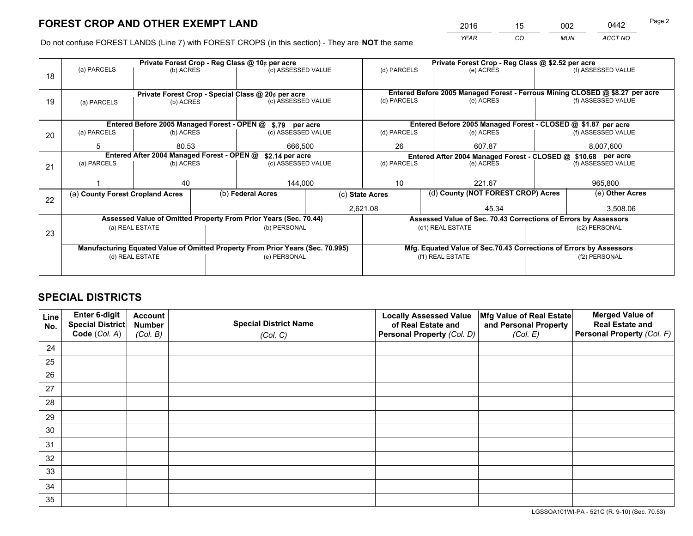*YEAR CO MUN ACCT NO* <sup>2016</sup> <sup>15</sup> <sup>002</sup> <sup>0442</sup> Page 2

Do not confuse FOREST LANDS (Line 7) with FOREST CROPS (in this section) - They are **NOT** the same

|    |                                                            |                                            |                                                    | Private Forest Crop - Reg Class @ 10¢ per acre                                 |                                       |                                                                 | Private Forest Crop - Reg Class @ \$2.52 per acre                            |               |                    |  |
|----|------------------------------------------------------------|--------------------------------------------|----------------------------------------------------|--------------------------------------------------------------------------------|---------------------------------------|-----------------------------------------------------------------|------------------------------------------------------------------------------|---------------|--------------------|--|
| 18 | (a) PARCELS                                                | (b) ACRES                                  |                                                    | (c) ASSESSED VALUE                                                             |                                       | (d) PARCELS                                                     | (e) ACRES                                                                    |               | (f) ASSESSED VALUE |  |
|    |                                                            |                                            |                                                    |                                                                                |                                       |                                                                 |                                                                              |               |                    |  |
|    |                                                            |                                            | Private Forest Crop - Special Class @ 20¢ per acre |                                                                                |                                       |                                                                 | Entered Before 2005 Managed Forest - Ferrous Mining CLOSED @ \$8.27 per acre |               |                    |  |
| 19 |                                                            | (b) ACRES<br>(a) PARCELS                   |                                                    | (c) ASSESSED VALUE                                                             |                                       | (d) PARCELS                                                     | (e) ACRES                                                                    |               | (f) ASSESSED VALUE |  |
|    |                                                            |                                            |                                                    |                                                                                |                                       |                                                                 |                                                                              |               |                    |  |
|    | Entered Before 2005 Managed Forest - OPEN @ \$.79 per acre |                                            |                                                    |                                                                                |                                       |                                                                 | Entered Before 2005 Managed Forest - CLOSED @ \$1.87 per acre                |               |                    |  |
| 20 | (a) PARCELS                                                | (b) ACRES                                  |                                                    | (c) ASSESSED VALUE                                                             |                                       | (d) PARCELS                                                     | (e) ACRES                                                                    |               | (f) ASSESSED VALUE |  |
|    | 5                                                          | 80.53                                      |                                                    | 666,500                                                                        |                                       | 26                                                              | 607.87                                                                       |               | 8,007,600          |  |
|    |                                                            |                                            |                                                    |                                                                                |                                       |                                                                 |                                                                              |               |                    |  |
|    |                                                            | Entered After 2004 Managed Forest - OPEN @ |                                                    |                                                                                | \$2.14 per acre<br>(c) ASSESSED VALUE |                                                                 | Entered After 2004 Managed Forest - CLOSED @ \$10.68 per acre                |               | (f) ASSESSED VALUE |  |
| 21 | (a) PARCELS                                                | (b) ACRES                                  |                                                    |                                                                                | (d) PARCELS                           |                                                                 | (e) ACRES                                                                    |               |                    |  |
|    |                                                            |                                            |                                                    |                                                                                |                                       |                                                                 |                                                                              |               |                    |  |
|    |                                                            | 40                                         |                                                    | 144,000                                                                        |                                       | 10                                                              | 221.67                                                                       |               | 965,800            |  |
|    | (a) County Forest Cropland Acres                           |                                            |                                                    | (b) Federal Acres                                                              |                                       | (d) County (NOT FOREST CROP) Acres<br>(c) State Acres           |                                                                              |               | (e) Other Acres    |  |
| 22 |                                                            |                                            |                                                    |                                                                                |                                       | 2,621.08<br>45.34                                               |                                                                              |               | 3.508.06           |  |
|    |                                                            |                                            |                                                    |                                                                                |                                       |                                                                 |                                                                              |               |                    |  |
|    |                                                            |                                            |                                                    | Assessed Value of Omitted Property From Prior Years (Sec. 70.44)               |                                       | Assessed Value of Sec. 70.43 Corrections of Errors by Assessors |                                                                              |               |                    |  |
| 23 |                                                            | (a) REAL ESTATE                            |                                                    | (b) PERSONAL                                                                   |                                       |                                                                 | (c1) REAL ESTATE                                                             |               | (c2) PERSONAL      |  |
|    |                                                            |                                            |                                                    |                                                                                |                                       |                                                                 |                                                                              |               |                    |  |
|    |                                                            |                                            |                                                    | Manufacturing Equated Value of Omitted Property From Prior Years (Sec. 70.995) |                                       |                                                                 | Mfg. Equated Value of Sec.70.43 Corrections of Errors by Assessors           |               |                    |  |
|    | (d) REAL ESTATE                                            |                                            |                                                    | (e) PERSONAL                                                                   |                                       | (f1) REAL ESTATE                                                |                                                                              | (f2) PERSONAL |                    |  |
|    |                                                            |                                            |                                                    |                                                                                |                                       |                                                                 |                                                                              |               |                    |  |
|    |                                                            |                                            |                                                    |                                                                                |                                       |                                                                 |                                                                              |               |                    |  |

# **SPECIAL DISTRICTS**

| Line<br>No. | Enter 6-digit<br><b>Special District</b> | <b>Account</b><br><b>Number</b> | <b>Special District Name</b> | <b>Locally Assessed Value</b><br>of Real Estate and | Mfg Value of Real Estate<br>and Personal Property | <b>Merged Value of</b><br><b>Real Estate and</b> |
|-------------|------------------------------------------|---------------------------------|------------------------------|-----------------------------------------------------|---------------------------------------------------|--------------------------------------------------|
|             | Code (Col. A)                            | (Col. B)                        | (Col. C)                     | Personal Property (Col. D)                          | (Col. E)                                          | Personal Property (Col. F)                       |
| 24          |                                          |                                 |                              |                                                     |                                                   |                                                  |
| 25          |                                          |                                 |                              |                                                     |                                                   |                                                  |
| 26          |                                          |                                 |                              |                                                     |                                                   |                                                  |
| 27          |                                          |                                 |                              |                                                     |                                                   |                                                  |
| 28          |                                          |                                 |                              |                                                     |                                                   |                                                  |
| 29          |                                          |                                 |                              |                                                     |                                                   |                                                  |
| 30          |                                          |                                 |                              |                                                     |                                                   |                                                  |
| 31          |                                          |                                 |                              |                                                     |                                                   |                                                  |
| 32          |                                          |                                 |                              |                                                     |                                                   |                                                  |
| 33          |                                          |                                 |                              |                                                     |                                                   |                                                  |
| 34          |                                          |                                 |                              |                                                     |                                                   |                                                  |
| 35          |                                          |                                 |                              |                                                     |                                                   |                                                  |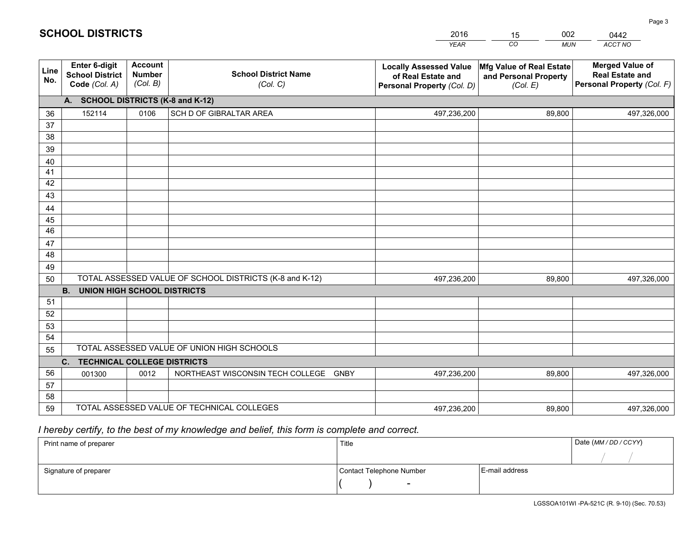|             |                                                          |                                             |                                                         | <b>YEAR</b>                                                                       | CO<br><b>MUN</b>                                              | ACCT NO                                                                        |  |  |  |  |  |
|-------------|----------------------------------------------------------|---------------------------------------------|---------------------------------------------------------|-----------------------------------------------------------------------------------|---------------------------------------------------------------|--------------------------------------------------------------------------------|--|--|--|--|--|
| Line<br>No. | Enter 6-digit<br><b>School District</b><br>Code (Col. A) | <b>Account</b><br><b>Number</b><br>(Col. B) | <b>School District Name</b><br>(Col. C)                 | <b>Locally Assessed Value</b><br>of Real Estate and<br>Personal Property (Col. D) | Mfg Value of Real Estate<br>and Personal Property<br>(Col. E) | <b>Merged Value of</b><br><b>Real Estate and</b><br>Personal Property (Col. F) |  |  |  |  |  |
|             | A. SCHOOL DISTRICTS (K-8 and K-12)                       |                                             |                                                         |                                                                                   |                                                               |                                                                                |  |  |  |  |  |
| 36          | 152114                                                   | 0106                                        | SCH D OF GIBRALTAR AREA                                 | 497,236,200                                                                       | 89,800                                                        | 497,326,000                                                                    |  |  |  |  |  |
| 37          |                                                          |                                             |                                                         |                                                                                   |                                                               |                                                                                |  |  |  |  |  |
| 38          |                                                          |                                             |                                                         |                                                                                   |                                                               |                                                                                |  |  |  |  |  |
| 39          |                                                          |                                             |                                                         |                                                                                   |                                                               |                                                                                |  |  |  |  |  |
| 40          |                                                          |                                             |                                                         |                                                                                   |                                                               |                                                                                |  |  |  |  |  |
| 41<br>42    |                                                          |                                             |                                                         |                                                                                   |                                                               |                                                                                |  |  |  |  |  |
| 43          |                                                          |                                             |                                                         |                                                                                   |                                                               |                                                                                |  |  |  |  |  |
| 44          |                                                          |                                             |                                                         |                                                                                   |                                                               |                                                                                |  |  |  |  |  |
| 45          |                                                          |                                             |                                                         |                                                                                   |                                                               |                                                                                |  |  |  |  |  |
| 46          |                                                          |                                             |                                                         |                                                                                   |                                                               |                                                                                |  |  |  |  |  |
| 47          |                                                          |                                             |                                                         |                                                                                   |                                                               |                                                                                |  |  |  |  |  |
| 48          |                                                          |                                             |                                                         |                                                                                   |                                                               |                                                                                |  |  |  |  |  |
| 49          |                                                          |                                             |                                                         |                                                                                   |                                                               |                                                                                |  |  |  |  |  |
| 50          |                                                          |                                             | TOTAL ASSESSED VALUE OF SCHOOL DISTRICTS (K-8 and K-12) | 497,236,200                                                                       | 89,800                                                        | 497,326,000                                                                    |  |  |  |  |  |
|             | <b>B.</b><br><b>UNION HIGH SCHOOL DISTRICTS</b>          |                                             |                                                         |                                                                                   |                                                               |                                                                                |  |  |  |  |  |
| 51          |                                                          |                                             |                                                         |                                                                                   |                                                               |                                                                                |  |  |  |  |  |
| 52          |                                                          |                                             |                                                         |                                                                                   |                                                               |                                                                                |  |  |  |  |  |
| 53          |                                                          |                                             |                                                         |                                                                                   |                                                               |                                                                                |  |  |  |  |  |
| 54          |                                                          |                                             |                                                         |                                                                                   |                                                               |                                                                                |  |  |  |  |  |
| 55          |                                                          |                                             | TOTAL ASSESSED VALUE OF UNION HIGH SCHOOLS              |                                                                                   |                                                               |                                                                                |  |  |  |  |  |
|             | C.<br><b>TECHNICAL COLLEGE DISTRICTS</b>                 |                                             |                                                         |                                                                                   |                                                               |                                                                                |  |  |  |  |  |
| 56          | 001300                                                   | 0012                                        | NORTHEAST WISCONSIN TECH COLLEGE GNBY                   | 497,236,200                                                                       | 89,800                                                        | 497,326,000                                                                    |  |  |  |  |  |
| 57<br>58    |                                                          |                                             |                                                         |                                                                                   |                                                               |                                                                                |  |  |  |  |  |
| 59          |                                                          |                                             | TOTAL ASSESSED VALUE OF TECHNICAL COLLEGES              | 497,236,200                                                                       | 89,800                                                        | 497,326,000                                                                    |  |  |  |  |  |
|             |                                                          |                                             |                                                         |                                                                                   |                                                               |                                                                                |  |  |  |  |  |

15

002

 *I hereby certify, to the best of my knowledge and belief, this form is complete and correct.*

**SCHOOL DISTRICTS**

| Print name of preparer | Title                    |                | Date (MM / DD / CCYY) |
|------------------------|--------------------------|----------------|-----------------------|
|                        |                          |                |                       |
| Signature of preparer  | Contact Telephone Number | E-mail address |                       |
|                        | $\sim$                   |                |                       |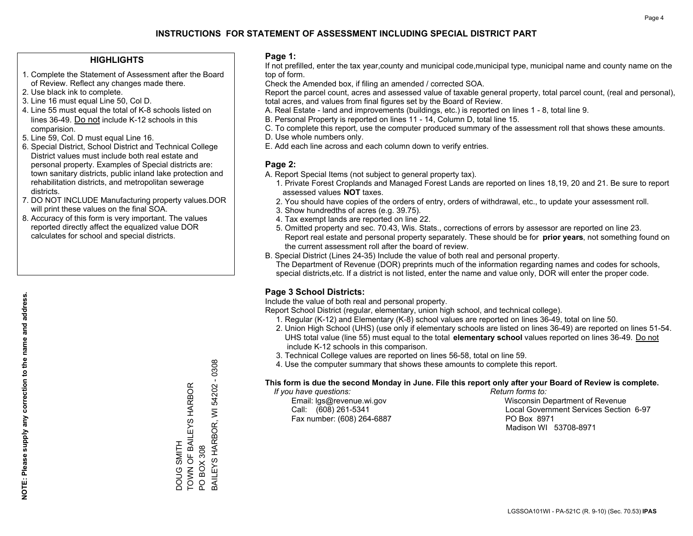### **HIGHLIGHTS**

- 1. Complete the Statement of Assessment after the Board of Review. Reflect any changes made there.
- 2. Use black ink to complete.
- 3. Line 16 must equal Line 50, Col D.
- 4. Line 55 must equal the total of K-8 schools listed on lines 36-49. Do not include K-12 schools in this comparision.
- 5. Line 59, Col. D must equal Line 16.
- 6. Special District, School District and Technical College District values must include both real estate and personal property. Examples of Special districts are: town sanitary districts, public inland lake protection and rehabilitation districts, and metropolitan sewerage districts.
- 7. DO NOT INCLUDE Manufacturing property values.DOR will print these values on the final SOA.

DOUG SMITH

TOWN OF BAILEYS HARBOR

DOUG SMITH<br>TOWN OF BAILEYS HARBOR

PO BOX 308

PO BOX 308

BAILEYS HARBOR, WI 54202 - 0308

BAILEYS HARBOR, WI 54202 - 0308

 8. Accuracy of this form is very important. The values reported directly affect the equalized value DOR calculates for school and special districts.

### **Page 1:**

 If not prefilled, enter the tax year,county and municipal code,municipal type, municipal name and county name on the top of form.

Check the Amended box, if filing an amended / corrected SOA.

 Report the parcel count, acres and assessed value of taxable general property, total parcel count, (real and personal), total acres, and values from final figures set by the Board of Review.

- A. Real Estate land and improvements (buildings, etc.) is reported on lines 1 8, total line 9.
- B. Personal Property is reported on lines 11 14, Column D, total line 15.
- C. To complete this report, use the computer produced summary of the assessment roll that shows these amounts.
- D. Use whole numbers only.
- E. Add each line across and each column down to verify entries.

### **Page 2:**

- A. Report Special Items (not subject to general property tax).
- 1. Private Forest Croplands and Managed Forest Lands are reported on lines 18,19, 20 and 21. Be sure to report assessed values **NOT** taxes.
- 2. You should have copies of the orders of entry, orders of withdrawal, etc., to update your assessment roll.
	- 3. Show hundredths of acres (e.g. 39.75).
- 4. Tax exempt lands are reported on line 22.
- 5. Omitted property and sec. 70.43, Wis. Stats., corrections of errors by assessor are reported on line 23. Report real estate and personal property separately. These should be for **prior years**, not something found on the current assessment roll after the board of review.
- B. Special District (Lines 24-35) Include the value of both real and personal property.
- The Department of Revenue (DOR) preprints much of the information regarding names and codes for schools, special districts,etc. If a district is not listed, enter the name and value only, DOR will enter the proper code.

### **Page 3 School Districts:**

Include the value of both real and personal property.

Report School District (regular, elementary, union high school, and technical college).

- 1. Regular (K-12) and Elementary (K-8) school values are reported on lines 36-49, total on line 50.
- 2. Union High School (UHS) (use only if elementary schools are listed on lines 36-49) are reported on lines 51-54. UHS total value (line 55) must equal to the total **elementary school** values reported on lines 36-49. Do notinclude K-12 schools in this comparison.
- 3. Technical College values are reported on lines 56-58, total on line 59.
- 4. Use the computer summary that shows these amounts to complete this report.

#### **This form is due the second Monday in June. File this report only after your Board of Review is complete.**

 *If you have questions: Return forms to:*

Fax number: (608) 264-6887 PO Box 8971

 Email: lgs@revenue.wi.gov Wisconsin Department of Revenue Call: (608) 261-5341 Local Government Services Section 6-97Madison WI 53708-8971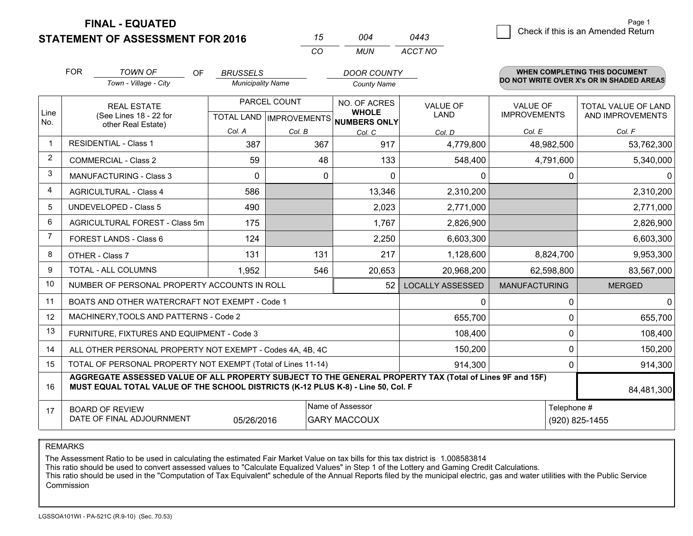**FINAL - EQUATED**

**STATEMENT OF ASSESSMENT FOR 2016** 

| 15 | ∩∩4   | 0443    |
|----|-------|---------|
| ΓO | MI IN | ACCT NO |

|                         | <b>FOR</b>                                                                                                                                                                                                 | <b>TOWN OF</b><br><b>OF</b>                                  | <b>BRUSSELS</b>          |              | <b>DOOR COUNTY</b>                                   |                         |                      | <b>WHEN COMPLETING THIS DOCUMENT</b>     |  |
|-------------------------|------------------------------------------------------------------------------------------------------------------------------------------------------------------------------------------------------------|--------------------------------------------------------------|--------------------------|--------------|------------------------------------------------------|-------------------------|----------------------|------------------------------------------|--|
|                         |                                                                                                                                                                                                            | Town - Village - City                                        | <b>Municipality Name</b> |              | <b>County Name</b>                                   |                         |                      | DO NOT WRITE OVER X's OR IN SHADED AREAS |  |
|                         |                                                                                                                                                                                                            | <b>REAL ESTATE</b>                                           |                          | PARCEL COUNT | NO. OF ACRES                                         | <b>VALUE OF</b>         | <b>VALUE OF</b>      | <b>TOTAL VALUE OF LAND</b>               |  |
| Line<br>No.             |                                                                                                                                                                                                            | (See Lines 18 - 22 for<br>other Real Estate)                 |                          |              | <b>WHOLE</b><br>TOTAL LAND IMPROVEMENTS NUMBERS ONLY | <b>LAND</b>             | <b>IMPROVEMENTS</b>  | AND IMPROVEMENTS                         |  |
|                         |                                                                                                                                                                                                            |                                                              | Col. A                   | Col. B       | Col. C                                               | Col. D                  | Col. E               | Col. F                                   |  |
| $\mathbf{1}$            | <b>RESIDENTIAL - Class 1</b>                                                                                                                                                                               |                                                              | 387                      | 367          | 917                                                  | 4,779,800               | 48,982,500           | 53,762,300                               |  |
| 2                       |                                                                                                                                                                                                            | <b>COMMERCIAL - Class 2</b>                                  | 59                       | 48           | 133                                                  | 548,400                 | 4,791,600            | 5,340,000                                |  |
| 3                       |                                                                                                                                                                                                            | <b>MANUFACTURING - Class 3</b>                               | $\Omega$                 | $\Omega$     | $\Omega$                                             | 0                       | 0                    | 0                                        |  |
| $\overline{\mathbf{4}}$ |                                                                                                                                                                                                            | <b>AGRICULTURAL - Class 4</b>                                | 586                      |              | 13,346                                               | 2,310,200               |                      | 2,310,200                                |  |
| 5                       |                                                                                                                                                                                                            | <b>UNDEVELOPED - Class 5</b>                                 | 490                      |              | 2,023                                                | 2,771,000               |                      | 2,771,000                                |  |
| 6                       |                                                                                                                                                                                                            | AGRICULTURAL FOREST - Class 5m                               | 175                      |              | 1,767                                                | 2,826,900               |                      | 2,826,900                                |  |
| $\overline{7}$          | FOREST LANDS - Class 6                                                                                                                                                                                     |                                                              | 124                      |              | 2,250                                                | 6,603,300               |                      | 6,603,300                                |  |
| 8                       |                                                                                                                                                                                                            | OTHER - Class 7                                              | 131                      | 131          | 217                                                  | 1,128,600               | 8,824,700            | 9,953,300                                |  |
| 9                       |                                                                                                                                                                                                            | TOTAL - ALL COLUMNS                                          | 1,952                    | 546          | 20,653                                               | 20,968,200              | 62,598,800           | 83,567,000                               |  |
| 10                      |                                                                                                                                                                                                            | NUMBER OF PERSONAL PROPERTY ACCOUNTS IN ROLL                 |                          |              | 52                                                   | <b>LOCALLY ASSESSED</b> | <b>MANUFACTURING</b> | <b>MERGED</b>                            |  |
| 11                      |                                                                                                                                                                                                            | BOATS AND OTHER WATERCRAFT NOT EXEMPT - Code 1               |                          |              |                                                      | 0                       | 0                    | 0                                        |  |
| 12                      |                                                                                                                                                                                                            | MACHINERY, TOOLS AND PATTERNS - Code 2                       |                          |              |                                                      | 655,700                 | 0                    | 655,700                                  |  |
| 13                      |                                                                                                                                                                                                            | FURNITURE, FIXTURES AND EQUIPMENT - Code 3                   |                          |              |                                                      | 108,400                 | 0                    | 108,400                                  |  |
| 14                      |                                                                                                                                                                                                            | ALL OTHER PERSONAL PROPERTY NOT EXEMPT - Codes 4A, 4B, 4C    |                          |              |                                                      | 150,200                 | 0                    | 150,200                                  |  |
| 15                      |                                                                                                                                                                                                            | TOTAL OF PERSONAL PROPERTY NOT EXEMPT (Total of Lines 11-14) |                          |              |                                                      | 914,300                 | 0                    | 914,300                                  |  |
| 16                      | AGGREGATE ASSESSED VALUE OF ALL PROPERTY SUBJECT TO THE GENERAL PROPERTY TAX (Total of Lines 9F and 15F)<br>MUST EQUAL TOTAL VALUE OF THE SCHOOL DISTRICTS (K-12 PLUS K-8) - Line 50, Col. F<br>84,481,300 |                                                              |                          |              |                                                      |                         |                      |                                          |  |
| 17                      |                                                                                                                                                                                                            | <b>BOARD OF REVIEW</b>                                       |                          |              | Name of Assessor                                     |                         | Telephone #          |                                          |  |
|                         |                                                                                                                                                                                                            | DATE OF FINAL ADJOURNMENT                                    | 05/26/2016               |              | <b>GARY MACCOUX</b>                                  |                         |                      | (920) 825-1455                           |  |

REMARKS

The Assessment Ratio to be used in calculating the estimated Fair Market Value on tax bills for this tax district is 1.008583814

This ratio should be used to convert assessed values to "Calculate Equalized Values" in Step 1 of the Lottery and Gaming Credit Calculations.<br>This ratio should be used in the "Computation of Tax Equivalent" schedule of the Commission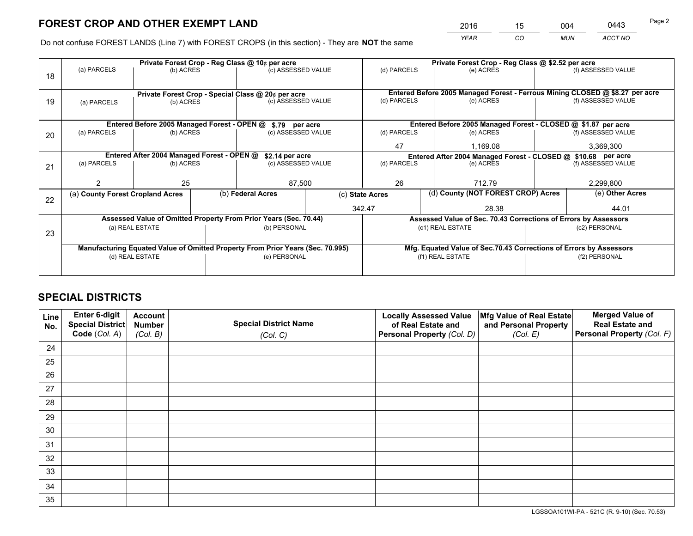*YEAR CO MUN ACCT NO* 2016 <u>15 004 0443</u>

Do not confuse FOREST LANDS (Line 7) with FOREST CROPS (in this section) - They are **NOT** the same

|    |                                                    |                                            |                 | Private Forest Crop - Reg Class @ 10¢ per acre                                 |                    | Private Forest Crop - Reg Class @ \$2.52 per acre                            |                                                                    |                    |                    |  |
|----|----------------------------------------------------|--------------------------------------------|-----------------|--------------------------------------------------------------------------------|--------------------|------------------------------------------------------------------------------|--------------------------------------------------------------------|--------------------|--------------------|--|
| 18 | (a) PARCELS                                        | (b) ACRES                                  |                 | (c) ASSESSED VALUE                                                             |                    | (d) PARCELS                                                                  | (e) ACRES                                                          |                    | (f) ASSESSED VALUE |  |
|    |                                                    |                                            |                 |                                                                                |                    |                                                                              |                                                                    |                    |                    |  |
|    | Private Forest Crop - Special Class @ 20¢ per acre |                                            |                 |                                                                                |                    | Entered Before 2005 Managed Forest - Ferrous Mining CLOSED @ \$8.27 per acre |                                                                    |                    |                    |  |
| 19 | (a) PARCELS                                        | (b) ACRES                                  |                 | (c) ASSESSED VALUE                                                             |                    | (d) PARCELS                                                                  | (e) ACRES                                                          |                    | (f) ASSESSED VALUE |  |
|    |                                                    |                                            |                 |                                                                                |                    |                                                                              |                                                                    |                    |                    |  |
|    |                                                    |                                            |                 | Entered Before 2005 Managed Forest - OPEN @ \$.79 per acre                     |                    |                                                                              | Entered Before 2005 Managed Forest - CLOSED @ \$1.87 per acre      |                    |                    |  |
| 20 | (a) PARCELS                                        | (b) ACRES<br>(c) ASSESSED VALUE            |                 |                                                                                | (d) PARCELS        | (e) ACRES                                                                    |                                                                    | (f) ASSESSED VALUE |                    |  |
|    |                                                    |                                            |                 |                                                                                |                    | 47                                                                           | 1.169.08                                                           |                    | 3,369,300          |  |
|    |                                                    | Entered After 2004 Managed Forest - OPEN @ | \$2.14 per acre |                                                                                | (d) PARCELS        | Entered After 2004 Managed Forest - CLOSED @ \$10.68 per acre                |                                                                    |                    |                    |  |
| 21 | (a) PARCELS                                        | (b) ACRES                                  |                 |                                                                                | (c) ASSESSED VALUE |                                                                              | (e) ACRES                                                          |                    | (f) ASSESSED VALUE |  |
|    |                                                    |                                            |                 |                                                                                |                    | 26                                                                           |                                                                    |                    |                    |  |
|    |                                                    | 25                                         |                 |                                                                                | 87,500             |                                                                              | 712.79                                                             |                    | 2,299,800          |  |
| 22 | (a) County Forest Cropland Acres                   |                                            |                 | (b) Federal Acres                                                              | (c) State Acres    |                                                                              | (d) County (NOT FOREST CROP) Acres                                 |                    | (e) Other Acres    |  |
|    |                                                    |                                            |                 |                                                                                | 342.47             |                                                                              | 28.38                                                              |                    | 44.01              |  |
|    |                                                    |                                            |                 | Assessed Value of Omitted Property From Prior Years (Sec. 70.44)               |                    |                                                                              | Assessed Value of Sec. 70.43 Corrections of Errors by Assessors    |                    |                    |  |
| 23 |                                                    | (a) REAL ESTATE                            |                 | (b) PERSONAL                                                                   |                    |                                                                              | (c1) REAL ESTATE                                                   |                    | (c2) PERSONAL      |  |
|    |                                                    |                                            |                 |                                                                                |                    |                                                                              |                                                                    |                    |                    |  |
|    |                                                    |                                            |                 | Manufacturing Equated Value of Omitted Property From Prior Years (Sec. 70.995) |                    |                                                                              | Mfg. Equated Value of Sec.70.43 Corrections of Errors by Assessors |                    |                    |  |
|    | (d) REAL ESTATE                                    |                                            |                 | (e) PERSONAL                                                                   |                    | (f1) REAL ESTATE                                                             |                                                                    |                    | (f2) PERSONAL      |  |
|    |                                                    |                                            |                 |                                                                                |                    |                                                                              |                                                                    |                    |                    |  |

# **SPECIAL DISTRICTS**

| Line<br>No. | Enter 6-digit<br>Special District<br>Code (Col. A) | <b>Account</b><br><b>Number</b> | <b>Special District Name</b> | <b>Locally Assessed Value</b><br>of Real Estate and | Mfg Value of Real Estate<br>and Personal Property | <b>Merged Value of</b><br><b>Real Estate and</b><br>Personal Property (Col. F) |
|-------------|----------------------------------------------------|---------------------------------|------------------------------|-----------------------------------------------------|---------------------------------------------------|--------------------------------------------------------------------------------|
|             |                                                    | (Col. B)                        | (Col. C)                     | Personal Property (Col. D)                          | (Col. E)                                          |                                                                                |
| 24          |                                                    |                                 |                              |                                                     |                                                   |                                                                                |
| 25          |                                                    |                                 |                              |                                                     |                                                   |                                                                                |
| 26          |                                                    |                                 |                              |                                                     |                                                   |                                                                                |
| 27          |                                                    |                                 |                              |                                                     |                                                   |                                                                                |
| 28          |                                                    |                                 |                              |                                                     |                                                   |                                                                                |
| 29          |                                                    |                                 |                              |                                                     |                                                   |                                                                                |
| 30          |                                                    |                                 |                              |                                                     |                                                   |                                                                                |
| 31          |                                                    |                                 |                              |                                                     |                                                   |                                                                                |
| 32          |                                                    |                                 |                              |                                                     |                                                   |                                                                                |
| 33          |                                                    |                                 |                              |                                                     |                                                   |                                                                                |
| 34          |                                                    |                                 |                              |                                                     |                                                   |                                                                                |
| 35          |                                                    |                                 |                              |                                                     |                                                   |                                                                                |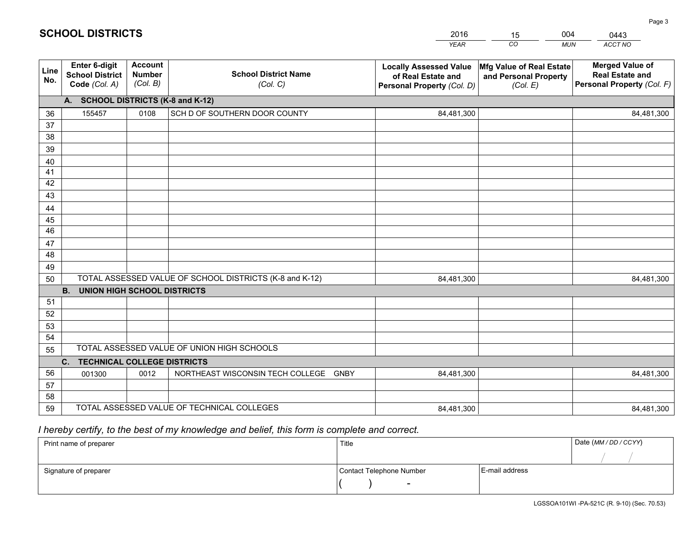|             |                                                          |                                             |                                                         | <b>YEAR</b>                                                                       | CO<br><b>MUN</b>                                              | ACCT NO                                                                        |  |  |  |  |  |
|-------------|----------------------------------------------------------|---------------------------------------------|---------------------------------------------------------|-----------------------------------------------------------------------------------|---------------------------------------------------------------|--------------------------------------------------------------------------------|--|--|--|--|--|
| Line<br>No. | Enter 6-digit<br><b>School District</b><br>Code (Col. A) | <b>Account</b><br><b>Number</b><br>(Col. B) | <b>School District Name</b><br>(Col. C)                 | <b>Locally Assessed Value</b><br>of Real Estate and<br>Personal Property (Col. D) | Mfg Value of Real Estate<br>and Personal Property<br>(Col. E) | <b>Merged Value of</b><br><b>Real Estate and</b><br>Personal Property (Col. F) |  |  |  |  |  |
|             | A. SCHOOL DISTRICTS (K-8 and K-12)                       |                                             |                                                         |                                                                                   |                                                               |                                                                                |  |  |  |  |  |
| 36          | 155457                                                   | 0108                                        | SCH D OF SOUTHERN DOOR COUNTY                           | 84,481,300                                                                        |                                                               | 84,481,300                                                                     |  |  |  |  |  |
| 37          |                                                          |                                             |                                                         |                                                                                   |                                                               |                                                                                |  |  |  |  |  |
| 38          |                                                          |                                             |                                                         |                                                                                   |                                                               |                                                                                |  |  |  |  |  |
| 39          |                                                          |                                             |                                                         |                                                                                   |                                                               |                                                                                |  |  |  |  |  |
| 40          |                                                          |                                             |                                                         |                                                                                   |                                                               |                                                                                |  |  |  |  |  |
| 41          |                                                          |                                             |                                                         |                                                                                   |                                                               |                                                                                |  |  |  |  |  |
| 42          |                                                          |                                             |                                                         |                                                                                   |                                                               |                                                                                |  |  |  |  |  |
| 43          |                                                          |                                             |                                                         |                                                                                   |                                                               |                                                                                |  |  |  |  |  |
| 44          |                                                          |                                             |                                                         |                                                                                   |                                                               |                                                                                |  |  |  |  |  |
| 45<br>46    |                                                          |                                             |                                                         |                                                                                   |                                                               |                                                                                |  |  |  |  |  |
|             |                                                          |                                             |                                                         |                                                                                   |                                                               |                                                                                |  |  |  |  |  |
| 47<br>48    |                                                          |                                             |                                                         |                                                                                   |                                                               |                                                                                |  |  |  |  |  |
| 49          |                                                          |                                             |                                                         |                                                                                   |                                                               |                                                                                |  |  |  |  |  |
| 50          |                                                          |                                             | TOTAL ASSESSED VALUE OF SCHOOL DISTRICTS (K-8 and K-12) | 84,481,300                                                                        |                                                               | 84,481,300                                                                     |  |  |  |  |  |
|             | <b>B.</b><br><b>UNION HIGH SCHOOL DISTRICTS</b>          |                                             |                                                         |                                                                                   |                                                               |                                                                                |  |  |  |  |  |
| 51          |                                                          |                                             |                                                         |                                                                                   |                                                               |                                                                                |  |  |  |  |  |
| 52          |                                                          |                                             |                                                         |                                                                                   |                                                               |                                                                                |  |  |  |  |  |
| 53          |                                                          |                                             |                                                         |                                                                                   |                                                               |                                                                                |  |  |  |  |  |
| 54          |                                                          |                                             |                                                         |                                                                                   |                                                               |                                                                                |  |  |  |  |  |
| 55          |                                                          |                                             | TOTAL ASSESSED VALUE OF UNION HIGH SCHOOLS              |                                                                                   |                                                               |                                                                                |  |  |  |  |  |
|             | C.<br><b>TECHNICAL COLLEGE DISTRICTS</b>                 |                                             |                                                         |                                                                                   |                                                               |                                                                                |  |  |  |  |  |
| 56          | 001300                                                   | 0012                                        | NORTHEAST WISCONSIN TECH COLLEGE<br>GNBY                | 84,481,300                                                                        |                                                               | 84,481,300                                                                     |  |  |  |  |  |
| 57          |                                                          |                                             |                                                         |                                                                                   |                                                               |                                                                                |  |  |  |  |  |
| 58          |                                                          |                                             |                                                         |                                                                                   |                                                               |                                                                                |  |  |  |  |  |
| 59          |                                                          |                                             | TOTAL ASSESSED VALUE OF TECHNICAL COLLEGES              | 84,481,300                                                                        |                                                               | 84,481,300                                                                     |  |  |  |  |  |

15

004

 *I hereby certify, to the best of my knowledge and belief, this form is complete and correct.*

**SCHOOL DISTRICTS**

| Print name of preparer | Title                    | Date (MM / DD / CCYY) |  |
|------------------------|--------------------------|-----------------------|--|
|                        |                          |                       |  |
| Signature of preparer  | Contact Telephone Number | E-mail address        |  |
|                        |                          |                       |  |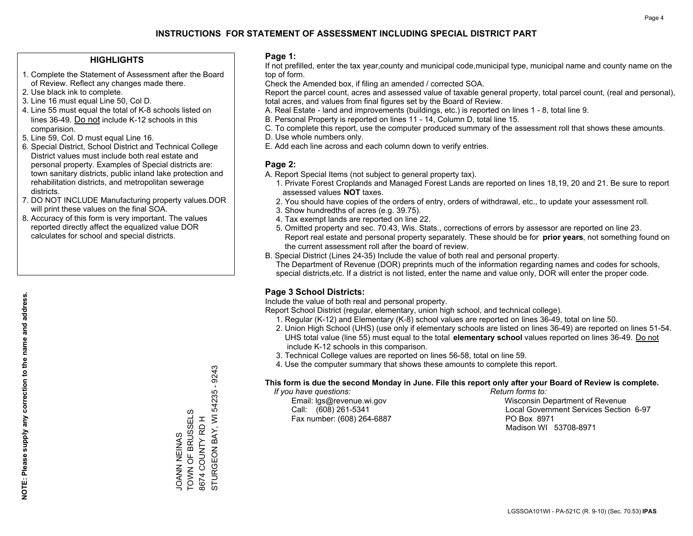### **HIGHLIGHTS**

- 1. Complete the Statement of Assessment after the Board of Review. Reflect any changes made there.
- 2. Use black ink to complete.
- 3. Line 16 must equal Line 50, Col D.
- 4. Line 55 must equal the total of K-8 schools listed on lines 36-49. Do not include K-12 schools in this comparision.
- 5. Line 59, Col. D must equal Line 16.
- 6. Special District, School District and Technical College District values must include both real estate and personal property. Examples of Special districts are: town sanitary districts, public inland lake protection and rehabilitation districts, and metropolitan sewerage districts.
- 7. DO NOT INCLUDE Manufacturing property values.DOR will print these values on the final SOA.

SYNINI NEINAS TOWN OF BRUSSELS 8674 COUNTY RD H

JOANN NEINAS<br>TOWN OF BRUSSELS

STURGEON BAY, WI 54235 - 9243

STURGEON BAY, WI 8674 COUNTY RD H

54235 - 9243

 8. Accuracy of this form is very important. The values reported directly affect the equalized value DOR calculates for school and special districts.

### **Page 1:**

 If not prefilled, enter the tax year,county and municipal code,municipal type, municipal name and county name on the top of form.

Check the Amended box, if filing an amended / corrected SOA.

 Report the parcel count, acres and assessed value of taxable general property, total parcel count, (real and personal), total acres, and values from final figures set by the Board of Review.

- A. Real Estate land and improvements (buildings, etc.) is reported on lines 1 8, total line 9.
- B. Personal Property is reported on lines 11 14, Column D, total line 15.
- C. To complete this report, use the computer produced summary of the assessment roll that shows these amounts.
- D. Use whole numbers only.
- E. Add each line across and each column down to verify entries.

### **Page 2:**

- A. Report Special Items (not subject to general property tax).
- 1. Private Forest Croplands and Managed Forest Lands are reported on lines 18,19, 20 and 21. Be sure to report assessed values **NOT** taxes.
- 2. You should have copies of the orders of entry, orders of withdrawal, etc., to update your assessment roll.
	- 3. Show hundredths of acres (e.g. 39.75).
- 4. Tax exempt lands are reported on line 22.
- 5. Omitted property and sec. 70.43, Wis. Stats., corrections of errors by assessor are reported on line 23. Report real estate and personal property separately. These should be for **prior years**, not something found on the current assessment roll after the board of review.
- B. Special District (Lines 24-35) Include the value of both real and personal property.

 The Department of Revenue (DOR) preprints much of the information regarding names and codes for schools, special districts,etc. If a district is not listed, enter the name and value only, DOR will enter the proper code.

### **Page 3 School Districts:**

Include the value of both real and personal property.

Report School District (regular, elementary, union high school, and technical college).

- 1. Regular (K-12) and Elementary (K-8) school values are reported on lines 36-49, total on line 50.
- 2. Union High School (UHS) (use only if elementary schools are listed on lines 36-49) are reported on lines 51-54. UHS total value (line 55) must equal to the total **elementary school** values reported on lines 36-49. Do notinclude K-12 schools in this comparison.
- 3. Technical College values are reported on lines 56-58, total on line 59.
- 4. Use the computer summary that shows these amounts to complete this report.

#### **This form is due the second Monday in June. File this report only after your Board of Review is complete.**

 *If you have questions: Return forms to:*

Fax number: (608) 264-6887 PO Box 8971

 Email: lgs@revenue.wi.gov Wisconsin Department of Revenue Call: (608) 261-5341 Local Government Services Section 6-97Madison WI 53708-8971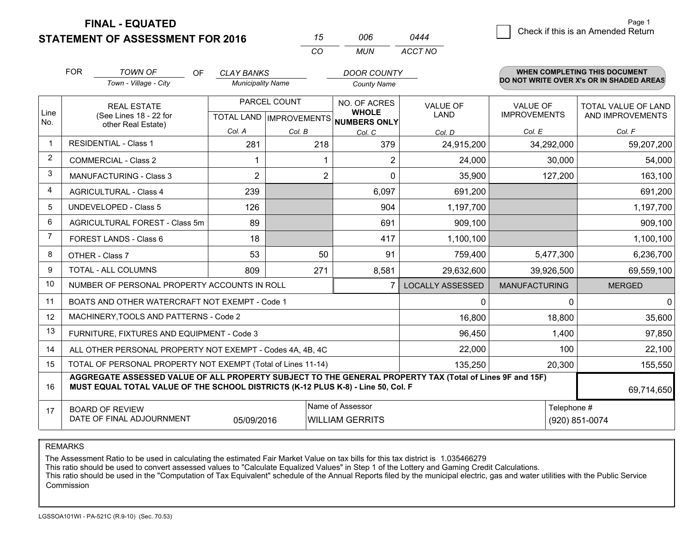**STATEMENT OF ASSESSMENT FOR 2016** 

**FINAL - EQUATED**

|                |                                                                                                                                                                                              |                          | CO                             | <b>MUN</b>                          | ACCT NO                 |                      |                                          |
|----------------|----------------------------------------------------------------------------------------------------------------------------------------------------------------------------------------------|--------------------------|--------------------------------|-------------------------------------|-------------------------|----------------------|------------------------------------------|
|                | <b>FOR</b><br><b>TOWN OF</b><br><b>OF</b>                                                                                                                                                    | <b>CLAY BANKS</b>        |                                | <b>DOOR COUNTY</b>                  |                         |                      | WHEN COMPLETING THIS DOCUMENT            |
|                | Town - Village - City                                                                                                                                                                        | <b>Municipality Name</b> |                                | <b>County Name</b>                  |                         |                      | DO NOT WRITE OVER X's OR IN SHADED AREAS |
|                | <b>REAL ESTATE</b>                                                                                                                                                                           |                          | PARCEL COUNT                   | NO. OF ACRES                        | <b>VALUE OF</b>         | <b>VALUE OF</b>      | <b>TOTAL VALUE OF LAND</b>               |
| Line<br>No.    | (See Lines 18 - 22 for                                                                                                                                                                       |                          | <b>TOTAL LAND IMPROVEMENTS</b> | <b>WHOLE</b><br><b>NUMBERS ONLY</b> | <b>LAND</b>             | <b>IMPROVEMENTS</b>  | AND IMPROVEMENTS                         |
|                | other Real Estate)                                                                                                                                                                           | Col. A                   | Col. B                         | Col. C                              | Col. D                  | Col. E               | Col. F                                   |
|                | <b>RESIDENTIAL - Class 1</b>                                                                                                                                                                 | 281                      | 218                            | 379                                 | 24,915,200              | 34,292,000           | 59,207,200                               |
| 2              | <b>COMMERCIAL - Class 2</b>                                                                                                                                                                  |                          |                                | $\overline{2}$                      | 24,000                  | 30,000               | 54,000                                   |
| 3              | <b>MANUFACTURING - Class 3</b>                                                                                                                                                               | $\overline{2}$           |                                | $\overline{2}$<br>$\Omega$          | 35,900                  | 127,200              | 163,100                                  |
| 4              | <b>AGRICULTURAL - Class 4</b>                                                                                                                                                                | 239                      |                                | 6,097                               | 691,200                 |                      | 691,200                                  |
| 5              | <b>UNDEVELOPED - Class 5</b>                                                                                                                                                                 | 126                      |                                | 904                                 | 1,197,700               |                      | 1,197,700                                |
| 6              | AGRICULTURAL FOREST - Class 5m                                                                                                                                                               | 89                       |                                | 691                                 | 909,100                 |                      | 909,100                                  |
| $\overline{7}$ | FOREST LANDS - Class 6                                                                                                                                                                       | 18                       |                                | 417                                 | 1,100,100               |                      | 1,100,100                                |
| 8              | OTHER - Class 7                                                                                                                                                                              | 53                       |                                | 50<br>91                            | 759,400                 | 5,477,300            | 6,236,700                                |
| 9              | TOTAL - ALL COLUMNS                                                                                                                                                                          | 809                      | 271                            | 8,581                               | 29,632,600              | 39,926,500           | 69,559,100                               |
| 10             | NUMBER OF PERSONAL PROPERTY ACCOUNTS IN ROLL                                                                                                                                                 |                          |                                |                                     | <b>LOCALLY ASSESSED</b> | <b>MANUFACTURING</b> | <b>MERGED</b>                            |
| 11             | BOATS AND OTHER WATERCRAFT NOT EXEMPT - Code 1                                                                                                                                               |                          |                                |                                     | 0                       | $\Omega$             | $\mathbf 0$                              |
| 12             | MACHINERY, TOOLS AND PATTERNS - Code 2                                                                                                                                                       |                          |                                |                                     | 16,800                  | 18,800               | 35,600                                   |
| 13             | FURNITURE, FIXTURES AND EQUIPMENT - Code 3                                                                                                                                                   |                          |                                |                                     | 96,450                  | 1,400                | 97,850                                   |
| 14             | ALL OTHER PERSONAL PROPERTY NOT EXEMPT - Codes 4A, 4B, 4C                                                                                                                                    |                          |                                |                                     | 22,000                  | 100                  | 22,100                                   |
| 15             | TOTAL OF PERSONAL PROPERTY NOT EXEMPT (Total of Lines 11-14)                                                                                                                                 |                          |                                |                                     | 135,250                 | 20,300               | 155,550                                  |
| 16             | AGGREGATE ASSESSED VALUE OF ALL PROPERTY SUBJECT TO THE GENERAL PROPERTY TAX (Total of Lines 9F and 15F)<br>MUST EQUAL TOTAL VALUE OF THE SCHOOL DISTRICTS (K-12 PLUS K-8) - Line 50, Col. F |                          |                                |                                     |                         |                      | 69,714,650                               |
| 17             | <b>BOARD OF REVIEW</b>                                                                                                                                                                       | Telephone #              |                                |                                     |                         |                      |                                          |
|                | DATE OF FINAL ADJOURNMENT                                                                                                                                                                    |                          | (920) 851-0074                 |                                     |                         |                      |                                          |

*<sup>15</sup> <sup>006</sup>*

*0444*

REMARKS

The Assessment Ratio to be used in calculating the estimated Fair Market Value on tax bills for this tax district is 1.035466279<br>This ratio should be used to convert assessed values to "Calculate Equalized Values" in Step Commission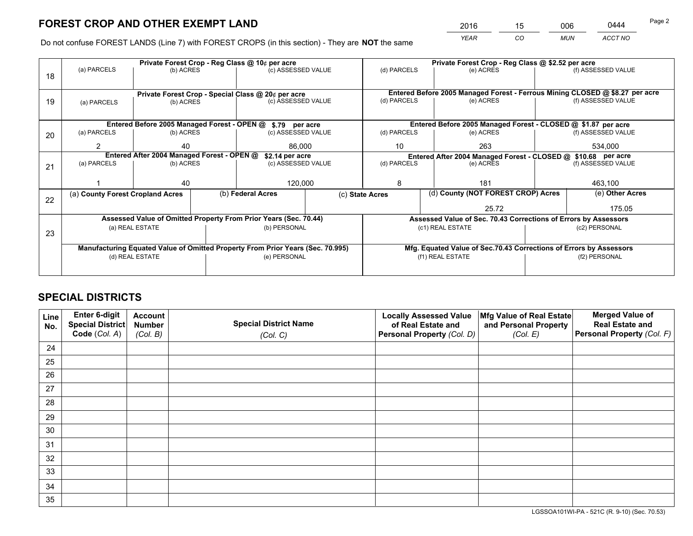*YEAR CO MUN ACCT NO* 2016 <u>15 006 0444</u>

Do not confuse FOREST LANDS (Line 7) with FOREST CROPS (in this section) - They are **NOT** the same

|    |                                                               |                 |  | Private Forest Crop - Reg Class @ 10¢ per acre                                 |             |                                                                 | Private Forest Crop - Reg Class @ \$2.52 per acre                            |                                    |                    |  |
|----|---------------------------------------------------------------|-----------------|--|--------------------------------------------------------------------------------|-------------|-----------------------------------------------------------------|------------------------------------------------------------------------------|------------------------------------|--------------------|--|
| 18 | (a) PARCELS                                                   | (b) ACRES       |  | (c) ASSESSED VALUE                                                             |             | (d) PARCELS                                                     | (e) ACRES                                                                    |                                    | (f) ASSESSED VALUE |  |
|    |                                                               |                 |  |                                                                                |             |                                                                 |                                                                              |                                    |                    |  |
|    |                                                               |                 |  | Private Forest Crop - Special Class @ 20¢ per acre                             |             |                                                                 | Entered Before 2005 Managed Forest - Ferrous Mining CLOSED @ \$8.27 per acre |                                    |                    |  |
| 19 | (a) PARCELS                                                   | (b) ACRES       |  | (c) ASSESSED VALUE                                                             |             | (d) PARCELS                                                     | (e) ACRES                                                                    |                                    | (f) ASSESSED VALUE |  |
|    |                                                               |                 |  |                                                                                |             |                                                                 |                                                                              |                                    |                    |  |
|    |                                                               |                 |  | Entered Before 2005 Managed Forest - OPEN @ \$.79 per acre                     |             |                                                                 | Entered Before 2005 Managed Forest - CLOSED @ \$1.87 per acre                |                                    |                    |  |
| 20 | (a) PARCELS                                                   | (b) ACRES       |  | (c) ASSESSED VALUE                                                             |             | (d) PARCELS                                                     | (e) ACRES                                                                    |                                    |                    |  |
|    | 2                                                             | 40              |  | 86,000                                                                         | 10          |                                                                 | 263                                                                          |                                    | 534,000            |  |
|    | Entered After 2004 Managed Forest - OPEN @<br>\$2.14 per acre |                 |  |                                                                                |             |                                                                 | Entered After 2004 Managed Forest - CLOSED @ \$10.68 per acre                |                                    |                    |  |
| 21 | (a) PARCELS                                                   | (b) ACRES       |  | (c) ASSESSED VALUE                                                             | (d) PARCELS |                                                                 | (e) ACRES                                                                    |                                    | (f) ASSESSED VALUE |  |
|    |                                                               |                 |  |                                                                                |             |                                                                 |                                                                              |                                    |                    |  |
|    |                                                               | 40              |  |                                                                                | 120,000     |                                                                 | 181                                                                          |                                    | 463,100            |  |
| 22 | (a) County Forest Cropland Acres                              |                 |  | (b) Federal Acres                                                              |             | (c) State Acres                                                 |                                                                              | (d) County (NOT FOREST CROP) Acres |                    |  |
|    |                                                               |                 |  |                                                                                |             |                                                                 | 25.72                                                                        | 175.05                             |                    |  |
|    |                                                               |                 |  | Assessed Value of Omitted Property From Prior Years (Sec. 70.44)               |             | Assessed Value of Sec. 70.43 Corrections of Errors by Assessors |                                                                              |                                    |                    |  |
| 23 |                                                               | (a) REAL ESTATE |  | (b) PERSONAL                                                                   |             |                                                                 | (c1) REAL ESTATE                                                             |                                    | (c2) PERSONAL      |  |
|    |                                                               |                 |  |                                                                                |             |                                                                 |                                                                              |                                    |                    |  |
|    |                                                               |                 |  | Manufacturing Equated Value of Omitted Property From Prior Years (Sec. 70.995) |             |                                                                 | Mfg. Equated Value of Sec.70.43 Corrections of Errors by Assessors           |                                    |                    |  |
|    |                                                               | (d) REAL ESTATE |  | (e) PERSONAL                                                                   |             |                                                                 | (f1) REAL ESTATE                                                             | (f2) PERSONAL                      |                    |  |
|    |                                                               |                 |  |                                                                                |             |                                                                 |                                                                              |                                    |                    |  |

# **SPECIAL DISTRICTS**

| Line<br>No. | Enter 6-digit<br><b>Special District</b> | <b>Account</b><br><b>Number</b> | <b>Special District Name</b> | <b>Locally Assessed Value</b><br>of Real Estate and | Mfg Value of Real Estate<br>and Personal Property | <b>Merged Value of</b><br><b>Real Estate and</b> |
|-------------|------------------------------------------|---------------------------------|------------------------------|-----------------------------------------------------|---------------------------------------------------|--------------------------------------------------|
|             | Code (Col. A)                            | (Col. B)                        | (Col. C)                     | Personal Property (Col. D)                          | (Col. E)                                          | Personal Property (Col. F)                       |
| 24          |                                          |                                 |                              |                                                     |                                                   |                                                  |
| 25          |                                          |                                 |                              |                                                     |                                                   |                                                  |
| 26          |                                          |                                 |                              |                                                     |                                                   |                                                  |
| 27          |                                          |                                 |                              |                                                     |                                                   |                                                  |
| 28          |                                          |                                 |                              |                                                     |                                                   |                                                  |
| 29          |                                          |                                 |                              |                                                     |                                                   |                                                  |
| 30          |                                          |                                 |                              |                                                     |                                                   |                                                  |
| 31          |                                          |                                 |                              |                                                     |                                                   |                                                  |
| 32          |                                          |                                 |                              |                                                     |                                                   |                                                  |
| 33          |                                          |                                 |                              |                                                     |                                                   |                                                  |
| 34          |                                          |                                 |                              |                                                     |                                                   |                                                  |
| 35          |                                          |                                 |                              |                                                     |                                                   |                                                  |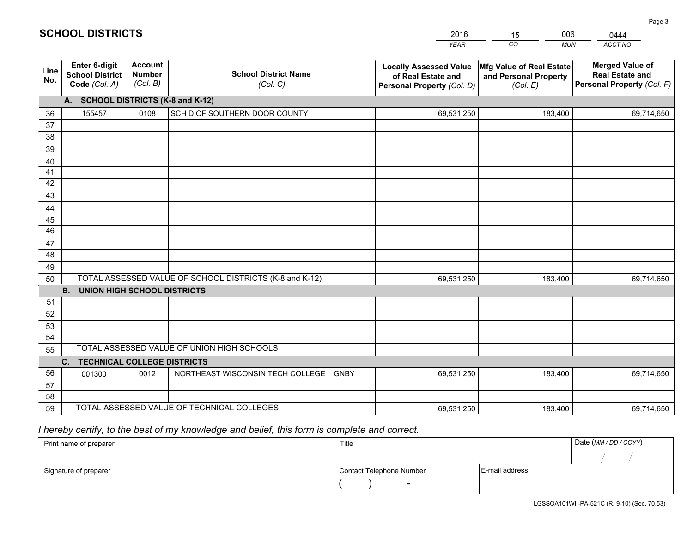|             |                                                                 |                                             |                                                         | <b>YEAR</b>                                                                       | CO<br><b>MUN</b>                                              | <b>ACCT NO</b>                                                                 |
|-------------|-----------------------------------------------------------------|---------------------------------------------|---------------------------------------------------------|-----------------------------------------------------------------------------------|---------------------------------------------------------------|--------------------------------------------------------------------------------|
| Line<br>No. | <b>Enter 6-digit</b><br><b>School District</b><br>Code (Col. A) | <b>Account</b><br><b>Number</b><br>(Col. B) | <b>School District Name</b><br>(Col. C)                 | <b>Locally Assessed Value</b><br>of Real Estate and<br>Personal Property (Col. D) | Mfg Value of Real Estate<br>and Personal Property<br>(Col. E) | <b>Merged Value of</b><br><b>Real Estate and</b><br>Personal Property (Col. F) |
|             | A. SCHOOL DISTRICTS (K-8 and K-12)                              |                                             |                                                         |                                                                                   |                                                               |                                                                                |
| 36          | 155457                                                          | 0108                                        | SCH D OF SOUTHERN DOOR COUNTY                           | 69,531,250                                                                        | 183,400                                                       | 69,714,650                                                                     |
| 37          |                                                                 |                                             |                                                         |                                                                                   |                                                               |                                                                                |
| 38          |                                                                 |                                             |                                                         |                                                                                   |                                                               |                                                                                |
| 39          |                                                                 |                                             |                                                         |                                                                                   |                                                               |                                                                                |
| 40          |                                                                 |                                             |                                                         |                                                                                   |                                                               |                                                                                |
| 41<br>42    |                                                                 |                                             |                                                         |                                                                                   |                                                               |                                                                                |
| 43          |                                                                 |                                             |                                                         |                                                                                   |                                                               |                                                                                |
| 44          |                                                                 |                                             |                                                         |                                                                                   |                                                               |                                                                                |
| 45          |                                                                 |                                             |                                                         |                                                                                   |                                                               |                                                                                |
| 46          |                                                                 |                                             |                                                         |                                                                                   |                                                               |                                                                                |
| 47          |                                                                 |                                             |                                                         |                                                                                   |                                                               |                                                                                |
| 48          |                                                                 |                                             |                                                         |                                                                                   |                                                               |                                                                                |
| 49          |                                                                 |                                             |                                                         |                                                                                   |                                                               |                                                                                |
| 50          |                                                                 |                                             | TOTAL ASSESSED VALUE OF SCHOOL DISTRICTS (K-8 and K-12) | 69,531,250                                                                        | 183,400                                                       | 69,714,650                                                                     |
|             | <b>B.</b><br><b>UNION HIGH SCHOOL DISTRICTS</b>                 |                                             |                                                         |                                                                                   |                                                               |                                                                                |
| 51          |                                                                 |                                             |                                                         |                                                                                   |                                                               |                                                                                |
| 52          |                                                                 |                                             |                                                         |                                                                                   |                                                               |                                                                                |
| 53<br>54    |                                                                 |                                             |                                                         |                                                                                   |                                                               |                                                                                |
| 55          |                                                                 |                                             | TOTAL ASSESSED VALUE OF UNION HIGH SCHOOLS              |                                                                                   |                                                               |                                                                                |
|             | C.<br><b>TECHNICAL COLLEGE DISTRICTS</b>                        |                                             |                                                         |                                                                                   |                                                               |                                                                                |
| 56          | 001300                                                          | 0012                                        | NORTHEAST WISCONSIN TECH COLLEGE<br><b>GNBY</b>         | 69,531,250                                                                        | 183,400                                                       | 69,714,650                                                                     |
| 57          |                                                                 |                                             |                                                         |                                                                                   |                                                               |                                                                                |
| 58          |                                                                 |                                             |                                                         |                                                                                   |                                                               |                                                                                |
| 59          |                                                                 |                                             | TOTAL ASSESSED VALUE OF TECHNICAL COLLEGES              | 69,531,250                                                                        | 183,400                                                       | 69,714,650                                                                     |

15

006

 *I hereby certify, to the best of my knowledge and belief, this form is complete and correct.*

**SCHOOL DISTRICTS**

| Print name of preparer | Title                    |                | Date (MM / DD / CCYY) |
|------------------------|--------------------------|----------------|-----------------------|
|                        |                          |                |                       |
| Signature of preparer  | Contact Telephone Number | E-mail address |                       |
|                        | $\sim$                   |                |                       |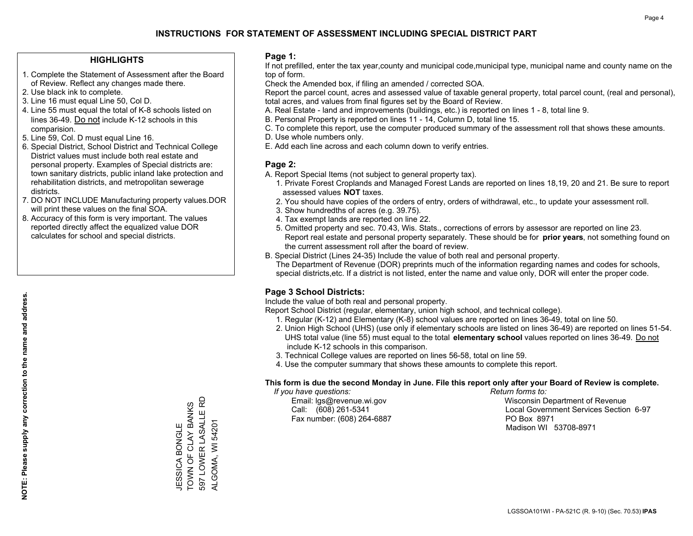### **HIGHLIGHTS**

- 1. Complete the Statement of Assessment after the Board of Review. Reflect any changes made there.
- 2. Use black ink to complete.
- 3. Line 16 must equal Line 50, Col D.
- 4. Line 55 must equal the total of K-8 schools listed on lines 36-49. Do not include K-12 schools in this comparision.
- 5. Line 59, Col. D must equal Line 16.
- 6. Special District, School District and Technical College District values must include both real estate and personal property. Examples of Special districts are: town sanitary districts, public inland lake protection and rehabilitation districts, and metropolitan sewerage districts.
- 7. DO NOT INCLUDE Manufacturing property values.DOR will print these values on the final SOA.
- 8. Accuracy of this form is very important. The values reported directly affect the equalized value DOR calculates for school and special districts.

### **Page 1:**

 If not prefilled, enter the tax year,county and municipal code,municipal type, municipal name and county name on the top of form.

Check the Amended box, if filing an amended / corrected SOA.

 Report the parcel count, acres and assessed value of taxable general property, total parcel count, (real and personal), total acres, and values from final figures set by the Board of Review.

- A. Real Estate land and improvements (buildings, etc.) is reported on lines 1 8, total line 9.
- B. Personal Property is reported on lines 11 14, Column D, total line 15.
- C. To complete this report, use the computer produced summary of the assessment roll that shows these amounts.
- D. Use whole numbers only.
- E. Add each line across and each column down to verify entries.

### **Page 2:**

- A. Report Special Items (not subject to general property tax).
- 1. Private Forest Croplands and Managed Forest Lands are reported on lines 18,19, 20 and 21. Be sure to report assessed values **NOT** taxes.
- 2. You should have copies of the orders of entry, orders of withdrawal, etc., to update your assessment roll.
	- 3. Show hundredths of acres (e.g. 39.75).
- 4. Tax exempt lands are reported on line 22.
- 5. Omitted property and sec. 70.43, Wis. Stats., corrections of errors by assessor are reported on line 23. Report real estate and personal property separately. These should be for **prior years**, not something found on the current assessment roll after the board of review.
- B. Special District (Lines 24-35) Include the value of both real and personal property.

 The Department of Revenue (DOR) preprints much of the information regarding names and codes for schools, special districts,etc. If a district is not listed, enter the name and value only, DOR will enter the proper code.

### **Page 3 School Districts:**

Include the value of both real and personal property.

Report School District (regular, elementary, union high school, and technical college).

- 1. Regular (K-12) and Elementary (K-8) school values are reported on lines 36-49, total on line 50.
- 2. Union High School (UHS) (use only if elementary schools are listed on lines 36-49) are reported on lines 51-54. UHS total value (line 55) must equal to the total **elementary school** values reported on lines 36-49. Do notinclude K-12 schools in this comparison.
- 3. Technical College values are reported on lines 56-58, total on line 59.
- 4. Use the computer summary that shows these amounts to complete this report.

#### **This form is due the second Monday in June. File this report only after your Board of Review is complete.**

 *If you have questions: Return forms to:*

Fax number: (608) 264-6887 PO Box 8971

 Email: lgs@revenue.wi.gov Wisconsin Department of Revenue Call: (608) 261-5341 Local Government Services Section 6-97Madison WI 53708-8971

JESSICA BONGLE<br>TOWN OF CLAY BANKS<br>597 LOWER LASALLE RD 597 LOWER LASALLE RD TOWN OF CLAY BANKS ALGOMA, WI 54201 JESSICA BONGLE

ALGOMA, WI 54201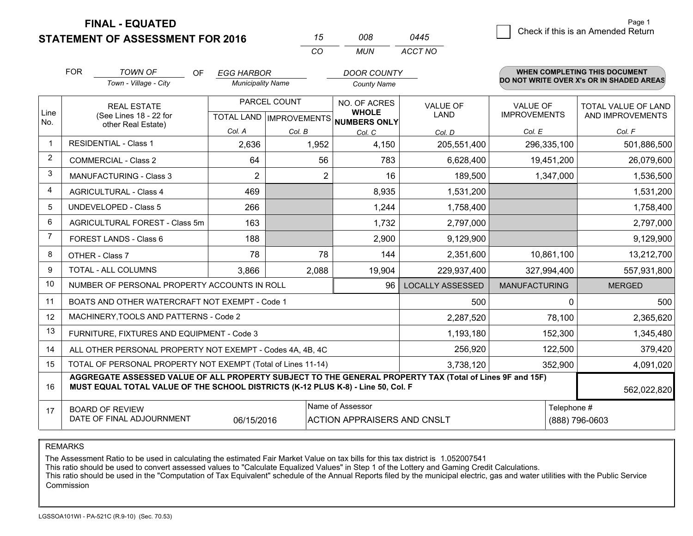**STATEMENT OF ASSESSMENT FOR 2016** 

**FINAL - EQUATED**

|                | <b>FOR</b>                     | <b>TOWN OF</b><br>OF.                                                                                                                                                                        | <b>EGG HARBOR</b>        |              | <b>DOOR COUNTY</b>                                   |                         |                      | <b>WHEN COMPLETING THIS DOCUMENT</b>     |
|----------------|--------------------------------|----------------------------------------------------------------------------------------------------------------------------------------------------------------------------------------------|--------------------------|--------------|------------------------------------------------------|-------------------------|----------------------|------------------------------------------|
|                |                                | Town - Village - City                                                                                                                                                                        | <b>Municipality Name</b> |              | County Name                                          |                         |                      | DO NOT WRITE OVER X's OR IN SHADED AREAS |
|                |                                | <b>REAL ESTATE</b>                                                                                                                                                                           |                          | PARCEL COUNT | NO. OF ACRES                                         | <b>VALUE OF</b>         | <b>VALUE OF</b>      | <b>TOTAL VALUE OF LAND</b>               |
| Line<br>No.    |                                | (See Lines 18 - 22 for<br>other Real Estate)                                                                                                                                                 |                          |              | <b>WHOLE</b><br>TOTAL LAND IMPROVEMENTS NUMBERS ONLY | <b>LAND</b>             | <b>IMPROVEMENTS</b>  | AND IMPROVEMENTS                         |
|                |                                |                                                                                                                                                                                              | Col. A                   | Col. B       | Col. C                                               | Col. D                  | Col. E               | Col. F                                   |
|                |                                | <b>RESIDENTIAL - Class 1</b>                                                                                                                                                                 | 2,636                    | 1,952        | 4,150                                                | 205,551,400             | 296,335,100          | 501,886,500                              |
| $\overline{2}$ | <b>COMMERCIAL - Class 2</b>    |                                                                                                                                                                                              | 64                       | 56           | 783                                                  | 6,628,400               | 19,451,200           | 26,079,600                               |
| 3              |                                | <b>MANUFACTURING - Class 3</b>                                                                                                                                                               | 2                        |              | $\overline{2}$<br>16                                 | 189,500                 | 1,347,000            | 1,536,500                                |
| 4              |                                | <b>AGRICULTURAL - Class 4</b>                                                                                                                                                                | 469                      |              | 8,935                                                | 1,531,200               |                      | 1,531,200                                |
| 5              |                                | <b>UNDEVELOPED - Class 5</b>                                                                                                                                                                 | 266                      |              | 1,244                                                | 1,758,400               |                      | 1,758,400                                |
| 6              | AGRICULTURAL FOREST - Class 5m |                                                                                                                                                                                              | 163                      |              | 1,732                                                | 2,797,000               |                      | 2,797,000                                |
| $\overline{7}$ |                                | FOREST LANDS - Class 6                                                                                                                                                                       | 188                      |              | 2,900                                                | 9,129,900               |                      | 9,129,900                                |
| 8              |                                | OTHER - Class 7                                                                                                                                                                              | 78                       | 78           | 144                                                  | 2,351,600               | 10,861,100           | 13,212,700                               |
| 9              |                                | TOTAL - ALL COLUMNS                                                                                                                                                                          | 3,866                    | 2,088        | 19,904                                               | 229,937,400             | 327,994,400          | 557,931,800                              |
| 10             |                                | NUMBER OF PERSONAL PROPERTY ACCOUNTS IN ROLL                                                                                                                                                 |                          |              | 96                                                   | <b>LOCALLY ASSESSED</b> | <b>MANUFACTURING</b> | <b>MERGED</b>                            |
| 11             |                                | BOATS AND OTHER WATERCRAFT NOT EXEMPT - Code 1                                                                                                                                               |                          |              |                                                      | 500                     |                      | 500<br>$\Omega$                          |
| 12             |                                | MACHINERY, TOOLS AND PATTERNS - Code 2                                                                                                                                                       |                          |              |                                                      | 2,287,520               | 78,100               | 2,365,620                                |
| 13             |                                | FURNITURE, FIXTURES AND EQUIPMENT - Code 3                                                                                                                                                   |                          |              |                                                      | 1,193,180               | 152,300              | 1,345,480                                |
| 14             |                                | ALL OTHER PERSONAL PROPERTY NOT EXEMPT - Codes 4A, 4B, 4C                                                                                                                                    |                          |              |                                                      | 256,920                 | 122,500              | 379,420                                  |
| 15             |                                | TOTAL OF PERSONAL PROPERTY NOT EXEMPT (Total of Lines 11-14)                                                                                                                                 |                          |              |                                                      | 3,738,120               | 352,900              | 4,091,020                                |
| 16             |                                | AGGREGATE ASSESSED VALUE OF ALL PROPERTY SUBJECT TO THE GENERAL PROPERTY TAX (Total of Lines 9F and 15F)<br>MUST EQUAL TOTAL VALUE OF THE SCHOOL DISTRICTS (K-12 PLUS K-8) - Line 50, Col. F |                          |              |                                                      |                         |                      | 562,022,820                              |
| 17             |                                | <b>BOARD OF REVIEW</b>                                                                                                                                                                       |                          |              | Name of Assessor                                     |                         |                      | Telephone #                              |
|                |                                | DATE OF FINAL ADJOURNMENT                                                                                                                                                                    | 06/15/2016               |              | <b>ACTION APPRAISERS AND CNSLT</b>                   |                         | (888) 796-0603       |                                          |

*CO*

*MUN*

*ACCT NO0445*

*<sup>15</sup> <sup>008</sup>*

REMARKS

The Assessment Ratio to be used in calculating the estimated Fair Market Value on tax bills for this tax district is 1.052007541<br>This ratio should be used to convert assessed values to "Calculate Equalized Values" in Step Commission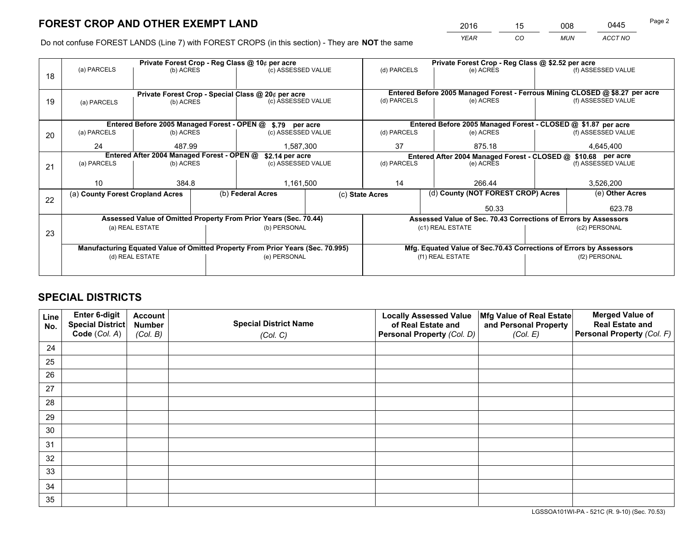*YEAR CO MUN ACCT NO* <sup>2016</sup> <sup>15</sup> <sup>008</sup> <sup>0445</sup>

Do not confuse FOREST LANDS (Line 7) with FOREST CROPS (in this section) - They are **NOT** the same

|    |                                                               |                                  |  | Private Forest Crop - Reg Class @ 10¢ per acre                                 |                                      |              | Private Forest Crop - Reg Class @ \$2.52 per acre                            |                                    |                    |
|----|---------------------------------------------------------------|----------------------------------|--|--------------------------------------------------------------------------------|--------------------------------------|--------------|------------------------------------------------------------------------------|------------------------------------|--------------------|
| 18 | (a) PARCELS                                                   | (b) ACRES                        |  | (c) ASSESSED VALUE                                                             |                                      | (d) PARCELS  | (e) ACRES                                                                    |                                    | (f) ASSESSED VALUE |
|    |                                                               |                                  |  |                                                                                |                                      |              |                                                                              |                                    |                    |
|    |                                                               |                                  |  | Private Forest Crop - Special Class @ 20¢ per acre                             |                                      |              | Entered Before 2005 Managed Forest - Ferrous Mining CLOSED @ \$8.27 per acre |                                    |                    |
| 19 | (a) PARCELS                                                   | (b) ACRES                        |  | (c) ASSESSED VALUE                                                             |                                      | (d) PARCELS  | (e) ACRES                                                                    |                                    | (f) ASSESSED VALUE |
|    |                                                               |                                  |  |                                                                                |                                      |              |                                                                              |                                    |                    |
|    |                                                               |                                  |  | Entered Before 2005 Managed Forest - OPEN @ \$.79 per acre                     |                                      |              | Entered Before 2005 Managed Forest - CLOSED @ \$1.87 per acre                |                                    |                    |
| 20 | (c) ASSESSED VALUE<br>(a) PARCELS<br>(b) ACRES                |                                  |  | (d) PARCELS                                                                    | (e) ACRES                            |              | (f) ASSESSED VALUE                                                           |                                    |                    |
|    | 24                                                            | 487.99                           |  | 1,587,300                                                                      |                                      | 37<br>875.18 |                                                                              |                                    | 4,645,400          |
|    | Entered After 2004 Managed Forest - OPEN @<br>\$2.14 per acre |                                  |  |                                                                                |                                      |              | Entered After 2004 Managed Forest - CLOSED @ \$10.68 per acre                |                                    |                    |
| 21 | (a) PARCELS                                                   | (b) ACRES                        |  | (c) ASSESSED VALUE                                                             | (d) PARCELS                          |              | (e) ACRES                                                                    |                                    |                    |
|    |                                                               |                                  |  |                                                                                |                                      |              |                                                                              |                                    |                    |
|    | 10 <sup>°</sup>                                               | 384.8                            |  | 1,161,500                                                                      |                                      | 14           | 266.44                                                                       |                                    |                    |
| 22 |                                                               | (a) County Forest Cropland Acres |  |                                                                                | (b) Federal Acres<br>(c) State Acres |              |                                                                              | (d) County (NOT FOREST CROP) Acres |                    |
|    |                                                               |                                  |  |                                                                                |                                      | 50.33        |                                                                              |                                    | 623.78             |
|    |                                                               |                                  |  | Assessed Value of Omitted Property From Prior Years (Sec. 70.44)               |                                      |              | Assessed Value of Sec. 70.43 Corrections of Errors by Assessors              |                                    |                    |
| 23 |                                                               | (a) REAL ESTATE                  |  | (b) PERSONAL                                                                   |                                      |              | (c1) REAL ESTATE                                                             |                                    | (c2) PERSONAL      |
|    |                                                               |                                  |  |                                                                                |                                      |              |                                                                              |                                    |                    |
|    |                                                               |                                  |  | Manufacturing Equated Value of Omitted Property From Prior Years (Sec. 70.995) |                                      |              | Mfg. Equated Value of Sec.70.43 Corrections of Errors by Assessors           |                                    |                    |
|    |                                                               | (d) REAL ESTATE                  |  | (e) PERSONAL                                                                   |                                      |              | (f1) REAL ESTATE                                                             | (f2) PERSONAL                      |                    |
|    |                                                               |                                  |  |                                                                                |                                      |              |                                                                              |                                    |                    |

# **SPECIAL DISTRICTS**

| Line<br>No. | Enter 6-digit<br><b>Special District</b> | <b>Account</b><br><b>Number</b> | <b>Special District Name</b> | <b>Locally Assessed Value</b><br>of Real Estate and | Mfg Value of Real Estate<br>and Personal Property | <b>Merged Value of</b><br><b>Real Estate and</b> |
|-------------|------------------------------------------|---------------------------------|------------------------------|-----------------------------------------------------|---------------------------------------------------|--------------------------------------------------|
|             | Code (Col. A)                            | (Col. B)                        | (Col. C)                     | Personal Property (Col. D)                          | (Col. E)                                          | Personal Property (Col. F)                       |
| 24          |                                          |                                 |                              |                                                     |                                                   |                                                  |
| 25          |                                          |                                 |                              |                                                     |                                                   |                                                  |
| 26          |                                          |                                 |                              |                                                     |                                                   |                                                  |
| 27          |                                          |                                 |                              |                                                     |                                                   |                                                  |
| 28          |                                          |                                 |                              |                                                     |                                                   |                                                  |
| 29          |                                          |                                 |                              |                                                     |                                                   |                                                  |
| 30          |                                          |                                 |                              |                                                     |                                                   |                                                  |
| 31          |                                          |                                 |                              |                                                     |                                                   |                                                  |
| 32          |                                          |                                 |                              |                                                     |                                                   |                                                  |
| 33          |                                          |                                 |                              |                                                     |                                                   |                                                  |
| 34          |                                          |                                 |                              |                                                     |                                                   |                                                  |
| 35          |                                          |                                 |                              |                                                     |                                                   |                                                  |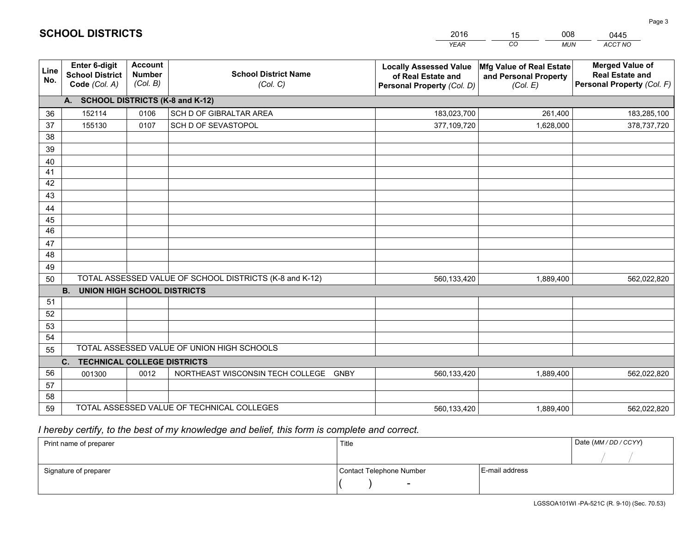|             |                                                          |                                             |                                                         | <b>YEAR</b>                                                                       | CO<br><b>MUN</b>                                              | ACCT NO                                                                        |
|-------------|----------------------------------------------------------|---------------------------------------------|---------------------------------------------------------|-----------------------------------------------------------------------------------|---------------------------------------------------------------|--------------------------------------------------------------------------------|
| Line<br>No. | Enter 6-digit<br><b>School District</b><br>Code (Col. A) | <b>Account</b><br><b>Number</b><br>(Col. B) | <b>School District Name</b><br>(Col. C)                 | <b>Locally Assessed Value</b><br>of Real Estate and<br>Personal Property (Col. D) | Mfg Value of Real Estate<br>and Personal Property<br>(Col. E) | <b>Merged Value of</b><br><b>Real Estate and</b><br>Personal Property (Col. F) |
|             | A. SCHOOL DISTRICTS (K-8 and K-12)                       |                                             |                                                         |                                                                                   |                                                               |                                                                                |
| 36          | 152114                                                   | 0106                                        | SCH D OF GIBRALTAR AREA                                 | 183,023,700                                                                       | 261,400                                                       | 183,285,100                                                                    |
| 37          | 155130                                                   | 0107                                        | SCH D OF SEVASTOPOL                                     | 377,109,720                                                                       | 1,628,000                                                     | 378,737,720                                                                    |
| 38          |                                                          |                                             |                                                         |                                                                                   |                                                               |                                                                                |
| 39          |                                                          |                                             |                                                         |                                                                                   |                                                               |                                                                                |
| 40          |                                                          |                                             |                                                         |                                                                                   |                                                               |                                                                                |
| 41          |                                                          |                                             |                                                         |                                                                                   |                                                               |                                                                                |
| 42          |                                                          |                                             |                                                         |                                                                                   |                                                               |                                                                                |
| 43          |                                                          |                                             |                                                         |                                                                                   |                                                               |                                                                                |
| 44          |                                                          |                                             |                                                         |                                                                                   |                                                               |                                                                                |
| 45<br>46    |                                                          |                                             |                                                         |                                                                                   |                                                               |                                                                                |
|             |                                                          |                                             |                                                         |                                                                                   |                                                               |                                                                                |
| 47<br>48    |                                                          |                                             |                                                         |                                                                                   |                                                               |                                                                                |
| 49          |                                                          |                                             |                                                         |                                                                                   |                                                               |                                                                                |
| 50          |                                                          |                                             | TOTAL ASSESSED VALUE OF SCHOOL DISTRICTS (K-8 and K-12) | 560,133,420                                                                       | 1,889,400                                                     | 562,022,820                                                                    |
|             | <b>UNION HIGH SCHOOL DISTRICTS</b><br><b>B.</b>          |                                             |                                                         |                                                                                   |                                                               |                                                                                |
| 51          |                                                          |                                             |                                                         |                                                                                   |                                                               |                                                                                |
| 52          |                                                          |                                             |                                                         |                                                                                   |                                                               |                                                                                |
| 53          |                                                          |                                             |                                                         |                                                                                   |                                                               |                                                                                |
| 54          |                                                          |                                             |                                                         |                                                                                   |                                                               |                                                                                |
| 55          |                                                          |                                             | TOTAL ASSESSED VALUE OF UNION HIGH SCHOOLS              |                                                                                   |                                                               |                                                                                |
|             | C.<br><b>TECHNICAL COLLEGE DISTRICTS</b>                 |                                             |                                                         |                                                                                   |                                                               |                                                                                |
| 56          | 001300                                                   | 0012                                        | NORTHEAST WISCONSIN TECH COLLEGE GNBY                   | 560,133,420                                                                       | 1,889,400                                                     | 562,022,820                                                                    |
| 57          |                                                          |                                             |                                                         |                                                                                   |                                                               |                                                                                |
| 58          |                                                          |                                             |                                                         |                                                                                   |                                                               |                                                                                |
| 59          |                                                          |                                             | TOTAL ASSESSED VALUE OF TECHNICAL COLLEGES              | 560,133,420                                                                       | 1,889,400                                                     | 562,022,820                                                                    |

15

008

 *I hereby certify, to the best of my knowledge and belief, this form is complete and correct.*

**SCHOOL DISTRICTS**

| Print name of preparer | Title                    |                | Date (MM/DD/CCYY) |
|------------------------|--------------------------|----------------|-------------------|
|                        |                          |                |                   |
| Signature of preparer  | Contact Telephone Number | E-mail address |                   |
|                        | $\overline{\phantom{0}}$ |                |                   |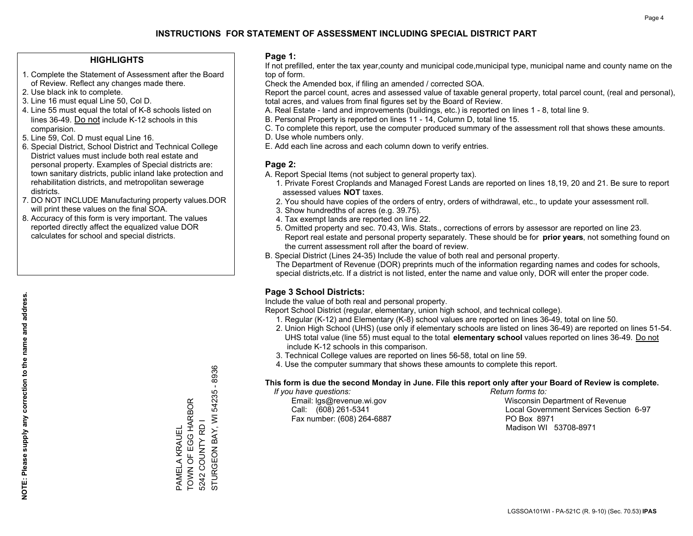### **HIGHLIGHTS**

- 1. Complete the Statement of Assessment after the Board of Review. Reflect any changes made there.
- 2. Use black ink to complete.
- 3. Line 16 must equal Line 50, Col D.
- 4. Line 55 must equal the total of K-8 schools listed on lines 36-49. Do not include K-12 schools in this comparision.
- 5. Line 59, Col. D must equal Line 16.
- 6. Special District, School District and Technical College District values must include both real estate and personal property. Examples of Special districts are: town sanitary districts, public inland lake protection and rehabilitation districts, and metropolitan sewerage districts.
- 7. DO NOT INCLUDE Manufacturing property values.DOR will print these values on the final SOA.

PAMELA KRAUEL

PAMELA KRAUEL

TOWN OF EGG HARBOR 5242 COUNTY RD I

TOWN OF EGG HARBOR

STURGEON BAY, WI 54235 - 8936

STURGEON BAY, WI 5242 COUNTY RD I

54235 - 8936

 8. Accuracy of this form is very important. The values reported directly affect the equalized value DOR calculates for school and special districts.

### **Page 1:**

 If not prefilled, enter the tax year,county and municipal code,municipal type, municipal name and county name on the top of form.

Check the Amended box, if filing an amended / corrected SOA.

 Report the parcel count, acres and assessed value of taxable general property, total parcel count, (real and personal), total acres, and values from final figures set by the Board of Review.

- A. Real Estate land and improvements (buildings, etc.) is reported on lines 1 8, total line 9.
- B. Personal Property is reported on lines 11 14, Column D, total line 15.
- C. To complete this report, use the computer produced summary of the assessment roll that shows these amounts.
- D. Use whole numbers only.
- E. Add each line across and each column down to verify entries.

### **Page 2:**

- A. Report Special Items (not subject to general property tax).
- 1. Private Forest Croplands and Managed Forest Lands are reported on lines 18,19, 20 and 21. Be sure to report assessed values **NOT** taxes.
- 2. You should have copies of the orders of entry, orders of withdrawal, etc., to update your assessment roll.
	- 3. Show hundredths of acres (e.g. 39.75).
- 4. Tax exempt lands are reported on line 22.
- 5. Omitted property and sec. 70.43, Wis. Stats., corrections of errors by assessor are reported on line 23. Report real estate and personal property separately. These should be for **prior years**, not something found on the current assessment roll after the board of review.
- B. Special District (Lines 24-35) Include the value of both real and personal property.
- The Department of Revenue (DOR) preprints much of the information regarding names and codes for schools, special districts,etc. If a district is not listed, enter the name and value only, DOR will enter the proper code.

### **Page 3 School Districts:**

Include the value of both real and personal property.

Report School District (regular, elementary, union high school, and technical college).

- 1. Regular (K-12) and Elementary (K-8) school values are reported on lines 36-49, total on line 50.
- 2. Union High School (UHS) (use only if elementary schools are listed on lines 36-49) are reported on lines 51-54. UHS total value (line 55) must equal to the total **elementary school** values reported on lines 36-49. Do notinclude K-12 schools in this comparison.
- 3. Technical College values are reported on lines 56-58, total on line 59.
- 4. Use the computer summary that shows these amounts to complete this report.

#### **This form is due the second Monday in June. File this report only after your Board of Review is complete.**

 *If you have questions: Return forms to:*

Fax number: (608) 264-6887 PO Box 8971

 Email: lgs@revenue.wi.gov Wisconsin Department of Revenue Call: (608) 261-5341 Local Government Services Section 6-97Madison WI 53708-8971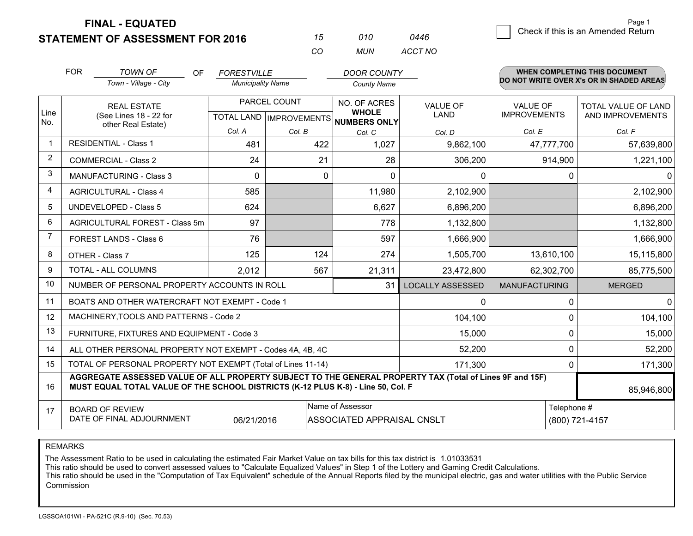**STATEMENT OF ASSESSMENT FOR 2016** 

**FINAL - EQUATED**

| Page 1                             |
|------------------------------------|
|                                    |
| Check if this is an Amended Return |

|                | <b>STATEMENT OF ASSESSMENT FOR 2016</b>                                                                                                                                                      |                                 |                           |              | 15  | 010                                 | 0446                    |                                          |             | Crieck in this is an American Return |  |
|----------------|----------------------------------------------------------------------------------------------------------------------------------------------------------------------------------------------|---------------------------------|---------------------------|--------------|-----|-------------------------------------|-------------------------|------------------------------------------|-------------|--------------------------------------|--|
|                |                                                                                                                                                                                              |                                 |                           |              | CO  | <b>MUN</b>                          | ACCT NO                 |                                          |             |                                      |  |
|                | <b>FOR</b><br><b>TOWN OF</b>                                                                                                                                                                 | <b>OF</b><br><b>FORESTVILLE</b> |                           |              |     | <b>DOOR COUNTY</b>                  |                         |                                          |             | WHEN COMPLETING THIS DOCUMENT        |  |
|                | Town - Village - City                                                                                                                                                                        |                                 | <b>Municipality Name</b>  |              |     | <b>County Name</b>                  |                         | DO NOT WRITE OVER X's OR IN SHADED AREAS |             |                                      |  |
|                | <b>REAL ESTATE</b>                                                                                                                                                                           |                                 |                           | PARCEL COUNT |     | NO. OF ACRES                        | VALUE OF                | <b>VALUE OF</b>                          |             | TOTAL VALUE OF LAND                  |  |
| Line<br>No.    | (See Lines 18 - 22 for<br>other Real Estate)                                                                                                                                                 |                                 | TOTAL LAND   IMPROVEMENTS |              |     | <b>WHOLE</b><br><b>NUMBERS ONLY</b> | LAND                    | <b>IMPROVEMENTS</b>                      |             | AND IMPROVEMENTS                     |  |
|                |                                                                                                                                                                                              |                                 | Col. A                    | Col. B       |     | Col. C                              | Col. D                  | Col. E                                   |             | Col. F                               |  |
| 1              | <b>RESIDENTIAL - Class 1</b>                                                                                                                                                                 |                                 | 481                       |              | 422 | 1,027                               | 9,862,100               |                                          | 47,777,700  | 57,639,800                           |  |
| $\overline{2}$ | <b>COMMERCIAL - Class 2</b>                                                                                                                                                                  |                                 | 24                        |              | 21  | 28                                  | 306,200                 |                                          | 914,900     | 1,221,100                            |  |
| 3              | <b>MANUFACTURING - Class 3</b>                                                                                                                                                               |                                 | $\Omega$                  |              | 0   | $\Omega$                            | $\Omega$                |                                          | $\Omega$    | 0                                    |  |
| 4              | <b>AGRICULTURAL - Class 4</b>                                                                                                                                                                |                                 | 585                       |              |     | 11,980                              | 2,102,900               |                                          |             | 2,102,900                            |  |
| 5              | <b>UNDEVELOPED - Class 5</b>                                                                                                                                                                 |                                 | 624                       |              |     | 6,627                               | 6,896,200               |                                          |             | 6,896,200                            |  |
| 6              | AGRICULTURAL FOREST - Class 5m                                                                                                                                                               |                                 | 97                        |              |     | 778                                 | 1,132,800               |                                          |             | 1,132,800                            |  |
| $\overline{7}$ | FOREST LANDS - Class 6                                                                                                                                                                       |                                 | 76                        |              |     | 597                                 | 1,666,900               |                                          |             | 1,666,900                            |  |
| 8              | OTHER - Class 7                                                                                                                                                                              |                                 | 125                       |              | 124 | 274                                 | 1,505,700               |                                          | 13,610,100  | 15,115,800                           |  |
| 9              | TOTAL - ALL COLUMNS                                                                                                                                                                          |                                 | 2,012                     |              | 567 | 21,311                              | 23,472,800              |                                          | 62,302,700  | 85,775,500                           |  |
| 10             | NUMBER OF PERSONAL PROPERTY ACCOUNTS IN ROLL                                                                                                                                                 |                                 |                           |              |     | 31                                  | <b>LOCALLY ASSESSED</b> | <b>MANUFACTURING</b>                     |             | <b>MERGED</b>                        |  |
| 11             | BOATS AND OTHER WATERCRAFT NOT EXEMPT - Code 1                                                                                                                                               |                                 |                           |              |     |                                     | 0                       |                                          | 0           | $\Omega$                             |  |
| 12             | MACHINERY, TOOLS AND PATTERNS - Code 2                                                                                                                                                       |                                 |                           |              |     |                                     | 104,100                 |                                          | 0           | 104,100                              |  |
| 13             | FURNITURE, FIXTURES AND EQUIPMENT - Code 3                                                                                                                                                   |                                 |                           |              |     |                                     | 15,000                  |                                          | 0           | 15,000                               |  |
| 14             | ALL OTHER PERSONAL PROPERTY NOT EXEMPT - Codes 4A, 4B, 4C                                                                                                                                    |                                 |                           |              |     |                                     | 52,200                  |                                          | 0           | 52,200                               |  |
| 15             | TOTAL OF PERSONAL PROPERTY NOT EXEMPT (Total of Lines 11-14)                                                                                                                                 |                                 |                           |              |     |                                     | 171,300                 | 0                                        |             | 171,300                              |  |
| 16             | AGGREGATE ASSESSED VALUE OF ALL PROPERTY SUBJECT TO THE GENERAL PROPERTY TAX (Total of Lines 9F and 15F)<br>MUST EQUAL TOTAL VALUE OF THE SCHOOL DISTRICTS (K-12 PLUS K-8) - Line 50, Col. F |                                 |                           |              |     |                                     |                         |                                          |             | 85,946,800                           |  |
| 17             | <b>BOARD OF REVIEW</b>                                                                                                                                                                       |                                 |                           |              |     | Name of Assessor                    |                         |                                          | Telephone # |                                      |  |
|                | DATE OF FINAL ADJOURNMENT                                                                                                                                                                    |                                 | 06/21/2016                |              |     | ASSOCIATED APPRAISAL CNSLT          |                         |                                          |             | (800) 721-4157                       |  |

REMARKS

The Assessment Ratio to be used in calculating the estimated Fair Market Value on tax bills for this tax district is 1.01033531<br>This ratio should be used to convert assessed values to "Calculate Equalized Values" in Step 1 Commission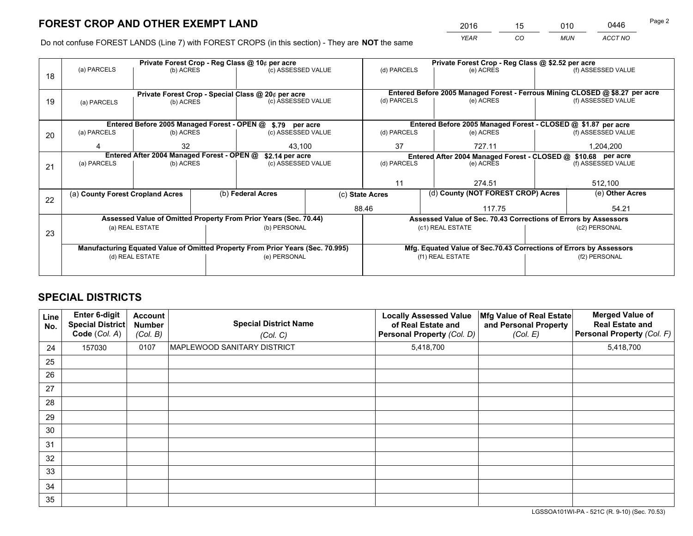*YEAR CO MUN ACCT NO* <sup>2016</sup> <sup>15</sup> <sup>010</sup> <sup>0446</sup>

Do not confuse FOREST LANDS (Line 7) with FOREST CROPS (in this section) - They are **NOT** the same

|    |                                                               |                                             |  | Private Forest Crop - Reg Class @ 10¢ per acre                                 |             | Private Forest Crop - Reg Class @ \$2.52 per acre |                                                                              |               |                    |  |  |
|----|---------------------------------------------------------------|---------------------------------------------|--|--------------------------------------------------------------------------------|-------------|---------------------------------------------------|------------------------------------------------------------------------------|---------------|--------------------|--|--|
| 18 | (a) PARCELS                                                   | (b) ACRES                                   |  | (c) ASSESSED VALUE                                                             |             | (d) PARCELS                                       | (e) ACRES                                                                    |               | (f) ASSESSED VALUE |  |  |
|    |                                                               |                                             |  |                                                                                |             |                                                   | Entered Before 2005 Managed Forest - Ferrous Mining CLOSED @ \$8.27 per acre |               |                    |  |  |
| 19 | (a) PARCELS                                                   | (b) ACRES                                   |  | Private Forest Crop - Special Class @ 20¢ per acre<br>(c) ASSESSED VALUE       |             | (d) PARCELS                                       | (e) ACRES                                                                    |               | (f) ASSESSED VALUE |  |  |
|    |                                                               |                                             |  |                                                                                |             |                                                   |                                                                              |               |                    |  |  |
|    |                                                               |                                             |  |                                                                                |             |                                                   |                                                                              |               |                    |  |  |
|    |                                                               | Entered Before 2005 Managed Forest - OPEN @ |  | \$.79 per acre                                                                 |             |                                                   | Entered Before 2005 Managed Forest - CLOSED @ \$1.87 per acre                |               |                    |  |  |
| 20 | (a) PARCELS                                                   | (b) ACRES<br>(c) ASSESSED VALUE             |  |                                                                                | (d) PARCELS | (e) ACRES                                         |                                                                              |               |                    |  |  |
|    |                                                               | 32                                          |  | 43,100                                                                         |             | 37                                                | 727.11                                                                       |               | 1,204,200          |  |  |
|    | Entered After 2004 Managed Forest - OPEN @<br>\$2.14 per acre |                                             |  |                                                                                |             |                                                   | Entered After 2004 Managed Forest - CLOSED @ \$10.68 per acre                |               |                    |  |  |
| 21 | (a) PARCELS                                                   | (b) ACRES                                   |  | (c) ASSESSED VALUE                                                             |             | (d) PARCELS                                       | (e) ACRES                                                                    |               | (f) ASSESSED VALUE |  |  |
|    |                                                               |                                             |  |                                                                                |             |                                                   |                                                                              |               |                    |  |  |
|    |                                                               |                                             |  |                                                                                |             | 11                                                | 274.51                                                                       |               |                    |  |  |
|    | (a) County Forest Cropland Acres                              |                                             |  | (b) Federal Acres                                                              |             |                                                   | (d) County (NOT FOREST CROP) Acres<br>(c) State Acres                        |               | (e) Other Acres    |  |  |
| 22 |                                                               |                                             |  |                                                                                |             |                                                   |                                                                              |               |                    |  |  |
|    |                                                               |                                             |  |                                                                                |             | 88.46                                             | 117.75                                                                       |               | 54.21              |  |  |
|    |                                                               |                                             |  | Assessed Value of Omitted Property From Prior Years (Sec. 70.44)               |             |                                                   | Assessed Value of Sec. 70.43 Corrections of Errors by Assessors              |               |                    |  |  |
| 23 |                                                               | (a) REAL ESTATE                             |  | (b) PERSONAL                                                                   |             |                                                   | (c1) REAL ESTATE                                                             |               | (c2) PERSONAL      |  |  |
|    |                                                               |                                             |  |                                                                                |             |                                                   |                                                                              |               |                    |  |  |
|    |                                                               |                                             |  | Manufacturing Equated Value of Omitted Property From Prior Years (Sec. 70.995) |             |                                                   | Mfg. Equated Value of Sec.70.43 Corrections of Errors by Assessors           |               |                    |  |  |
|    |                                                               | (d) REAL ESTATE                             |  | (e) PERSONAL                                                                   |             |                                                   | (f1) REAL ESTATE                                                             | (f2) PERSONAL |                    |  |  |
|    |                                                               |                                             |  |                                                                                |             |                                                   |                                                                              |               |                    |  |  |
|    |                                                               |                                             |  |                                                                                |             |                                                   |                                                                              |               |                    |  |  |

# **SPECIAL DISTRICTS**

| Line<br>No. | Enter 6-digit<br><b>Special District</b><br>Code (Col. A) | <b>Account</b><br><b>Number</b><br>(Col. B) | <b>Special District Name</b><br>(Col. C) | <b>Locally Assessed Value</b><br>of Real Estate and<br>Personal Property (Col. D) | Mfg Value of Real Estate<br>and Personal Property<br>(Col. E) | <b>Merged Value of</b><br><b>Real Estate and</b><br>Personal Property (Col. F) |
|-------------|-----------------------------------------------------------|---------------------------------------------|------------------------------------------|-----------------------------------------------------------------------------------|---------------------------------------------------------------|--------------------------------------------------------------------------------|
| 24          | 157030                                                    | 0107                                        | MAPLEWOOD SANITARY DISTRICT              | 5,418,700                                                                         |                                                               | 5,418,700                                                                      |
| 25          |                                                           |                                             |                                          |                                                                                   |                                                               |                                                                                |
| 26          |                                                           |                                             |                                          |                                                                                   |                                                               |                                                                                |
| 27          |                                                           |                                             |                                          |                                                                                   |                                                               |                                                                                |
| 28          |                                                           |                                             |                                          |                                                                                   |                                                               |                                                                                |
| 29          |                                                           |                                             |                                          |                                                                                   |                                                               |                                                                                |
| 30          |                                                           |                                             |                                          |                                                                                   |                                                               |                                                                                |
| 31          |                                                           |                                             |                                          |                                                                                   |                                                               |                                                                                |
| 32          |                                                           |                                             |                                          |                                                                                   |                                                               |                                                                                |
| 33          |                                                           |                                             |                                          |                                                                                   |                                                               |                                                                                |
| 34          |                                                           |                                             |                                          |                                                                                   |                                                               |                                                                                |
| 35          |                                                           |                                             |                                          |                                                                                   |                                                               |                                                                                |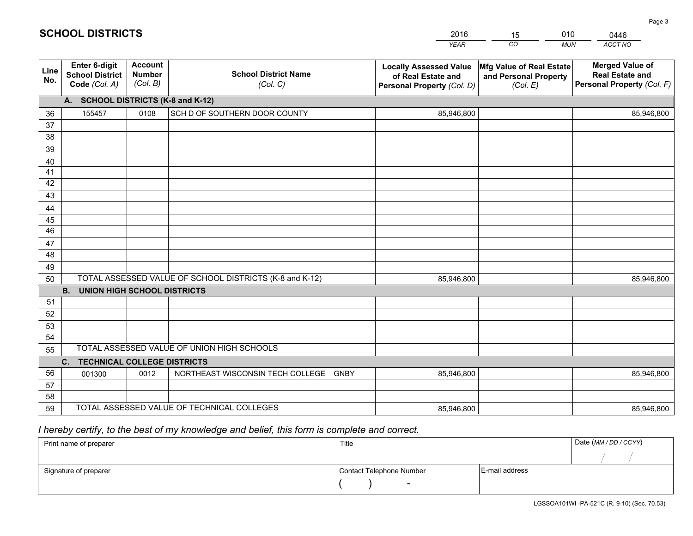|             |                                                          |                                             |                                                         | <b>YEAR</b>                                                                       | CO<br><b>MUN</b>                                              | ACCT NO                                                                        |
|-------------|----------------------------------------------------------|---------------------------------------------|---------------------------------------------------------|-----------------------------------------------------------------------------------|---------------------------------------------------------------|--------------------------------------------------------------------------------|
| Line<br>No. | Enter 6-digit<br><b>School District</b><br>Code (Col. A) | <b>Account</b><br><b>Number</b><br>(Col. B) | <b>School District Name</b><br>(Col. C)                 | <b>Locally Assessed Value</b><br>of Real Estate and<br>Personal Property (Col. D) | Mfg Value of Real Estate<br>and Personal Property<br>(Col. E) | <b>Merged Value of</b><br><b>Real Estate and</b><br>Personal Property (Col. F) |
|             | A. SCHOOL DISTRICTS (K-8 and K-12)                       |                                             |                                                         |                                                                                   |                                                               |                                                                                |
| 36          | 155457                                                   | 0108                                        | SCH D OF SOUTHERN DOOR COUNTY                           | 85,946,800                                                                        |                                                               | 85,946,800                                                                     |
| 37          |                                                          |                                             |                                                         |                                                                                   |                                                               |                                                                                |
| 38          |                                                          |                                             |                                                         |                                                                                   |                                                               |                                                                                |
| 39          |                                                          |                                             |                                                         |                                                                                   |                                                               |                                                                                |
| 40          |                                                          |                                             |                                                         |                                                                                   |                                                               |                                                                                |
| 41          |                                                          |                                             |                                                         |                                                                                   |                                                               |                                                                                |
| 42          |                                                          |                                             |                                                         |                                                                                   |                                                               |                                                                                |
| 43          |                                                          |                                             |                                                         |                                                                                   |                                                               |                                                                                |
| 44          |                                                          |                                             |                                                         |                                                                                   |                                                               |                                                                                |
| 45<br>46    |                                                          |                                             |                                                         |                                                                                   |                                                               |                                                                                |
| 47          |                                                          |                                             |                                                         |                                                                                   |                                                               |                                                                                |
| 48          |                                                          |                                             |                                                         |                                                                                   |                                                               |                                                                                |
| 49          |                                                          |                                             |                                                         |                                                                                   |                                                               |                                                                                |
| 50          |                                                          |                                             | TOTAL ASSESSED VALUE OF SCHOOL DISTRICTS (K-8 and K-12) | 85,946,800                                                                        |                                                               | 85,946,800                                                                     |
|             | <b>B.</b><br><b>UNION HIGH SCHOOL DISTRICTS</b>          |                                             |                                                         |                                                                                   |                                                               |                                                                                |
| 51          |                                                          |                                             |                                                         |                                                                                   |                                                               |                                                                                |
| 52          |                                                          |                                             |                                                         |                                                                                   |                                                               |                                                                                |
| 53          |                                                          |                                             |                                                         |                                                                                   |                                                               |                                                                                |
| 54          |                                                          |                                             |                                                         |                                                                                   |                                                               |                                                                                |
| 55          |                                                          |                                             | TOTAL ASSESSED VALUE OF UNION HIGH SCHOOLS              |                                                                                   |                                                               |                                                                                |
|             | C. TECHNICAL COLLEGE DISTRICTS                           |                                             |                                                         |                                                                                   |                                                               |                                                                                |
| 56          | 001300                                                   | 0012                                        | NORTHEAST WISCONSIN TECH COLLEGE<br><b>GNBY</b>         | 85,946,800                                                                        |                                                               | 85,946,800                                                                     |
| 57          |                                                          |                                             |                                                         |                                                                                   |                                                               |                                                                                |
| 58          |                                                          |                                             |                                                         |                                                                                   |                                                               |                                                                                |
| 59          |                                                          |                                             | TOTAL ASSESSED VALUE OF TECHNICAL COLLEGES              | 85,946,800                                                                        |                                                               | 85,946,800                                                                     |

15

010

# *I hereby certify, to the best of my knowledge and belief, this form is complete and correct.*

**SCHOOL DISTRICTS**

| Print name of preparer | Title                    |                | Date (MM / DD / CCYY) |
|------------------------|--------------------------|----------------|-----------------------|
|                        |                          |                |                       |
| Signature of preparer  | Contact Telephone Number | E-mail address |                       |
|                        | $\sim$                   |                |                       |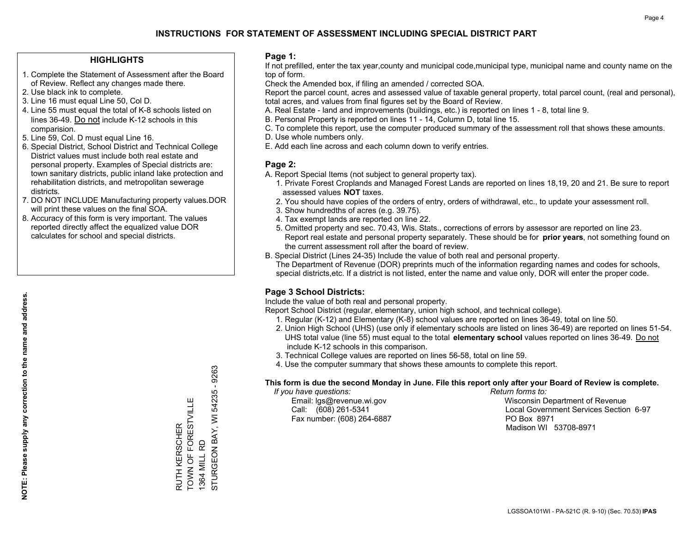### **HIGHLIGHTS**

- 1. Complete the Statement of Assessment after the Board of Review. Reflect any changes made there.
- 2. Use black ink to complete.
- 3. Line 16 must equal Line 50, Col D.
- 4. Line 55 must equal the total of K-8 schools listed on lines 36-49. Do not include K-12 schools in this comparision.
- 5. Line 59, Col. D must equal Line 16.
- 6. Special District, School District and Technical College District values must include both real estate and personal property. Examples of Special districts are: town sanitary districts, public inland lake protection and rehabilitation districts, and metropolitan sewerage districts.
- 7. DO NOT INCLUDE Manufacturing property values.DOR will print these values on the final SOA.

RUTH KERSCHER

TOWN OF FORESTVILLE

RUTH KERSCHER<br>TOWN OF FORESTVILLE

1364 MILL RD

1364 MILL RD

STURGEON BAY, WI 54235 - 9263

STURGEON BAY, WI

54235 - 9263

 8. Accuracy of this form is very important. The values reported directly affect the equalized value DOR calculates for school and special districts.

### **Page 1:**

 If not prefilled, enter the tax year,county and municipal code,municipal type, municipal name and county name on the top of form.

Check the Amended box, if filing an amended / corrected SOA.

 Report the parcel count, acres and assessed value of taxable general property, total parcel count, (real and personal), total acres, and values from final figures set by the Board of Review.

- A. Real Estate land and improvements (buildings, etc.) is reported on lines 1 8, total line 9.
- B. Personal Property is reported on lines 11 14, Column D, total line 15.
- C. To complete this report, use the computer produced summary of the assessment roll that shows these amounts.
- D. Use whole numbers only.
- E. Add each line across and each column down to verify entries.

### **Page 2:**

- A. Report Special Items (not subject to general property tax).
- 1. Private Forest Croplands and Managed Forest Lands are reported on lines 18,19, 20 and 21. Be sure to report assessed values **NOT** taxes.
- 2. You should have copies of the orders of entry, orders of withdrawal, etc., to update your assessment roll.
	- 3. Show hundredths of acres (e.g. 39.75).
- 4. Tax exempt lands are reported on line 22.
- 5. Omitted property and sec. 70.43, Wis. Stats., corrections of errors by assessor are reported on line 23. Report real estate and personal property separately. These should be for **prior years**, not something found on the current assessment roll after the board of review.
- B. Special District (Lines 24-35) Include the value of both real and personal property.
- The Department of Revenue (DOR) preprints much of the information regarding names and codes for schools, special districts,etc. If a district is not listed, enter the name and value only, DOR will enter the proper code.

### **Page 3 School Districts:**

Include the value of both real and personal property.

Report School District (regular, elementary, union high school, and technical college).

- 1. Regular (K-12) and Elementary (K-8) school values are reported on lines 36-49, total on line 50.
- 2. Union High School (UHS) (use only if elementary schools are listed on lines 36-49) are reported on lines 51-54. UHS total value (line 55) must equal to the total **elementary school** values reported on lines 36-49. Do notinclude K-12 schools in this comparison.
- 3. Technical College values are reported on lines 56-58, total on line 59.
- 4. Use the computer summary that shows these amounts to complete this report.

#### **This form is due the second Monday in June. File this report only after your Board of Review is complete.**

 *If you have questions: Return forms to:*

Fax number: (608) 264-6887 PO Box 8971

 Email: lgs@revenue.wi.gov Wisconsin Department of Revenue Call: (608) 261-5341 Local Government Services Section 6-97Madison WI 53708-8971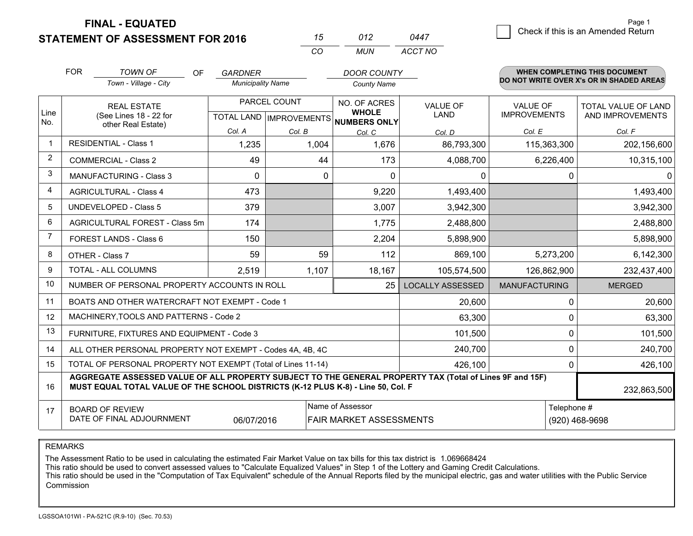**FINAL - EQUATED**

**STATEMENT OF ASSESSMENT FOR 2016** 

| 15  | 012 | 0447    |
|-----|-----|---------|
| CO. | MUN | ACCT NO |

|                | <b>FOR</b><br><b>TOWN OF</b><br><b>OF</b><br><b>DOOR COUNTY</b><br>GARDNER<br>Town - Village - City<br><b>Municipality Name</b><br><b>County Name</b>                                        |                                                           |            |              |                                                     |                         |                      | <b>WHEN COMPLETING THIS DOCUMENT</b><br>DO NOT WRITE OVER X's OR IN SHADED AREAS |
|----------------|----------------------------------------------------------------------------------------------------------------------------------------------------------------------------------------------|-----------------------------------------------------------|------------|--------------|-----------------------------------------------------|-------------------------|----------------------|----------------------------------------------------------------------------------|
|                |                                                                                                                                                                                              |                                                           |            |              |                                                     |                         |                      |                                                                                  |
|                | <b>REAL ESTATE</b>                                                                                                                                                                           |                                                           |            | PARCEL COUNT | NO. OF ACRES                                        | <b>VALUE OF</b>         | <b>VALUE OF</b>      | TOTAL VALUE OF LAND                                                              |
| Line<br>No.    |                                                                                                                                                                                              | (See Lines 18 - 22 for<br>other Real Estate)              |            |              | <b>WHOLE</b><br>TOTAL LAND MPROVEMENTS NUMBERS ONLY | <b>LAND</b>             | <b>IMPROVEMENTS</b>  | AND IMPROVEMENTS                                                                 |
|                |                                                                                                                                                                                              |                                                           | Col. A     | Col. B       | Col. C                                              | Col. D                  | Col. E               | Col. F                                                                           |
|                |                                                                                                                                                                                              | <b>RESIDENTIAL - Class 1</b>                              | 1,235      | 1,004        | 1,676                                               | 86,793,300              | 115,363,300          | 202,156,600                                                                      |
| $\overline{2}$ |                                                                                                                                                                                              | <b>COMMERCIAL - Class 2</b>                               | 49         | 44           | 173                                                 | 4,088,700               | 6,226,400            | 10,315,100                                                                       |
| 3              |                                                                                                                                                                                              | <b>MANUFACTURING - Class 3</b>                            | $\Omega$   | $\Omega$     | $\Omega$                                            | 0                       | 0                    | ΩI                                                                               |
| 4              |                                                                                                                                                                                              | <b>AGRICULTURAL - Class 4</b>                             | 473        |              | 9,220                                               | 1,493,400               |                      | 1,493,400                                                                        |
| 5              |                                                                                                                                                                                              | <b>UNDEVELOPED - Class 5</b>                              | 379        |              | 3,007                                               | 3,942,300               |                      | 3,942,300                                                                        |
| 6              |                                                                                                                                                                                              | AGRICULTURAL FOREST - Class 5m                            | 174        |              | 1,775                                               | 2,488,800               |                      | 2,488,800                                                                        |
| $\overline{7}$ |                                                                                                                                                                                              | FOREST LANDS - Class 6                                    | 150        |              | 2,204                                               | 5,898,900               |                      | 5,898,900                                                                        |
| 8              |                                                                                                                                                                                              | OTHER - Class 7                                           | 59         | 59           | 112                                                 | 869,100                 | 5,273,200            | 6,142,300                                                                        |
| 9              |                                                                                                                                                                                              | TOTAL - ALL COLUMNS                                       | 2,519      | 1,107        | 18,167                                              | 105,574,500             | 126,862,900          | 232,437,400                                                                      |
| 10             |                                                                                                                                                                                              | NUMBER OF PERSONAL PROPERTY ACCOUNTS IN ROLL              |            |              | 25                                                  | <b>LOCALLY ASSESSED</b> | <b>MANUFACTURING</b> | <b>MERGED</b>                                                                    |
| 11             |                                                                                                                                                                                              | BOATS AND OTHER WATERCRAFT NOT EXEMPT - Code 1            |            |              |                                                     | 20,600                  | 0                    | 20,600                                                                           |
| 12             |                                                                                                                                                                                              | MACHINERY, TOOLS AND PATTERNS - Code 2                    |            |              |                                                     | 63,300                  | 0                    | 63,300                                                                           |
| 13             |                                                                                                                                                                                              | FURNITURE, FIXTURES AND EQUIPMENT - Code 3                |            |              |                                                     | 101,500                 | 0                    | 101,500                                                                          |
| 14             |                                                                                                                                                                                              | ALL OTHER PERSONAL PROPERTY NOT EXEMPT - Codes 4A, 4B, 4C |            |              |                                                     | 240,700                 | 0                    | 240,700                                                                          |
| 15             | TOTAL OF PERSONAL PROPERTY NOT EXEMPT (Total of Lines 11-14)<br>426,100                                                                                                                      |                                                           |            |              |                                                     |                         | 0                    | 426,100                                                                          |
| 16             | AGGREGATE ASSESSED VALUE OF ALL PROPERTY SUBJECT TO THE GENERAL PROPERTY TAX (Total of Lines 9F and 15F)<br>MUST EQUAL TOTAL VALUE OF THE SCHOOL DISTRICTS (K-12 PLUS K-8) - Line 50, Col. F |                                                           |            |              |                                                     |                         | 232,863,500          |                                                                                  |
| 17             |                                                                                                                                                                                              | <b>BOARD OF REVIEW</b>                                    |            |              | Name of Assessor                                    |                         | Telephone #          |                                                                                  |
|                |                                                                                                                                                                                              | DATE OF FINAL ADJOURNMENT                                 | 06/07/2016 |              | <b>FAIR MARKET ASSESSMENTS</b>                      |                         |                      | (920) 468-9698                                                                   |

REMARKS

The Assessment Ratio to be used in calculating the estimated Fair Market Value on tax bills for this tax district is 1.069668424

This ratio should be used to convert assessed values to "Calculate Equalized Values" in Step 1 of the Lottery and Gaming Credit Calculations.<br>This ratio should be used in the "Computation of Tax Equivalent" schedule of the Commission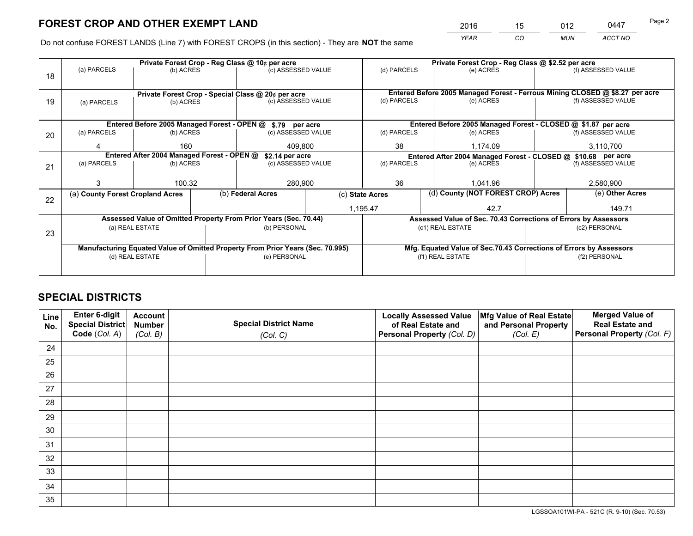*YEAR CO MUN ACCT NO* 2016 <u>15 012 0447</u>

Do not confuse FOREST LANDS (Line 7) with FOREST CROPS (in this section) - They are **NOT** the same

|    |                                                                                |                 |  | Private Forest Crop - Reg Class @ 10¢ per acre                   |                                                                    | Private Forest Crop - Reg Class @ \$2.52 per acre                            |                                                                 |  |                    |  |
|----|--------------------------------------------------------------------------------|-----------------|--|------------------------------------------------------------------|--------------------------------------------------------------------|------------------------------------------------------------------------------|-----------------------------------------------------------------|--|--------------------|--|
| 18 | (a) PARCELS                                                                    | (b) ACRES       |  | (c) ASSESSED VALUE                                               |                                                                    | (d) PARCELS                                                                  | (e) ACRES                                                       |  | (f) ASSESSED VALUE |  |
|    |                                                                                |                 |  |                                                                  |                                                                    |                                                                              |                                                                 |  |                    |  |
|    |                                                                                |                 |  | Private Forest Crop - Special Class @ 20¢ per acre               |                                                                    | Entered Before 2005 Managed Forest - Ferrous Mining CLOSED @ \$8.27 per acre |                                                                 |  |                    |  |
| 19 | (a) PARCELS                                                                    | (b) ACRES       |  | (c) ASSESSED VALUE                                               |                                                                    | (d) PARCELS                                                                  | (e) ACRES                                                       |  | (f) ASSESSED VALUE |  |
|    |                                                                                |                 |  |                                                                  |                                                                    |                                                                              |                                                                 |  |                    |  |
|    |                                                                                |                 |  | Entered Before 2005 Managed Forest - OPEN @ \$.79 per acre       |                                                                    |                                                                              | Entered Before 2005 Managed Forest - CLOSED @ \$1.87 per acre   |  |                    |  |
| 20 | (a) PARCELS                                                                    | (b) ACRES       |  | (c) ASSESSED VALUE                                               |                                                                    | (d) PARCELS                                                                  | (e) ACRES                                                       |  | (f) ASSESSED VALUE |  |
|    | 160<br>409.800<br>4                                                            |                 |  | 38                                                               | 1.174.09                                                           |                                                                              | 3,110,700                                                       |  |                    |  |
|    | Entered After 2004 Managed Forest - OPEN @<br>\$2.14 per acre                  |                 |  |                                                                  |                                                                    | Entered After 2004 Managed Forest - CLOSED @ \$10.68 per acre                |                                                                 |  |                    |  |
| 21 | (a) PARCELS                                                                    | (b) ACRES       |  | (c) ASSESSED VALUE                                               |                                                                    | (d) PARCELS<br>(e) ACRES                                                     |                                                                 |  | (f) ASSESSED VALUE |  |
|    |                                                                                |                 |  |                                                                  |                                                                    |                                                                              |                                                                 |  |                    |  |
|    |                                                                                | 100.32          |  | 280,900                                                          |                                                                    | 36                                                                           | 1,041.96                                                        |  | 2,580,900          |  |
| 22 | (a) County Forest Cropland Acres                                               |                 |  | (b) Federal Acres                                                |                                                                    | (c) State Acres                                                              | (d) County (NOT FOREST CROP) Acres                              |  | (e) Other Acres    |  |
|    |                                                                                |                 |  |                                                                  |                                                                    | 1,195.47                                                                     | 42.7                                                            |  | 149.71             |  |
|    |                                                                                |                 |  | Assessed Value of Omitted Property From Prior Years (Sec. 70.44) |                                                                    |                                                                              | Assessed Value of Sec. 70.43 Corrections of Errors by Assessors |  |                    |  |
| 23 |                                                                                | (a) REAL ESTATE |  | (b) PERSONAL                                                     |                                                                    |                                                                              | (c1) REAL ESTATE                                                |  | (c2) PERSONAL      |  |
|    |                                                                                |                 |  |                                                                  |                                                                    |                                                                              |                                                                 |  |                    |  |
|    | Manufacturing Equated Value of Omitted Property From Prior Years (Sec. 70.995) |                 |  |                                                                  | Mfg. Equated Value of Sec.70.43 Corrections of Errors by Assessors |                                                                              |                                                                 |  |                    |  |
|    |                                                                                | (d) REAL ESTATE |  | (e) PERSONAL                                                     |                                                                    |                                                                              | (f1) REAL ESTATE                                                |  | (f2) PERSONAL      |  |
|    |                                                                                |                 |  |                                                                  |                                                                    |                                                                              |                                                                 |  |                    |  |

# **SPECIAL DISTRICTS**

| Line<br>No. | Enter 6-digit<br>Special District<br>Code (Col. A) | <b>Account</b><br><b>Number</b><br>(Col. B) | <b>Special District Name</b><br>(Col. C) | <b>Locally Assessed Value</b><br>of Real Estate and<br>Personal Property (Col. D) | Mfg Value of Real Estate<br>and Personal Property<br>(Col. E) | <b>Merged Value of</b><br><b>Real Estate and</b><br>Personal Property (Col. F) |
|-------------|----------------------------------------------------|---------------------------------------------|------------------------------------------|-----------------------------------------------------------------------------------|---------------------------------------------------------------|--------------------------------------------------------------------------------|
| 24          |                                                    |                                             |                                          |                                                                                   |                                                               |                                                                                |
| 25          |                                                    |                                             |                                          |                                                                                   |                                                               |                                                                                |
| 26          |                                                    |                                             |                                          |                                                                                   |                                                               |                                                                                |
| 27          |                                                    |                                             |                                          |                                                                                   |                                                               |                                                                                |
| 28          |                                                    |                                             |                                          |                                                                                   |                                                               |                                                                                |
| 29          |                                                    |                                             |                                          |                                                                                   |                                                               |                                                                                |
| 30          |                                                    |                                             |                                          |                                                                                   |                                                               |                                                                                |
| 31          |                                                    |                                             |                                          |                                                                                   |                                                               |                                                                                |
| 32          |                                                    |                                             |                                          |                                                                                   |                                                               |                                                                                |
| 33          |                                                    |                                             |                                          |                                                                                   |                                                               |                                                                                |
| 34          |                                                    |                                             |                                          |                                                                                   |                                                               |                                                                                |
| 35          |                                                    |                                             |                                          |                                                                                   |                                                               |                                                                                |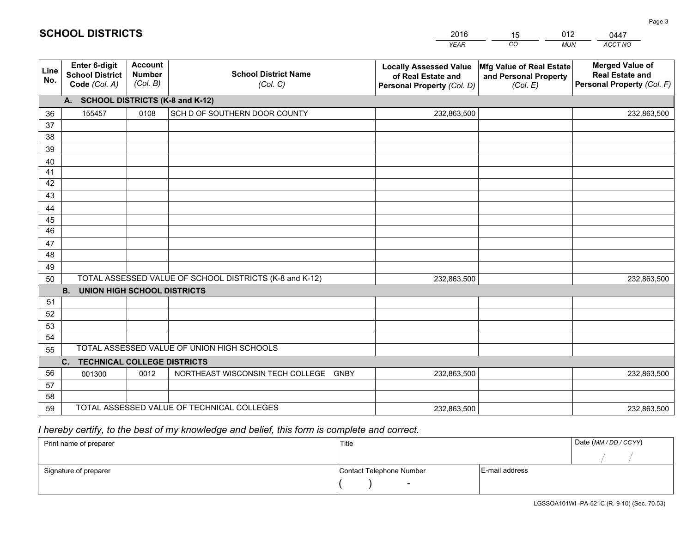|             |                                                          |                                             |                                                         | <b>YEAR</b>                                                                       | CO<br><b>MUN</b>                                              | ACCT NO                                                                        |
|-------------|----------------------------------------------------------|---------------------------------------------|---------------------------------------------------------|-----------------------------------------------------------------------------------|---------------------------------------------------------------|--------------------------------------------------------------------------------|
| Line<br>No. | Enter 6-digit<br><b>School District</b><br>Code (Col. A) | <b>Account</b><br><b>Number</b><br>(Col. B) | <b>School District Name</b><br>(Col. C)                 | <b>Locally Assessed Value</b><br>of Real Estate and<br>Personal Property (Col. D) | Mfg Value of Real Estate<br>and Personal Property<br>(Col. E) | <b>Merged Value of</b><br><b>Real Estate and</b><br>Personal Property (Col. F) |
|             | A. SCHOOL DISTRICTS (K-8 and K-12)                       |                                             |                                                         |                                                                                   |                                                               |                                                                                |
| 36          | 155457                                                   | 0108                                        | SCH D OF SOUTHERN DOOR COUNTY                           | 232,863,500                                                                       |                                                               | 232,863,500                                                                    |
| 37          |                                                          |                                             |                                                         |                                                                                   |                                                               |                                                                                |
| 38          |                                                          |                                             |                                                         |                                                                                   |                                                               |                                                                                |
| 39          |                                                          |                                             |                                                         |                                                                                   |                                                               |                                                                                |
| 40          |                                                          |                                             |                                                         |                                                                                   |                                                               |                                                                                |
| 41<br>42    |                                                          |                                             |                                                         |                                                                                   |                                                               |                                                                                |
| 43          |                                                          |                                             |                                                         |                                                                                   |                                                               |                                                                                |
| 44          |                                                          |                                             |                                                         |                                                                                   |                                                               |                                                                                |
| 45          |                                                          |                                             |                                                         |                                                                                   |                                                               |                                                                                |
| 46          |                                                          |                                             |                                                         |                                                                                   |                                                               |                                                                                |
| 47          |                                                          |                                             |                                                         |                                                                                   |                                                               |                                                                                |
| 48          |                                                          |                                             |                                                         |                                                                                   |                                                               |                                                                                |
| 49          |                                                          |                                             |                                                         |                                                                                   |                                                               |                                                                                |
| 50          |                                                          |                                             | TOTAL ASSESSED VALUE OF SCHOOL DISTRICTS (K-8 and K-12) | 232,863,500                                                                       |                                                               | 232,863,500                                                                    |
|             | <b>B.</b><br><b>UNION HIGH SCHOOL DISTRICTS</b>          |                                             |                                                         |                                                                                   |                                                               |                                                                                |
| 51          |                                                          |                                             |                                                         |                                                                                   |                                                               |                                                                                |
| 52          |                                                          |                                             |                                                         |                                                                                   |                                                               |                                                                                |
| 53          |                                                          |                                             |                                                         |                                                                                   |                                                               |                                                                                |
| 54          |                                                          |                                             | TOTAL ASSESSED VALUE OF UNION HIGH SCHOOLS              |                                                                                   |                                                               |                                                                                |
| 55          |                                                          |                                             |                                                         |                                                                                   |                                                               |                                                                                |
| 56          | C. TECHNICAL COLLEGE DISTRICTS                           | 0012                                        | NORTHEAST WISCONSIN TECH COLLEGE GNBY                   | 232,863,500                                                                       |                                                               |                                                                                |
| 57          | 001300                                                   |                                             |                                                         |                                                                                   |                                                               | 232,863,500                                                                    |
| 58          |                                                          |                                             |                                                         |                                                                                   |                                                               |                                                                                |
| 59          |                                                          |                                             | TOTAL ASSESSED VALUE OF TECHNICAL COLLEGES              | 232,863,500                                                                       |                                                               | 232,863,500                                                                    |

15

012

# *I hereby certify, to the best of my knowledge and belief, this form is complete and correct.*

**SCHOOL DISTRICTS**

| Print name of preparer | Title                    |                | Date (MM / DD / CCYY) |
|------------------------|--------------------------|----------------|-----------------------|
|                        |                          |                |                       |
| Signature of preparer  | Contact Telephone Number | E-mail address |                       |
|                        | $\overline{\phantom{0}}$ |                |                       |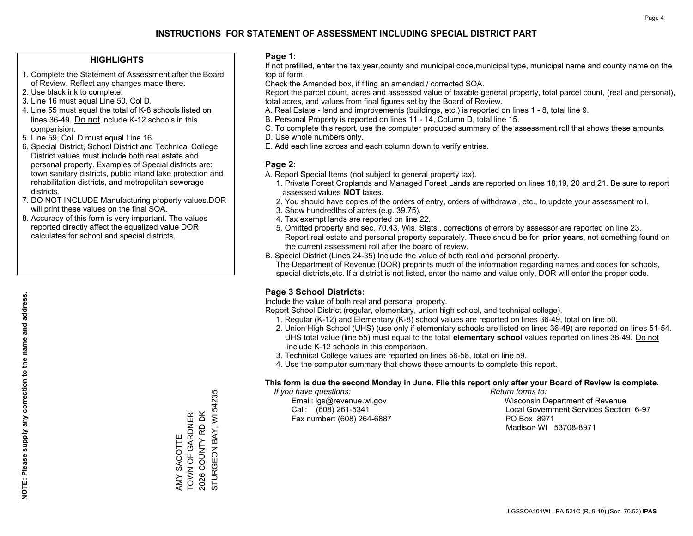### **HIGHLIGHTS**

- 1. Complete the Statement of Assessment after the Board of Review. Reflect any changes made there.
- 2. Use black ink to complete.
- 3. Line 16 must equal Line 50, Col D.
- 4. Line 55 must equal the total of K-8 schools listed on lines 36-49. Do not include K-12 schools in this comparision.
- 5. Line 59, Col. D must equal Line 16.
- 6. Special District, School District and Technical College District values must include both real estate and personal property. Examples of Special districts are: town sanitary districts, public inland lake protection and rehabilitation districts, and metropolitan sewerage districts.
- 7. DO NOT INCLUDE Manufacturing property values.DOR will print these values on the final SOA.

AMY SACOTTE TOWN OF GARDNER 2026 COUNTY RD DK STURGEON BAY, WI 54235

STURGEON BAY, WI 54235 2026 COUNTY RD DK AMY SACOTTE<br>TOWN OF GARDNER

 8. Accuracy of this form is very important. The values reported directly affect the equalized value DOR calculates for school and special districts.

### **Page 1:**

 If not prefilled, enter the tax year,county and municipal code,municipal type, municipal name and county name on the top of form.

Check the Amended box, if filing an amended / corrected SOA.

 Report the parcel count, acres and assessed value of taxable general property, total parcel count, (real and personal), total acres, and values from final figures set by the Board of Review.

- A. Real Estate land and improvements (buildings, etc.) is reported on lines 1 8, total line 9.
- B. Personal Property is reported on lines 11 14, Column D, total line 15.
- C. To complete this report, use the computer produced summary of the assessment roll that shows these amounts.
- D. Use whole numbers only.
- E. Add each line across and each column down to verify entries.

### **Page 2:**

- A. Report Special Items (not subject to general property tax).
- 1. Private Forest Croplands and Managed Forest Lands are reported on lines 18,19, 20 and 21. Be sure to report assessed values **NOT** taxes.
- 2. You should have copies of the orders of entry, orders of withdrawal, etc., to update your assessment roll.
	- 3. Show hundredths of acres (e.g. 39.75).
- 4. Tax exempt lands are reported on line 22.
- 5. Omitted property and sec. 70.43, Wis. Stats., corrections of errors by assessor are reported on line 23. Report real estate and personal property separately. These should be for **prior years**, not something found on the current assessment roll after the board of review.
- B. Special District (Lines 24-35) Include the value of both real and personal property.
- The Department of Revenue (DOR) preprints much of the information regarding names and codes for schools, special districts,etc. If a district is not listed, enter the name and value only, DOR will enter the proper code.

### **Page 3 School Districts:**

Include the value of both real and personal property.

Report School District (regular, elementary, union high school, and technical college).

- 1. Regular (K-12) and Elementary (K-8) school values are reported on lines 36-49, total on line 50.
- 2. Union High School (UHS) (use only if elementary schools are listed on lines 36-49) are reported on lines 51-54. UHS total value (line 55) must equal to the total **elementary school** values reported on lines 36-49. Do notinclude K-12 schools in this comparison.
- 3. Technical College values are reported on lines 56-58, total on line 59.
- 4. Use the computer summary that shows these amounts to complete this report.

#### **This form is due the second Monday in June. File this report only after your Board of Review is complete.**

 *If you have questions: Return forms to:*

Fax number: (608) 264-6887 PO Box 8971

 Email: lgs@revenue.wi.gov Wisconsin Department of Revenue Call: (608) 261-5341 Local Government Services Section 6-97Madison WI 53708-8971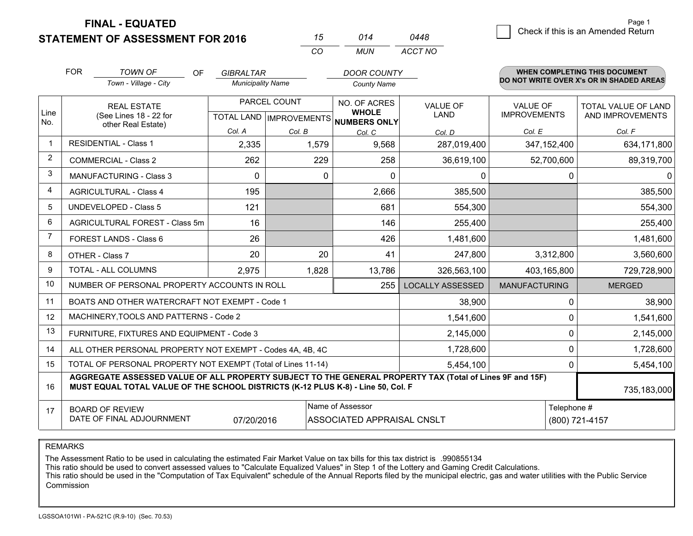**FINAL - EQUATED**

**STATEMENT OF ASSESSMENT FOR 2016** 

|   |                                    | Page 1 |
|---|------------------------------------|--------|
| 8 | Check if this is an Amended Return |        |

|                | <b>FOR</b><br><b>TOWN OF</b><br><b>OF</b>                                                                                                                                                    | <b>GIBRALTAR</b>         |              | <b>DOOR COUNTY</b>                                   |                         |                      | <b>WHEN COMPLETING THIS DOCUMENT</b>     |  |  |
|----------------|----------------------------------------------------------------------------------------------------------------------------------------------------------------------------------------------|--------------------------|--------------|------------------------------------------------------|-------------------------|----------------------|------------------------------------------|--|--|
|                | Town - Village - City                                                                                                                                                                        | <b>Municipality Name</b> |              | <b>County Name</b>                                   |                         |                      | DO NOT WRITE OVER X's OR IN SHADED AREAS |  |  |
|                | <b>REAL ESTATE</b>                                                                                                                                                                           |                          | PARCEL COUNT | NO. OF ACRES                                         | <b>VALUE OF</b>         | <b>VALUE OF</b>      | TOTAL VALUE OF LAND                      |  |  |
| Line<br>No.    | (See Lines 18 - 22 for                                                                                                                                                                       |                          |              | <b>WHOLE</b><br>TOTAL LAND IMPROVEMENTS NUMBERS ONLY | LAND                    | <b>IMPROVEMENTS</b>  | AND IMPROVEMENTS                         |  |  |
|                | other Real Estate)                                                                                                                                                                           | Col. A                   | Col. B       | Col. C                                               | Col. D                  | Col. E               | Col. F                                   |  |  |
| 1              | <b>RESIDENTIAL - Class 1</b>                                                                                                                                                                 | 2,335                    | 1,579        | 9,568                                                | 287,019,400             | 347, 152, 400        | 634,171,800                              |  |  |
| $\overline{2}$ | <b>COMMERCIAL - Class 2</b>                                                                                                                                                                  | 262                      | 229          | 258                                                  | 36,619,100              | 52,700,600           | 89,319,700                               |  |  |
| 3              | <b>MANUFACTURING - Class 3</b>                                                                                                                                                               | 0                        |              | 0<br>0                                               | 0                       |                      | 0<br> 0                                  |  |  |
| 4              | <b>AGRICULTURAL - Class 4</b>                                                                                                                                                                | 195                      |              | 2,666                                                | 385,500                 |                      | 385,500                                  |  |  |
| 5              | <b>UNDEVELOPED - Class 5</b>                                                                                                                                                                 | 121                      |              | 681                                                  | 554,300                 |                      | 554,300                                  |  |  |
| 6              | AGRICULTURAL FOREST - Class 5m                                                                                                                                                               | 16                       |              | 146                                                  | 255,400                 |                      | 255,400                                  |  |  |
| $\overline{7}$ | FOREST LANDS - Class 6                                                                                                                                                                       | 26                       |              | 426                                                  | 1,481,600               |                      | 1,481,600                                |  |  |
| 8              | OTHER - Class 7                                                                                                                                                                              | 20                       | 20           | 41                                                   | 247,800                 | 3,312,800            | 3,560,600                                |  |  |
| 9              | TOTAL - ALL COLUMNS                                                                                                                                                                          | 2,975                    | 1,828        | 13,786                                               | 326,563,100             | 403,165,800          | 729,728,900                              |  |  |
| 10             | NUMBER OF PERSONAL PROPERTY ACCOUNTS IN ROLL                                                                                                                                                 |                          |              | 255                                                  | <b>LOCALLY ASSESSED</b> | <b>MANUFACTURING</b> | <b>MERGED</b>                            |  |  |
| 11             | BOATS AND OTHER WATERCRAFT NOT EXEMPT - Code 1                                                                                                                                               |                          |              |                                                      | 38,900                  |                      | 38,900<br>0                              |  |  |
| 12             | MACHINERY, TOOLS AND PATTERNS - Code 2                                                                                                                                                       |                          |              |                                                      | 1,541,600               |                      | 1,541,600<br>0                           |  |  |
| 13             | FURNITURE, FIXTURES AND EQUIPMENT - Code 3                                                                                                                                                   |                          |              |                                                      | 2,145,000               |                      | $\mathbf 0$<br>2,145,000                 |  |  |
| 14             | ALL OTHER PERSONAL PROPERTY NOT EXEMPT - Codes 4A, 4B, 4C                                                                                                                                    |                          |              |                                                      | 1,728,600               |                      | 0<br>1,728,600                           |  |  |
| 15             | TOTAL OF PERSONAL PROPERTY NOT EXEMPT (Total of Lines 11-14)                                                                                                                                 |                          |              |                                                      | 5,454,100               |                      | $\Omega$<br>5,454,100                    |  |  |
| 16             | AGGREGATE ASSESSED VALUE OF ALL PROPERTY SUBJECT TO THE GENERAL PROPERTY TAX (Total of Lines 9F and 15F)<br>MUST EQUAL TOTAL VALUE OF THE SCHOOL DISTRICTS (K-12 PLUS K-8) - Line 50, Col. F |                          |              |                                                      |                         |                      | 735,183,000                              |  |  |
| 17             | <b>BOARD OF REVIEW</b>                                                                                                                                                                       |                          |              | Name of Assessor                                     |                         |                      | Telephone #                              |  |  |
|                | DATE OF FINAL ADJOURNMENT<br>07/20/2016                                                                                                                                                      |                          |              | ASSOCIATED APPRAISAL CNSLT                           |                         |                      | (800) 721-4157                           |  |  |

*CO*

*MUN*

*ACCT NO0448*

*<sup>15</sup> <sup>014</sup>*

REMARKS

The Assessment Ratio to be used in calculating the estimated Fair Market Value on tax bills for this tax district is .990855134<br>This ratio should be used to convert assessed values to "Calculate Equalized Values" in Step 1 Commission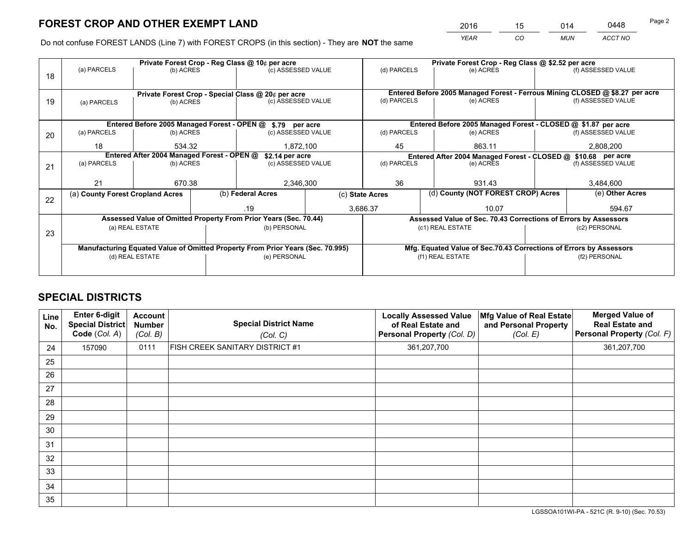*YEAR CO MUN ACCT NO* <sup>2016</sup> <sup>15</sup> <sup>014</sup> <sup>0448</sup>

Do not confuse FOREST LANDS (Line 7) with FOREST CROPS (in this section) - They are **NOT** the same

|    |                                                               |                 |    | Private Forest Crop - Reg Class @ 10¢ per acre                                 |                 | Private Forest Crop - Reg Class @ \$2.52 per acre                            |                                                                    |  |                    |  |
|----|---------------------------------------------------------------|-----------------|----|--------------------------------------------------------------------------------|-----------------|------------------------------------------------------------------------------|--------------------------------------------------------------------|--|--------------------|--|
| 18 | (a) PARCELS                                                   | (b) ACRES       |    | (c) ASSESSED VALUE                                                             |                 | (d) PARCELS                                                                  | (e) ACRES                                                          |  | (f) ASSESSED VALUE |  |
|    |                                                               |                 |    | Private Forest Crop - Special Class @ 20¢ per acre                             |                 | Entered Before 2005 Managed Forest - Ferrous Mining CLOSED @ \$8.27 per acre |                                                                    |  |                    |  |
| 19 | (c) ASSESSED VALUE<br>(b) ACRES<br>(a) PARCELS                |                 |    | (d) PARCELS                                                                    | (e) ACRES       |                                                                              | (f) ASSESSED VALUE                                                 |  |                    |  |
|    |                                                               |                 |    | Entered Before 2005 Managed Forest - OPEN @ \$.79 per acre                     |                 |                                                                              | Entered Before 2005 Managed Forest - CLOSED @ \$1.87 per acre      |  |                    |  |
| 20 | (a) PARCELS                                                   | (b) ACRES       |    | (c) ASSESSED VALUE                                                             |                 | (d) PARCELS                                                                  | (e) ACRES                                                          |  | (f) ASSESSED VALUE |  |
|    | 18<br>534.32<br>1,872,100                                     |                 | 45 | 863.11                                                                         |                 | 2,808,200                                                                    |                                                                    |  |                    |  |
|    | Entered After 2004 Managed Forest - OPEN @<br>\$2.14 per acre |                 |    |                                                                                |                 | Entered After 2004 Managed Forest - CLOSED @ \$10.68 per acre                |                                                                    |  |                    |  |
| 21 | (a) PARCELS                                                   | (b) ACRES       |    | (c) ASSESSED VALUE                                                             |                 | (d) PARCELS                                                                  | (e) ACRES                                                          |  | (f) ASSESSED VALUE |  |
|    |                                                               |                 |    |                                                                                |                 |                                                                              |                                                                    |  |                    |  |
|    | 21                                                            | 670.38          |    | 2,346,300                                                                      |                 | 36                                                                           | 931.43                                                             |  | 3,484,600          |  |
| 22 | (a) County Forest Cropland Acres                              |                 |    | (b) Federal Acres                                                              | (c) State Acres |                                                                              | (d) County (NOT FOREST CROP) Acres                                 |  | (e) Other Acres    |  |
|    |                                                               |                 |    | .19                                                                            |                 | 3,686.37<br>10.07                                                            |                                                                    |  | 594.67             |  |
|    |                                                               |                 |    | Assessed Value of Omitted Property From Prior Years (Sec. 70.44)               |                 |                                                                              | Assessed Value of Sec. 70.43 Corrections of Errors by Assessors    |  |                    |  |
| 23 |                                                               | (a) REAL ESTATE |    | (b) PERSONAL                                                                   |                 |                                                                              | (c1) REAL ESTATE                                                   |  | (c2) PERSONAL      |  |
|    |                                                               |                 |    |                                                                                |                 |                                                                              |                                                                    |  |                    |  |
|    |                                                               |                 |    | Manufacturing Equated Value of Omitted Property From Prior Years (Sec. 70.995) |                 |                                                                              | Mfg. Equated Value of Sec.70.43 Corrections of Errors by Assessors |  |                    |  |
|    |                                                               | (d) REAL ESTATE |    | (e) PERSONAL                                                                   |                 | (f1) REAL ESTATE                                                             |                                                                    |  | (f2) PERSONAL      |  |
|    |                                                               |                 |    |                                                                                |                 |                                                                              |                                                                    |  |                    |  |

# **SPECIAL DISTRICTS**

| Line<br>No. | <b>Enter 6-digit</b><br><b>Special District</b><br>Code (Col. A) | <b>Account</b><br><b>Number</b><br>(Col. B) | <b>Special District Name</b><br>(Col. C) | <b>Locally Assessed Value</b><br>of Real Estate and<br>Personal Property (Col. D) | Mfg Value of Real Estate<br>and Personal Property<br>(Col. E) | <b>Merged Value of</b><br><b>Real Estate and</b><br>Personal Property (Col. F) |
|-------------|------------------------------------------------------------------|---------------------------------------------|------------------------------------------|-----------------------------------------------------------------------------------|---------------------------------------------------------------|--------------------------------------------------------------------------------|
| 24          | 157090                                                           | 0111                                        | FISH CREEK SANITARY DISTRICT #1          | 361,207,700                                                                       |                                                               | 361,207,700                                                                    |
| 25          |                                                                  |                                             |                                          |                                                                                   |                                                               |                                                                                |
| 26          |                                                                  |                                             |                                          |                                                                                   |                                                               |                                                                                |
| 27          |                                                                  |                                             |                                          |                                                                                   |                                                               |                                                                                |
| 28          |                                                                  |                                             |                                          |                                                                                   |                                                               |                                                                                |
| 29          |                                                                  |                                             |                                          |                                                                                   |                                                               |                                                                                |
| 30          |                                                                  |                                             |                                          |                                                                                   |                                                               |                                                                                |
| 31          |                                                                  |                                             |                                          |                                                                                   |                                                               |                                                                                |
| 32          |                                                                  |                                             |                                          |                                                                                   |                                                               |                                                                                |
| 33          |                                                                  |                                             |                                          |                                                                                   |                                                               |                                                                                |
| 34          |                                                                  |                                             |                                          |                                                                                   |                                                               |                                                                                |
| 35          |                                                                  |                                             |                                          |                                                                                   |                                                               |                                                                                |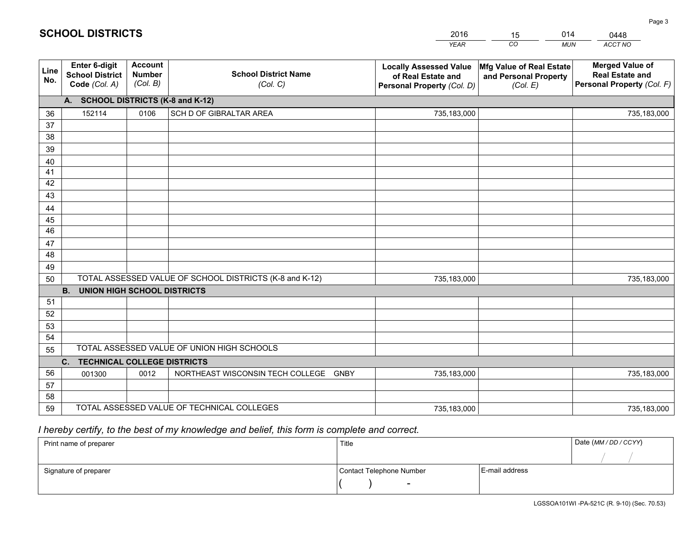|             |                                                          |                                             |                                                         | <b>YEAR</b>                                                                       | CO<br><b>MUN</b>                                              | ACCT NO                                                                        |
|-------------|----------------------------------------------------------|---------------------------------------------|---------------------------------------------------------|-----------------------------------------------------------------------------------|---------------------------------------------------------------|--------------------------------------------------------------------------------|
| Line<br>No. | Enter 6-digit<br><b>School District</b><br>Code (Col. A) | <b>Account</b><br><b>Number</b><br>(Col. B) | <b>School District Name</b><br>(Col. C)                 | <b>Locally Assessed Value</b><br>of Real Estate and<br>Personal Property (Col. D) | Mfg Value of Real Estate<br>and Personal Property<br>(Col. E) | <b>Merged Value of</b><br><b>Real Estate and</b><br>Personal Property (Col. F) |
|             | A. SCHOOL DISTRICTS (K-8 and K-12)                       |                                             |                                                         |                                                                                   |                                                               |                                                                                |
| 36          | 152114                                                   | 0106                                        | SCH D OF GIBRALTAR AREA                                 | 735,183,000                                                                       |                                                               | 735,183,000                                                                    |
| 37          |                                                          |                                             |                                                         |                                                                                   |                                                               |                                                                                |
| 38          |                                                          |                                             |                                                         |                                                                                   |                                                               |                                                                                |
| 39          |                                                          |                                             |                                                         |                                                                                   |                                                               |                                                                                |
| 40          |                                                          |                                             |                                                         |                                                                                   |                                                               |                                                                                |
| 41          |                                                          |                                             |                                                         |                                                                                   |                                                               |                                                                                |
| 42          |                                                          |                                             |                                                         |                                                                                   |                                                               |                                                                                |
| 43          |                                                          |                                             |                                                         |                                                                                   |                                                               |                                                                                |
| 44<br>45    |                                                          |                                             |                                                         |                                                                                   |                                                               |                                                                                |
| 46          |                                                          |                                             |                                                         |                                                                                   |                                                               |                                                                                |
| 47          |                                                          |                                             |                                                         |                                                                                   |                                                               |                                                                                |
| 48          |                                                          |                                             |                                                         |                                                                                   |                                                               |                                                                                |
| 49          |                                                          |                                             |                                                         |                                                                                   |                                                               |                                                                                |
| 50          |                                                          |                                             | TOTAL ASSESSED VALUE OF SCHOOL DISTRICTS (K-8 and K-12) | 735,183,000                                                                       |                                                               | 735,183,000                                                                    |
|             | <b>B.</b><br><b>UNION HIGH SCHOOL DISTRICTS</b>          |                                             |                                                         |                                                                                   |                                                               |                                                                                |
| 51          |                                                          |                                             |                                                         |                                                                                   |                                                               |                                                                                |
| 52          |                                                          |                                             |                                                         |                                                                                   |                                                               |                                                                                |
| 53          |                                                          |                                             |                                                         |                                                                                   |                                                               |                                                                                |
| 54          |                                                          |                                             |                                                         |                                                                                   |                                                               |                                                                                |
| 55          |                                                          |                                             | TOTAL ASSESSED VALUE OF UNION HIGH SCHOOLS              |                                                                                   |                                                               |                                                                                |
|             | C. TECHNICAL COLLEGE DISTRICTS                           |                                             |                                                         |                                                                                   |                                                               |                                                                                |
| 56          | 001300                                                   | 0012                                        | NORTHEAST WISCONSIN TECH COLLEGE GNBY                   | 735,183,000                                                                       |                                                               | 735,183,000                                                                    |
| 57          |                                                          |                                             |                                                         |                                                                                   |                                                               |                                                                                |
| 58          |                                                          |                                             | TOTAL ASSESSED VALUE OF TECHNICAL COLLEGES              |                                                                                   |                                                               |                                                                                |
| 59          |                                                          |                                             |                                                         | 735,183,000                                                                       |                                                               | 735,183,000                                                                    |

15

014

# *I hereby certify, to the best of my knowledge and belief, this form is complete and correct.*

**SCHOOL DISTRICTS**

| Print name of preparer | Title                    |                | Date (MM / DD / CCYY) |
|------------------------|--------------------------|----------------|-----------------------|
|                        |                          |                |                       |
| Signature of preparer  | Contact Telephone Number | E-mail address |                       |
|                        | $\overline{\phantom{0}}$ |                |                       |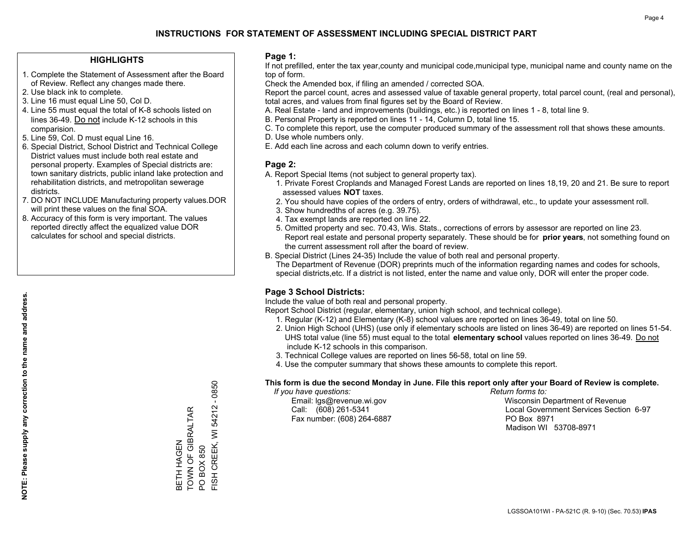### **HIGHLIGHTS**

- 1. Complete the Statement of Assessment after the Board of Review. Reflect any changes made there.
- 2. Use black ink to complete.
- 3. Line 16 must equal Line 50, Col D.
- 4. Line 55 must equal the total of K-8 schools listed on lines 36-49. Do not include K-12 schools in this comparision.
- 5. Line 59, Col. D must equal Line 16.
- 6. Special District, School District and Technical College District values must include both real estate and personal property. Examples of Special districts are: town sanitary districts, public inland lake protection and rehabilitation districts, and metropolitan sewerage districts.
- 7. DO NOT INCLUDE Manufacturing property values.DOR will print these values on the final SOA.

BETH HAGEN

TOWN OF GIBRALTAR

BETH HAGEN<br>TOWN OF GIBRALTAR

PO BOX 850

FISH CREEK, WI 54212 - 0850

FISH CREEK, WI PO BOX 850

 $-0850$ 

54212

 8. Accuracy of this form is very important. The values reported directly affect the equalized value DOR calculates for school and special districts.

### **Page 1:**

 If not prefilled, enter the tax year,county and municipal code,municipal type, municipal name and county name on the top of form.

Check the Amended box, if filing an amended / corrected SOA.

 Report the parcel count, acres and assessed value of taxable general property, total parcel count, (real and personal), total acres, and values from final figures set by the Board of Review.

- A. Real Estate land and improvements (buildings, etc.) is reported on lines 1 8, total line 9.
- B. Personal Property is reported on lines 11 14, Column D, total line 15.
- C. To complete this report, use the computer produced summary of the assessment roll that shows these amounts.
- D. Use whole numbers only.
- E. Add each line across and each column down to verify entries.

### **Page 2:**

- A. Report Special Items (not subject to general property tax).
- 1. Private Forest Croplands and Managed Forest Lands are reported on lines 18,19, 20 and 21. Be sure to report assessed values **NOT** taxes.
- 2. You should have copies of the orders of entry, orders of withdrawal, etc., to update your assessment roll.
	- 3. Show hundredths of acres (e.g. 39.75).
- 4. Tax exempt lands are reported on line 22.
- 5. Omitted property and sec. 70.43, Wis. Stats., corrections of errors by assessor are reported on line 23. Report real estate and personal property separately. These should be for **prior years**, not something found on the current assessment roll after the board of review.
- B. Special District (Lines 24-35) Include the value of both real and personal property.
- The Department of Revenue (DOR) preprints much of the information regarding names and codes for schools, special districts,etc. If a district is not listed, enter the name and value only, DOR will enter the proper code.

## **Page 3 School Districts:**

Include the value of both real and personal property.

Report School District (regular, elementary, union high school, and technical college).

- 1. Regular (K-12) and Elementary (K-8) school values are reported on lines 36-49, total on line 50.
- 2. Union High School (UHS) (use only if elementary schools are listed on lines 36-49) are reported on lines 51-54. UHS total value (line 55) must equal to the total **elementary school** values reported on lines 36-49. Do notinclude K-12 schools in this comparison.
- 3. Technical College values are reported on lines 56-58, total on line 59.
- 4. Use the computer summary that shows these amounts to complete this report.

#### **This form is due the second Monday in June. File this report only after your Board of Review is complete.**

 *If you have questions: Return forms to:*

Fax number: (608) 264-6887 PO Box 8971

 Email: lgs@revenue.wi.gov Wisconsin Department of Revenue Call: (608) 261-5341 Local Government Services Section 6-97Madison WI 53708-8971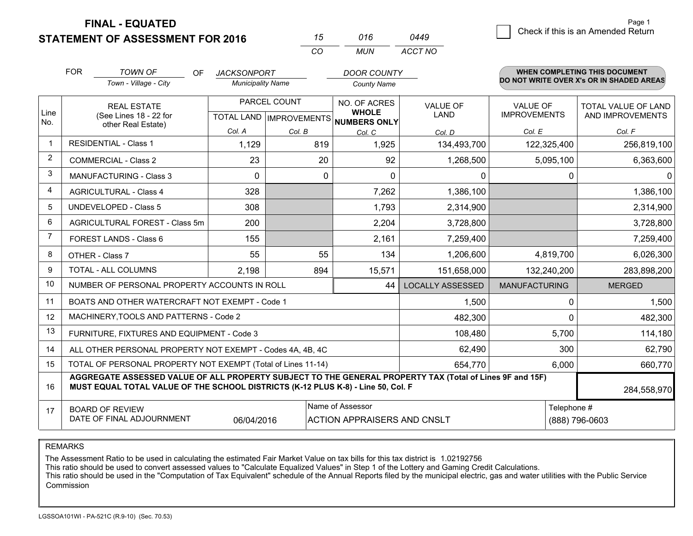**STATEMENT OF ASSESSMENT FOR 2016** 

**FINAL - EQUATED**

|                |                                                                                                                                                                                              |                          | CO           | <b>MUN</b>                                           | <b>ACCT NO</b>          |                      |                                          |  |
|----------------|----------------------------------------------------------------------------------------------------------------------------------------------------------------------------------------------|--------------------------|--------------|------------------------------------------------------|-------------------------|----------------------|------------------------------------------|--|
|                | <b>FOR</b><br><b>TOWN OF</b><br><b>OF</b>                                                                                                                                                    | <b>JACKSONPORT</b>       |              | <b>DOOR COUNTY</b>                                   |                         |                      | <b>WHEN COMPLETING THIS DOCUMENT</b>     |  |
|                | Town - Village - City                                                                                                                                                                        | <b>Municipality Name</b> |              | <b>County Name</b>                                   |                         |                      | DO NOT WRITE OVER X's OR IN SHADED AREAS |  |
|                | <b>REAL ESTATE</b>                                                                                                                                                                           |                          | PARCEL COUNT | NO. OF ACRES                                         | VALUE OF                | <b>VALUE OF</b>      | TOTAL VALUE OF LAND                      |  |
| Line<br>No.    | (See Lines 18 - 22 for                                                                                                                                                                       |                          |              | <b>WHOLE</b><br>TOTAL LAND IMPROVEMENTS NUMBERS ONLY | LAND                    | <b>IMPROVEMENTS</b>  | AND IMPROVEMENTS                         |  |
|                | other Real Estate)                                                                                                                                                                           | Col. A                   | Col. B       | Col. C                                               | Col. D                  | Col. E               | Col. F                                   |  |
| 1              | <b>RESIDENTIAL - Class 1</b>                                                                                                                                                                 | 1,129                    | 819          | 1,925                                                | 134,493,700             | 122,325,400          | 256,819,100                              |  |
| 2              | <b>COMMERCIAL - Class 2</b>                                                                                                                                                                  | 23                       | 20           | 92                                                   | 1,268,500               | 5,095,100            | 6,363,600                                |  |
| 3              | <b>MANUFACTURING - Class 3</b>                                                                                                                                                               | $\Omega$                 |              | $\mathbf{0}$<br>$\Omega$                             | $\Omega$                |                      | 0<br>$\Omega$                            |  |
| 4              | <b>AGRICULTURAL - Class 4</b>                                                                                                                                                                | 328                      |              | 7,262                                                | 1,386,100               |                      | 1,386,100                                |  |
| 5              | <b>UNDEVELOPED - Class 5</b>                                                                                                                                                                 | 308                      |              | 1,793                                                | 2,314,900               |                      | 2,314,900                                |  |
| 6              | AGRICULTURAL FOREST - Class 5m                                                                                                                                                               | 200                      |              | 2,204                                                | 3,728,800               |                      | 3,728,800                                |  |
| $\overline{7}$ | FOREST LANDS - Class 6                                                                                                                                                                       | 155                      |              | 2,161                                                | 7,259,400               |                      | 7,259,400                                |  |
| 8              | OTHER - Class 7                                                                                                                                                                              | 55                       | 55           | 134                                                  | 1,206,600               | 4,819,700            | 6,026,300                                |  |
| 9              | TOTAL - ALL COLUMNS                                                                                                                                                                          | 2,198                    | 894          | 15,571                                               | 151,658,000             | 132,240,200          | 283,898,200                              |  |
| 10             | NUMBER OF PERSONAL PROPERTY ACCOUNTS IN ROLL                                                                                                                                                 |                          |              | 44                                                   | <b>LOCALLY ASSESSED</b> | <b>MANUFACTURING</b> | <b>MERGED</b>                            |  |
| 11             | BOATS AND OTHER WATERCRAFT NOT EXEMPT - Code 1                                                                                                                                               |                          |              |                                                      | 1,500                   |                      | 0<br>1,500                               |  |
| 12             | MACHINERY, TOOLS AND PATTERNS - Code 2                                                                                                                                                       |                          |              |                                                      | 482,300                 |                      | 0<br>482,300                             |  |
| 13             | FURNITURE, FIXTURES AND EQUIPMENT - Code 3                                                                                                                                                   |                          |              |                                                      | 108,480                 | 5,700                | 114,180                                  |  |
| 14             | ALL OTHER PERSONAL PROPERTY NOT EXEMPT - Codes 4A, 4B, 4C                                                                                                                                    |                          |              |                                                      | 62,490                  | 300                  | 62,790                                   |  |
| 15             | TOTAL OF PERSONAL PROPERTY NOT EXEMPT (Total of Lines 11-14)                                                                                                                                 |                          |              |                                                      | 654,770                 | 6,000                | 660,770                                  |  |
| 16             | AGGREGATE ASSESSED VALUE OF ALL PROPERTY SUBJECT TO THE GENERAL PROPERTY TAX (Total of Lines 9F and 15F)<br>MUST EQUAL TOTAL VALUE OF THE SCHOOL DISTRICTS (K-12 PLUS K-8) - Line 50, Col. F |                          |              |                                                      |                         |                      | 284,558,970                              |  |
| 17             | <b>BOARD OF REVIEW</b>                                                                                                                                                                       |                          |              | Name of Assessor                                     |                         | Telephone #          |                                          |  |
|                | DATE OF FINAL ADJOURNMENT                                                                                                                                                                    | 06/04/2016               |              | <b>ACTION APPRAISERS AND CNSLT</b>                   |                         |                      | (888) 796-0603                           |  |

*0449*

*<sup>15</sup> <sup>016</sup>*

REMARKS

The Assessment Ratio to be used in calculating the estimated Fair Market Value on tax bills for this tax district is 1.02192756<br>This ratio should be used to convert assessed values to "Calculate Equalized Values" in Step 1 Commission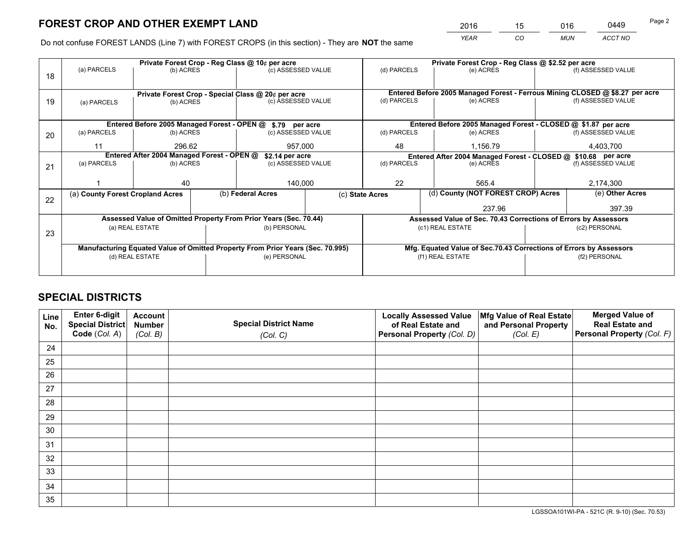*YEAR CO MUN ACCT NO* <sup>2016</sup> <sup>15</sup> <sup>016</sup> <sup>0449</sup>

Do not confuse FOREST LANDS (Line 7) with FOREST CROPS (in this section) - They are **NOT** the same

|    |                                                                                | Private Forest Crop - Reg Class @ 10¢ per acre |                                                                              |                                                                                |                                                               |                 | Private Forest Crop - Reg Class @ \$2.52 per acre                  |               |                    |  |
|----|--------------------------------------------------------------------------------|------------------------------------------------|------------------------------------------------------------------------------|--------------------------------------------------------------------------------|---------------------------------------------------------------|-----------------|--------------------------------------------------------------------|---------------|--------------------|--|
| 18 | (a) PARCELS                                                                    | (b) ACRES                                      |                                                                              | (c) ASSESSED VALUE                                                             |                                                               | (d) PARCELS     | (e) ACRES                                                          |               | (f) ASSESSED VALUE |  |
|    |                                                                                |                                                | Entered Before 2005 Managed Forest - Ferrous Mining CLOSED @ \$8.27 per acre |                                                                                |                                                               |                 |                                                                    |               |                    |  |
| 19 | Private Forest Crop - Special Class @ 20¢ per acre<br>(b) ACRES<br>(a) PARCELS |                                                |                                                                              | (c) ASSESSED VALUE                                                             |                                                               | (d) PARCELS     | (e) ACRES                                                          |               | (f) ASSESSED VALUE |  |
|    |                                                                                |                                                |                                                                              |                                                                                |                                                               |                 |                                                                    |               |                    |  |
|    |                                                                                |                                                |                                                                              | Entered Before 2005 Managed Forest - OPEN @ \$.79 per acre                     | Entered Before 2005 Managed Forest - CLOSED @ \$1.87 per acre |                 |                                                                    |               |                    |  |
| 20 | (a) PARCELS                                                                    | (b) ACRES                                      |                                                                              | (c) ASSESSED VALUE                                                             |                                                               | (d) PARCELS     | (e) ACRES                                                          |               | (f) ASSESSED VALUE |  |
|    | 11                                                                             | 296.62                                         |                                                                              | 957,000                                                                        |                                                               | 48<br>1.156.79  |                                                                    |               | 4,403,700          |  |
|    |                                                                                | Entered After 2004 Managed Forest - OPEN @     |                                                                              | \$2.14 per acre                                                                |                                                               |                 | Entered After 2004 Managed Forest - CLOSED @ \$10.68 per acre      |               |                    |  |
| 21 | (a) PARCELS                                                                    | (b) ACRES                                      |                                                                              | (c) ASSESSED VALUE                                                             |                                                               | (d) PARCELS     | (e) ACRES                                                          |               | (f) ASSESSED VALUE |  |
|    |                                                                                |                                                |                                                                              |                                                                                |                                                               |                 |                                                                    |               | 2,174,300          |  |
|    |                                                                                | 40                                             |                                                                              | 140,000                                                                        |                                                               | 22              | 565.4                                                              |               |                    |  |
| 22 | (a) County Forest Cropland Acres                                               |                                                |                                                                              | (b) Federal Acres                                                              |                                                               | (c) State Acres | (d) County (NOT FOREST CROP) Acres                                 |               | (e) Other Acres    |  |
|    |                                                                                |                                                |                                                                              |                                                                                |                                                               | 237.96          |                                                                    |               | 397.39             |  |
|    |                                                                                |                                                |                                                                              | Assessed Value of Omitted Property From Prior Years (Sec. 70.44)               |                                                               |                 | Assessed Value of Sec. 70.43 Corrections of Errors by Assessors    |               |                    |  |
| 23 |                                                                                | (a) REAL ESTATE                                |                                                                              | (b) PERSONAL                                                                   |                                                               |                 | (c1) REAL ESTATE                                                   |               | (c2) PERSONAL      |  |
|    |                                                                                |                                                |                                                                              |                                                                                |                                                               |                 |                                                                    |               |                    |  |
|    |                                                                                |                                                |                                                                              | Manufacturing Equated Value of Omitted Property From Prior Years (Sec. 70.995) |                                                               |                 | Mfg. Equated Value of Sec.70.43 Corrections of Errors by Assessors |               |                    |  |
|    |                                                                                | (d) REAL ESTATE                                |                                                                              | (e) PERSONAL                                                                   |                                                               |                 | (f1) REAL ESTATE                                                   | (f2) PERSONAL |                    |  |
|    |                                                                                |                                                |                                                                              |                                                                                |                                                               |                 |                                                                    |               |                    |  |

# **SPECIAL DISTRICTS**

| Line<br>No. | Enter 6-digit<br><b>Special District</b> | <b>Account</b><br><b>Number</b> | <b>Special District Name</b> | <b>Locally Assessed Value</b><br>of Real Estate and | Mfg Value of Real Estate<br>and Personal Property | <b>Merged Value of</b><br><b>Real Estate and</b> |
|-------------|------------------------------------------|---------------------------------|------------------------------|-----------------------------------------------------|---------------------------------------------------|--------------------------------------------------|
|             | Code (Col. A)                            | (Col. B)                        | (Col. C)                     | Personal Property (Col. D)                          | (Col. E)                                          | Personal Property (Col. F)                       |
| 24          |                                          |                                 |                              |                                                     |                                                   |                                                  |
| 25          |                                          |                                 |                              |                                                     |                                                   |                                                  |
| 26          |                                          |                                 |                              |                                                     |                                                   |                                                  |
| 27          |                                          |                                 |                              |                                                     |                                                   |                                                  |
| 28          |                                          |                                 |                              |                                                     |                                                   |                                                  |
| 29          |                                          |                                 |                              |                                                     |                                                   |                                                  |
| 30          |                                          |                                 |                              |                                                     |                                                   |                                                  |
| 31          |                                          |                                 |                              |                                                     |                                                   |                                                  |
| 32          |                                          |                                 |                              |                                                     |                                                   |                                                  |
| 33          |                                          |                                 |                              |                                                     |                                                   |                                                  |
| 34          |                                          |                                 |                              |                                                     |                                                   |                                                  |
| 35          |                                          |                                 |                              |                                                     |                                                   |                                                  |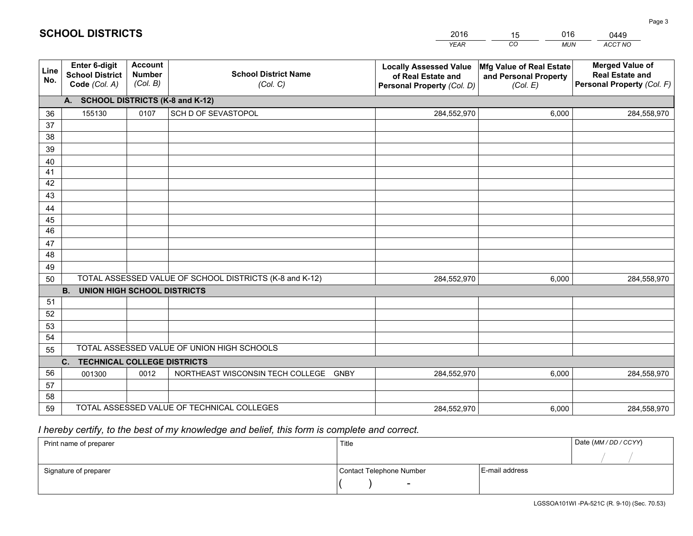|             |                                                                 |                                             |                                                         | <b>YEAR</b>                                                                       | CO<br><b>MUN</b>                                              | ACCT NO                                                                        |  |  |  |  |
|-------------|-----------------------------------------------------------------|---------------------------------------------|---------------------------------------------------------|-----------------------------------------------------------------------------------|---------------------------------------------------------------|--------------------------------------------------------------------------------|--|--|--|--|
| Line<br>No. | <b>Enter 6-digit</b><br><b>School District</b><br>Code (Col. A) | <b>Account</b><br><b>Number</b><br>(Col. B) | <b>School District Name</b><br>(Col. C)                 | <b>Locally Assessed Value</b><br>of Real Estate and<br>Personal Property (Col. D) | Mfg Value of Real Estate<br>and Personal Property<br>(Col. E) | <b>Merged Value of</b><br><b>Real Estate and</b><br>Personal Property (Col. F) |  |  |  |  |
|             | A. SCHOOL DISTRICTS (K-8 and K-12)                              |                                             |                                                         |                                                                                   |                                                               |                                                                                |  |  |  |  |
| 36          | 155130                                                          | 0107                                        | SCH D OF SEVASTOPOL                                     | 284,552,970                                                                       | 6,000                                                         | 284,558,970                                                                    |  |  |  |  |
| 37          |                                                                 |                                             |                                                         |                                                                                   |                                                               |                                                                                |  |  |  |  |
| 38          |                                                                 |                                             |                                                         |                                                                                   |                                                               |                                                                                |  |  |  |  |
| 39          |                                                                 |                                             |                                                         |                                                                                   |                                                               |                                                                                |  |  |  |  |
| 40          |                                                                 |                                             |                                                         |                                                                                   |                                                               |                                                                                |  |  |  |  |
| 41          |                                                                 |                                             |                                                         |                                                                                   |                                                               |                                                                                |  |  |  |  |
| 42          |                                                                 |                                             |                                                         |                                                                                   |                                                               |                                                                                |  |  |  |  |
| 43          |                                                                 |                                             |                                                         |                                                                                   |                                                               |                                                                                |  |  |  |  |
| 44<br>45    |                                                                 |                                             |                                                         |                                                                                   |                                                               |                                                                                |  |  |  |  |
| 46          |                                                                 |                                             |                                                         |                                                                                   |                                                               |                                                                                |  |  |  |  |
| 47          |                                                                 |                                             |                                                         |                                                                                   |                                                               |                                                                                |  |  |  |  |
| 48          |                                                                 |                                             |                                                         |                                                                                   |                                                               |                                                                                |  |  |  |  |
| 49          |                                                                 |                                             |                                                         |                                                                                   |                                                               |                                                                                |  |  |  |  |
| 50          |                                                                 |                                             | TOTAL ASSESSED VALUE OF SCHOOL DISTRICTS (K-8 and K-12) | 284,552,970                                                                       | 6,000                                                         | 284,558,970                                                                    |  |  |  |  |
|             | <b>B.</b><br><b>UNION HIGH SCHOOL DISTRICTS</b>                 |                                             |                                                         |                                                                                   |                                                               |                                                                                |  |  |  |  |
| 51          |                                                                 |                                             |                                                         |                                                                                   |                                                               |                                                                                |  |  |  |  |
| 52          |                                                                 |                                             |                                                         |                                                                                   |                                                               |                                                                                |  |  |  |  |
| 53          |                                                                 |                                             |                                                         |                                                                                   |                                                               |                                                                                |  |  |  |  |
| 54          |                                                                 |                                             |                                                         |                                                                                   |                                                               |                                                                                |  |  |  |  |
| 55          |                                                                 |                                             | TOTAL ASSESSED VALUE OF UNION HIGH SCHOOLS              |                                                                                   |                                                               |                                                                                |  |  |  |  |
|             | C.<br><b>TECHNICAL COLLEGE DISTRICTS</b>                        |                                             |                                                         |                                                                                   |                                                               |                                                                                |  |  |  |  |
| 56          | 001300                                                          | 0012                                        | NORTHEAST WISCONSIN TECH COLLEGE<br><b>GNBY</b>         | 284,552,970                                                                       | 6,000                                                         | 284,558,970                                                                    |  |  |  |  |
| 57          |                                                                 |                                             |                                                         |                                                                                   |                                                               |                                                                                |  |  |  |  |
| 58          |                                                                 |                                             |                                                         |                                                                                   |                                                               |                                                                                |  |  |  |  |
| 59          |                                                                 |                                             | TOTAL ASSESSED VALUE OF TECHNICAL COLLEGES              | 284,552,970                                                                       | 6,000                                                         | 284,558,970                                                                    |  |  |  |  |

15

016

 *I hereby certify, to the best of my knowledge and belief, this form is complete and correct.*

**SCHOOL DISTRICTS**

| Print name of preparer | Title                    | Date (MM/DD/CCYY) |  |
|------------------------|--------------------------|-------------------|--|
|                        |                          |                   |  |
| Signature of preparer  | Contact Telephone Number | E-mail address    |  |
|                        | $\overline{\phantom{0}}$ |                   |  |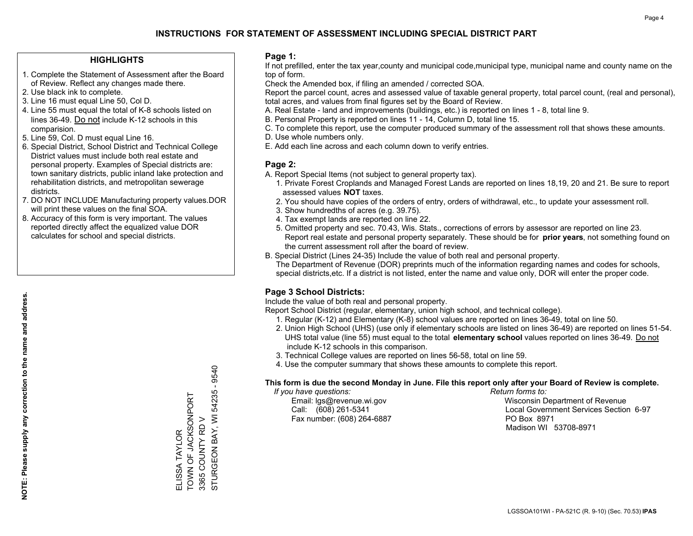### **HIGHLIGHTS**

- 1. Complete the Statement of Assessment after the Board of Review. Reflect any changes made there.
- 2. Use black ink to complete.
- 3. Line 16 must equal Line 50, Col D.
- 4. Line 55 must equal the total of K-8 schools listed on lines 36-49. Do not include K-12 schools in this comparision.
- 5. Line 59, Col. D must equal Line 16.
- 6. Special District, School District and Technical College District values must include both real estate and personal property. Examples of Special districts are: town sanitary districts, public inland lake protection and rehabilitation districts, and metropolitan sewerage districts.
- 7. DO NOT INCLUDE Manufacturing property values.DOR will print these values on the final SOA.

ELISSA TAYLOR

ELISSA TAYLOR

TOWN OF JACKSONPORT

TOWN OF JACKSONPORT

3365 COUNTY RD V

STURGEON BAY, WI 54235 - 9540

STURGEON BAY, WI 3365 COUNTY RD V

54235 - 9540

 8. Accuracy of this form is very important. The values reported directly affect the equalized value DOR calculates for school and special districts.

### **Page 1:**

 If not prefilled, enter the tax year,county and municipal code,municipal type, municipal name and county name on the top of form.

Check the Amended box, if filing an amended / corrected SOA.

 Report the parcel count, acres and assessed value of taxable general property, total parcel count, (real and personal), total acres, and values from final figures set by the Board of Review.

- A. Real Estate land and improvements (buildings, etc.) is reported on lines 1 8, total line 9.
- B. Personal Property is reported on lines 11 14, Column D, total line 15.
- C. To complete this report, use the computer produced summary of the assessment roll that shows these amounts.
- D. Use whole numbers only.
- E. Add each line across and each column down to verify entries.

### **Page 2:**

- A. Report Special Items (not subject to general property tax).
- 1. Private Forest Croplands and Managed Forest Lands are reported on lines 18,19, 20 and 21. Be sure to report assessed values **NOT** taxes.
- 2. You should have copies of the orders of entry, orders of withdrawal, etc., to update your assessment roll.
	- 3. Show hundredths of acres (e.g. 39.75).
- 4. Tax exempt lands are reported on line 22.
- 5. Omitted property and sec. 70.43, Wis. Stats., corrections of errors by assessor are reported on line 23. Report real estate and personal property separately. These should be for **prior years**, not something found on the current assessment roll after the board of review.
- B. Special District (Lines 24-35) Include the value of both real and personal property.
- The Department of Revenue (DOR) preprints much of the information regarding names and codes for schools, special districts,etc. If a district is not listed, enter the name and value only, DOR will enter the proper code.

### **Page 3 School Districts:**

Include the value of both real and personal property.

Report School District (regular, elementary, union high school, and technical college).

- 1. Regular (K-12) and Elementary (K-8) school values are reported on lines 36-49, total on line 50.
- 2. Union High School (UHS) (use only if elementary schools are listed on lines 36-49) are reported on lines 51-54. UHS total value (line 55) must equal to the total **elementary school** values reported on lines 36-49. Do notinclude K-12 schools in this comparison.
- 3. Technical College values are reported on lines 56-58, total on line 59.
- 4. Use the computer summary that shows these amounts to complete this report.

#### **This form is due the second Monday in June. File this report only after your Board of Review is complete.**

 *If you have questions: Return forms to:*

Fax number: (608) 264-6887 PO Box 8971

 Email: lgs@revenue.wi.gov Wisconsin Department of Revenue Call: (608) 261-5341 Local Government Services Section 6-97Madison WI 53708-8971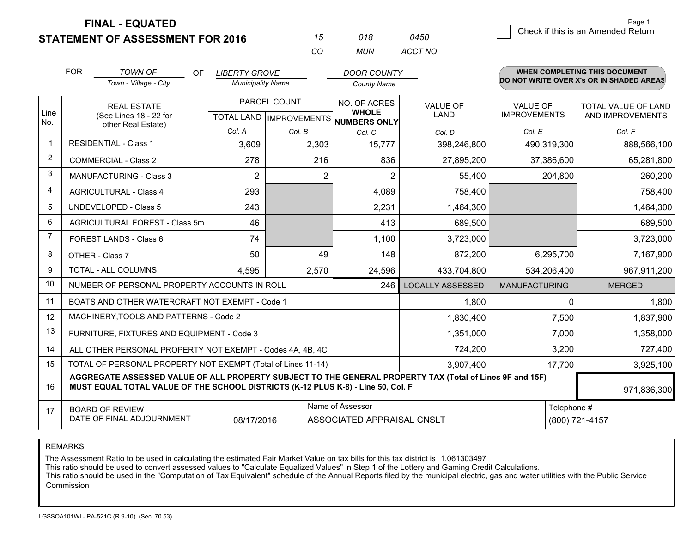**STATEMENT OF ASSESSMENT FOR 2016** 

**FINAL - EQUATED**

|             | <b>FOR</b>                                                                                                                                                                                                  | <b>TOWN OF</b><br>OF                                         | <b>LIBERTY GROVE</b>     |              | <b>DOOR COUNTY</b>                                   |                         |                      | <b>WHEN COMPLETING THIS DOCUMENT</b><br>DO NOT WRITE OVER X's OR IN SHADED AREAS |
|-------------|-------------------------------------------------------------------------------------------------------------------------------------------------------------------------------------------------------------|--------------------------------------------------------------|--------------------------|--------------|------------------------------------------------------|-------------------------|----------------------|----------------------------------------------------------------------------------|
|             |                                                                                                                                                                                                             | Town - Village - City                                        | <b>Municipality Name</b> |              | <b>County Name</b>                                   |                         |                      |                                                                                  |
|             |                                                                                                                                                                                                             | <b>REAL ESTATE</b>                                           |                          | PARCEL COUNT | NO. OF ACRES                                         | <b>VALUE OF</b>         | <b>VALUE OF</b>      | <b>TOTAL VALUE OF LAND</b>                                                       |
| Line<br>No. |                                                                                                                                                                                                             | (See Lines 18 - 22 for<br>other Real Estate)                 |                          |              | <b>WHOLE</b><br>TOTAL LAND IMPROVEMENTS NUMBERS ONLY | LAND                    | <b>IMPROVEMENTS</b>  | AND IMPROVEMENTS                                                                 |
|             |                                                                                                                                                                                                             |                                                              | Col. A                   | Col. B       | Col. C                                               | Col. D                  | Col. E               | Col. F                                                                           |
| -1          |                                                                                                                                                                                                             | <b>RESIDENTIAL - Class 1</b>                                 | 3,609                    | 2,303        | 15,777                                               | 398,246,800             | 490,319,300          | 888,566,100                                                                      |
| 2           | <b>COMMERCIAL - Class 2</b>                                                                                                                                                                                 |                                                              | 278                      | 216          | 836                                                  | 27,895,200              | 37,386,600           | 65,281,800                                                                       |
| 3           |                                                                                                                                                                                                             | <b>MANUFACTURING - Class 3</b>                               | $\overline{2}$           |              | 2<br>$\overline{2}$                                  | 55,400                  | 204,800              | 260,200                                                                          |
| 4           |                                                                                                                                                                                                             | <b>AGRICULTURAL - Class 4</b>                                | 293                      |              | 4,089                                                | 758,400                 |                      | 758,400                                                                          |
| 5           |                                                                                                                                                                                                             | <b>UNDEVELOPED - Class 5</b>                                 | 243                      |              | 2,231                                                | 1,464,300               |                      | 1,464,300                                                                        |
| 6           | AGRICULTURAL FOREST - Class 5m                                                                                                                                                                              |                                                              | 46                       |              | 413                                                  | 689,500                 |                      | 689,500                                                                          |
| 7           | FOREST LANDS - Class 6                                                                                                                                                                                      |                                                              | 74                       |              | 1,100                                                | 3,723,000               |                      | 3,723,000                                                                        |
| 8           |                                                                                                                                                                                                             | OTHER - Class 7                                              | 50                       | 49           | 148                                                  | 872,200                 | 6,295,700            | 7,167,900                                                                        |
| 9           |                                                                                                                                                                                                             | TOTAL - ALL COLUMNS                                          | 4,595                    | 2,570        | 24,596                                               | 433,704,800             | 534,206,400          | 967,911,200                                                                      |
| 10          |                                                                                                                                                                                                             | NUMBER OF PERSONAL PROPERTY ACCOUNTS IN ROLL                 |                          |              | 246                                                  | <b>LOCALLY ASSESSED</b> | <b>MANUFACTURING</b> | <b>MERGED</b>                                                                    |
| 11          |                                                                                                                                                                                                             | BOATS AND OTHER WATERCRAFT NOT EXEMPT - Code 1               |                          |              |                                                      | 1,800                   | $\Omega$             | 1,800                                                                            |
| 12          |                                                                                                                                                                                                             | MACHINERY, TOOLS AND PATTERNS - Code 2                       |                          |              |                                                      | 1,830,400               | 7,500                | 1,837,900                                                                        |
| 13          |                                                                                                                                                                                                             | FURNITURE, FIXTURES AND EQUIPMENT - Code 3                   |                          |              |                                                      | 1,351,000               | 7,000                | 1,358,000                                                                        |
| 14          |                                                                                                                                                                                                             | ALL OTHER PERSONAL PROPERTY NOT EXEMPT - Codes 4A, 4B, 4C    |                          |              |                                                      | 724,200                 | 3,200                | 727,400                                                                          |
| 15          |                                                                                                                                                                                                             | TOTAL OF PERSONAL PROPERTY NOT EXEMPT (Total of Lines 11-14) |                          |              |                                                      | 3,907,400               | 17,700               | 3,925,100                                                                        |
| 16          | AGGREGATE ASSESSED VALUE OF ALL PROPERTY SUBJECT TO THE GENERAL PROPERTY TAX (Total of Lines 9F and 15F)<br>MUST EQUAL TOTAL VALUE OF THE SCHOOL DISTRICTS (K-12 PLUS K-8) - Line 50, Col. F<br>971,836,300 |                                                              |                          |              |                                                      |                         |                      |                                                                                  |
| 17          | Name of Assessor<br><b>BOARD OF REVIEW</b><br>DATE OF FINAL ADJOURNMENT<br>08/17/2016<br>ASSOCIATED APPRAISAL CNSLT                                                                                         |                                                              |                          |              |                                                      |                         | Telephone #          | (800) 721-4157                                                                   |

*CO*

*MUN*

*ACCT NO0450*

*<sup>15</sup> <sup>018</sup>*

REMARKS

The Assessment Ratio to be used in calculating the estimated Fair Market Value on tax bills for this tax district is 1.061303497<br>This ratio should be used to convert assessed values to "Calculate Equalized Values" in Step Commission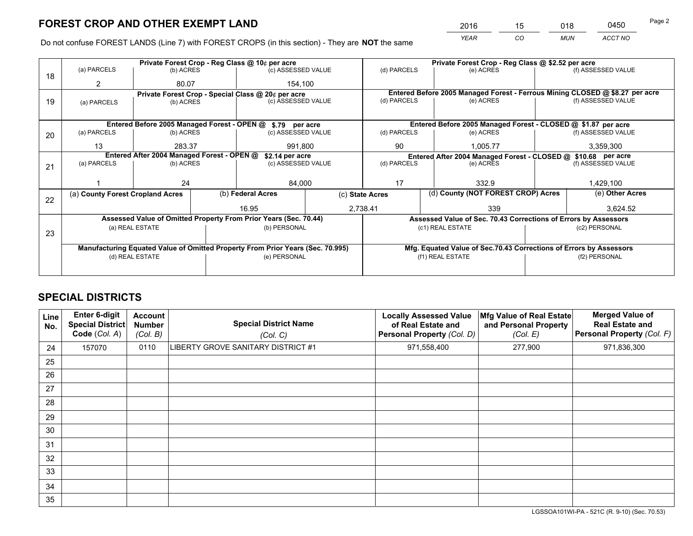*YEAR CO MUN ACCT NO* <sup>2016</sup> <sup>15</sup> <sup>018</sup> <sup>0450</sup>

Do not confuse FOREST LANDS (Line 7) with FOREST CROPS (in this section) - They are **NOT** the same

|    |                                                               |                 |  | Private Forest Crop - Reg Class @ 10¢ per acre                                 |  |                                                                              | Private Forest Crop - Reg Class @ \$2.52 per acre                  |               |                    |
|----|---------------------------------------------------------------|-----------------|--|--------------------------------------------------------------------------------|--|------------------------------------------------------------------------------|--------------------------------------------------------------------|---------------|--------------------|
| 18 | (a) PARCELS                                                   | (b) ACRES       |  | (c) ASSESSED VALUE                                                             |  | (d) PARCELS                                                                  | (e) ACRES                                                          |               | (f) ASSESSED VALUE |
|    | 2                                                             | 80.07           |  | 154,100                                                                        |  |                                                                              |                                                                    |               |                    |
|    |                                                               |                 |  | Private Forest Crop - Special Class @ 20¢ per acre                             |  | Entered Before 2005 Managed Forest - Ferrous Mining CLOSED @ \$8.27 per acre |                                                                    |               |                    |
| 19 | (a) PARCELS                                                   | (b) ACRES       |  | (c) ASSESSED VALUE                                                             |  | (d) PARCELS                                                                  | (e) ACRES                                                          |               | (f) ASSESSED VALUE |
|    |                                                               |                 |  |                                                                                |  |                                                                              |                                                                    |               |                    |
|    | Entered Before 2005 Managed Forest - OPEN @ \$.79 per acre    |                 |  |                                                                                |  |                                                                              | Entered Before 2005 Managed Forest - CLOSED @ \$1.87 per acre      |               |                    |
| 20 | (a) PARCELS                                                   | (b) ACRES       |  | (c) ASSESSED VALUE                                                             |  | (d) PARCELS                                                                  | (e) ACRES                                                          |               | (f) ASSESSED VALUE |
|    | 13                                                            | 283.37          |  | 991,800                                                                        |  | 90                                                                           | 1,005.77                                                           |               | 3,359,300          |
|    | Entered After 2004 Managed Forest - OPEN @<br>\$2.14 per acre |                 |  |                                                                                |  |                                                                              | Entered After 2004 Managed Forest - CLOSED @ \$10.68 per acre      |               |                    |
| 21 | (a) PARCELS                                                   | (b) ACRES       |  | (c) ASSESSED VALUE                                                             |  | (d) PARCELS                                                                  | (e) ACRES                                                          |               | (f) ASSESSED VALUE |
|    |                                                               |                 |  |                                                                                |  |                                                                              |                                                                    |               |                    |
|    |                                                               | 24              |  | 84,000                                                                         |  | 17                                                                           | 332.9                                                              |               | 1,429,100          |
|    | (a) County Forest Cropland Acres                              |                 |  | (b) Federal Acres                                                              |  | (c) State Acres                                                              | (d) County (NOT FOREST CROP) Acres                                 |               | (e) Other Acres    |
| 22 |                                                               |                 |  | 16.95                                                                          |  | 2,738.41                                                                     | 339                                                                |               | 3.624.52           |
|    |                                                               |                 |  | Assessed Value of Omitted Property From Prior Years (Sec. 70.44)               |  |                                                                              | Assessed Value of Sec. 70.43 Corrections of Errors by Assessors    |               |                    |
|    |                                                               | (a) REAL ESTATE |  | (b) PERSONAL                                                                   |  |                                                                              | (c1) REAL ESTATE                                                   |               | (c2) PERSONAL      |
| 23 |                                                               |                 |  |                                                                                |  |                                                                              |                                                                    |               |                    |
|    |                                                               |                 |  | Manufacturing Equated Value of Omitted Property From Prior Years (Sec. 70.995) |  |                                                                              | Mfg. Equated Value of Sec.70.43 Corrections of Errors by Assessors |               |                    |
|    |                                                               | (d) REAL ESTATE |  | (e) PERSONAL                                                                   |  |                                                                              | (f1) REAL ESTATE                                                   | (f2) PERSONAL |                    |
|    |                                                               |                 |  |                                                                                |  |                                                                              |                                                                    |               |                    |

# **SPECIAL DISTRICTS**

| Line<br>No. | Enter 6-digit<br><b>Special District</b><br>Code (Col. A) | <b>Account</b><br><b>Number</b><br>(Col. B) | <b>Special District Name</b><br>(Col. C) | <b>Locally Assessed Value</b><br>of Real Estate and<br><b>Personal Property (Col. D)</b> | Mfg Value of Real Estate<br>and Personal Property<br>(Col. E) | <b>Merged Value of</b><br><b>Real Estate and</b><br>Personal Property (Col. F) |
|-------------|-----------------------------------------------------------|---------------------------------------------|------------------------------------------|------------------------------------------------------------------------------------------|---------------------------------------------------------------|--------------------------------------------------------------------------------|
| 24          | 157070                                                    | 0110                                        | LIBERTY GROVE SANITARY DISTRICT #1       | 971,558,400                                                                              | 277,900                                                       | 971,836,300                                                                    |
| 25          |                                                           |                                             |                                          |                                                                                          |                                                               |                                                                                |
| 26          |                                                           |                                             |                                          |                                                                                          |                                                               |                                                                                |
| 27          |                                                           |                                             |                                          |                                                                                          |                                                               |                                                                                |
| 28          |                                                           |                                             |                                          |                                                                                          |                                                               |                                                                                |
| 29          |                                                           |                                             |                                          |                                                                                          |                                                               |                                                                                |
| 30          |                                                           |                                             |                                          |                                                                                          |                                                               |                                                                                |
| 31          |                                                           |                                             |                                          |                                                                                          |                                                               |                                                                                |
| 32          |                                                           |                                             |                                          |                                                                                          |                                                               |                                                                                |
| 33          |                                                           |                                             |                                          |                                                                                          |                                                               |                                                                                |
| 34          |                                                           |                                             |                                          |                                                                                          |                                                               |                                                                                |
| 35          |                                                           |                                             |                                          |                                                                                          |                                                               |                                                                                |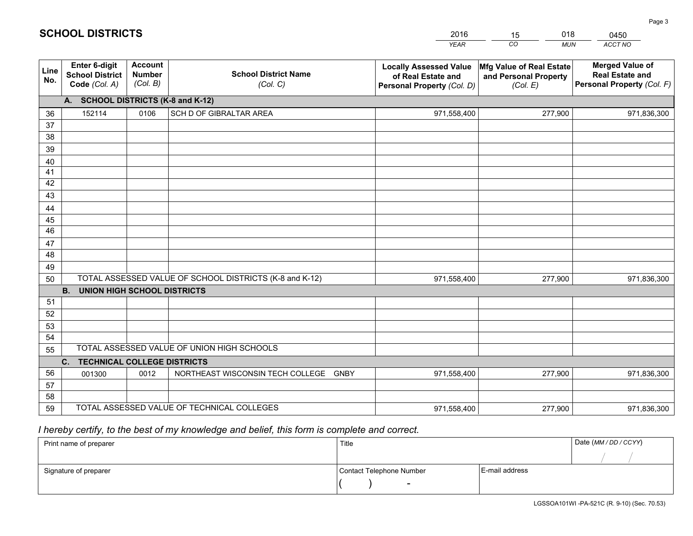|             |                                                                 |                                             |                                                         | <b>YEAR</b>                                                                       | CO<br><b>MUN</b>                                              | ACCT NO                                                                        |
|-------------|-----------------------------------------------------------------|---------------------------------------------|---------------------------------------------------------|-----------------------------------------------------------------------------------|---------------------------------------------------------------|--------------------------------------------------------------------------------|
| Line<br>No. | <b>Enter 6-digit</b><br><b>School District</b><br>Code (Col. A) | <b>Account</b><br><b>Number</b><br>(Col. B) | <b>School District Name</b><br>(Col. C)                 | <b>Locally Assessed Value</b><br>of Real Estate and<br>Personal Property (Col. D) | Mfg Value of Real Estate<br>and Personal Property<br>(Col. E) | <b>Merged Value of</b><br><b>Real Estate and</b><br>Personal Property (Col. F) |
|             | A. SCHOOL DISTRICTS (K-8 and K-12)                              |                                             |                                                         |                                                                                   |                                                               |                                                                                |
| 36          | 152114                                                          | 0106                                        | SCH D OF GIBRALTAR AREA                                 | 971,558,400                                                                       | 277,900                                                       | 971,836,300                                                                    |
| 37          |                                                                 |                                             |                                                         |                                                                                   |                                                               |                                                                                |
| 38          |                                                                 |                                             |                                                         |                                                                                   |                                                               |                                                                                |
| 39          |                                                                 |                                             |                                                         |                                                                                   |                                                               |                                                                                |
| 40          |                                                                 |                                             |                                                         |                                                                                   |                                                               |                                                                                |
| 41          |                                                                 |                                             |                                                         |                                                                                   |                                                               |                                                                                |
| 42          |                                                                 |                                             |                                                         |                                                                                   |                                                               |                                                                                |
| 43          |                                                                 |                                             |                                                         |                                                                                   |                                                               |                                                                                |
| 44          |                                                                 |                                             |                                                         |                                                                                   |                                                               |                                                                                |
| 45<br>46    |                                                                 |                                             |                                                         |                                                                                   |                                                               |                                                                                |
| 47          |                                                                 |                                             |                                                         |                                                                                   |                                                               |                                                                                |
| 48          |                                                                 |                                             |                                                         |                                                                                   |                                                               |                                                                                |
| 49          |                                                                 |                                             |                                                         |                                                                                   |                                                               |                                                                                |
| 50          |                                                                 |                                             | TOTAL ASSESSED VALUE OF SCHOOL DISTRICTS (K-8 and K-12) | 971,558,400                                                                       | 277,900                                                       | 971,836,300                                                                    |
|             | <b>B.</b><br><b>UNION HIGH SCHOOL DISTRICTS</b>                 |                                             |                                                         |                                                                                   |                                                               |                                                                                |
| 51          |                                                                 |                                             |                                                         |                                                                                   |                                                               |                                                                                |
| 52          |                                                                 |                                             |                                                         |                                                                                   |                                                               |                                                                                |
| 53          |                                                                 |                                             |                                                         |                                                                                   |                                                               |                                                                                |
| 54          |                                                                 |                                             |                                                         |                                                                                   |                                                               |                                                                                |
| 55          |                                                                 |                                             | TOTAL ASSESSED VALUE OF UNION HIGH SCHOOLS              |                                                                                   |                                                               |                                                                                |
|             | C.<br><b>TECHNICAL COLLEGE DISTRICTS</b>                        |                                             |                                                         |                                                                                   |                                                               |                                                                                |
| 56          | 001300                                                          | 0012                                        | NORTHEAST WISCONSIN TECH COLLEGE<br><b>GNBY</b>         | 971,558,400                                                                       | 277,900                                                       | 971,836,300                                                                    |
| 57          |                                                                 |                                             |                                                         |                                                                                   |                                                               |                                                                                |
| 58          |                                                                 |                                             |                                                         |                                                                                   |                                                               |                                                                                |
| 59          |                                                                 |                                             | TOTAL ASSESSED VALUE OF TECHNICAL COLLEGES              | 971,558,400                                                                       | 277,900                                                       | 971,836,300                                                                    |

15

018

# *I hereby certify, to the best of my knowledge and belief, this form is complete and correct.*

**SCHOOL DISTRICTS**

| Print name of preparer | Title                    |                | Date (MM / DD / CCYY) |
|------------------------|--------------------------|----------------|-----------------------|
|                        |                          |                |                       |
| Signature of preparer  | Contact Telephone Number | E-mail address |                       |
|                        | $\sim$                   |                |                       |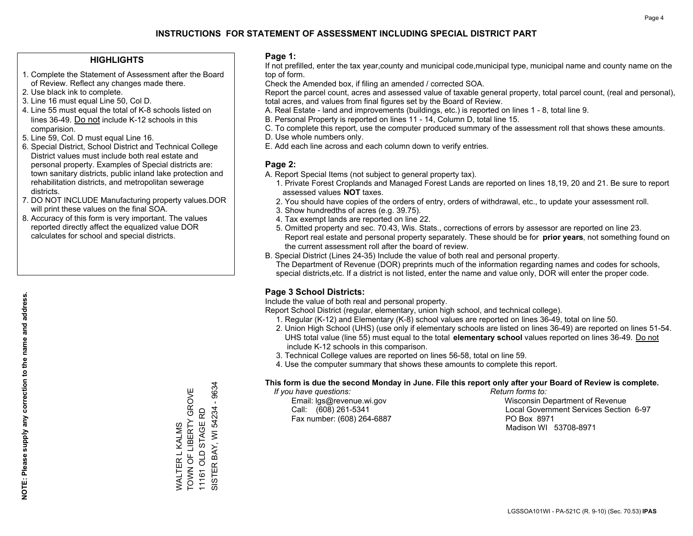### **HIGHLIGHTS**

- 1. Complete the Statement of Assessment after the Board of Review. Reflect any changes made there.
- 2. Use black ink to complete.
- 3. Line 16 must equal Line 50, Col D.
- 4. Line 55 must equal the total of K-8 schools listed on lines 36-49. Do not include K-12 schools in this comparision.
- 5. Line 59, Col. D must equal Line 16.
- 6. Special District, School District and Technical College District values must include both real estate and personal property. Examples of Special districts are: town sanitary districts, public inland lake protection and rehabilitation districts, and metropolitan sewerage districts.
- 7. DO NOT INCLUDE Manufacturing property values.DOR will print these values on the final SOA.
- 8. Accuracy of this form is very important. The values reported directly affect the equalized value DOR calculates for school and special districts.

### **Page 1:**

 If not prefilled, enter the tax year,county and municipal code,municipal type, municipal name and county name on the top of form.

Check the Amended box, if filing an amended / corrected SOA.

 Report the parcel count, acres and assessed value of taxable general property, total parcel count, (real and personal), total acres, and values from final figures set by the Board of Review.

- A. Real Estate land and improvements (buildings, etc.) is reported on lines 1 8, total line 9.
- B. Personal Property is reported on lines 11 14, Column D, total line 15.
- C. To complete this report, use the computer produced summary of the assessment roll that shows these amounts.
- D. Use whole numbers only.
- E. Add each line across and each column down to verify entries.

### **Page 2:**

- A. Report Special Items (not subject to general property tax).
- 1. Private Forest Croplands and Managed Forest Lands are reported on lines 18,19, 20 and 21. Be sure to report assessed values **NOT** taxes.
- 2. You should have copies of the orders of entry, orders of withdrawal, etc., to update your assessment roll.
	- 3. Show hundredths of acres (e.g. 39.75).
- 4. Tax exempt lands are reported on line 22.
- 5. Omitted property and sec. 70.43, Wis. Stats., corrections of errors by assessor are reported on line 23. Report real estate and personal property separately. These should be for **prior years**, not something found on the current assessment roll after the board of review.
- B. Special District (Lines 24-35) Include the value of both real and personal property.
- The Department of Revenue (DOR) preprints much of the information regarding names and codes for schools, special districts,etc. If a district is not listed, enter the name and value only, DOR will enter the proper code.

### **Page 3 School Districts:**

Include the value of both real and personal property.

Report School District (regular, elementary, union high school, and technical college).

- 1. Regular (K-12) and Elementary (K-8) school values are reported on lines 36-49, total on line 50.
- 2. Union High School (UHS) (use only if elementary schools are listed on lines 36-49) are reported on lines 51-54. UHS total value (line 55) must equal to the total **elementary school** values reported on lines 36-49. Do notinclude K-12 schools in this comparison.
- 3. Technical College values are reported on lines 56-58, total on line 59.
- 4. Use the computer summary that shows these amounts to complete this report.

#### **This form is due the second Monday in June. File this report only after your Board of Review is complete.**

 *If you have questions: Return forms to:*

Fax number: (608) 264-6887 PO Box 8971

 Email: lgs@revenue.wi.gov Wisconsin Department of Revenue Call: (608) 261-5341 Local Government Services Section 6-97Madison WI 53708-8971

9634 SISTER BAY, WI 54234 - 9634 WALTER L KALMS<br>TOWN OF LIBERTY GROVE TOWN OF LIBERTY GROVE 11161 OLD STAGE RD ISTER BAY, WI 54234 11161 OLD STAGE RD WALTER L KALMS  $\overline{\omega}$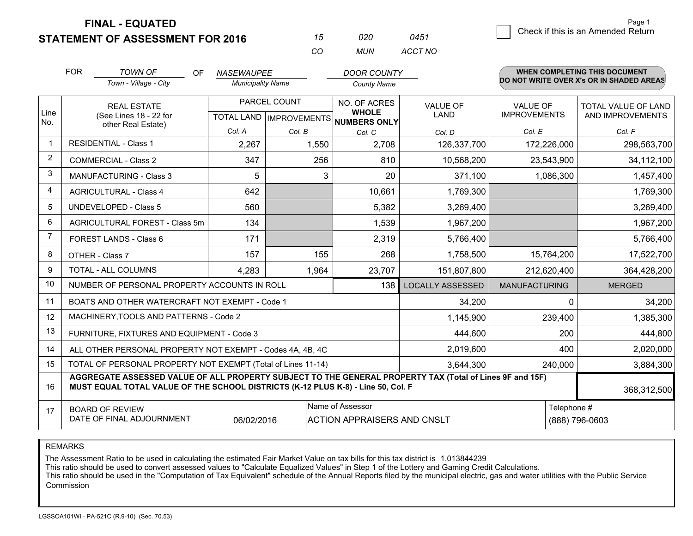**FINAL - EQUATED**

|                | <b>FOR</b>                     | <b>TOWN OF</b><br>OF                                                                                                                                                                         | <b>NASEWAUPEE</b>        |              | <b>DOOR COUNTY</b>                                   |                         |                                          | <b>WHEN COMPLETING THIS DOCUMENT</b> |  |
|----------------|--------------------------------|----------------------------------------------------------------------------------------------------------------------------------------------------------------------------------------------|--------------------------|--------------|------------------------------------------------------|-------------------------|------------------------------------------|--------------------------------------|--|
|                |                                | Town - Village - City                                                                                                                                                                        | <b>Municipality Name</b> |              | <b>County Name</b>                                   |                         | DO NOT WRITE OVER X's OR IN SHADED AREAS |                                      |  |
|                |                                | <b>REAL ESTATE</b>                                                                                                                                                                           |                          | PARCEL COUNT | NO. OF ACRES                                         | <b>VALUE OF</b>         | <b>VALUE OF</b>                          | <b>TOTAL VALUE OF LAND</b>           |  |
| Line<br>No.    |                                | (See Lines 18 - 22 for<br>other Real Estate)                                                                                                                                                 |                          |              | <b>WHOLE</b><br>TOTAL LAND IMPROVEMENTS NUMBERS ONLY | LAND                    | <b>IMPROVEMENTS</b>                      | AND IMPROVEMENTS                     |  |
|                |                                |                                                                                                                                                                                              | Col. A                   | Col. B       | Col. C                                               | Col. D                  | Col. E                                   | Col. F                               |  |
| $\mathbf 1$    |                                | <b>RESIDENTIAL - Class 1</b>                                                                                                                                                                 | 2,267                    | 1,550        | 2,708                                                | 126,337,700             | 172,226,000                              | 298,563,700                          |  |
| 2              | <b>COMMERCIAL - Class 2</b>    |                                                                                                                                                                                              | 347                      | 256          | 810                                                  | 10,568,200              | 23,543,900                               | 34,112,100                           |  |
| 3              | <b>MANUFACTURING - Class 3</b> |                                                                                                                                                                                              | 5                        |              | 3<br>20                                              | 371,100                 | 1,086,300                                | 1,457,400                            |  |
| 4              |                                | <b>AGRICULTURAL - Class 4</b>                                                                                                                                                                | 642                      |              | 10,661                                               | 1,769,300               |                                          | 1,769,300                            |  |
| 5              |                                | <b>UNDEVELOPED - Class 5</b>                                                                                                                                                                 | 560                      |              | 5,382                                                | 3,269,400               |                                          | 3,269,400                            |  |
| 6              |                                | AGRICULTURAL FOREST - Class 5m                                                                                                                                                               | 134                      |              | 1,539                                                | 1,967,200               |                                          | 1,967,200                            |  |
| $\overline{7}$ |                                | <b>FOREST LANDS - Class 6</b>                                                                                                                                                                | 171                      |              | 2,319                                                | 5,766,400               |                                          | 5,766,400                            |  |
| 8              |                                | OTHER - Class 7                                                                                                                                                                              | 157                      | 155          | 268                                                  | 1,758,500               | 15,764,200                               | 17,522,700                           |  |
| 9              |                                | TOTAL - ALL COLUMNS                                                                                                                                                                          | 4,283                    | 1,964        | 23,707                                               | 151,807,800             | 212,620,400                              | 364,428,200                          |  |
| 10             |                                | NUMBER OF PERSONAL PROPERTY ACCOUNTS IN ROLL                                                                                                                                                 |                          |              | 138                                                  | <b>LOCALLY ASSESSED</b> | <b>MANUFACTURING</b>                     | <b>MERGED</b>                        |  |
| 11             |                                | BOATS AND OTHER WATERCRAFT NOT EXEMPT - Code 1                                                                                                                                               |                          |              |                                                      | 34,200                  | $\Omega$                                 | 34,200                               |  |
| 12             |                                | MACHINERY, TOOLS AND PATTERNS - Code 2                                                                                                                                                       |                          |              |                                                      | 1,145,900               | 239,400                                  | 1,385,300                            |  |
| 13             |                                | FURNITURE, FIXTURES AND EQUIPMENT - Code 3                                                                                                                                                   |                          |              |                                                      | 444,600                 | 200                                      | 444,800                              |  |
| 14             |                                | ALL OTHER PERSONAL PROPERTY NOT EXEMPT - Codes 4A, 4B, 4C                                                                                                                                    |                          |              |                                                      | 2,019,600               | 400                                      | 2,020,000                            |  |
| 15             |                                | TOTAL OF PERSONAL PROPERTY NOT EXEMPT (Total of Lines 11-14)                                                                                                                                 |                          |              |                                                      | 3,644,300               | 240,000                                  | 3,884,300                            |  |
| 16             |                                | AGGREGATE ASSESSED VALUE OF ALL PROPERTY SUBJECT TO THE GENERAL PROPERTY TAX (Total of Lines 9F and 15F)<br>MUST EQUAL TOTAL VALUE OF THE SCHOOL DISTRICTS (K-12 PLUS K-8) - Line 50, Col. F |                          |              |                                                      |                         |                                          | 368,312,500                          |  |
| 17             |                                | <b>BOARD OF REVIEW</b>                                                                                                                                                                       |                          |              | Name of Assessor                                     |                         | Telephone #                              |                                      |  |
|                |                                | DATE OF FINAL ADJOURNMENT                                                                                                                                                                    | 06/02/2016               |              | <b>ACTION APPRAISERS AND CNSLT</b>                   |                         | (888) 796-0603                           |                                      |  |

*CO*

*MUN*

*ACCT NO0451*

*<sup>15</sup> <sup>020</sup>*

REMARKS

The Assessment Ratio to be used in calculating the estimated Fair Market Value on tax bills for this tax district is 1.013844239<br>This ratio should be used to convert assessed values to "Calculate Equalized Values" in Step Commission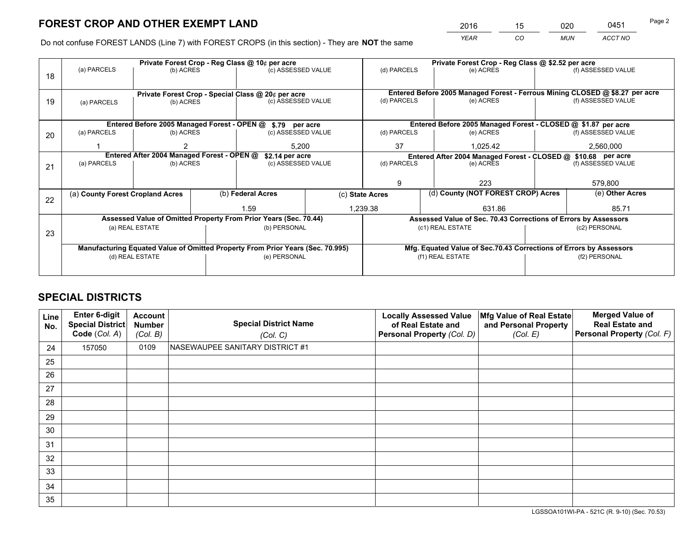*YEAR CO MUN ACCT NO* 2016 <u>15 020 0451 15 020</u>

Do not confuse FOREST LANDS (Line 7) with FOREST CROPS (in this section) - They are **NOT** the same

|    |                                                                                |                 |  | Private Forest Crop - Reg Class @ 10¢ per acre                   |  | Private Forest Crop - Reg Class @ \$2.52 per acre                            |  |                                                                    |                                                                 |                    |
|----|--------------------------------------------------------------------------------|-----------------|--|------------------------------------------------------------------|--|------------------------------------------------------------------------------|--|--------------------------------------------------------------------|-----------------------------------------------------------------|--------------------|
| 18 | (a) PARCELS                                                                    | (b) ACRES       |  | (c) ASSESSED VALUE                                               |  | (d) PARCELS                                                                  |  | (e) ACRES                                                          |                                                                 | (f) ASSESSED VALUE |
|    |                                                                                |                 |  |                                                                  |  |                                                                              |  |                                                                    |                                                                 |                    |
|    |                                                                                |                 |  | Private Forest Crop - Special Class @ 20¢ per acre               |  | Entered Before 2005 Managed Forest - Ferrous Mining CLOSED @ \$8.27 per acre |  |                                                                    |                                                                 |                    |
| 19 | (a) PARCELS                                                                    | (b) ACRES       |  | (c) ASSESSED VALUE                                               |  | (d) PARCELS                                                                  |  | (e) ACRES                                                          |                                                                 | (f) ASSESSED VALUE |
|    |                                                                                |                 |  |                                                                  |  |                                                                              |  |                                                                    |                                                                 |                    |
|    |                                                                                |                 |  | Entered Before 2005 Managed Forest - OPEN @ \$.79 per acre       |  |                                                                              |  | Entered Before 2005 Managed Forest - CLOSED @ \$1.87 per acre      |                                                                 |                    |
| 20 | (a) PARCELS<br>(b) ACRES                                                       |                 |  | (c) ASSESSED VALUE                                               |  | (d) PARCELS                                                                  |  | (e) ACRES                                                          |                                                                 | (f) ASSESSED VALUE |
|    |                                                                                |                 |  | 5.200                                                            |  | 37                                                                           |  | 1.025.42                                                           |                                                                 | 2,560,000          |
|    | Entered After 2004 Managed Forest - OPEN @                                     |                 |  | \$2.14 per acre                                                  |  | Entered After 2004 Managed Forest - CLOSED @ \$10.68 per acre                |  |                                                                    |                                                                 |                    |
| 21 | (a) PARCELS                                                                    | (b) ACRES       |  | (c) ASSESSED VALUE                                               |  | (d) PARCELS                                                                  |  | (e) ACRES                                                          |                                                                 | (f) ASSESSED VALUE |
|    |                                                                                |                 |  |                                                                  |  |                                                                              |  |                                                                    |                                                                 |                    |
|    |                                                                                |                 |  |                                                                  |  | 9                                                                            |  | 223                                                                |                                                                 | 579,800            |
| 22 | (a) County Forest Cropland Acres                                               |                 |  | (b) Federal Acres                                                |  | (c) State Acres                                                              |  | (d) County (NOT FOREST CROP) Acres                                 |                                                                 | (e) Other Acres    |
|    |                                                                                |                 |  | 1.59                                                             |  | 1,239.38                                                                     |  | 631.86                                                             |                                                                 | 85.71              |
|    |                                                                                |                 |  | Assessed Value of Omitted Property From Prior Years (Sec. 70.44) |  |                                                                              |  |                                                                    | Assessed Value of Sec. 70.43 Corrections of Errors by Assessors |                    |
| 23 |                                                                                | (a) REAL ESTATE |  | (b) PERSONAL                                                     |  |                                                                              |  | (c1) REAL ESTATE                                                   | (c2) PERSONAL                                                   |                    |
|    |                                                                                |                 |  |                                                                  |  |                                                                              |  |                                                                    |                                                                 |                    |
|    | Manufacturing Equated Value of Omitted Property From Prior Years (Sec. 70.995) |                 |  |                                                                  |  |                                                                              |  | Mfg. Equated Value of Sec.70.43 Corrections of Errors by Assessors |                                                                 |                    |
|    | (d) REAL ESTATE                                                                |                 |  | (e) PERSONAL                                                     |  |                                                                              |  | (f1) REAL ESTATE                                                   | (f2) PERSONAL                                                   |                    |
|    |                                                                                |                 |  |                                                                  |  |                                                                              |  |                                                                    |                                                                 |                    |

## **SPECIAL DISTRICTS**

| Line<br>No. | Enter 6-digit<br><b>Special District</b><br>Code (Col. A) | <b>Account</b><br><b>Number</b><br>(Col. B) | <b>Special District Name</b><br>(Col. C) | <b>Locally Assessed Value</b><br>of Real Estate and<br>Personal Property (Col. D) | Mfg Value of Real Estate<br>and Personal Property<br>(Col. E) | <b>Merged Value of</b><br><b>Real Estate and</b><br>Personal Property (Col. F) |
|-------------|-----------------------------------------------------------|---------------------------------------------|------------------------------------------|-----------------------------------------------------------------------------------|---------------------------------------------------------------|--------------------------------------------------------------------------------|
| 24          | 157050                                                    | 0109                                        | NASEWAUPEE SANITARY DISTRICT #1          |                                                                                   |                                                               |                                                                                |
| 25          |                                                           |                                             |                                          |                                                                                   |                                                               |                                                                                |
| 26          |                                                           |                                             |                                          |                                                                                   |                                                               |                                                                                |
| 27          |                                                           |                                             |                                          |                                                                                   |                                                               |                                                                                |
| 28          |                                                           |                                             |                                          |                                                                                   |                                                               |                                                                                |
| 29          |                                                           |                                             |                                          |                                                                                   |                                                               |                                                                                |
| 30          |                                                           |                                             |                                          |                                                                                   |                                                               |                                                                                |
| 31          |                                                           |                                             |                                          |                                                                                   |                                                               |                                                                                |
| 32          |                                                           |                                             |                                          |                                                                                   |                                                               |                                                                                |
| 33          |                                                           |                                             |                                          |                                                                                   |                                                               |                                                                                |
| 34          |                                                           |                                             |                                          |                                                                                   |                                                               |                                                                                |
| 35          |                                                           |                                             |                                          |                                                                                   |                                                               |                                                                                |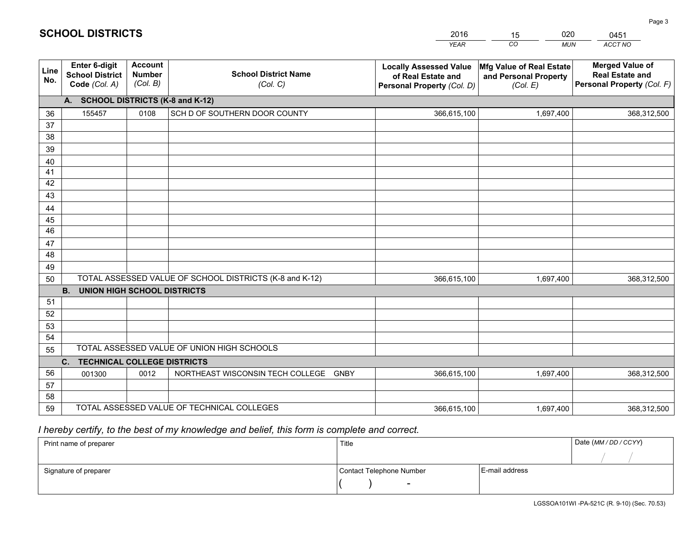|             |                                                                 |                                             |                                                         | <b>YEAR</b>                                                                       | CO<br><b>MUN</b>                                              | <b>ACCT NO</b>                                                                 |
|-------------|-----------------------------------------------------------------|---------------------------------------------|---------------------------------------------------------|-----------------------------------------------------------------------------------|---------------------------------------------------------------|--------------------------------------------------------------------------------|
| Line<br>No. | <b>Enter 6-digit</b><br><b>School District</b><br>Code (Col. A) | <b>Account</b><br><b>Number</b><br>(Col. B) | <b>School District Name</b><br>(Col. C)                 | <b>Locally Assessed Value</b><br>of Real Estate and<br>Personal Property (Col. D) | Mfg Value of Real Estate<br>and Personal Property<br>(Col. E) | <b>Merged Value of</b><br><b>Real Estate and</b><br>Personal Property (Col. F) |
|             | A. SCHOOL DISTRICTS (K-8 and K-12)                              |                                             |                                                         |                                                                                   |                                                               |                                                                                |
| 36          | 155457                                                          | 0108                                        | SCH D OF SOUTHERN DOOR COUNTY                           | 366,615,100                                                                       | 1,697,400                                                     | 368,312,500                                                                    |
| 37          |                                                                 |                                             |                                                         |                                                                                   |                                                               |                                                                                |
| 38          |                                                                 |                                             |                                                         |                                                                                   |                                                               |                                                                                |
| 39          |                                                                 |                                             |                                                         |                                                                                   |                                                               |                                                                                |
| 40          |                                                                 |                                             |                                                         |                                                                                   |                                                               |                                                                                |
| 41<br>42    |                                                                 |                                             |                                                         |                                                                                   |                                                               |                                                                                |
| 43          |                                                                 |                                             |                                                         |                                                                                   |                                                               |                                                                                |
| 44          |                                                                 |                                             |                                                         |                                                                                   |                                                               |                                                                                |
| 45          |                                                                 |                                             |                                                         |                                                                                   |                                                               |                                                                                |
| 46          |                                                                 |                                             |                                                         |                                                                                   |                                                               |                                                                                |
| 47          |                                                                 |                                             |                                                         |                                                                                   |                                                               |                                                                                |
| 48          |                                                                 |                                             |                                                         |                                                                                   |                                                               |                                                                                |
| 49          |                                                                 |                                             |                                                         |                                                                                   |                                                               |                                                                                |
| 50          |                                                                 |                                             | TOTAL ASSESSED VALUE OF SCHOOL DISTRICTS (K-8 and K-12) | 366,615,100                                                                       | 1,697,400                                                     | 368,312,500                                                                    |
|             | <b>B.</b><br><b>UNION HIGH SCHOOL DISTRICTS</b>                 |                                             |                                                         |                                                                                   |                                                               |                                                                                |
| 51          |                                                                 |                                             |                                                         |                                                                                   |                                                               |                                                                                |
| 52          |                                                                 |                                             |                                                         |                                                                                   |                                                               |                                                                                |
| 53          |                                                                 |                                             |                                                         |                                                                                   |                                                               |                                                                                |
| 54          |                                                                 |                                             |                                                         |                                                                                   |                                                               |                                                                                |
| 55          |                                                                 |                                             | TOTAL ASSESSED VALUE OF UNION HIGH SCHOOLS              |                                                                                   |                                                               |                                                                                |
|             | C.<br><b>TECHNICAL COLLEGE DISTRICTS</b>                        |                                             |                                                         |                                                                                   |                                                               |                                                                                |
| 56<br>57    | 001300                                                          | 0012                                        | NORTHEAST WISCONSIN TECH COLLEGE<br><b>GNBY</b>         | 366,615,100                                                                       | 1,697,400                                                     | 368,312,500                                                                    |
| 58          |                                                                 |                                             |                                                         |                                                                                   |                                                               |                                                                                |
| 59          |                                                                 |                                             | TOTAL ASSESSED VALUE OF TECHNICAL COLLEGES              | 366,615,100                                                                       | 1,697,400                                                     | 368,312,500                                                                    |
|             |                                                                 |                                             |                                                         |                                                                                   |                                                               |                                                                                |

15

020

 *I hereby certify, to the best of my knowledge and belief, this form is complete and correct.*

**SCHOOL DISTRICTS**

| Print name of preparer | Title                    |                | Date (MM / DD / CCYY) |
|------------------------|--------------------------|----------------|-----------------------|
|                        |                          |                |                       |
| Signature of preparer  | Contact Telephone Number | E-mail address |                       |
|                        | $\sim$                   |                |                       |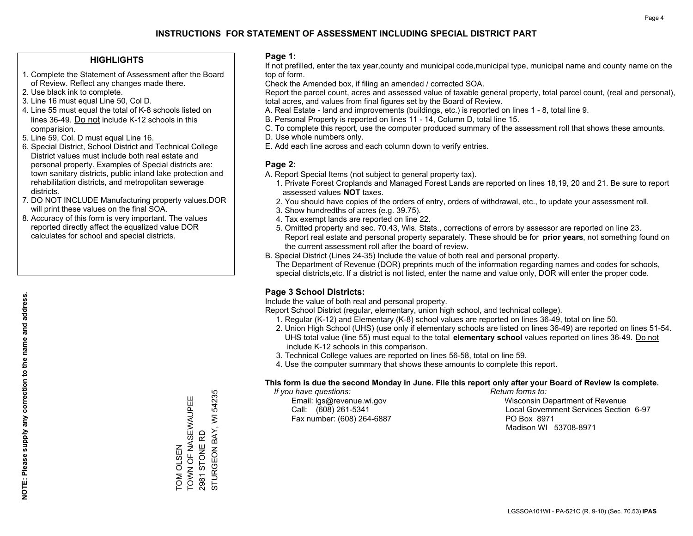## **HIGHLIGHTS**

- 1. Complete the Statement of Assessment after the Board of Review. Reflect any changes made there.
- 2. Use black ink to complete.
- 3. Line 16 must equal Line 50, Col D.
- 4. Line 55 must equal the total of K-8 schools listed on lines 36-49. Do not include K-12 schools in this comparision.
- 5. Line 59, Col. D must equal Line 16.
- 6. Special District, School District and Technical College District values must include both real estate and personal property. Examples of Special districts are: town sanitary districts, public inland lake protection and rehabilitation districts, and metropolitan sewerage districts.
- 7. DO NOT INCLUDE Manufacturing property values.DOR will print these values on the final SOA.

TOM OLSEN

**TOM OLSEN** 

TOWN OF NASEWAUPEE

TOWN OF NASEWAUPEE

2981 STONE RD

STURGEON BAY, WI 54235

STURGEON BAY, WI 2981 STONE RD

54235

 8. Accuracy of this form is very important. The values reported directly affect the equalized value DOR calculates for school and special districts.

### **Page 1:**

 If not prefilled, enter the tax year,county and municipal code,municipal type, municipal name and county name on the top of form.

Check the Amended box, if filing an amended / corrected SOA.

 Report the parcel count, acres and assessed value of taxable general property, total parcel count, (real and personal), total acres, and values from final figures set by the Board of Review.

- A. Real Estate land and improvements (buildings, etc.) is reported on lines 1 8, total line 9.
- B. Personal Property is reported on lines 11 14, Column D, total line 15.
- C. To complete this report, use the computer produced summary of the assessment roll that shows these amounts.
- D. Use whole numbers only.
- E. Add each line across and each column down to verify entries.

## **Page 2:**

- A. Report Special Items (not subject to general property tax).
- 1. Private Forest Croplands and Managed Forest Lands are reported on lines 18,19, 20 and 21. Be sure to report assessed values **NOT** taxes.
- 2. You should have copies of the orders of entry, orders of withdrawal, etc., to update your assessment roll.
	- 3. Show hundredths of acres (e.g. 39.75).
- 4. Tax exempt lands are reported on line 22.
- 5. Omitted property and sec. 70.43, Wis. Stats., corrections of errors by assessor are reported on line 23. Report real estate and personal property separately. These should be for **prior years**, not something found on the current assessment roll after the board of review.
- B. Special District (Lines 24-35) Include the value of both real and personal property.
- The Department of Revenue (DOR) preprints much of the information regarding names and codes for schools, special districts,etc. If a district is not listed, enter the name and value only, DOR will enter the proper code.

## **Page 3 School Districts:**

Include the value of both real and personal property.

Report School District (regular, elementary, union high school, and technical college).

- 1. Regular (K-12) and Elementary (K-8) school values are reported on lines 36-49, total on line 50.
- 2. Union High School (UHS) (use only if elementary schools are listed on lines 36-49) are reported on lines 51-54. UHS total value (line 55) must equal to the total **elementary school** values reported on lines 36-49. Do notinclude K-12 schools in this comparison.
- 3. Technical College values are reported on lines 56-58, total on line 59.
- 4. Use the computer summary that shows these amounts to complete this report.

#### **This form is due the second Monday in June. File this report only after your Board of Review is complete.**

 *If you have questions: Return forms to:*

Fax number: (608) 264-6887 PO Box 8971

 Email: lgs@revenue.wi.gov Wisconsin Department of Revenue Call: (608) 261-5341 Local Government Services Section 6-97Madison WI 53708-8971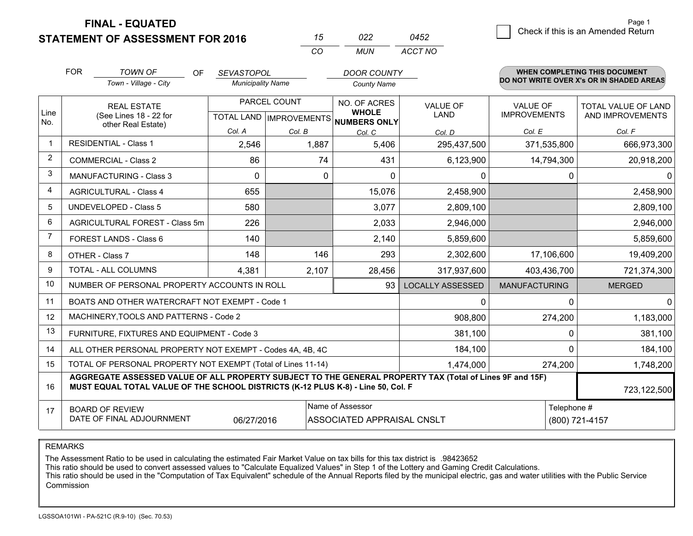**FINAL - EQUATED**

|             | <b>FOR</b>                     | TOWN OF                                                                                                                                                                                      | OF.<br><b>SEVASTOPOL</b> |              | <b>DOOR COUNTY</b>                                   |                         |                      | <b>WHEN COMPLETING THIS DOCUMENT</b>     |  |
|-------------|--------------------------------|----------------------------------------------------------------------------------------------------------------------------------------------------------------------------------------------|--------------------------|--------------|------------------------------------------------------|-------------------------|----------------------|------------------------------------------|--|
|             |                                | Town - Village - City                                                                                                                                                                        | <b>Municipality Name</b> |              | <b>County Name</b>                                   |                         |                      | DO NOT WRITE OVER X's OR IN SHADED AREAS |  |
|             |                                | <b>REAL ESTATE</b>                                                                                                                                                                           |                          | PARCEL COUNT | NO. OF ACRES                                         | <b>VALUE OF</b>         | <b>VALUE OF</b>      | TOTAL VALUE OF LAND                      |  |
| Line<br>No. |                                | (See Lines 18 - 22 for                                                                                                                                                                       |                          |              | <b>WHOLE</b><br>TOTAL LAND IMPROVEMENTS NUMBERS ONLY | <b>LAND</b>             | <b>IMPROVEMENTS</b>  | AND IMPROVEMENTS                         |  |
|             |                                | other Real Estate)                                                                                                                                                                           | Col. A                   | Col. B       | Col. C                                               | Col. D                  | Col. E               | Col. F                                   |  |
|             |                                | <b>RESIDENTIAL - Class 1</b>                                                                                                                                                                 | 2,546                    | 1,887        | 5,406                                                | 295,437,500             | 371,535,800          | 666,973,300                              |  |
| 2           |                                | <b>COMMERCIAL - Class 2</b>                                                                                                                                                                  | 86                       |              | 74<br>431                                            | 6,123,900               | 14,794,300           | 20,918,200                               |  |
| 3           | <b>MANUFACTURING - Class 3</b> |                                                                                                                                                                                              | 0                        |              | 0<br>0                                               | 0                       | 0                    | 0                                        |  |
| 4           | <b>AGRICULTURAL - Class 4</b>  |                                                                                                                                                                                              | 655                      |              | 15,076                                               | 2,458,900               |                      | 2,458,900                                |  |
| 5           | <b>UNDEVELOPED - Class 5</b>   |                                                                                                                                                                                              | 580                      |              | 3,077                                                | 2,809,100               |                      | 2,809,100                                |  |
| 6           | AGRICULTURAL FOREST - Class 5m |                                                                                                                                                                                              | 226                      |              | 2,033                                                | 2,946,000               |                      | 2,946,000                                |  |
| 7           |                                | FOREST LANDS - Class 6                                                                                                                                                                       | 140                      |              | 2,140                                                | 5,859,600               |                      | 5,859,600                                |  |
| 8           |                                | OTHER - Class 7                                                                                                                                                                              | 148                      | 146          | 293                                                  | 2,302,600               | 17,106,600           | 19,409,200                               |  |
| 9           |                                | TOTAL - ALL COLUMNS                                                                                                                                                                          | 4,381                    | 2,107        | 28,456                                               | 317,937,600             | 403,436,700          | 721,374,300                              |  |
| 10          |                                | NUMBER OF PERSONAL PROPERTY ACCOUNTS IN ROLL                                                                                                                                                 |                          |              | 93                                                   | <b>LOCALLY ASSESSED</b> | <b>MANUFACTURING</b> | <b>MERGED</b>                            |  |
| 11          |                                | BOATS AND OTHER WATERCRAFT NOT EXEMPT - Code 1                                                                                                                                               |                          |              |                                                      | $\Omega$                | 0                    | $\Omega$                                 |  |
| 12          |                                | MACHINERY, TOOLS AND PATTERNS - Code 2                                                                                                                                                       |                          |              |                                                      | 908,800                 | 274,200              | 1,183,000                                |  |
| 13          |                                | FURNITURE, FIXTURES AND EQUIPMENT - Code 3                                                                                                                                                   |                          |              |                                                      | 381,100                 | 0                    | 381,100                                  |  |
| 14          |                                | ALL OTHER PERSONAL PROPERTY NOT EXEMPT - Codes 4A, 4B, 4C                                                                                                                                    |                          |              |                                                      | 184,100                 | $\Omega$             | 184,100                                  |  |
| 15          |                                | TOTAL OF PERSONAL PROPERTY NOT EXEMPT (Total of Lines 11-14)                                                                                                                                 |                          |              |                                                      | 1,474,000               | 274,200              | 1,748,200                                |  |
| 16          |                                | AGGREGATE ASSESSED VALUE OF ALL PROPERTY SUBJECT TO THE GENERAL PROPERTY TAX (Total of Lines 9F and 15F)<br>MUST EQUAL TOTAL VALUE OF THE SCHOOL DISTRICTS (K-12 PLUS K-8) - Line 50, Col. F |                          |              |                                                      |                         |                      | 723,122,500                              |  |
| 17          |                                | <b>BOARD OF REVIEW</b>                                                                                                                                                                       |                          |              | Name of Assessor                                     |                         | Telephone #          |                                          |  |
|             |                                | DATE OF FINAL ADJOURNMENT                                                                                                                                                                    | 06/27/2016               |              | ASSOCIATED APPRAISAL CNSLT                           |                         | (800) 721-4157       |                                          |  |

*CO*

*MUN*

*ACCT NO0452*

*<sup>15</sup> <sup>022</sup>*

REMARKS

The Assessment Ratio to be used in calculating the estimated Fair Market Value on tax bills for this tax district is .98423652<br>This ratio should be used to convert assessed values to "Calculate Equalized Values" in Step 1 Commission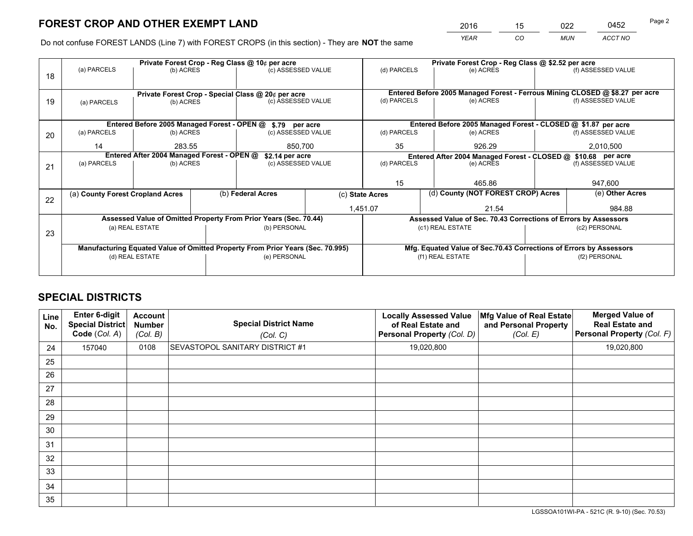*YEAR CO MUN ACCT NO* 2016 <u>15 022 0452</u> Page 2

Do not confuse FOREST LANDS (Line 7) with FOREST CROPS (in this section) - They are **NOT** the same

|    |                                                                                |                 |  | Private Forest Crop - Reg Class @ 10¢ per acre                   |  |                  | Private Forest Crop - Reg Class @ \$2.52 per acre                            |               |                    |  |
|----|--------------------------------------------------------------------------------|-----------------|--|------------------------------------------------------------------|--|------------------|------------------------------------------------------------------------------|---------------|--------------------|--|
| 18 | (a) PARCELS                                                                    | (b) ACRES       |  | (c) ASSESSED VALUE                                               |  | (d) PARCELS      | (e) ACRES                                                                    |               | (f) ASSESSED VALUE |  |
|    |                                                                                |                 |  |                                                                  |  |                  |                                                                              |               |                    |  |
|    |                                                                                |                 |  | Private Forest Crop - Special Class @ 20¢ per acre               |  |                  | Entered Before 2005 Managed Forest - Ferrous Mining CLOSED @ \$8.27 per acre |               |                    |  |
| 19 | (a) PARCELS                                                                    | (b) ACRES       |  | (c) ASSESSED VALUE                                               |  | (d) PARCELS      | (e) ACRES                                                                    |               | (f) ASSESSED VALUE |  |
|    |                                                                                |                 |  |                                                                  |  |                  |                                                                              |               |                    |  |
|    |                                                                                |                 |  | Entered Before 2005 Managed Forest - OPEN @ \$.79 per acre       |  |                  | Entered Before 2005 Managed Forest - CLOSED @ \$1.87 per acre                |               |                    |  |
| 20 | (a) PARCELS<br>(b) ACRES                                                       |                 |  | (c) ASSESSED VALUE                                               |  | (d) PARCELS      | (e) ACRES                                                                    |               | (f) ASSESSED VALUE |  |
|    | 14<br>283.55                                                                   |                 |  | 850,700                                                          |  | 35               | 926.29                                                                       |               | 2,010,500          |  |
|    | Entered After 2004 Managed Forest - OPEN @                                     |                 |  |                                                                  |  |                  |                                                                              |               |                    |  |
|    |                                                                                |                 |  | \$2.14 per acre                                                  |  |                  | Entered After 2004 Managed Forest - CLOSED @ \$10.68 per acre                |               |                    |  |
| 21 | (a) PARCELS                                                                    | (b) ACRES       |  | (c) ASSESSED VALUE                                               |  | (d) PARCELS      | (e) ACRES                                                                    |               | (f) ASSESSED VALUE |  |
|    |                                                                                |                 |  |                                                                  |  |                  |                                                                              |               |                    |  |
|    |                                                                                |                 |  |                                                                  |  | 15               | 465.86                                                                       |               | 947,600            |  |
|    | (a) County Forest Cropland Acres                                               |                 |  | (b) Federal Acres                                                |  | (c) State Acres  | (d) County (NOT FOREST CROP) Acres                                           |               | (e) Other Acres    |  |
| 22 |                                                                                |                 |  |                                                                  |  | 1,451.07         | 21.54                                                                        |               | 984.88             |  |
|    |                                                                                |                 |  |                                                                  |  |                  |                                                                              |               |                    |  |
|    |                                                                                |                 |  | Assessed Value of Omitted Property From Prior Years (Sec. 70.44) |  |                  | Assessed Value of Sec. 70.43 Corrections of Errors by Assessors              |               |                    |  |
| 23 |                                                                                | (a) REAL ESTATE |  | (b) PERSONAL                                                     |  | (c1) REAL ESTATE |                                                                              | (c2) PERSONAL |                    |  |
|    |                                                                                |                 |  |                                                                  |  |                  |                                                                              |               |                    |  |
|    | Manufacturing Equated Value of Omitted Property From Prior Years (Sec. 70.995) |                 |  |                                                                  |  |                  | Mfg. Equated Value of Sec.70.43 Corrections of Errors by Assessors           |               |                    |  |
|    | (d) REAL ESTATE                                                                |                 |  | (e) PERSONAL                                                     |  |                  | (f1) REAL ESTATE                                                             | (f2) PERSONAL |                    |  |
|    |                                                                                |                 |  |                                                                  |  |                  |                                                                              |               |                    |  |
|    |                                                                                |                 |  |                                                                  |  |                  |                                                                              |               |                    |  |

## **SPECIAL DISTRICTS**

| Line<br>No. | Enter 6-digit<br><b>Special District</b><br>Code (Col. A) | <b>Account</b><br><b>Number</b><br>(Col. B) | <b>Special District Name</b><br>(Col. C) | <b>Locally Assessed Value</b><br>of Real Estate and<br>Personal Property (Col. D) | Mfg Value of Real Estate<br>and Personal Property<br>(Col. E) | <b>Merged Value of</b><br><b>Real Estate and</b><br>Personal Property (Col. F) |
|-------------|-----------------------------------------------------------|---------------------------------------------|------------------------------------------|-----------------------------------------------------------------------------------|---------------------------------------------------------------|--------------------------------------------------------------------------------|
| 24          | 157040                                                    | 0108                                        | <b>SEVASTOPOL SANITARY DISTRICT #1</b>   | 19,020,800                                                                        |                                                               | 19,020,800                                                                     |
| 25          |                                                           |                                             |                                          |                                                                                   |                                                               |                                                                                |
| 26          |                                                           |                                             |                                          |                                                                                   |                                                               |                                                                                |
| 27          |                                                           |                                             |                                          |                                                                                   |                                                               |                                                                                |
| 28          |                                                           |                                             |                                          |                                                                                   |                                                               |                                                                                |
| 29          |                                                           |                                             |                                          |                                                                                   |                                                               |                                                                                |
| 30          |                                                           |                                             |                                          |                                                                                   |                                                               |                                                                                |
| 31          |                                                           |                                             |                                          |                                                                                   |                                                               |                                                                                |
| 32          |                                                           |                                             |                                          |                                                                                   |                                                               |                                                                                |
| 33          |                                                           |                                             |                                          |                                                                                   |                                                               |                                                                                |
| 34          |                                                           |                                             |                                          |                                                                                   |                                                               |                                                                                |
| 35          |                                                           |                                             |                                          |                                                                                   |                                                               |                                                                                |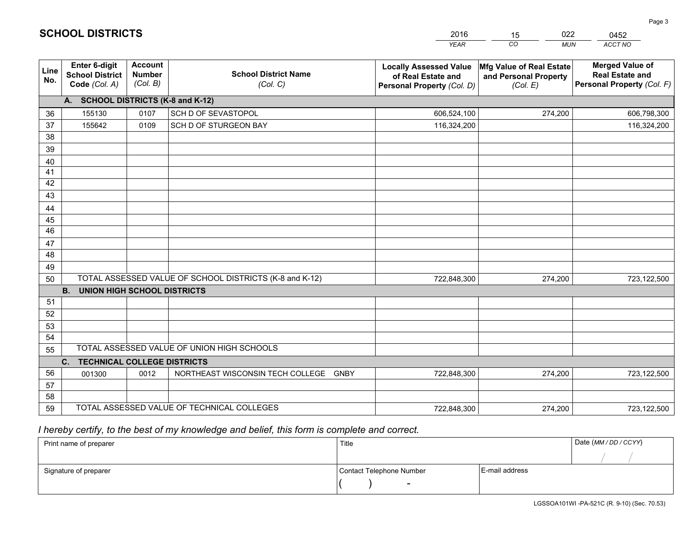|             |                                                                 |                                             |                                                         | <b>YEAR</b>                                                                       | CO<br><b>MUN</b>                                              | ACCT NO                                                                        |
|-------------|-----------------------------------------------------------------|---------------------------------------------|---------------------------------------------------------|-----------------------------------------------------------------------------------|---------------------------------------------------------------|--------------------------------------------------------------------------------|
| Line<br>No. | <b>Enter 6-digit</b><br><b>School District</b><br>Code (Col. A) | <b>Account</b><br><b>Number</b><br>(Col. B) | <b>School District Name</b><br>(Col. C)                 | <b>Locally Assessed Value</b><br>of Real Estate and<br>Personal Property (Col. D) | Mfg Value of Real Estate<br>and Personal Property<br>(Col. E) | <b>Merged Value of</b><br><b>Real Estate and</b><br>Personal Property (Col. F) |
|             | A. SCHOOL DISTRICTS (K-8 and K-12)                              |                                             |                                                         |                                                                                   |                                                               |                                                                                |
| 36          | 155130                                                          | 0107                                        | SCH D OF SEVASTOPOL                                     | 606,524,100                                                                       | 274,200                                                       | 606,798,300                                                                    |
| 37          | 155642                                                          | 0109                                        | SCH D OF STURGEON BAY                                   | 116,324,200                                                                       |                                                               | 116,324,200                                                                    |
| 38          |                                                                 |                                             |                                                         |                                                                                   |                                                               |                                                                                |
| 39          |                                                                 |                                             |                                                         |                                                                                   |                                                               |                                                                                |
| 40          |                                                                 |                                             |                                                         |                                                                                   |                                                               |                                                                                |
| 41          |                                                                 |                                             |                                                         |                                                                                   |                                                               |                                                                                |
| 42          |                                                                 |                                             |                                                         |                                                                                   |                                                               |                                                                                |
| 43          |                                                                 |                                             |                                                         |                                                                                   |                                                               |                                                                                |
| 44          |                                                                 |                                             |                                                         |                                                                                   |                                                               |                                                                                |
| 45<br>46    |                                                                 |                                             |                                                         |                                                                                   |                                                               |                                                                                |
|             |                                                                 |                                             |                                                         |                                                                                   |                                                               |                                                                                |
| 47<br>48    |                                                                 |                                             |                                                         |                                                                                   |                                                               |                                                                                |
| 49          |                                                                 |                                             |                                                         |                                                                                   |                                                               |                                                                                |
| 50          |                                                                 |                                             | TOTAL ASSESSED VALUE OF SCHOOL DISTRICTS (K-8 and K-12) | 722,848,300                                                                       | 274,200                                                       | 723,122,500                                                                    |
|             | <b>B.</b><br><b>UNION HIGH SCHOOL DISTRICTS</b>                 |                                             |                                                         |                                                                                   |                                                               |                                                                                |
| 51          |                                                                 |                                             |                                                         |                                                                                   |                                                               |                                                                                |
| 52          |                                                                 |                                             |                                                         |                                                                                   |                                                               |                                                                                |
| 53          |                                                                 |                                             |                                                         |                                                                                   |                                                               |                                                                                |
| 54          |                                                                 |                                             |                                                         |                                                                                   |                                                               |                                                                                |
| 55          |                                                                 |                                             | TOTAL ASSESSED VALUE OF UNION HIGH SCHOOLS              |                                                                                   |                                                               |                                                                                |
|             | C.<br><b>TECHNICAL COLLEGE DISTRICTS</b>                        |                                             |                                                         |                                                                                   |                                                               |                                                                                |
| 56          | 001300                                                          | 0012                                        | NORTHEAST WISCONSIN TECH COLLEGE<br><b>GNBY</b>         | 722,848,300                                                                       | 274,200                                                       | 723,122,500                                                                    |
| 57          |                                                                 |                                             |                                                         |                                                                                   |                                                               |                                                                                |
| 58          |                                                                 |                                             |                                                         |                                                                                   |                                                               |                                                                                |
| 59          |                                                                 |                                             | TOTAL ASSESSED VALUE OF TECHNICAL COLLEGES              | 722,848,300                                                                       | 274,200                                                       | 723,122,500                                                                    |

15

022

 *I hereby certify, to the best of my knowledge and belief, this form is complete and correct.*

**SCHOOL DISTRICTS**

| Print name of preparer | Title                    |                | Date (MM / DD / CCYY) |
|------------------------|--------------------------|----------------|-----------------------|
|                        |                          |                |                       |
| Signature of preparer  | Contact Telephone Number | E-mail address |                       |
|                        | $\overline{\phantom{0}}$ |                |                       |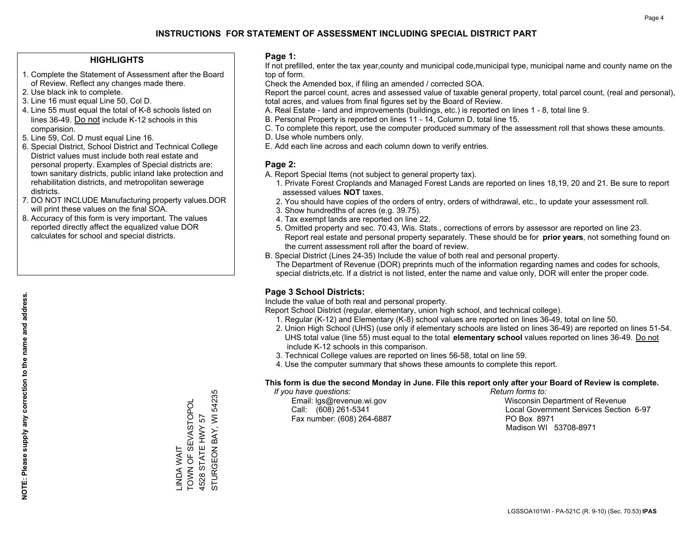## **HIGHLIGHTS**

- 1. Complete the Statement of Assessment after the Board of Review. Reflect any changes made there.
- 2. Use black ink to complete.
- 3. Line 16 must equal Line 50, Col D.
- 4. Line 55 must equal the total of K-8 schools listed on lines 36-49. Do not include K-12 schools in this comparision.
- 5. Line 59, Col. D must equal Line 16.
- 6. Special District, School District and Technical College District values must include both real estate and personal property. Examples of Special districts are: town sanitary districts, public inland lake protection and rehabilitation districts, and metropolitan sewerage districts.
- 7. DO NOT INCLUDE Manufacturing property values.DOR will print these values on the final SOA.

LINDA WAIT

TOWN OF SEVASTOPOL 4528 STATE HWY 57

\_INDA WAIT<br>TOWN OF SEVASTOPOI

STURGEON BAY, WI 54235

STURGEON BAY, WI 4528 STATE HWY 57

54235

 8. Accuracy of this form is very important. The values reported directly affect the equalized value DOR calculates for school and special districts.

### **Page 1:**

 If not prefilled, enter the tax year,county and municipal code,municipal type, municipal name and county name on the top of form.

Check the Amended box, if filing an amended / corrected SOA.

 Report the parcel count, acres and assessed value of taxable general property, total parcel count, (real and personal), total acres, and values from final figures set by the Board of Review.

- A. Real Estate land and improvements (buildings, etc.) is reported on lines 1 8, total line 9.
- B. Personal Property is reported on lines 11 14, Column D, total line 15.
- C. To complete this report, use the computer produced summary of the assessment roll that shows these amounts.
- D. Use whole numbers only.
- E. Add each line across and each column down to verify entries.

## **Page 2:**

- A. Report Special Items (not subject to general property tax).
- 1. Private Forest Croplands and Managed Forest Lands are reported on lines 18,19, 20 and 21. Be sure to report assessed values **NOT** taxes.
- 2. You should have copies of the orders of entry, orders of withdrawal, etc., to update your assessment roll.
	- 3. Show hundredths of acres (e.g. 39.75).
- 4. Tax exempt lands are reported on line 22.
- 5. Omitted property and sec. 70.43, Wis. Stats., corrections of errors by assessor are reported on line 23. Report real estate and personal property separately. These should be for **prior years**, not something found on the current assessment roll after the board of review.
- B. Special District (Lines 24-35) Include the value of both real and personal property.
- The Department of Revenue (DOR) preprints much of the information regarding names and codes for schools, special districts,etc. If a district is not listed, enter the name and value only, DOR will enter the proper code.

## **Page 3 School Districts:**

Include the value of both real and personal property.

Report School District (regular, elementary, union high school, and technical college).

- 1. Regular (K-12) and Elementary (K-8) school values are reported on lines 36-49, total on line 50.
- 2. Union High School (UHS) (use only if elementary schools are listed on lines 36-49) are reported on lines 51-54. UHS total value (line 55) must equal to the total **elementary school** values reported on lines 36-49. Do notinclude K-12 schools in this comparison.
- 3. Technical College values are reported on lines 56-58, total on line 59.
- 4. Use the computer summary that shows these amounts to complete this report.

#### **This form is due the second Monday in June. File this report only after your Board of Review is complete.**

 *If you have questions: Return forms to:*

Fax number: (608) 264-6887 PO Box 8971

 Email: lgs@revenue.wi.gov Wisconsin Department of Revenue Call: (608) 261-5341 Local Government Services Section 6-97Madison WI 53708-8971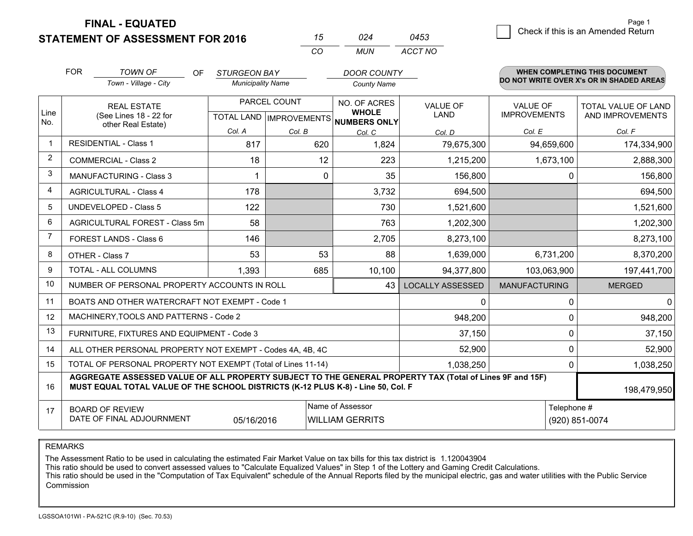**FINAL - EQUATED**

|                | <b>FOR</b>                     | <b>TOWN OF</b><br>OF.<br>Town - Village - City                                                                                                                                               | <b>STURGEON BAY</b><br><b>Municipality Name</b> |        | <b>DOOR COUNTY</b><br><b>County Name</b>            |                         |                                        | <b>WHEN COMPLETING THIS DOCUMENT</b><br>DO NOT WRITE OVER X's OR IN SHADED AREAS |
|----------------|--------------------------------|----------------------------------------------------------------------------------------------------------------------------------------------------------------------------------------------|-------------------------------------------------|--------|-----------------------------------------------------|-------------------------|----------------------------------------|----------------------------------------------------------------------------------|
| Line<br>No.    |                                | <b>REAL ESTATE</b><br>(See Lines 18 - 22 for                                                                                                                                                 | PARCEL COUNT<br><b>TOTAL LAND IMPROVEMENTS</b>  |        | NO. OF ACRES<br><b>WHOLE</b><br><b>NUMBERS ONLY</b> | VALUE OF<br><b>LAND</b> | <b>VALUE OF</b><br><b>IMPROVEMENTS</b> | <b>TOTAL VALUE OF LAND</b><br>AND IMPROVEMENTS                                   |
|                |                                | other Real Estate)                                                                                                                                                                           | Col. A                                          | Col. B | Col. C                                              | Col. D                  | Col. E                                 | Col. F                                                                           |
| $\mathbf{1}$   |                                | <b>RESIDENTIAL - Class 1</b>                                                                                                                                                                 | 817                                             | 620    | 1,824                                               | 79,675,300              | 94,659,600                             | 174,334,900                                                                      |
| $\overline{2}$ |                                | <b>COMMERCIAL - Class 2</b>                                                                                                                                                                  | 18                                              |        | 223<br>12                                           | 1,215,200               | 1,673,100                              | 2,888,300                                                                        |
| 3              | <b>MANUFACTURING - Class 3</b> |                                                                                                                                                                                              |                                                 |        | 35<br>0                                             | 156,800                 |                                        | 156,800<br>0                                                                     |
| $\overline{4}$ | <b>AGRICULTURAL - Class 4</b>  |                                                                                                                                                                                              | 178                                             |        | 3,732                                               | 694,500                 |                                        | 694,500                                                                          |
| 5              |                                | <b>UNDEVELOPED - Class 5</b>                                                                                                                                                                 | 122                                             |        | 730                                                 | 1,521,600               |                                        | 1,521,600                                                                        |
| 6              | AGRICULTURAL FOREST - Class 5m |                                                                                                                                                                                              | 58                                              |        | 763                                                 | 1,202,300               |                                        | 1,202,300                                                                        |
| $\overline{7}$ |                                | FOREST LANDS - Class 6                                                                                                                                                                       | 146                                             |        | 2,705                                               | 8,273,100               |                                        | 8,273,100                                                                        |
| 8              |                                | OTHER - Class 7                                                                                                                                                                              | 53                                              |        | 53<br>88                                            | 1,639,000               | 6,731,200                              | 8,370,200                                                                        |
| 9              |                                | TOTAL - ALL COLUMNS                                                                                                                                                                          | 1,393                                           | 685    | 10,100                                              | 94,377,800              | 103,063,900                            | 197,441,700                                                                      |
| 10             |                                | NUMBER OF PERSONAL PROPERTY ACCOUNTS IN ROLL                                                                                                                                                 |                                                 |        | 43                                                  | <b>LOCALLY ASSESSED</b> | <b>MANUFACTURING</b>                   | <b>MERGED</b>                                                                    |
| 11             |                                | BOATS AND OTHER WATERCRAFT NOT EXEMPT - Code 1                                                                                                                                               |                                                 |        |                                                     | 0                       |                                        | $\Omega$<br>0                                                                    |
| 12             |                                | MACHINERY, TOOLS AND PATTERNS - Code 2                                                                                                                                                       |                                                 |        |                                                     | 948,200                 |                                        | 948,200<br>$\Omega$                                                              |
| 13             |                                | FURNITURE, FIXTURES AND EQUIPMENT - Code 3                                                                                                                                                   |                                                 |        |                                                     | 37,150                  |                                        | 0<br>37,150                                                                      |
| 14             |                                | ALL OTHER PERSONAL PROPERTY NOT EXEMPT - Codes 4A, 4B, 4C                                                                                                                                    |                                                 |        |                                                     | 52,900                  |                                        | 0<br>52,900                                                                      |
| 15             |                                | TOTAL OF PERSONAL PROPERTY NOT EXEMPT (Total of Lines 11-14)                                                                                                                                 |                                                 |        |                                                     | 1,038,250               |                                        | 1,038,250<br>0                                                                   |
| 16             |                                | AGGREGATE ASSESSED VALUE OF ALL PROPERTY SUBJECT TO THE GENERAL PROPERTY TAX (Total of Lines 9F and 15F)<br>MUST EQUAL TOTAL VALUE OF THE SCHOOL DISTRICTS (K-12 PLUS K-8) - Line 50, Col. F |                                                 |        | 198,479,950                                         |                         |                                        |                                                                                  |
| 17             |                                | <b>BOARD OF REVIEW</b><br>DATE OF FINAL ADJOURNMENT                                                                                                                                          | Telephone #<br>(920) 851-0074                   |        |                                                     |                         |                                        |                                                                                  |

*CO*

*MUN*

*ACCT NO0453*

*<sup>15</sup> <sup>024</sup>*

REMARKS

The Assessment Ratio to be used in calculating the estimated Fair Market Value on tax bills for this tax district is 1.120043904<br>This ratio should be used to convert assessed values to "Calculate Equalized Values" in Step Commission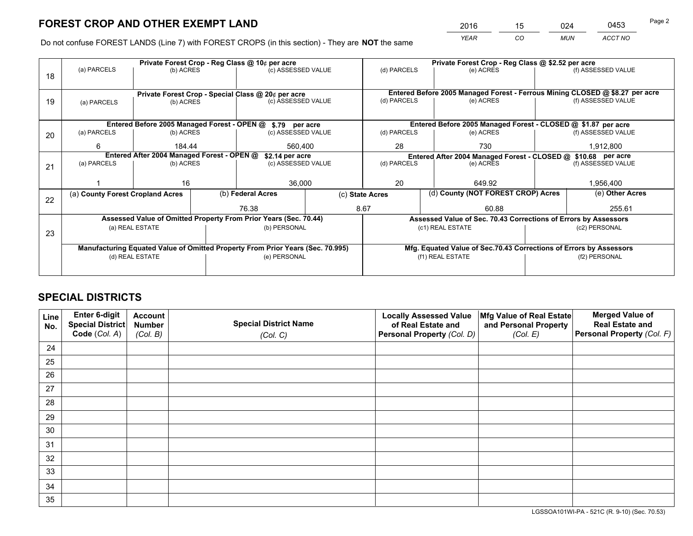*YEAR CO MUN ACCT NO* 2016 <u>15 024</u> 0453

Do not confuse FOREST LANDS (Line 7) with FOREST CROPS (in this section) - They are **NOT** the same

|    |                                            |                 |         | Private Forest Crop - Reg Class @ 10¢ per acre                                 |    |                                                                              | Private Forest Crop - Reg Class @ \$2.52 per acre               |                                                                    |                    |
|----|--------------------------------------------|-----------------|---------|--------------------------------------------------------------------------------|----|------------------------------------------------------------------------------|-----------------------------------------------------------------|--------------------------------------------------------------------|--------------------|
| 18 | (a) PARCELS                                | (b) ACRES       |         | (c) ASSESSED VALUE                                                             |    | (d) PARCELS                                                                  | (e) ACRES                                                       |                                                                    | (f) ASSESSED VALUE |
|    |                                            |                 |         |                                                                                |    |                                                                              |                                                                 |                                                                    |                    |
|    |                                            |                 |         | Private Forest Crop - Special Class @ 20¢ per acre                             |    | Entered Before 2005 Managed Forest - Ferrous Mining CLOSED @ \$8.27 per acre |                                                                 |                                                                    |                    |
| 19 | (a) PARCELS                                | (b) ACRES       |         | (c) ASSESSED VALUE                                                             |    | (d) PARCELS                                                                  | (e) ACRES                                                       |                                                                    | (f) ASSESSED VALUE |
|    |                                            |                 |         |                                                                                |    |                                                                              |                                                                 |                                                                    |                    |
|    |                                            |                 |         | Entered Before 2005 Managed Forest - OPEN @ \$.79 per acre                     |    |                                                                              | Entered Before 2005 Managed Forest - CLOSED @ \$1.87 per acre   |                                                                    |                    |
| 20 | (a) PARCELS<br>(b) ACRES                   |                 |         | (c) ASSESSED VALUE                                                             |    | (d) PARCELS                                                                  | (e) ACRES                                                       |                                                                    | (f) ASSESSED VALUE |
|    | 6<br>184.44                                |                 | 560,400 |                                                                                | 28 | 730                                                                          |                                                                 | 1,912,800                                                          |                    |
|    | Entered After 2004 Managed Forest - OPEN @ |                 |         | \$2.14 per acre                                                                |    | Entered After 2004 Managed Forest - CLOSED @ \$10.68 per acre                |                                                                 |                                                                    |                    |
| 21 | (a) PARCELS                                | (b) ACRES       |         | (c) ASSESSED VALUE                                                             |    | (d) PARCELS                                                                  | (e) ACRES                                                       |                                                                    | (f) ASSESSED VALUE |
|    |                                            |                 |         |                                                                                |    |                                                                              |                                                                 |                                                                    |                    |
|    |                                            | 16              |         | 36,000                                                                         |    | 20                                                                           | 649.92                                                          |                                                                    | 1,956,400          |
| 22 | (a) County Forest Cropland Acres           |                 |         | (b) Federal Acres                                                              |    | (c) State Acres                                                              |                                                                 | (d) County (NOT FOREST CROP) Acres                                 |                    |
|    |                                            |                 |         | 76.38                                                                          |    | 8.67                                                                         | 60.88                                                           | 255.61                                                             |                    |
|    |                                            |                 |         | Assessed Value of Omitted Property From Prior Years (Sec. 70.44)               |    |                                                                              | Assessed Value of Sec. 70.43 Corrections of Errors by Assessors |                                                                    |                    |
|    |                                            | (a) REAL ESTATE |         | (b) PERSONAL                                                                   |    |                                                                              | (c1) REAL ESTATE                                                |                                                                    | (c2) PERSONAL      |
| 23 |                                            |                 |         |                                                                                |    |                                                                              |                                                                 |                                                                    |                    |
|    |                                            |                 |         | Manufacturing Equated Value of Omitted Property From Prior Years (Sec. 70.995) |    |                                                                              |                                                                 | Mfg. Equated Value of Sec.70.43 Corrections of Errors by Assessors |                    |
|    | (d) REAL ESTATE                            |                 |         | (e) PERSONAL                                                                   |    |                                                                              | (f1) REAL ESTATE                                                |                                                                    | (f2) PERSONAL      |
|    |                                            |                 |         |                                                                                |    |                                                                              |                                                                 |                                                                    |                    |

## **SPECIAL DISTRICTS**

| Line<br>No. | Enter 6-digit<br>Special District<br>Code (Col. A) | <b>Account</b><br><b>Number</b> | <b>Special District Name</b> | <b>Locally Assessed Value</b><br>of Real Estate and | Mfg Value of Real Estate<br>and Personal Property | <b>Merged Value of</b><br><b>Real Estate and</b><br>Personal Property (Col. F) |
|-------------|----------------------------------------------------|---------------------------------|------------------------------|-----------------------------------------------------|---------------------------------------------------|--------------------------------------------------------------------------------|
|             |                                                    | (Col. B)                        | (Col. C)                     | Personal Property (Col. D)                          | (Col. E)                                          |                                                                                |
| 24          |                                                    |                                 |                              |                                                     |                                                   |                                                                                |
| 25          |                                                    |                                 |                              |                                                     |                                                   |                                                                                |
| 26          |                                                    |                                 |                              |                                                     |                                                   |                                                                                |
| 27          |                                                    |                                 |                              |                                                     |                                                   |                                                                                |
| 28          |                                                    |                                 |                              |                                                     |                                                   |                                                                                |
| 29          |                                                    |                                 |                              |                                                     |                                                   |                                                                                |
| 30          |                                                    |                                 |                              |                                                     |                                                   |                                                                                |
| 31          |                                                    |                                 |                              |                                                     |                                                   |                                                                                |
| 32          |                                                    |                                 |                              |                                                     |                                                   |                                                                                |
| 33          |                                                    |                                 |                              |                                                     |                                                   |                                                                                |
| 34          |                                                    |                                 |                              |                                                     |                                                   |                                                                                |
| 35          |                                                    |                                 |                              |                                                     |                                                   |                                                                                |

LGSSOA101WI-PA - 521C (R. 9-10) (Sec. 70.53)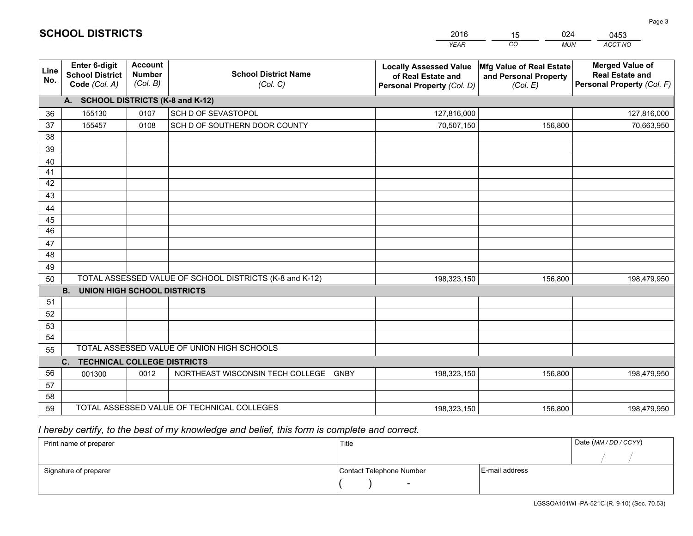|             |                                                                 |                                             |                                                         | <b>YEAR</b>                                                                       | CO<br><b>MUN</b>                                              | ACCT NO                                                                        |
|-------------|-----------------------------------------------------------------|---------------------------------------------|---------------------------------------------------------|-----------------------------------------------------------------------------------|---------------------------------------------------------------|--------------------------------------------------------------------------------|
| Line<br>No. | <b>Enter 6-digit</b><br><b>School District</b><br>Code (Col. A) | <b>Account</b><br><b>Number</b><br>(Col. B) | <b>School District Name</b><br>(Col. C)                 | <b>Locally Assessed Value</b><br>of Real Estate and<br>Personal Property (Col. D) | Mfg Value of Real Estate<br>and Personal Property<br>(Col. E) | <b>Merged Value of</b><br><b>Real Estate and</b><br>Personal Property (Col. F) |
|             | A. SCHOOL DISTRICTS (K-8 and K-12)                              |                                             |                                                         |                                                                                   |                                                               |                                                                                |
| 36          | 155130                                                          | 0107                                        | SCH D OF SEVASTOPOL                                     | 127,816,000                                                                       |                                                               | 127,816,000                                                                    |
| 37          | 155457                                                          | 0108                                        | SCH D OF SOUTHERN DOOR COUNTY                           | 70,507,150                                                                        | 156,800                                                       | 70,663,950                                                                     |
| 38          |                                                                 |                                             |                                                         |                                                                                   |                                                               |                                                                                |
| 39          |                                                                 |                                             |                                                         |                                                                                   |                                                               |                                                                                |
| 40          |                                                                 |                                             |                                                         |                                                                                   |                                                               |                                                                                |
| 41          |                                                                 |                                             |                                                         |                                                                                   |                                                               |                                                                                |
| 42          |                                                                 |                                             |                                                         |                                                                                   |                                                               |                                                                                |
| 43          |                                                                 |                                             |                                                         |                                                                                   |                                                               |                                                                                |
| 44          |                                                                 |                                             |                                                         |                                                                                   |                                                               |                                                                                |
| 45<br>46    |                                                                 |                                             |                                                         |                                                                                   |                                                               |                                                                                |
|             |                                                                 |                                             |                                                         |                                                                                   |                                                               |                                                                                |
| 47<br>48    |                                                                 |                                             |                                                         |                                                                                   |                                                               |                                                                                |
| 49          |                                                                 |                                             |                                                         |                                                                                   |                                                               |                                                                                |
| 50          |                                                                 |                                             | TOTAL ASSESSED VALUE OF SCHOOL DISTRICTS (K-8 and K-12) | 198,323,150                                                                       | 156,800                                                       | 198,479,950                                                                    |
|             | <b>B.</b><br><b>UNION HIGH SCHOOL DISTRICTS</b>                 |                                             |                                                         |                                                                                   |                                                               |                                                                                |
| 51          |                                                                 |                                             |                                                         |                                                                                   |                                                               |                                                                                |
| 52          |                                                                 |                                             |                                                         |                                                                                   |                                                               |                                                                                |
| 53          |                                                                 |                                             |                                                         |                                                                                   |                                                               |                                                                                |
| 54          |                                                                 |                                             |                                                         |                                                                                   |                                                               |                                                                                |
| 55          |                                                                 |                                             | TOTAL ASSESSED VALUE OF UNION HIGH SCHOOLS              |                                                                                   |                                                               |                                                                                |
|             | C.<br><b>TECHNICAL COLLEGE DISTRICTS</b>                        |                                             |                                                         |                                                                                   |                                                               |                                                                                |
| 56          | 001300                                                          | 0012                                        | NORTHEAST WISCONSIN TECH COLLEGE<br>GNBY                | 198,323,150                                                                       | 156,800                                                       | 198,479,950                                                                    |
| 57          |                                                                 |                                             |                                                         |                                                                                   |                                                               |                                                                                |
| 58          |                                                                 |                                             |                                                         |                                                                                   |                                                               |                                                                                |
| 59          |                                                                 |                                             | TOTAL ASSESSED VALUE OF TECHNICAL COLLEGES              | 198,323,150                                                                       | 156,800                                                       | 198,479,950                                                                    |

 *I hereby certify, to the best of my knowledge and belief, this form is complete and correct.*

| Print name of preparer | Title                    |                | Date (MM / DD / CCYY) |
|------------------------|--------------------------|----------------|-----------------------|
|                        |                          |                |                       |
| Signature of preparer  | Contact Telephone Number | E-mail address |                       |
|                        | $\overline{\phantom{0}}$ |                |                       |

| <b>SCHOOL DISTRICTS</b> |  |
|-------------------------|--|
|-------------------------|--|

201615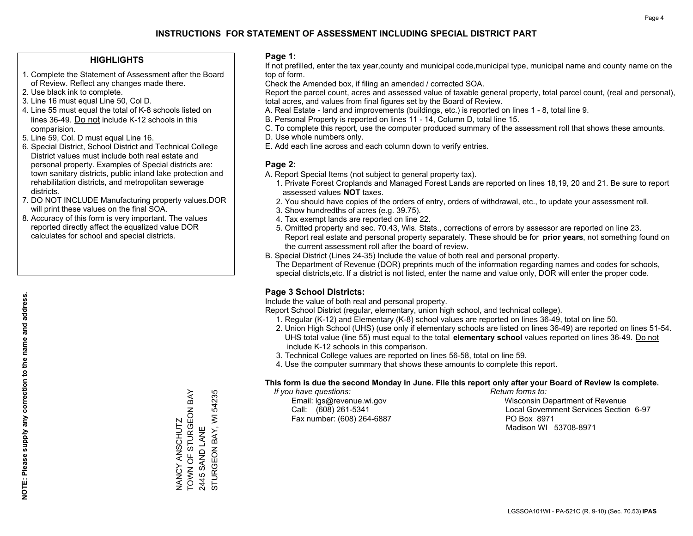## **HIGHLIGHTS**

- 1. Complete the Statement of Assessment after the Board of Review. Reflect any changes made there.
- 2. Use black ink to complete.
- 3. Line 16 must equal Line 50, Col D.
- 4. Line 55 must equal the total of K-8 schools listed on lines 36-49. Do not include K-12 schools in this comparision.
- 5. Line 59, Col. D must equal Line 16.
- 6. Special District, School District and Technical College District values must include both real estate and personal property. Examples of Special districts are: town sanitary districts, public inland lake protection and rehabilitation districts, and metropolitan sewerage districts.
- 7. DO NOT INCLUDE Manufacturing property values.DOR will print these values on the final SOA.

NANCY ANSCHUTZ

TOWN OF STURGEON BAY

NANCY ANSCHUTZ<br>TOWN OF STURGEON BAY

2445 SAND LANE

STURGEON BAY, WI 54235

STURGEON BAY, WI 2445 SAND LANE

54235

 8. Accuracy of this form is very important. The values reported directly affect the equalized value DOR calculates for school and special districts.

### **Page 1:**

 If not prefilled, enter the tax year,county and municipal code,municipal type, municipal name and county name on the top of form.

Check the Amended box, if filing an amended / corrected SOA.

 Report the parcel count, acres and assessed value of taxable general property, total parcel count, (real and personal), total acres, and values from final figures set by the Board of Review.

- A. Real Estate land and improvements (buildings, etc.) is reported on lines 1 8, total line 9.
- B. Personal Property is reported on lines 11 14, Column D, total line 15.
- C. To complete this report, use the computer produced summary of the assessment roll that shows these amounts.
- D. Use whole numbers only.
- E. Add each line across and each column down to verify entries.

## **Page 2:**

- A. Report Special Items (not subject to general property tax).
- 1. Private Forest Croplands and Managed Forest Lands are reported on lines 18,19, 20 and 21. Be sure to report assessed values **NOT** taxes.
- 2. You should have copies of the orders of entry, orders of withdrawal, etc., to update your assessment roll.
	- 3. Show hundredths of acres (e.g. 39.75).
- 4. Tax exempt lands are reported on line 22.
- 5. Omitted property and sec. 70.43, Wis. Stats., corrections of errors by assessor are reported on line 23. Report real estate and personal property separately. These should be for **prior years**, not something found on the current assessment roll after the board of review.
- B. Special District (Lines 24-35) Include the value of both real and personal property.
- The Department of Revenue (DOR) preprints much of the information regarding names and codes for schools, special districts,etc. If a district is not listed, enter the name and value only, DOR will enter the proper code.

## **Page 3 School Districts:**

Include the value of both real and personal property.

Report School District (regular, elementary, union high school, and technical college).

- 1. Regular (K-12) and Elementary (K-8) school values are reported on lines 36-49, total on line 50.
- 2. Union High School (UHS) (use only if elementary schools are listed on lines 36-49) are reported on lines 51-54. UHS total value (line 55) must equal to the total **elementary school** values reported on lines 36-49. Do notinclude K-12 schools in this comparison.
- 3. Technical College values are reported on lines 56-58, total on line 59.
- 4. Use the computer summary that shows these amounts to complete this report.

#### **This form is due the second Monday in June. File this report only after your Board of Review is complete.**

 *If you have questions: Return forms to:*

Fax number: (608) 264-6887 PO Box 8971

 Email: lgs@revenue.wi.gov Wisconsin Department of Revenue Call: (608) 261-5341 Local Government Services Section 6-97Madison WI 53708-8971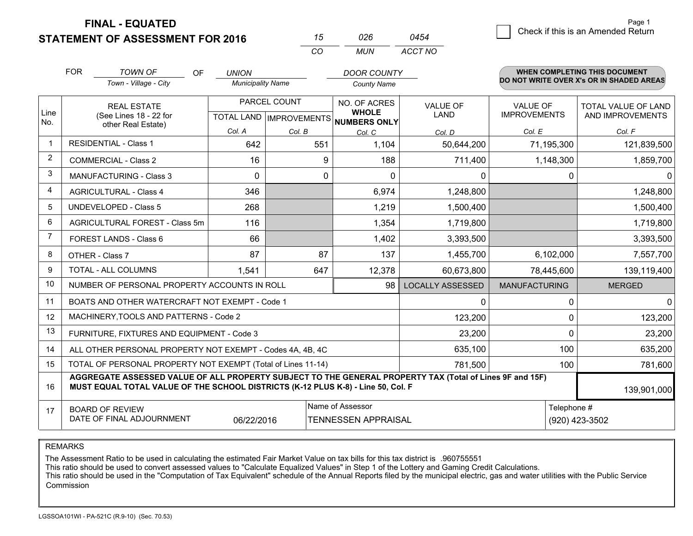**FINAL - EQUATED**

**STATEMENT OF ASSESSMENT FOR 2016** 

| 75  | 026 | 0454    |
|-----|-----|---------|
| CO. | MUN | ACCT NO |

|                | <b>FOR</b>                                                                                                   | <b>TOWN OF</b><br>OF<br>Town - Village - City                                                                                                                                                | <b>UNION</b><br><b>Municipality Name</b>  |        | <b>DOOR COUNTY</b><br><b>County Name</b>            |                                |                                        | <b>WHEN COMPLETING THIS DOCUMENT</b><br>DO NOT WRITE OVER X's OR IN SHADED AREAS |
|----------------|--------------------------------------------------------------------------------------------------------------|----------------------------------------------------------------------------------------------------------------------------------------------------------------------------------------------|-------------------------------------------|--------|-----------------------------------------------------|--------------------------------|----------------------------------------|----------------------------------------------------------------------------------|
| Line<br>No.    | <b>REAL ESTATE</b><br>(See Lines 18 - 22 for<br>other Real Estate)                                           |                                                                                                                                                                                              | PARCEL COUNT<br>TOTAL LAND   IMPROVEMENTS |        | NO. OF ACRES<br><b>WHOLE</b><br><b>NUMBERS ONLY</b> | <b>VALUE OF</b><br><b>LAND</b> | <b>VALUE OF</b><br><b>IMPROVEMENTS</b> | <b>TOTAL VALUE OF LAND</b><br>AND IMPROVEMENTS                                   |
|                |                                                                                                              |                                                                                                                                                                                              | Col. A                                    | Col. B | Col. C                                              | Col. D                         | Col. E                                 | Col. F                                                                           |
|                |                                                                                                              | <b>RESIDENTIAL - Class 1</b>                                                                                                                                                                 | 642                                       | 551    | 1,104                                               | 50,644,200                     | 71,195,300                             | 121,839,500                                                                      |
| 2              |                                                                                                              | <b>COMMERCIAL - Class 2</b>                                                                                                                                                                  | 16                                        | 9      | 188                                                 | 711,400                        | 1,148,300                              | 1,859,700                                                                        |
| 3              |                                                                                                              | <b>MANUFACTURING - Class 3</b>                                                                                                                                                               | $\Omega$                                  | 0      | $\Omega$                                            | 0                              | $\mathbf{0}$                           |                                                                                  |
| 4              |                                                                                                              | <b>AGRICULTURAL - Class 4</b>                                                                                                                                                                | 346                                       |        | 6,974                                               | 1,248,800                      |                                        | 1,248,800                                                                        |
| 5              |                                                                                                              | <b>UNDEVELOPED - Class 5</b>                                                                                                                                                                 | 268                                       |        | 1,219                                               | 1,500,400                      |                                        | 1,500,400                                                                        |
| 6              |                                                                                                              | AGRICULTURAL FOREST - Class 5m                                                                                                                                                               | 116                                       |        | 1,354                                               | 1,719,800                      |                                        | 1,719,800                                                                        |
| $\overline{7}$ | FOREST LANDS - Class 6                                                                                       |                                                                                                                                                                                              | 66                                        |        | 1,402                                               | 3,393,500                      |                                        | 3,393,500                                                                        |
| 8              |                                                                                                              | OTHER - Class 7                                                                                                                                                                              | 87                                        | 87     | 137                                                 | 1,455,700                      | 6,102,000                              | 7,557,700                                                                        |
| 9              |                                                                                                              | <b>TOTAL - ALL COLUMNS</b>                                                                                                                                                                   | 1,541                                     | 647    | 12,378                                              | 60,673,800                     | 78,445,600                             | 139,119,400                                                                      |
| 10             |                                                                                                              | NUMBER OF PERSONAL PROPERTY ACCOUNTS IN ROLL                                                                                                                                                 |                                           |        | 98                                                  | <b>LOCALLY ASSESSED</b>        | <b>MANUFACTURING</b>                   | <b>MERGED</b>                                                                    |
| 11             |                                                                                                              | BOATS AND OTHER WATERCRAFT NOT EXEMPT - Code 1                                                                                                                                               |                                           |        |                                                     | $\Omega$                       | $\pmb{0}$                              | $\Omega$                                                                         |
| 12             |                                                                                                              | MACHINERY, TOOLS AND PATTERNS - Code 2                                                                                                                                                       |                                           |        |                                                     | 123,200                        | 0                                      | 123,200                                                                          |
| 13             |                                                                                                              | FURNITURE, FIXTURES AND EQUIPMENT - Code 3                                                                                                                                                   |                                           |        |                                                     | 23,200                         | $\mathbf 0$                            | 23,200                                                                           |
| 14             |                                                                                                              | ALL OTHER PERSONAL PROPERTY NOT EXEMPT - Codes 4A, 4B, 4C                                                                                                                                    |                                           |        |                                                     | 635,100                        | 100                                    | 635,200                                                                          |
| 15             | TOTAL OF PERSONAL PROPERTY NOT EXEMPT (Total of Lines 11-14)                                                 |                                                                                                                                                                                              |                                           |        |                                                     |                                | 100                                    | 781,600                                                                          |
| 16             |                                                                                                              | AGGREGATE ASSESSED VALUE OF ALL PROPERTY SUBJECT TO THE GENERAL PROPERTY TAX (Total of Lines 9F and 15F)<br>MUST EQUAL TOTAL VALUE OF THE SCHOOL DISTRICTS (K-12 PLUS K-8) - Line 50, Col. F |                                           |        |                                                     |                                |                                        | 139,901,000                                                                      |
| 17             | Name of Assessor<br><b>BOARD OF REVIEW</b><br>DATE OF FINAL ADJOURNMENT<br>06/22/2016<br>TENNESSEN APPRAISAL |                                                                                                                                                                                              |                                           |        |                                                     |                                | Telephone #                            | (920) 423-3502                                                                   |

REMARKS

The Assessment Ratio to be used in calculating the estimated Fair Market Value on tax bills for this tax district is .960755551

This ratio should be used to convert assessed values to "Calculate Equalized Values" in Step 1 of the Lottery and Gaming Credit Calculations.<br>This ratio should be used in the "Computation of Tax Equivalent" schedule of the Commission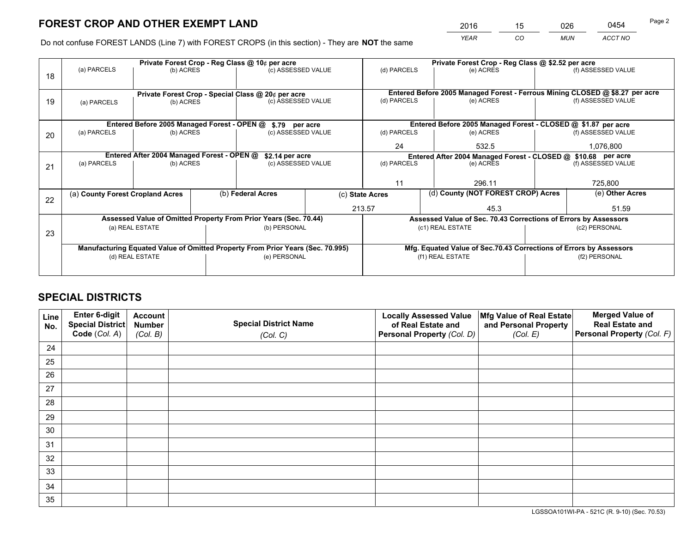*YEAR CO MUN ACCT NO* 2016 <u>15 026</u> 0454

Do not confuse FOREST LANDS (Line 7) with FOREST CROPS (in this section) - They are **NOT** the same

|    | Private Forest Crop - Reg Class @ 10¢ per acre                                 |                                             |                    |                                                                  |                    | Private Forest Crop - Reg Class @ \$2.52 per acre                            |                                                                    |                    |                    |  |
|----|--------------------------------------------------------------------------------|---------------------------------------------|--------------------|------------------------------------------------------------------|--------------------|------------------------------------------------------------------------------|--------------------------------------------------------------------|--------------------|--------------------|--|
| 18 | (a) PARCELS                                                                    | (b) ACRES                                   |                    | (c) ASSESSED VALUE                                               |                    | (d) PARCELS                                                                  | (e) ACRES                                                          |                    | (f) ASSESSED VALUE |  |
|    |                                                                                |                                             |                    |                                                                  |                    |                                                                              |                                                                    |                    |                    |  |
|    |                                                                                |                                             |                    | Private Forest Crop - Special Class @ 20¢ per acre               |                    | Entered Before 2005 Managed Forest - Ferrous Mining CLOSED @ \$8.27 per acre |                                                                    |                    |                    |  |
| 19 | (a) PARCELS                                                                    | (b) ACRES                                   |                    | (c) ASSESSED VALUE                                               |                    | (d) PARCELS                                                                  | (e) ACRES                                                          |                    | (f) ASSESSED VALUE |  |
|    |                                                                                |                                             |                    |                                                                  |                    |                                                                              |                                                                    |                    |                    |  |
|    |                                                                                | Entered Before 2005 Managed Forest - OPEN @ |                    | \$.79 per acre                                                   |                    |                                                                              | Entered Before 2005 Managed Forest - CLOSED @ \$1.87 per acre      |                    |                    |  |
| 20 | (a) PARCELS<br>(b) ACRES                                                       |                                             | (c) ASSESSED VALUE |                                                                  | (d) PARCELS        | (e) ACRES                                                                    |                                                                    | (f) ASSESSED VALUE |                    |  |
|    |                                                                                |                                             |                    |                                                                  |                    | 24                                                                           | 532.5                                                              |                    | 1,076,800          |  |
|    |                                                                                | Entered After 2004 Managed Forest - OPEN @  |                    | \$2.14 per acre                                                  |                    | Entered After 2004 Managed Forest - CLOSED @ \$10.68 per acre                |                                                                    |                    |                    |  |
| 21 | (a) PARCELS                                                                    | (b) ACRES                                   |                    |                                                                  | (c) ASSESSED VALUE |                                                                              | (d) PARCELS<br>(e) ACRES                                           |                    | (f) ASSESSED VALUE |  |
|    |                                                                                |                                             |                    |                                                                  |                    |                                                                              |                                                                    |                    |                    |  |
|    |                                                                                |                                             |                    |                                                                  |                    | 11                                                                           | 296.11                                                             |                    | 725,800            |  |
| 22 | (a) County Forest Cropland Acres                                               |                                             |                    | (b) Federal Acres                                                |                    | (c) State Acres                                                              | (d) County (NOT FOREST CROP) Acres                                 |                    | (e) Other Acres    |  |
|    |                                                                                |                                             |                    |                                                                  |                    | 213.57                                                                       | 45.3                                                               |                    | 51.59              |  |
|    |                                                                                |                                             |                    | Assessed Value of Omitted Property From Prior Years (Sec. 70.44) |                    |                                                                              | Assessed Value of Sec. 70.43 Corrections of Errors by Assessors    |                    |                    |  |
| 23 |                                                                                | (a) REAL ESTATE                             |                    | (b) PERSONAL                                                     |                    |                                                                              | (c1) REAL ESTATE                                                   |                    | (c2) PERSONAL      |  |
|    |                                                                                |                                             |                    |                                                                  |                    |                                                                              |                                                                    |                    |                    |  |
|    | Manufacturing Equated Value of Omitted Property From Prior Years (Sec. 70.995) |                                             |                    |                                                                  |                    |                                                                              | Mfg. Equated Value of Sec.70.43 Corrections of Errors by Assessors |                    |                    |  |
|    |                                                                                | (d) REAL ESTATE                             |                    | (e) PERSONAL                                                     |                    | (f1) REAL ESTATE                                                             |                                                                    |                    | (f2) PERSONAL      |  |
|    |                                                                                |                                             |                    |                                                                  |                    |                                                                              |                                                                    |                    |                    |  |

## **SPECIAL DISTRICTS**

| Line<br>No. | Enter 6-digit<br>Special District<br>Code (Col. A) | <b>Account</b><br><b>Number</b> | <b>Special District Name</b> | <b>Locally Assessed Value</b><br>of Real Estate and | Mfg Value of Real Estate<br>and Personal Property | <b>Merged Value of</b><br><b>Real Estate and</b><br>Personal Property (Col. F) |
|-------------|----------------------------------------------------|---------------------------------|------------------------------|-----------------------------------------------------|---------------------------------------------------|--------------------------------------------------------------------------------|
|             |                                                    | (Col. B)                        | (Col. C)                     | Personal Property (Col. D)                          | (Col. E)                                          |                                                                                |
| 24          |                                                    |                                 |                              |                                                     |                                                   |                                                                                |
| 25          |                                                    |                                 |                              |                                                     |                                                   |                                                                                |
| 26          |                                                    |                                 |                              |                                                     |                                                   |                                                                                |
| 27          |                                                    |                                 |                              |                                                     |                                                   |                                                                                |
| 28          |                                                    |                                 |                              |                                                     |                                                   |                                                                                |
| 29          |                                                    |                                 |                              |                                                     |                                                   |                                                                                |
| 30          |                                                    |                                 |                              |                                                     |                                                   |                                                                                |
| 31          |                                                    |                                 |                              |                                                     |                                                   |                                                                                |
| 32          |                                                    |                                 |                              |                                                     |                                                   |                                                                                |
| 33          |                                                    |                                 |                              |                                                     |                                                   |                                                                                |
| 34          |                                                    |                                 |                              |                                                     |                                                   |                                                                                |
| 35          |                                                    |                                 |                              |                                                     |                                                   |                                                                                |

LGSSOA101WI-PA - 521C (R. 9-10) (Sec. 70.53)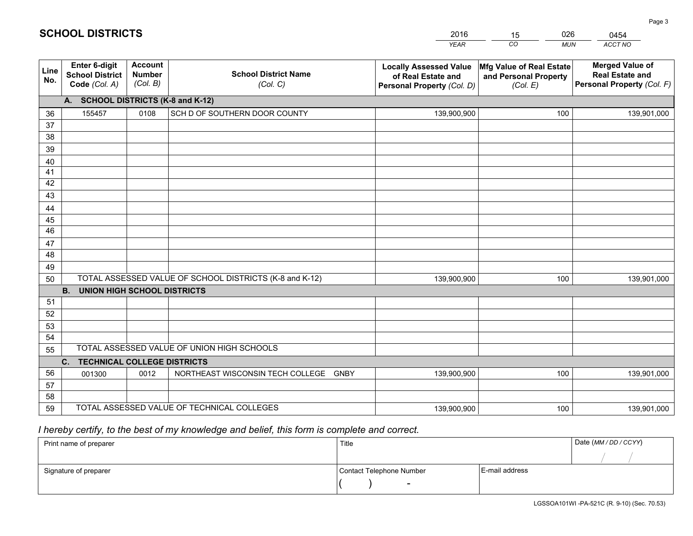|             |                                                          |                                             |                                                         | <b>YEAR</b>                                                                       | CO<br><b>MUN</b>                                              | ACCT NO                                                                        |
|-------------|----------------------------------------------------------|---------------------------------------------|---------------------------------------------------------|-----------------------------------------------------------------------------------|---------------------------------------------------------------|--------------------------------------------------------------------------------|
| Line<br>No. | Enter 6-digit<br><b>School District</b><br>Code (Col. A) | <b>Account</b><br><b>Number</b><br>(Col. B) | <b>School District Name</b><br>(Col. C)                 | <b>Locally Assessed Value</b><br>of Real Estate and<br>Personal Property (Col. D) | Mfg Value of Real Estate<br>and Personal Property<br>(Col. E) | <b>Merged Value of</b><br><b>Real Estate and</b><br>Personal Property (Col. F) |
|             | A. SCHOOL DISTRICTS (K-8 and K-12)                       |                                             |                                                         |                                                                                   |                                                               |                                                                                |
| 36          | 155457                                                   | 0108                                        | SCH D OF SOUTHERN DOOR COUNTY                           | 139,900,900                                                                       | 100                                                           | 139,901,000                                                                    |
| 37          |                                                          |                                             |                                                         |                                                                                   |                                                               |                                                                                |
| 38          |                                                          |                                             |                                                         |                                                                                   |                                                               |                                                                                |
| 39          |                                                          |                                             |                                                         |                                                                                   |                                                               |                                                                                |
| 40          |                                                          |                                             |                                                         |                                                                                   |                                                               |                                                                                |
| 41<br>42    |                                                          |                                             |                                                         |                                                                                   |                                                               |                                                                                |
| 43          |                                                          |                                             |                                                         |                                                                                   |                                                               |                                                                                |
| 44          |                                                          |                                             |                                                         |                                                                                   |                                                               |                                                                                |
| 45          |                                                          |                                             |                                                         |                                                                                   |                                                               |                                                                                |
| 46          |                                                          |                                             |                                                         |                                                                                   |                                                               |                                                                                |
| 47          |                                                          |                                             |                                                         |                                                                                   |                                                               |                                                                                |
| 48          |                                                          |                                             |                                                         |                                                                                   |                                                               |                                                                                |
| 49          |                                                          |                                             |                                                         |                                                                                   |                                                               |                                                                                |
| 50          |                                                          |                                             | TOTAL ASSESSED VALUE OF SCHOOL DISTRICTS (K-8 and K-12) | 139,900,900                                                                       | 100                                                           | 139,901,000                                                                    |
|             | <b>B.</b><br><b>UNION HIGH SCHOOL DISTRICTS</b>          |                                             |                                                         |                                                                                   |                                                               |                                                                                |
| 51          |                                                          |                                             |                                                         |                                                                                   |                                                               |                                                                                |
| 52          |                                                          |                                             |                                                         |                                                                                   |                                                               |                                                                                |
| 53          |                                                          |                                             |                                                         |                                                                                   |                                                               |                                                                                |
| 54          |                                                          |                                             |                                                         |                                                                                   |                                                               |                                                                                |
| 55          |                                                          |                                             | TOTAL ASSESSED VALUE OF UNION HIGH SCHOOLS              |                                                                                   |                                                               |                                                                                |
|             | C.<br><b>TECHNICAL COLLEGE DISTRICTS</b>                 |                                             |                                                         |                                                                                   |                                                               |                                                                                |
| 56          | 001300                                                   | 0012                                        | NORTHEAST WISCONSIN TECH COLLEGE GNBY                   | 139,900,900                                                                       | 100                                                           | 139,901,000                                                                    |
| 57<br>58    |                                                          |                                             |                                                         |                                                                                   |                                                               |                                                                                |
| 59          |                                                          |                                             | TOTAL ASSESSED VALUE OF TECHNICAL COLLEGES              | 139,900,900                                                                       | 100                                                           | 139,901,000                                                                    |
|             |                                                          |                                             |                                                         |                                                                                   |                                                               |                                                                                |

15

026

## *I hereby certify, to the best of my knowledge and belief, this form is complete and correct.*

**SCHOOL DISTRICTS**

| Print name of preparer | Title                    |                | Date (MM / DD / CCYY) |
|------------------------|--------------------------|----------------|-----------------------|
|                        |                          |                |                       |
| Signature of preparer  | Contact Telephone Number | E-mail address |                       |
|                        | $\sim$                   |                |                       |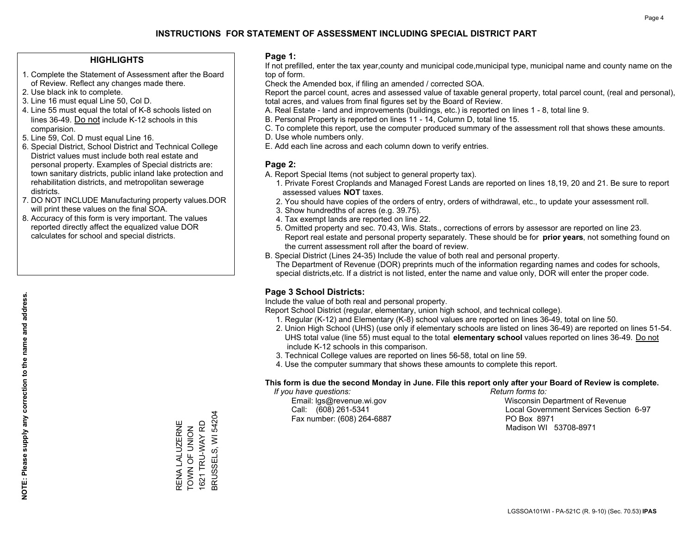## **HIGHLIGHTS**

- 1. Complete the Statement of Assessment after the Board of Review. Reflect any changes made there.
- 2. Use black ink to complete.
- 3. Line 16 must equal Line 50, Col D.
- 4. Line 55 must equal the total of K-8 schools listed on lines 36-49. Do not include K-12 schools in this comparision.
- 5. Line 59, Col. D must equal Line 16.
- 6. Special District, School District and Technical College District values must include both real estate and personal property. Examples of Special districts are: town sanitary districts, public inland lake protection and rehabilitation districts, and metropolitan sewerage districts.
- 7. DO NOT INCLUDE Manufacturing property values.DOR will print these values on the final SOA.
- 8. Accuracy of this form is very important. The values reported directly affect the equalized value DOR calculates for school and special districts.

### **Page 1:**

 If not prefilled, enter the tax year,county and municipal code,municipal type, municipal name and county name on the top of form.

Check the Amended box, if filing an amended / corrected SOA.

 Report the parcel count, acres and assessed value of taxable general property, total parcel count, (real and personal), total acres, and values from final figures set by the Board of Review.

- A. Real Estate land and improvements (buildings, etc.) is reported on lines 1 8, total line 9.
- B. Personal Property is reported on lines 11 14, Column D, total line 15.
- C. To complete this report, use the computer produced summary of the assessment roll that shows these amounts.
- D. Use whole numbers only.
- E. Add each line across and each column down to verify entries.

### **Page 2:**

- A. Report Special Items (not subject to general property tax).
- 1. Private Forest Croplands and Managed Forest Lands are reported on lines 18,19, 20 and 21. Be sure to report assessed values **NOT** taxes.
- 2. You should have copies of the orders of entry, orders of withdrawal, etc., to update your assessment roll.
	- 3. Show hundredths of acres (e.g. 39.75).
- 4. Tax exempt lands are reported on line 22.
- 5. Omitted property and sec. 70.43, Wis. Stats., corrections of errors by assessor are reported on line 23. Report real estate and personal property separately. These should be for **prior years**, not something found on the current assessment roll after the board of review.
- B. Special District (Lines 24-35) Include the value of both real and personal property.
- The Department of Revenue (DOR) preprints much of the information regarding names and codes for schools, special districts,etc. If a district is not listed, enter the name and value only, DOR will enter the proper code.

## **Page 3 School Districts:**

Include the value of both real and personal property.

Report School District (regular, elementary, union high school, and technical college).

- 1. Regular (K-12) and Elementary (K-8) school values are reported on lines 36-49, total on line 50.
- 2. Union High School (UHS) (use only if elementary schools are listed on lines 36-49) are reported on lines 51-54. UHS total value (line 55) must equal to the total **elementary school** values reported on lines 36-49. Do notinclude K-12 schools in this comparison.
- 3. Technical College values are reported on lines 56-58, total on line 59.
- 4. Use the computer summary that shows these amounts to complete this report.

#### **This form is due the second Monday in June. File this report only after your Board of Review is complete.**

 *If you have questions: Return forms to:*

Fax number: (608) 264-6887 PO Box 8971

 Email: lgs@revenue.wi.gov Wisconsin Department of Revenue Call: (608) 261-5341 Local Government Services Section 6-97Madison WI 53708-8971

BRUSSELS, WI 54204 BRUSSELS, WI 54204 RENA LALUZERNE 1621 TRU-WAY RD RENA LALUZERNE 1621 TRU-WAY RD TOWN OF UNION TOWN OF UNION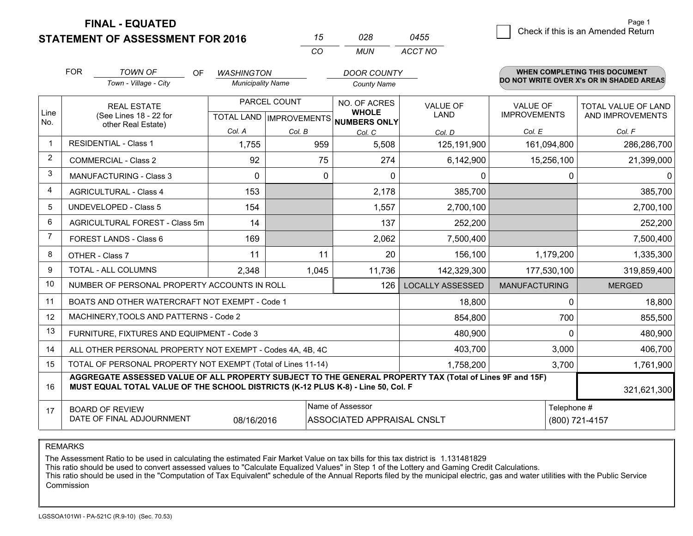**FINAL - EQUATED**

|                         | <b>FOR</b>                                                                                                                                                                                   | <b>TOWN OF</b><br>OF                                      | <b>WASHINGTON</b> |                                | <b>DOOR COUNTY</b>           |                         |                      | <b>WHEN COMPLETING THIS DOCUMENT</b>     |  |  |
|-------------------------|----------------------------------------------------------------------------------------------------------------------------------------------------------------------------------------------|-----------------------------------------------------------|-------------------|--------------------------------|------------------------------|-------------------------|----------------------|------------------------------------------|--|--|
|                         |                                                                                                                                                                                              | Town - Village - City                                     |                   | <b>Municipality Name</b>       |                              |                         |                      | DO NOT WRITE OVER X's OR IN SHADED AREAS |  |  |
|                         |                                                                                                                                                                                              | <b>REAL ESTATE</b>                                        |                   | PARCEL COUNT                   | NO. OF ACRES                 | <b>VALUE OF</b>         | <b>VALUE OF</b>      | <b>TOTAL VALUE OF LAND</b>               |  |  |
| Line<br>No.             |                                                                                                                                                                                              | (See Lines 18 - 22 for<br>other Real Estate)              |                   | <b>TOTAL LAND IMPROVEMENTS</b> | <b>WHOLE</b><br>NUMBERS ONLY | LAND                    | <b>IMPROVEMENTS</b>  | AND IMPROVEMENTS                         |  |  |
|                         |                                                                                                                                                                                              |                                                           | Col. A            | Col. B                         | Col. C                       | Col. D                  | Col. E               | Col. F                                   |  |  |
| $\overline{\mathbf{1}}$ |                                                                                                                                                                                              | <b>RESIDENTIAL - Class 1</b>                              | 1,755             | 959                            | 5,508                        | 125,191,900             | 161,094,800          | 286,286,700                              |  |  |
| 2                       | <b>COMMERCIAL - Class 2</b>                                                                                                                                                                  |                                                           | 92                | 75                             | 274                          | 6,142,900               | 15,256,100           | 21,399,000                               |  |  |
| 3                       |                                                                                                                                                                                              | <b>MANUFACTURING - Class 3</b>                            | $\mathbf 0$       | 0                              | $\mathbf{0}$                 | 0                       | 0                    | $\Omega$                                 |  |  |
| 4                       | <b>AGRICULTURAL - Class 4</b>                                                                                                                                                                |                                                           | 153               |                                | 2,178                        | 385,700                 |                      | 385,700                                  |  |  |
| 5                       | <b>UNDEVELOPED - Class 5</b>                                                                                                                                                                 |                                                           | 154               |                                | 1,557                        | 2,700,100               |                      | 2,700,100                                |  |  |
| 6                       | <b>AGRICULTURAL FOREST - Class 5m</b>                                                                                                                                                        |                                                           | 14                |                                | 137                          | 252,200                 |                      | 252,200                                  |  |  |
| $\overline{7}$          | FOREST LANDS - Class 6                                                                                                                                                                       |                                                           | 169               |                                | 2,062                        | 7,500,400               |                      | 7,500,400                                |  |  |
| 8                       | OTHER - Class 7                                                                                                                                                                              |                                                           | 11                | 11                             | 20                           | 156,100                 | 1,179,200            | 1,335,300                                |  |  |
| 9                       |                                                                                                                                                                                              | TOTAL - ALL COLUMNS                                       | 2,348             | 1,045                          | 11,736                       | 142,329,300             | 177,530,100          | 319,859,400                              |  |  |
| 10                      |                                                                                                                                                                                              | NUMBER OF PERSONAL PROPERTY ACCOUNTS IN ROLL              |                   |                                | 126                          | <b>LOCALLY ASSESSED</b> | <b>MANUFACTURING</b> | <b>MERGED</b>                            |  |  |
| 11                      |                                                                                                                                                                                              | BOATS AND OTHER WATERCRAFT NOT EXEMPT - Code 1            |                   |                                |                              | 18,800                  | 0                    | 18,800                                   |  |  |
| 12                      |                                                                                                                                                                                              | MACHINERY, TOOLS AND PATTERNS - Code 2                    |                   |                                |                              | 854,800                 | 700                  | 855,500                                  |  |  |
| 13                      |                                                                                                                                                                                              | FURNITURE, FIXTURES AND EQUIPMENT - Code 3                |                   |                                |                              | 480,900                 | 0                    | 480,900                                  |  |  |
| 14                      |                                                                                                                                                                                              | ALL OTHER PERSONAL PROPERTY NOT EXEMPT - Codes 4A, 4B, 4C |                   |                                |                              | 403,700                 | 3,000                | 406,700                                  |  |  |
| 15                      | TOTAL OF PERSONAL PROPERTY NOT EXEMPT (Total of Lines 11-14)<br>1,758,200                                                                                                                    |                                                           |                   |                                |                              |                         | 3,700                | 1,761,900                                |  |  |
| 16                      | AGGREGATE ASSESSED VALUE OF ALL PROPERTY SUBJECT TO THE GENERAL PROPERTY TAX (Total of Lines 9F and 15F)<br>MUST EQUAL TOTAL VALUE OF THE SCHOOL DISTRICTS (K-12 PLUS K-8) - Line 50, Col. F |                                                           |                   |                                |                              |                         |                      | 321,621,300                              |  |  |
| 17                      |                                                                                                                                                                                              | <b>BOARD OF REVIEW</b>                                    |                   |                                | Name of Assessor             |                         | Telephone #          |                                          |  |  |
|                         |                                                                                                                                                                                              | DATE OF FINAL ADJOURNMENT                                 | 08/16/2016        |                                | ASSOCIATED APPRAISAL CNSLT   |                         |                      | (800) 721-4157                           |  |  |

*CO*

*MUN*

*ACCT NO0455*

*<sup>15</sup> <sup>028</sup>*

#### REMARKS

The Assessment Ratio to be used in calculating the estimated Fair Market Value on tax bills for this tax district is 1.131481829<br>This ratio should be used to convert assessed values to "Calculate Equalized Values" in Step Commission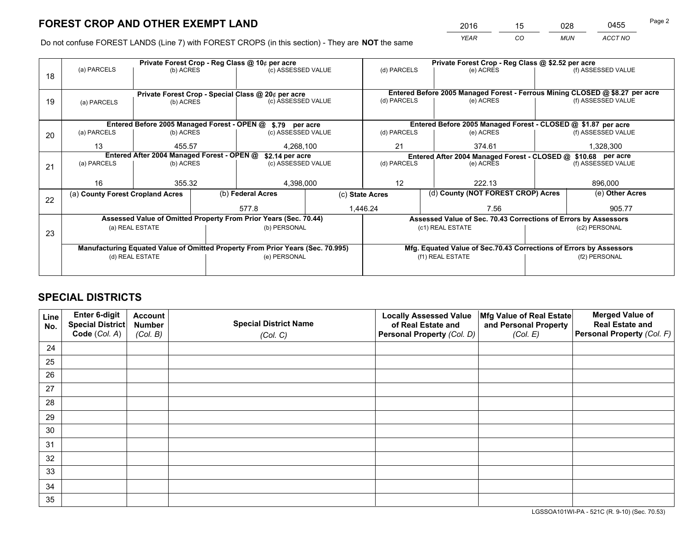*YEAR CO MUN ACCT NO* <sup>2016</sup> <sup>15</sup> <sup>028</sup> <sup>0455</sup>

Do not confuse FOREST LANDS (Line 7) with FOREST CROPS (in this section) - They are **NOT** the same

|    |                                                                                |                                                       |  | Private Forest Crop - Reg Class @ 10¢ per acre                   |                                                               |                                                                              | Private Forest Crop - Reg Class @ \$2.52 per acre                  |  |                    |  |
|----|--------------------------------------------------------------------------------|-------------------------------------------------------|--|------------------------------------------------------------------|---------------------------------------------------------------|------------------------------------------------------------------------------|--------------------------------------------------------------------|--|--------------------|--|
| 18 | (a) PARCELS                                                                    | (b) ACRES                                             |  | (c) ASSESSED VALUE                                               |                                                               | (d) PARCELS                                                                  | (e) ACRES                                                          |  | (f) ASSESSED VALUE |  |
|    |                                                                                |                                                       |  |                                                                  |                                                               |                                                                              |                                                                    |  |                    |  |
|    |                                                                                |                                                       |  | Private Forest Crop - Special Class @ 20¢ per acre               |                                                               | Entered Before 2005 Managed Forest - Ferrous Mining CLOSED @ \$8.27 per acre |                                                                    |  |                    |  |
| 19 | (a) PARCELS                                                                    | (b) ACRES                                             |  |                                                                  | (c) ASSESSED VALUE                                            |                                                                              | (e) ACRES                                                          |  | (f) ASSESSED VALUE |  |
|    |                                                                                |                                                       |  |                                                                  |                                                               |                                                                              |                                                                    |  |                    |  |
|    |                                                                                |                                                       |  | Entered Before 2005 Managed Forest - OPEN @ \$.79 per acre       |                                                               |                                                                              | Entered Before 2005 Managed Forest - CLOSED @ \$1.87 per acre      |  |                    |  |
| 20 | (a) PARCELS                                                                    | (b) ACRES                                             |  | (c) ASSESSED VALUE                                               |                                                               | (d) PARCELS                                                                  | (e) ACRES                                                          |  | (f) ASSESSED VALUE |  |
|    | 13                                                                             | 455.57                                                |  | 4,268,100<br>21                                                  |                                                               |                                                                              | 374.61                                                             |  |                    |  |
|    | Entered After 2004 Managed Forest - OPEN @<br>\$2.14 per acre                  |                                                       |  |                                                                  | Entered After 2004 Managed Forest - CLOSED @ \$10.68 per acre |                                                                              |                                                                    |  |                    |  |
| 21 | (a) PARCELS                                                                    | (b) ACRES                                             |  | (c) ASSESSED VALUE                                               |                                                               | (d) PARCELS                                                                  | (e) ACRES                                                          |  | (f) ASSESSED VALUE |  |
|    |                                                                                |                                                       |  |                                                                  |                                                               |                                                                              |                                                                    |  |                    |  |
|    | 16                                                                             | 355.32                                                |  | 4,398,000                                                        |                                                               | 12                                                                           | 222.13                                                             |  | 896,000            |  |
| 22 |                                                                                | (b) Federal Acres<br>(a) County Forest Cropland Acres |  |                                                                  |                                                               | (c) State Acres                                                              | (d) County (NOT FOREST CROP) Acres                                 |  | (e) Other Acres    |  |
|    |                                                                                |                                                       |  | 577.8                                                            |                                                               | 1,446.24                                                                     | 7.56                                                               |  |                    |  |
|    |                                                                                |                                                       |  | Assessed Value of Omitted Property From Prior Years (Sec. 70.44) |                                                               |                                                                              | Assessed Value of Sec. 70.43 Corrections of Errors by Assessors    |  |                    |  |
| 23 | (a) REAL ESTATE                                                                |                                                       |  | (b) PERSONAL                                                     |                                                               |                                                                              | (c1) REAL ESTATE                                                   |  | (c2) PERSONAL      |  |
|    |                                                                                |                                                       |  |                                                                  |                                                               |                                                                              |                                                                    |  |                    |  |
|    | Manufacturing Equated Value of Omitted Property From Prior Years (Sec. 70.995) |                                                       |  |                                                                  |                                                               |                                                                              | Mfg. Equated Value of Sec.70.43 Corrections of Errors by Assessors |  |                    |  |
|    |                                                                                | (d) REAL ESTATE                                       |  | (e) PERSONAL                                                     |                                                               | (f1) REAL ESTATE                                                             |                                                                    |  | (f2) PERSONAL      |  |
|    |                                                                                |                                                       |  |                                                                  |                                                               |                                                                              |                                                                    |  |                    |  |

## **SPECIAL DISTRICTS**

| Line<br>No. | Enter 6-digit<br>Special District<br>Code (Col. A) | <b>Account</b><br><b>Number</b> | <b>Special District Name</b> | <b>Locally Assessed Value</b><br>of Real Estate and | Mfg Value of Real Estate<br>and Personal Property | <b>Merged Value of</b><br><b>Real Estate and</b><br>Personal Property (Col. F) |
|-------------|----------------------------------------------------|---------------------------------|------------------------------|-----------------------------------------------------|---------------------------------------------------|--------------------------------------------------------------------------------|
|             |                                                    | (Col. B)                        | (Col. C)                     | Personal Property (Col. D)                          | (Col. E)                                          |                                                                                |
| 24          |                                                    |                                 |                              |                                                     |                                                   |                                                                                |
| 25          |                                                    |                                 |                              |                                                     |                                                   |                                                                                |
| 26          |                                                    |                                 |                              |                                                     |                                                   |                                                                                |
| 27          |                                                    |                                 |                              |                                                     |                                                   |                                                                                |
| 28          |                                                    |                                 |                              |                                                     |                                                   |                                                                                |
| 29          |                                                    |                                 |                              |                                                     |                                                   |                                                                                |
| 30          |                                                    |                                 |                              |                                                     |                                                   |                                                                                |
| 31          |                                                    |                                 |                              |                                                     |                                                   |                                                                                |
| 32          |                                                    |                                 |                              |                                                     |                                                   |                                                                                |
| 33          |                                                    |                                 |                              |                                                     |                                                   |                                                                                |
| 34          |                                                    |                                 |                              |                                                     |                                                   |                                                                                |
| 35          |                                                    |                                 |                              |                                                     |                                                   |                                                                                |

LGSSOA101WI-PA - 521C (R. 9-10) (Sec. 70.53)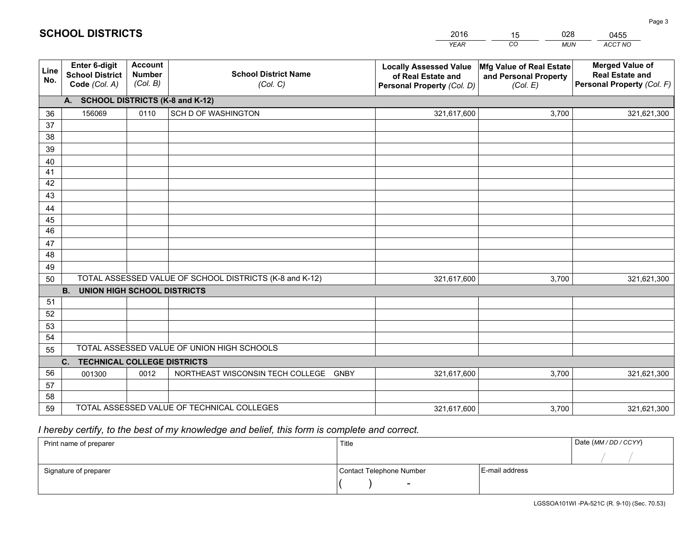|             |                                                                 |                                             |                                                         | <b>YEAR</b>                                                                       | CO<br><b>MUN</b>                                              | ACCT NO                                                                        |
|-------------|-----------------------------------------------------------------|---------------------------------------------|---------------------------------------------------------|-----------------------------------------------------------------------------------|---------------------------------------------------------------|--------------------------------------------------------------------------------|
| Line<br>No. | <b>Enter 6-digit</b><br><b>School District</b><br>Code (Col. A) | <b>Account</b><br><b>Number</b><br>(Col. B) | <b>School District Name</b><br>(Col. C)                 | <b>Locally Assessed Value</b><br>of Real Estate and<br>Personal Property (Col. D) | Mfg Value of Real Estate<br>and Personal Property<br>(Col. E) | <b>Merged Value of</b><br><b>Real Estate and</b><br>Personal Property (Col. F) |
|             | A. SCHOOL DISTRICTS (K-8 and K-12)                              |                                             |                                                         |                                                                                   |                                                               |                                                                                |
| 36          | 156069                                                          | 0110                                        | SCH D OF WASHINGTON                                     | 321,617,600                                                                       | 3,700                                                         | 321,621,300                                                                    |
| 37          |                                                                 |                                             |                                                         |                                                                                   |                                                               |                                                                                |
| 38          |                                                                 |                                             |                                                         |                                                                                   |                                                               |                                                                                |
| 39          |                                                                 |                                             |                                                         |                                                                                   |                                                               |                                                                                |
| 40          |                                                                 |                                             |                                                         |                                                                                   |                                                               |                                                                                |
| 41          |                                                                 |                                             |                                                         |                                                                                   |                                                               |                                                                                |
| 42          |                                                                 |                                             |                                                         |                                                                                   |                                                               |                                                                                |
| 43          |                                                                 |                                             |                                                         |                                                                                   |                                                               |                                                                                |
| 44          |                                                                 |                                             |                                                         |                                                                                   |                                                               |                                                                                |
| 45<br>46    |                                                                 |                                             |                                                         |                                                                                   |                                                               |                                                                                |
| 47          |                                                                 |                                             |                                                         |                                                                                   |                                                               |                                                                                |
| 48          |                                                                 |                                             |                                                         |                                                                                   |                                                               |                                                                                |
| 49          |                                                                 |                                             |                                                         |                                                                                   |                                                               |                                                                                |
| 50          |                                                                 |                                             | TOTAL ASSESSED VALUE OF SCHOOL DISTRICTS (K-8 and K-12) | 321,617,600                                                                       | 3,700                                                         | 321,621,300                                                                    |
|             | <b>B.</b><br><b>UNION HIGH SCHOOL DISTRICTS</b>                 |                                             |                                                         |                                                                                   |                                                               |                                                                                |
| 51          |                                                                 |                                             |                                                         |                                                                                   |                                                               |                                                                                |
| 52          |                                                                 |                                             |                                                         |                                                                                   |                                                               |                                                                                |
| 53          |                                                                 |                                             |                                                         |                                                                                   |                                                               |                                                                                |
| 54          |                                                                 |                                             |                                                         |                                                                                   |                                                               |                                                                                |
| 55          |                                                                 |                                             | TOTAL ASSESSED VALUE OF UNION HIGH SCHOOLS              |                                                                                   |                                                               |                                                                                |
|             | C.<br><b>TECHNICAL COLLEGE DISTRICTS</b>                        |                                             |                                                         |                                                                                   |                                                               |                                                                                |
| 56          | 001300                                                          | 0012                                        | NORTHEAST WISCONSIN TECH COLLEGE<br><b>GNBY</b>         | 321,617,600                                                                       | 3,700                                                         | 321,621,300                                                                    |
| 57          |                                                                 |                                             |                                                         |                                                                                   |                                                               |                                                                                |
| 58          |                                                                 |                                             |                                                         |                                                                                   |                                                               |                                                                                |
| 59          |                                                                 |                                             | TOTAL ASSESSED VALUE OF TECHNICAL COLLEGES              | 321,617,600                                                                       | 3,700                                                         | 321,621,300                                                                    |

15

028

## *I hereby certify, to the best of my knowledge and belief, this form is complete and correct.*

**SCHOOL DISTRICTS**

| Print name of preparer | Title                    |                | Date (MM / DD / CCYY) |
|------------------------|--------------------------|----------------|-----------------------|
|                        |                          |                |                       |
| Signature of preparer  | Contact Telephone Number | E-mail address |                       |
|                        | $\overline{\phantom{0}}$ |                |                       |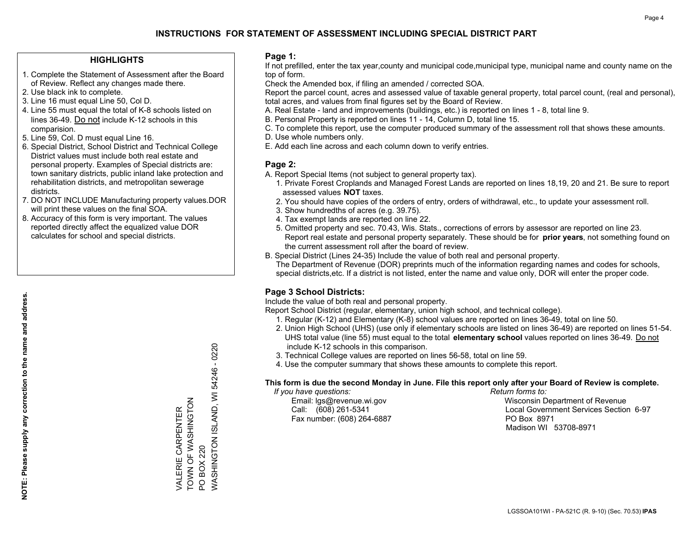## **HIGHLIGHTS**

- 1. Complete the Statement of Assessment after the Board of Review. Reflect any changes made there.
- 2. Use black ink to complete.
- 3. Line 16 must equal Line 50, Col D.
- 4. Line 55 must equal the total of K-8 schools listed on lines 36-49. Do not include K-12 schools in this comparision.
- 5. Line 59, Col. D must equal Line 16.
- 6. Special District, School District and Technical College District values must include both real estate and personal property. Examples of Special districts are: town sanitary districts, public inland lake protection and rehabilitation districts, and metropolitan sewerage districts.
- 7. DO NOT INCLUDE Manufacturing property values.DOR will print these values on the final SOA.

VALERIE CARPENTER TOWN OF WASHINGTON

VALERIE CARPENTER<br>TOWN OF WASHINGTON

PO BOX 220

**PO BOX 220** 

WASHINGTON ISLAND, WI 54246 - 0220

WASHINGTON ISLAND, WI 54246 - 0220

 8. Accuracy of this form is very important. The values reported directly affect the equalized value DOR calculates for school and special districts.

#### **Page 1:**

 If not prefilled, enter the tax year,county and municipal code,municipal type, municipal name and county name on the top of form.

Check the Amended box, if filing an amended / corrected SOA.

 Report the parcel count, acres and assessed value of taxable general property, total parcel count, (real and personal), total acres, and values from final figures set by the Board of Review.

- A. Real Estate land and improvements (buildings, etc.) is reported on lines 1 8, total line 9.
- B. Personal Property is reported on lines 11 14, Column D, total line 15.
- C. To complete this report, use the computer produced summary of the assessment roll that shows these amounts.
- D. Use whole numbers only.
- E. Add each line across and each column down to verify entries.

## **Page 2:**

- A. Report Special Items (not subject to general property tax).
- 1. Private Forest Croplands and Managed Forest Lands are reported on lines 18,19, 20 and 21. Be sure to report assessed values **NOT** taxes.
- 2. You should have copies of the orders of entry, orders of withdrawal, etc., to update your assessment roll.
	- 3. Show hundredths of acres (e.g. 39.75).
- 4. Tax exempt lands are reported on line 22.
- 5. Omitted property and sec. 70.43, Wis. Stats., corrections of errors by assessor are reported on line 23. Report real estate and personal property separately. These should be for **prior years**, not something found on the current assessment roll after the board of review.
- B. Special District (Lines 24-35) Include the value of both real and personal property.
- The Department of Revenue (DOR) preprints much of the information regarding names and codes for schools, special districts,etc. If a district is not listed, enter the name and value only, DOR will enter the proper code.

## **Page 3 School Districts:**

Include the value of both real and personal property.

Report School District (regular, elementary, union high school, and technical college).

- 1. Regular (K-12) and Elementary (K-8) school values are reported on lines 36-49, total on line 50.
- 2. Union High School (UHS) (use only if elementary schools are listed on lines 36-49) are reported on lines 51-54. UHS total value (line 55) must equal to the total **elementary school** values reported on lines 36-49. Do notinclude K-12 schools in this comparison.
- 3. Technical College values are reported on lines 56-58, total on line 59.
- 4. Use the computer summary that shows these amounts to complete this report.

#### **This form is due the second Monday in June. File this report only after your Board of Review is complete.**

 *If you have questions: Return forms to:*

Fax number: (608) 264-6887 PO Box 8971

 Email: lgs@revenue.wi.gov Wisconsin Department of Revenue Call: (608) 261-5341 Local Government Services Section 6-97Madison WI 53708-8971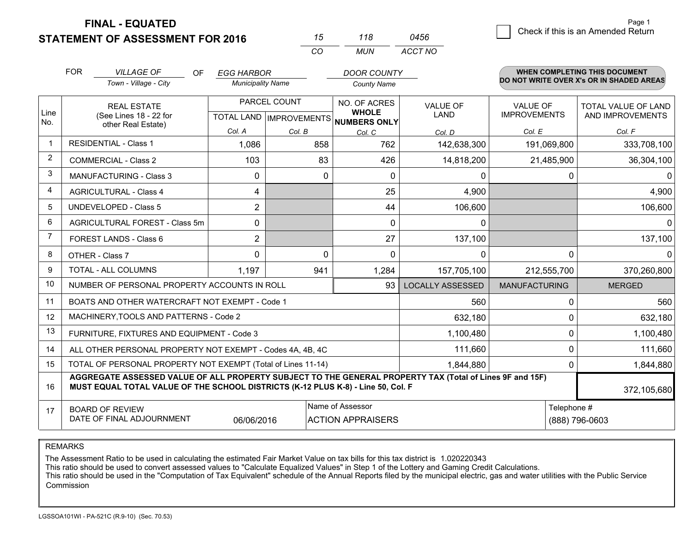**FINAL - EQUATED**

|   | Page 1                             |
|---|------------------------------------|
| 6 | Check if this is an Amended Return |
|   |                                    |

|                | <b>FOR</b>                    | <b>VILLAGE OF</b><br><b>OF</b>                                                                                                                                                               | <b>EGG HARBOR</b>        |              | <b>DOOR COUNTY</b>                                       |                         |                                          |              | <b>WHEN COMPLETING THIS DOCUMENT</b> |
|----------------|-------------------------------|----------------------------------------------------------------------------------------------------------------------------------------------------------------------------------------------|--------------------------|--------------|----------------------------------------------------------|-------------------------|------------------------------------------|--------------|--------------------------------------|
|                |                               | Town - Village - City                                                                                                                                                                        | <b>Municipality Name</b> |              | <b>County Name</b>                                       |                         | DO NOT WRITE OVER X's OR IN SHADED AREAS |              |                                      |
|                | <b>REAL ESTATE</b>            |                                                                                                                                                                                              |                          | PARCEL COUNT |                                                          | <b>VALUE OF</b>         | <b>VALUE OF</b>                          |              | <b>TOTAL VALUE OF LAND</b>           |
| Line<br>No.    |                               | (See Lines 18 - 22 for                                                                                                                                                                       |                          |              | <b>WHOLE</b><br>TOTAL LAND   IMPROVEMENTS   NUMBERS ONLY | <b>LAND</b>             | <b>IMPROVEMENTS</b>                      |              | AND IMPROVEMENTS                     |
|                |                               | other Real Estate)                                                                                                                                                                           | Col. A                   | Col. B       | Col. C                                                   | Col. D                  | Col. E                                   |              | Col. F                               |
|                |                               | <b>RESIDENTIAL - Class 1</b>                                                                                                                                                                 | 1,086                    | 858          | 762                                                      | 142,638,300             | 191,069,800                              |              | 333,708,100                          |
| 2              |                               | <b>COMMERCIAL - Class 2</b>                                                                                                                                                                  | 103                      | 83           | 426                                                      | 14,818,200              | 21,485,900                               |              | 36,304,100                           |
| 3              |                               | <b>MANUFACTURING - Class 3</b>                                                                                                                                                               | 0                        |              | $\mathbf{0}$<br>$\mathbf{0}$                             | 0                       |                                          | $\Omega$     | $\Omega$                             |
| 4              | <b>AGRICULTURAL - Class 4</b> |                                                                                                                                                                                              | 4                        |              | 25                                                       | 4,900                   |                                          |              | 4,900                                |
| 5              |                               | <b>UNDEVELOPED - Class 5</b>                                                                                                                                                                 | $\overline{2}$           |              | 44                                                       | 106,600                 |                                          |              | 106,600                              |
| 6              |                               | AGRICULTURAL FOREST - Class 5m                                                                                                                                                               | 0                        |              | $\Omega$                                                 | $\Omega$                |                                          |              | $\Omega$                             |
| $\overline{7}$ |                               | FOREST LANDS - Class 6                                                                                                                                                                       | $\overline{2}$           |              | 27                                                       | 137,100                 |                                          |              | 137,100                              |
| 8              |                               | OTHER - Class 7                                                                                                                                                                              | 0                        |              | 0<br>$\mathbf{0}$                                        | 0                       |                                          | $\mathbf{0}$ | $\mathbf{0}$                         |
| 9              |                               | <b>TOTAL - ALL COLUMNS</b>                                                                                                                                                                   | 1,197                    | 941          | 1,284                                                    | 157,705,100             | 212,555,700                              |              | 370,260,800                          |
| 10             |                               | NUMBER OF PERSONAL PROPERTY ACCOUNTS IN ROLL                                                                                                                                                 |                          |              | 93                                                       | <b>LOCALLY ASSESSED</b> | <b>MANUFACTURING</b>                     |              | <b>MERGED</b>                        |
| 11             |                               | BOATS AND OTHER WATERCRAFT NOT EXEMPT - Code 1                                                                                                                                               |                          |              |                                                          | 560                     |                                          | 0            | 560                                  |
| 12             |                               | MACHINERY, TOOLS AND PATTERNS - Code 2                                                                                                                                                       |                          |              |                                                          | 632,180                 |                                          | $\Omega$     | 632,180                              |
| 13             |                               | FURNITURE, FIXTURES AND EQUIPMENT - Code 3                                                                                                                                                   |                          |              |                                                          | 1,100,480               |                                          | $\Omega$     | 1,100,480                            |
| 14             |                               | ALL OTHER PERSONAL PROPERTY NOT EXEMPT - Codes 4A, 4B, 4C                                                                                                                                    |                          |              |                                                          | 111,660                 |                                          | $\mathbf{0}$ | 111,660                              |
| 15             |                               | TOTAL OF PERSONAL PROPERTY NOT EXEMPT (Total of Lines 11-14)                                                                                                                                 |                          |              |                                                          | 1,844,880               |                                          | $\Omega$     | 1,844,880                            |
| 16             |                               | AGGREGATE ASSESSED VALUE OF ALL PROPERTY SUBJECT TO THE GENERAL PROPERTY TAX (Total of Lines 9F and 15F)<br>MUST EQUAL TOTAL VALUE OF THE SCHOOL DISTRICTS (K-12 PLUS K-8) - Line 50, Col. F |                          |              |                                                          |                         |                                          |              | 372,105,680                          |
| 17             |                               | <b>BOARD OF REVIEW</b>                                                                                                                                                                       |                          |              | Name of Assessor                                         |                         |                                          | Telephone #  |                                      |
|                |                               | DATE OF FINAL ADJOURNMENT                                                                                                                                                                    | 06/06/2016               |              | <b>ACTION APPRAISERS</b>                                 |                         |                                          |              | (888) 796-0603                       |

*CO*

*MUN*

*ACCT NO0456*

*<sup>15</sup> <sup>118</sup>*

REMARKS

The Assessment Ratio to be used in calculating the estimated Fair Market Value on tax bills for this tax district is 1.020220343<br>This ratio should be used to convert assessed values to "Calculate Equalized Values" in Step Commission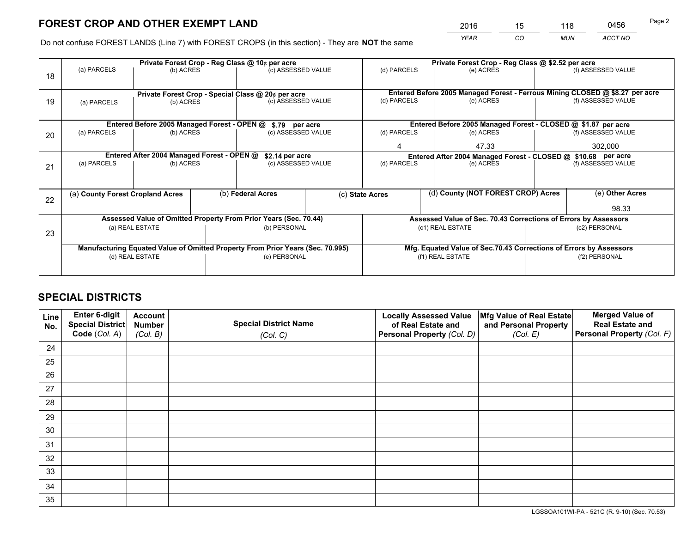*YEAR CO MUN ACCT NO* <sup>2016</sup> <sup>15</sup> <sup>118</sup> <sup>0456</sup>

Do not confuse FOREST LANDS (Line 7) with FOREST CROPS (in this section) - They are **NOT** the same

|    |                                  |                                                                                                |  | Private Forest Crop - Reg Class @ 10¢ per acre     |                                                                                        |                                                       | Private Forest Crop - Reg Class @ \$2.52 per acre                            |                    |                    |  |
|----|----------------------------------|------------------------------------------------------------------------------------------------|--|----------------------------------------------------|----------------------------------------------------------------------------------------|-------------------------------------------------------|------------------------------------------------------------------------------|--------------------|--------------------|--|
| 18 | (a) PARCELS                      | (b) ACRES                                                                                      |  | (c) ASSESSED VALUE                                 |                                                                                        | (d) PARCELS                                           | (e) ACRES                                                                    |                    | (f) ASSESSED VALUE |  |
|    |                                  |                                                                                                |  | Private Forest Crop - Special Class @ 20¢ per acre |                                                                                        |                                                       | Entered Before 2005 Managed Forest - Ferrous Mining CLOSED @ \$8.27 per acre |                    |                    |  |
| 19 | (a) PARCELS                      | (b) ACRES                                                                                      |  | (c) ASSESSED VALUE                                 |                                                                                        | (d) PARCELS                                           | (e) ACRES                                                                    |                    | (f) ASSESSED VALUE |  |
|    |                                  | Entered Before 2005 Managed Forest - OPEN @                                                    |  | \$.79 per acre                                     |                                                                                        |                                                       | Entered Before 2005 Managed Forest - CLOSED @ \$1.87 per acre                |                    |                    |  |
| 20 | (a) PARCELS                      | (b) ACRES                                                                                      |  | (c) ASSESSED VALUE                                 |                                                                                        | (d) PARCELS                                           | (e) ACRES                                                                    |                    | (f) ASSESSED VALUE |  |
|    |                                  |                                                                                                |  |                                                    |                                                                                        | 4                                                     | 47.33                                                                        |                    | 302.000            |  |
|    |                                  | Entered After 2004 Managed Forest - OPEN @                                                     |  | \$2.14 per acre                                    |                                                                                        |                                                       | Entered After 2004 Managed Forest - CLOSED @ \$10.68 per acre                |                    |                    |  |
| 21 | (a) PARCELS                      | (b) ACRES                                                                                      |  | (c) ASSESSED VALUE                                 |                                                                                        | (d) PARCELS<br>(e) ACRES                              |                                                                              | (f) ASSESSED VALUE |                    |  |
|    |                                  |                                                                                                |  |                                                    |                                                                                        |                                                       |                                                                              |                    |                    |  |
|    | (a) County Forest Cropland Acres |                                                                                                |  | (b) Federal Acres                                  |                                                                                        | (d) County (NOT FOREST CROP) Acres<br>(c) State Acres |                                                                              |                    | (e) Other Acres    |  |
| 22 |                                  |                                                                                                |  |                                                    |                                                                                        |                                                       |                                                                              |                    | 98.33              |  |
|    |                                  | Assessed Value of Omitted Property From Prior Years (Sec. 70.44)                               |  |                                                    |                                                                                        |                                                       | Assessed Value of Sec. 70.43 Corrections of Errors by Assessors              |                    |                    |  |
| 23 |                                  | (a) REAL ESTATE                                                                                |  | (b) PERSONAL                                       |                                                                                        |                                                       | (c1) REAL ESTATE                                                             |                    | (c2) PERSONAL      |  |
|    |                                  |                                                                                                |  |                                                    |                                                                                        |                                                       |                                                                              |                    |                    |  |
|    |                                  | Manufacturing Equated Value of Omitted Property From Prior Years (Sec. 70.995)<br>(e) PERSONAL |  |                                                    | Mfg. Equated Value of Sec.70.43 Corrections of Errors by Assessors<br>(f1) REAL ESTATE |                                                       | (f2) PERSONAL                                                                |                    |                    |  |
|    | (d) REAL ESTATE                  |                                                                                                |  |                                                    |                                                                                        |                                                       |                                                                              |                    |                    |  |
|    |                                  |                                                                                                |  |                                                    |                                                                                        |                                                       |                                                                              |                    |                    |  |

## **SPECIAL DISTRICTS**

| Line<br>No. | Enter 6-digit<br>Special District<br>Code (Col. A) | <b>Account</b><br><b>Number</b> | <b>Special District Name</b> | <b>Locally Assessed Value</b><br>of Real Estate and | Mfg Value of Real Estate<br>and Personal Property | <b>Merged Value of</b><br><b>Real Estate and</b><br>Personal Property (Col. F) |
|-------------|----------------------------------------------------|---------------------------------|------------------------------|-----------------------------------------------------|---------------------------------------------------|--------------------------------------------------------------------------------|
|             |                                                    | (Col. B)                        | (Col. C)                     | Personal Property (Col. D)                          | (Col. E)                                          |                                                                                |
| 24          |                                                    |                                 |                              |                                                     |                                                   |                                                                                |
| 25          |                                                    |                                 |                              |                                                     |                                                   |                                                                                |
| 26          |                                                    |                                 |                              |                                                     |                                                   |                                                                                |
| 27          |                                                    |                                 |                              |                                                     |                                                   |                                                                                |
| 28          |                                                    |                                 |                              |                                                     |                                                   |                                                                                |
| 29          |                                                    |                                 |                              |                                                     |                                                   |                                                                                |
| 30          |                                                    |                                 |                              |                                                     |                                                   |                                                                                |
| 31          |                                                    |                                 |                              |                                                     |                                                   |                                                                                |
| 32          |                                                    |                                 |                              |                                                     |                                                   |                                                                                |
| 33          |                                                    |                                 |                              |                                                     |                                                   |                                                                                |
| 34          |                                                    |                                 |                              |                                                     |                                                   |                                                                                |
| 35          |                                                    |                                 |                              |                                                     |                                                   |                                                                                |

LGSSOA101WI-PA - 521C (R. 9-10) (Sec. 70.53)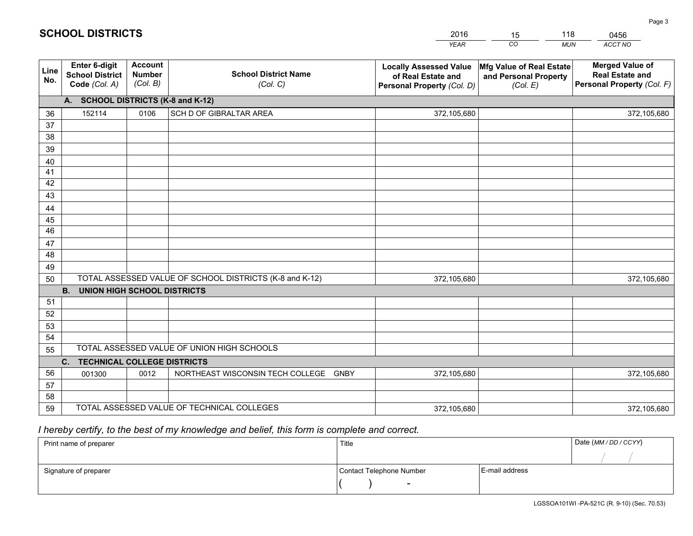|             |                                                          |                                             |                                                         | <b>YEAR</b>                                                                       | CO<br><b>MUN</b>                                              | ACCT NO                                                                        |
|-------------|----------------------------------------------------------|---------------------------------------------|---------------------------------------------------------|-----------------------------------------------------------------------------------|---------------------------------------------------------------|--------------------------------------------------------------------------------|
| Line<br>No. | Enter 6-digit<br><b>School District</b><br>Code (Col. A) | <b>Account</b><br><b>Number</b><br>(Col. B) | <b>School District Name</b><br>(Col. C)                 | <b>Locally Assessed Value</b><br>of Real Estate and<br>Personal Property (Col. D) | Mfg Value of Real Estate<br>and Personal Property<br>(Col. E) | <b>Merged Value of</b><br><b>Real Estate and</b><br>Personal Property (Col. F) |
|             | A. SCHOOL DISTRICTS (K-8 and K-12)                       |                                             |                                                         |                                                                                   |                                                               |                                                                                |
| 36          | 152114                                                   | 0106                                        | SCH D OF GIBRALTAR AREA                                 | 372,105,680                                                                       |                                                               | 372,105,680                                                                    |
| 37          |                                                          |                                             |                                                         |                                                                                   |                                                               |                                                                                |
| 38          |                                                          |                                             |                                                         |                                                                                   |                                                               |                                                                                |
| 39          |                                                          |                                             |                                                         |                                                                                   |                                                               |                                                                                |
| 40          |                                                          |                                             |                                                         |                                                                                   |                                                               |                                                                                |
| 41          |                                                          |                                             |                                                         |                                                                                   |                                                               |                                                                                |
| 42          |                                                          |                                             |                                                         |                                                                                   |                                                               |                                                                                |
| 43          |                                                          |                                             |                                                         |                                                                                   |                                                               |                                                                                |
| 44          |                                                          |                                             |                                                         |                                                                                   |                                                               |                                                                                |
| 45<br>46    |                                                          |                                             |                                                         |                                                                                   |                                                               |                                                                                |
|             |                                                          |                                             |                                                         |                                                                                   |                                                               |                                                                                |
| 47<br>48    |                                                          |                                             |                                                         |                                                                                   |                                                               |                                                                                |
| 49          |                                                          |                                             |                                                         |                                                                                   |                                                               |                                                                                |
| 50          |                                                          |                                             | TOTAL ASSESSED VALUE OF SCHOOL DISTRICTS (K-8 and K-12) | 372,105,680                                                                       |                                                               | 372,105,680                                                                    |
|             | <b>B.</b><br><b>UNION HIGH SCHOOL DISTRICTS</b>          |                                             |                                                         |                                                                                   |                                                               |                                                                                |
| 51          |                                                          |                                             |                                                         |                                                                                   |                                                               |                                                                                |
| 52          |                                                          |                                             |                                                         |                                                                                   |                                                               |                                                                                |
| 53          |                                                          |                                             |                                                         |                                                                                   |                                                               |                                                                                |
| 54          |                                                          |                                             |                                                         |                                                                                   |                                                               |                                                                                |
| 55          |                                                          |                                             | TOTAL ASSESSED VALUE OF UNION HIGH SCHOOLS              |                                                                                   |                                                               |                                                                                |
|             | C. TECHNICAL COLLEGE DISTRICTS                           |                                             |                                                         |                                                                                   |                                                               |                                                                                |
| 56          | 001300                                                   | 0012                                        | NORTHEAST WISCONSIN TECH COLLEGE GNBY                   | 372,105,680                                                                       |                                                               | 372,105,680                                                                    |
| 57          |                                                          |                                             |                                                         |                                                                                   |                                                               |                                                                                |
| 58          |                                                          |                                             |                                                         |                                                                                   |                                                               |                                                                                |
| 59          |                                                          |                                             | TOTAL ASSESSED VALUE OF TECHNICAL COLLEGES              | 372,105,680                                                                       |                                                               | 372,105,680                                                                    |

15

118

## *I hereby certify, to the best of my knowledge and belief, this form is complete and correct.*

**SCHOOL DISTRICTS**

| Print name of preparer | Title                    |                | Date (MM / DD / CCYY) |
|------------------------|--------------------------|----------------|-----------------------|
|                        |                          |                |                       |
| Signature of preparer  | Contact Telephone Number | E-mail address |                       |
|                        | $\overline{\phantom{0}}$ |                |                       |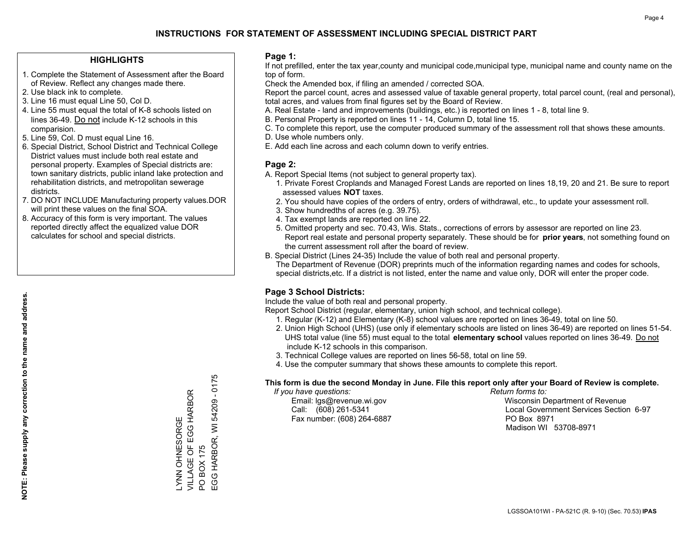## **HIGHLIGHTS**

- 1. Complete the Statement of Assessment after the Board of Review. Reflect any changes made there.
- 2. Use black ink to complete.
- 3. Line 16 must equal Line 50, Col D.
- 4. Line 55 must equal the total of K-8 schools listed on lines 36-49. Do not include K-12 schools in this comparision.
- 5. Line 59, Col. D must equal Line 16.
- 6. Special District, School District and Technical College District values must include both real estate and personal property. Examples of Special districts are: town sanitary districts, public inland lake protection and rehabilitation districts, and metropolitan sewerage districts.
- 7. DO NOT INCLUDE Manufacturing property values.DOR will print these values on the final SOA.

LYNN OHNESORGE

LYNN OHNESORGE<br>VILLAGE OF EGG HA

VILLAGE OF EGG HARBOR

EGG HARBOR

PO BOX 175

 $\overline{S}$ 

EGG HARBOR, WI 54209 - 0175

EGG HARBOR, WI BOX 175

54209 - 0175

 8. Accuracy of this form is very important. The values reported directly affect the equalized value DOR calculates for school and special districts.

### **Page 1:**

 If not prefilled, enter the tax year,county and municipal code,municipal type, municipal name and county name on the top of form.

Check the Amended box, if filing an amended / corrected SOA.

 Report the parcel count, acres and assessed value of taxable general property, total parcel count, (real and personal), total acres, and values from final figures set by the Board of Review.

- A. Real Estate land and improvements (buildings, etc.) is reported on lines 1 8, total line 9.
- B. Personal Property is reported on lines 11 14, Column D, total line 15.
- C. To complete this report, use the computer produced summary of the assessment roll that shows these amounts.
- D. Use whole numbers only.
- E. Add each line across and each column down to verify entries.

## **Page 2:**

- A. Report Special Items (not subject to general property tax).
- 1. Private Forest Croplands and Managed Forest Lands are reported on lines 18,19, 20 and 21. Be sure to report assessed values **NOT** taxes.
- 2. You should have copies of the orders of entry, orders of withdrawal, etc., to update your assessment roll.
	- 3. Show hundredths of acres (e.g. 39.75).
- 4. Tax exempt lands are reported on line 22.
- 5. Omitted property and sec. 70.43, Wis. Stats., corrections of errors by assessor are reported on line 23. Report real estate and personal property separately. These should be for **prior years**, not something found on the current assessment roll after the board of review.
- B. Special District (Lines 24-35) Include the value of both real and personal property.

 The Department of Revenue (DOR) preprints much of the information regarding names and codes for schools, special districts,etc. If a district is not listed, enter the name and value only, DOR will enter the proper code.

## **Page 3 School Districts:**

Include the value of both real and personal property.

Report School District (regular, elementary, union high school, and technical college).

- 1. Regular (K-12) and Elementary (K-8) school values are reported on lines 36-49, total on line 50.
- 2. Union High School (UHS) (use only if elementary schools are listed on lines 36-49) are reported on lines 51-54. UHS total value (line 55) must equal to the total **elementary school** values reported on lines 36-49. Do notinclude K-12 schools in this comparison.
- 3. Technical College values are reported on lines 56-58, total on line 59.
- 4. Use the computer summary that shows these amounts to complete this report.

#### **This form is due the second Monday in June. File this report only after your Board of Review is complete.**

 *If you have questions: Return forms to:*

Fax number: (608) 264-6887 PO Box 8971

 Email: lgs@revenue.wi.gov Wisconsin Department of Revenue Call: (608) 261-5341 Local Government Services Section 6-97Madison WI 53708-8971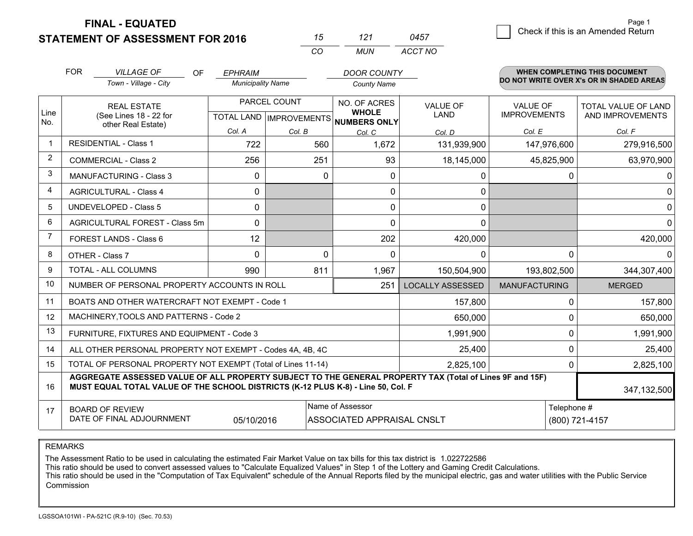**FINAL - EQUATED**

|                | <b>FOR</b>                     | <b>VILLAGE OF</b><br><b>OF</b>                                                                                                                                                               | <b>EPHRAIM</b> |                          | <b>DOOR COUNTY</b>                                   |                         |                                          | <b>WHEN COMPLETING THIS DOCUMENT</b> |  |
|----------------|--------------------------------|----------------------------------------------------------------------------------------------------------------------------------------------------------------------------------------------|----------------|--------------------------|------------------------------------------------------|-------------------------|------------------------------------------|--------------------------------------|--|
|                |                                | Town - Village - City                                                                                                                                                                        |                | <b>Municipality Name</b> |                                                      |                         | DO NOT WRITE OVER X's OR IN SHADED AREAS |                                      |  |
|                |                                | <b>REAL ESTATE</b>                                                                                                                                                                           | PARCEL COUNT   |                          | NO. OF ACRES                                         | <b>VALUE OF</b>         | VALUE OF                                 | <b>TOTAL VALUE OF LAND</b>           |  |
| Line<br>No.    |                                | (See Lines 18 - 22 for                                                                                                                                                                       |                |                          | <b>WHOLE</b><br>TOTAL LAND IMPROVEMENTS NUMBERS ONLY | LAND                    | <b>IMPROVEMENTS</b>                      | AND IMPROVEMENTS                     |  |
|                |                                | other Real Estate)                                                                                                                                                                           | Col. A         | Col. B                   | Col. C                                               | Col. D                  | Col. E                                   | Col. F                               |  |
| $\mathbf 1$    | <b>RESIDENTIAL - Class 1</b>   |                                                                                                                                                                                              | 722            | 560                      | 1,672                                                | 131,939,900             | 147,976,600                              | 279,916,500                          |  |
| $\overline{2}$ |                                | <b>COMMERCIAL - Class 2</b>                                                                                                                                                                  | 256            | 251                      | 93                                                   | 18,145,000              | 45,825,900                               | 63,970,900                           |  |
| 3              |                                | <b>MANUFACTURING - Class 3</b>                                                                                                                                                               | $\Omega$       | 0                        | $\Omega$                                             | 0                       | 0                                        | 0                                    |  |
| 4              | <b>AGRICULTURAL - Class 4</b>  |                                                                                                                                                                                              | $\mathbf{0}$   |                          | 0                                                    | $\mathbf{0}$            |                                          | 0                                    |  |
| 5              | <b>UNDEVELOPED - Class 5</b>   |                                                                                                                                                                                              | $\Omega$       |                          | $\Omega$                                             | $\mathbf 0$             |                                          | 0                                    |  |
| 6              | AGRICULTURAL FOREST - Class 5m |                                                                                                                                                                                              | $\mathbf{0}$   |                          | $\Omega$                                             | $\Omega$                |                                          | 0                                    |  |
| $\overline{7}$ | FOREST LANDS - Class 6         |                                                                                                                                                                                              | 12             |                          | 202                                                  | 420,000                 |                                          | 420,000                              |  |
| 8              |                                | OTHER - Class 7                                                                                                                                                                              | $\mathbf 0$    | 0                        | 0                                                    | $\mathbf{0}$            | $\mathbf 0$                              | 0                                    |  |
| 9              |                                | <b>TOTAL - ALL COLUMNS</b>                                                                                                                                                                   | 990            | 811                      | 1,967                                                | 150,504,900             | 193,802,500                              | 344,307,400                          |  |
| 10             |                                | NUMBER OF PERSONAL PROPERTY ACCOUNTS IN ROLL                                                                                                                                                 |                |                          | 251                                                  | <b>LOCALLY ASSESSED</b> | <b>MANUFACTURING</b>                     | <b>MERGED</b>                        |  |
| 11             |                                | BOATS AND OTHER WATERCRAFT NOT EXEMPT - Code 1                                                                                                                                               |                |                          |                                                      | 157,800                 | 0                                        | 157,800                              |  |
| 12             |                                | MACHINERY, TOOLS AND PATTERNS - Code 2                                                                                                                                                       |                |                          |                                                      | 650,000                 | 0                                        | 650,000                              |  |
| 13             |                                | FURNITURE, FIXTURES AND EQUIPMENT - Code 3                                                                                                                                                   |                |                          |                                                      | 1,991,900               | 0                                        | 1,991,900                            |  |
| 14             |                                | ALL OTHER PERSONAL PROPERTY NOT EXEMPT - Codes 4A, 4B, 4C                                                                                                                                    |                |                          |                                                      | 25,400                  | 0                                        | 25,400                               |  |
| 15             |                                | TOTAL OF PERSONAL PROPERTY NOT EXEMPT (Total of Lines 11-14)                                                                                                                                 |                |                          |                                                      | 2,825,100               | $\Omega$                                 | 2,825,100                            |  |
| 16             |                                | AGGREGATE ASSESSED VALUE OF ALL PROPERTY SUBJECT TO THE GENERAL PROPERTY TAX (Total of Lines 9F and 15F)<br>MUST EQUAL TOTAL VALUE OF THE SCHOOL DISTRICTS (K-12 PLUS K-8) - Line 50, Col. F |                |                          |                                                      |                         |                                          | 347,132,500                          |  |
| 17             |                                | <b>BOARD OF REVIEW</b>                                                                                                                                                                       |                |                          | Name of Assessor                                     |                         | Telephone #                              |                                      |  |
|                |                                | DATE OF FINAL ADJOURNMENT                                                                                                                                                                    | 05/10/2016     |                          | ASSOCIATED APPRAISAL CNSLT                           |                         |                                          | (800) 721-4157                       |  |

*MUN*

*ACCT NO0457*

*<sup>15</sup> <sup>121</sup>*

*CO*

REMARKS

The Assessment Ratio to be used in calculating the estimated Fair Market Value on tax bills for this tax district is 1.022722586

This ratio should be used to convert assessed values to "Calculate Equalized Values" in Step 1 of the Lottery and Gaming Credit Calculations.<br>This ratio should be used in the "Computation of Tax Equivalent" schedule of the Commission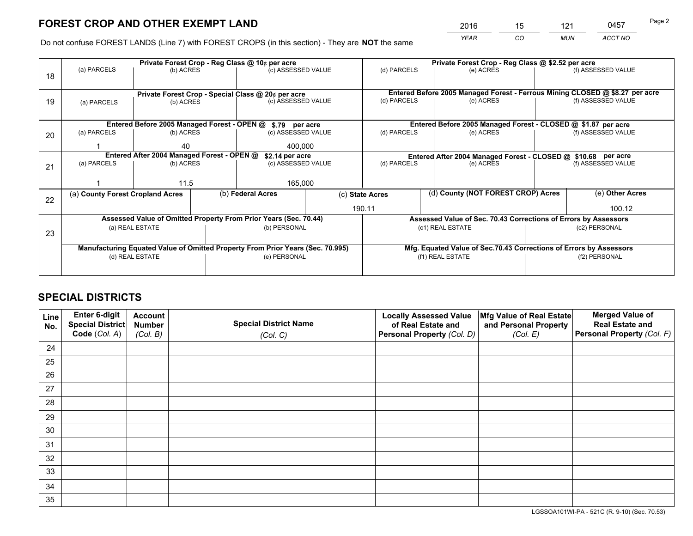*YEAR CO MUN ACCT NO* <sup>2016</sup> <sup>15</sup> <sup>121</sup> <sup>0457</sup>

Do not confuse FOREST LANDS (Line 7) with FOREST CROPS (in this section) - They are **NOT** the same

|    |                                                    |                                            |                    | Private Forest Crop - Reg Class @ 10¢ per acre                                 |             |                                                                              | Private Forest Crop - Reg Class @ \$2.52 per acre                  |                    |                    |
|----|----------------------------------------------------|--------------------------------------------|--------------------|--------------------------------------------------------------------------------|-------------|------------------------------------------------------------------------------|--------------------------------------------------------------------|--------------------|--------------------|
| 18 | (a) PARCELS                                        | (b) ACRES                                  |                    | (c) ASSESSED VALUE                                                             |             | (d) PARCELS                                                                  | (e) ACRES                                                          |                    | (f) ASSESSED VALUE |
|    |                                                    |                                            |                    |                                                                                |             |                                                                              |                                                                    |                    |                    |
|    | Private Forest Crop - Special Class @ 20¢ per acre |                                            |                    |                                                                                |             | Entered Before 2005 Managed Forest - Ferrous Mining CLOSED @ \$8.27 per acre |                                                                    |                    |                    |
| 19 | (b) ACRES<br>(a) PARCELS                           |                                            | (c) ASSESSED VALUE |                                                                                | (d) PARCELS | (e) ACRES                                                                    |                                                                    | (f) ASSESSED VALUE |                    |
|    |                                                    |                                            |                    |                                                                                |             |                                                                              |                                                                    |                    |                    |
|    |                                                    |                                            |                    | Entered Before 2005 Managed Forest - OPEN @ \$.79 per acre                     |             |                                                                              | Entered Before 2005 Managed Forest - CLOSED @ \$1.87 per acre      |                    |                    |
| 20 | (a) PARCELS                                        | (b) ACRES                                  |                    | (c) ASSESSED VALUE                                                             |             | (d) PARCELS                                                                  | (e) ACRES                                                          |                    | (f) ASSESSED VALUE |
|    | 40                                                 |                                            | 400.000            |                                                                                |             |                                                                              |                                                                    |                    |                    |
|    |                                                    | Entered After 2004 Managed Forest - OPEN @ |                    | \$2.14 per acre                                                                |             |                                                                              | Entered After 2004 Managed Forest - CLOSED @ \$10.68 per acre      |                    |                    |
| 21 | (a) PARCELS                                        | (b) ACRES                                  |                    | (c) ASSESSED VALUE                                                             |             | (d) PARCELS                                                                  | (e) ACRES                                                          |                    | (f) ASSESSED VALUE |
|    |                                                    |                                            |                    |                                                                                |             |                                                                              |                                                                    |                    |                    |
|    |                                                    | 11.5                                       |                    | 165,000                                                                        |             |                                                                              |                                                                    |                    |                    |
| 22 | (a) County Forest Cropland Acres                   |                                            |                    | (b) Federal Acres                                                              |             | (c) State Acres                                                              | (d) County (NOT FOREST CROP) Acres                                 |                    | (e) Other Acres    |
|    |                                                    |                                            |                    |                                                                                |             | 190.11                                                                       |                                                                    |                    | 100.12             |
|    |                                                    |                                            |                    | Assessed Value of Omitted Property From Prior Years (Sec. 70.44)               |             | Assessed Value of Sec. 70.43 Corrections of Errors by Assessors              |                                                                    |                    |                    |
| 23 |                                                    | (a) REAL ESTATE                            |                    | (b) PERSONAL                                                                   |             |                                                                              | (c1) REAL ESTATE                                                   |                    | (c2) PERSONAL      |
|    |                                                    |                                            |                    |                                                                                |             |                                                                              |                                                                    |                    |                    |
|    |                                                    |                                            |                    | Manufacturing Equated Value of Omitted Property From Prior Years (Sec. 70.995) |             |                                                                              | Mfg. Equated Value of Sec.70.43 Corrections of Errors by Assessors |                    |                    |
|    |                                                    | (d) REAL ESTATE                            |                    | (e) PERSONAL                                                                   |             |                                                                              | (f1) REAL ESTATE                                                   | (f2) PERSONAL      |                    |
|    |                                                    |                                            |                    |                                                                                |             |                                                                              |                                                                    |                    |                    |

## **SPECIAL DISTRICTS**

| Line<br>No. | Enter 6-digit<br>Special District<br>Code (Col. A) | <b>Account</b><br><b>Number</b> | <b>Special District Name</b> | <b>Locally Assessed Value</b><br>of Real Estate and | Mfg Value of Real Estate<br>and Personal Property | <b>Merged Value of</b><br><b>Real Estate and</b><br>Personal Property (Col. F) |
|-------------|----------------------------------------------------|---------------------------------|------------------------------|-----------------------------------------------------|---------------------------------------------------|--------------------------------------------------------------------------------|
|             |                                                    | (Col. B)                        | (Col. C)                     | Personal Property (Col. D)                          | (Col. E)                                          |                                                                                |
| 24          |                                                    |                                 |                              |                                                     |                                                   |                                                                                |
| 25          |                                                    |                                 |                              |                                                     |                                                   |                                                                                |
| 26          |                                                    |                                 |                              |                                                     |                                                   |                                                                                |
| 27          |                                                    |                                 |                              |                                                     |                                                   |                                                                                |
| 28          |                                                    |                                 |                              |                                                     |                                                   |                                                                                |
| 29          |                                                    |                                 |                              |                                                     |                                                   |                                                                                |
| 30          |                                                    |                                 |                              |                                                     |                                                   |                                                                                |
| 31          |                                                    |                                 |                              |                                                     |                                                   |                                                                                |
| 32          |                                                    |                                 |                              |                                                     |                                                   |                                                                                |
| 33          |                                                    |                                 |                              |                                                     |                                                   |                                                                                |
| 34          |                                                    |                                 |                              |                                                     |                                                   |                                                                                |
| 35          |                                                    |                                 |                              |                                                     |                                                   |                                                                                |

LGSSOA101WI-PA - 521C (R. 9-10) (Sec. 70.53)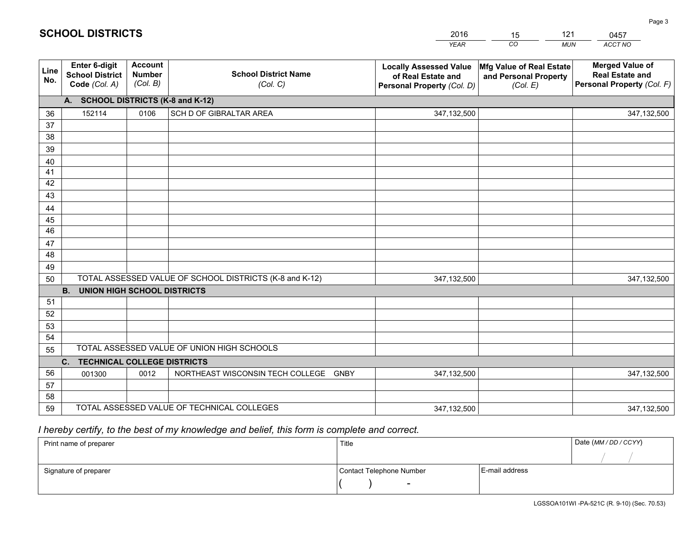|             |                                                          |                                             |                                                         | <b>YEAR</b>                                                                       | CO<br><b>MUN</b>                                              | ACCT NO                                                                        |
|-------------|----------------------------------------------------------|---------------------------------------------|---------------------------------------------------------|-----------------------------------------------------------------------------------|---------------------------------------------------------------|--------------------------------------------------------------------------------|
| Line<br>No. | Enter 6-digit<br><b>School District</b><br>Code (Col. A) | <b>Account</b><br><b>Number</b><br>(Col. B) | <b>School District Name</b><br>(Col. C)                 | <b>Locally Assessed Value</b><br>of Real Estate and<br>Personal Property (Col. D) | Mfg Value of Real Estate<br>and Personal Property<br>(Col. E) | <b>Merged Value of</b><br><b>Real Estate and</b><br>Personal Property (Col. F) |
|             | A. SCHOOL DISTRICTS (K-8 and K-12)                       |                                             |                                                         |                                                                                   |                                                               |                                                                                |
| 36          | 152114                                                   | 0106                                        | SCH D OF GIBRALTAR AREA                                 | 347,132,500                                                                       |                                                               | 347,132,500                                                                    |
| 37          |                                                          |                                             |                                                         |                                                                                   |                                                               |                                                                                |
| 38          |                                                          |                                             |                                                         |                                                                                   |                                                               |                                                                                |
| 39          |                                                          |                                             |                                                         |                                                                                   |                                                               |                                                                                |
| 40          |                                                          |                                             |                                                         |                                                                                   |                                                               |                                                                                |
| 41          |                                                          |                                             |                                                         |                                                                                   |                                                               |                                                                                |
| 42          |                                                          |                                             |                                                         |                                                                                   |                                                               |                                                                                |
| 43          |                                                          |                                             |                                                         |                                                                                   |                                                               |                                                                                |
| 44          |                                                          |                                             |                                                         |                                                                                   |                                                               |                                                                                |
| 45<br>46    |                                                          |                                             |                                                         |                                                                                   |                                                               |                                                                                |
|             |                                                          |                                             |                                                         |                                                                                   |                                                               |                                                                                |
| 47<br>48    |                                                          |                                             |                                                         |                                                                                   |                                                               |                                                                                |
| 49          |                                                          |                                             |                                                         |                                                                                   |                                                               |                                                                                |
| 50          |                                                          |                                             | TOTAL ASSESSED VALUE OF SCHOOL DISTRICTS (K-8 and K-12) | 347,132,500                                                                       |                                                               | 347,132,500                                                                    |
|             | <b>B.</b><br><b>UNION HIGH SCHOOL DISTRICTS</b>          |                                             |                                                         |                                                                                   |                                                               |                                                                                |
| 51          |                                                          |                                             |                                                         |                                                                                   |                                                               |                                                                                |
| 52          |                                                          |                                             |                                                         |                                                                                   |                                                               |                                                                                |
| 53          |                                                          |                                             |                                                         |                                                                                   |                                                               |                                                                                |
| 54          |                                                          |                                             |                                                         |                                                                                   |                                                               |                                                                                |
| 55          |                                                          |                                             | TOTAL ASSESSED VALUE OF UNION HIGH SCHOOLS              |                                                                                   |                                                               |                                                                                |
|             | C. TECHNICAL COLLEGE DISTRICTS                           |                                             |                                                         |                                                                                   |                                                               |                                                                                |
| 56          | 001300                                                   | 0012                                        | NORTHEAST WISCONSIN TECH COLLEGE GNBY                   | 347,132,500                                                                       |                                                               | 347,132,500                                                                    |
| 57          |                                                          |                                             |                                                         |                                                                                   |                                                               |                                                                                |
| 58          |                                                          |                                             |                                                         |                                                                                   |                                                               |                                                                                |
| 59          |                                                          |                                             | TOTAL ASSESSED VALUE OF TECHNICAL COLLEGES              | 347,132,500                                                                       |                                                               | 347,132,500                                                                    |

15

121

 *I hereby certify, to the best of my knowledge and belief, this form is complete and correct.*

**SCHOOL DISTRICTS**

| Print name of preparer | Title                    |                | Date (MM / DD / CCYY) |
|------------------------|--------------------------|----------------|-----------------------|
|                        |                          |                |                       |
| Signature of preparer  | Contact Telephone Number | E-mail address |                       |
|                        |                          |                |                       |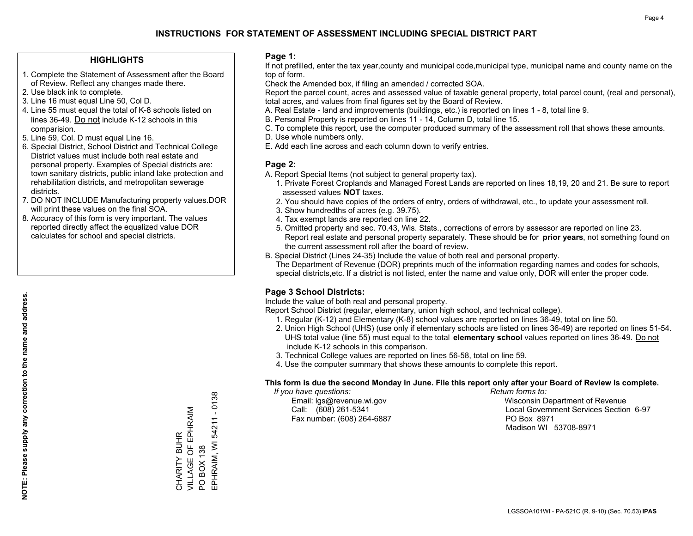### **HIGHLIGHTS**

- 1. Complete the Statement of Assessment after the Board of Review. Reflect any changes made there.
- 2. Use black ink to complete.
- 3. Line 16 must equal Line 50, Col D.
- 4. Line 55 must equal the total of K-8 schools listed on lines 36-49. Do not include K-12 schools in this comparision.
- 5. Line 59, Col. D must equal Line 16.
- 6. Special District, School District and Technical College District values must include both real estate and personal property. Examples of Special districts are: town sanitary districts, public inland lake protection and rehabilitation districts, and metropolitan sewerage districts.
- 7. DO NOT INCLUDE Manufacturing property values.DOR will print these values on the final SOA.

CHARITY BUHR

VILLAGE OF EPHRAIM

CHARITY BUHR<br>VILLAGE OF EPHRAIM

PO BOX 138

 $\overline{S}$ 

**BOX 138** 

EPHRAIM, WI 54211 - 0138

EPHRAIM, WI 54211 - 0138

 8. Accuracy of this form is very important. The values reported directly affect the equalized value DOR calculates for school and special districts.

#### **Page 1:**

 If not prefilled, enter the tax year,county and municipal code,municipal type, municipal name and county name on the top of form.

Check the Amended box, if filing an amended / corrected SOA.

 Report the parcel count, acres and assessed value of taxable general property, total parcel count, (real and personal), total acres, and values from final figures set by the Board of Review.

- A. Real Estate land and improvements (buildings, etc.) is reported on lines 1 8, total line 9.
- B. Personal Property is reported on lines 11 14, Column D, total line 15.
- C. To complete this report, use the computer produced summary of the assessment roll that shows these amounts.
- D. Use whole numbers only.
- E. Add each line across and each column down to verify entries.

### **Page 2:**

- A. Report Special Items (not subject to general property tax).
- 1. Private Forest Croplands and Managed Forest Lands are reported on lines 18,19, 20 and 21. Be sure to report assessed values **NOT** taxes.
- 2. You should have copies of the orders of entry, orders of withdrawal, etc., to update your assessment roll.
	- 3. Show hundredths of acres (e.g. 39.75).
- 4. Tax exempt lands are reported on line 22.
- 5. Omitted property and sec. 70.43, Wis. Stats., corrections of errors by assessor are reported on line 23. Report real estate and personal property separately. These should be for **prior years**, not something found on the current assessment roll after the board of review.
- B. Special District (Lines 24-35) Include the value of both real and personal property.
- The Department of Revenue (DOR) preprints much of the information regarding names and codes for schools, special districts,etc. If a district is not listed, enter the name and value only, DOR will enter the proper code.

## **Page 3 School Districts:**

Include the value of both real and personal property.

Report School District (regular, elementary, union high school, and technical college).

- 1. Regular (K-12) and Elementary (K-8) school values are reported on lines 36-49, total on line 50.
- 2. Union High School (UHS) (use only if elementary schools are listed on lines 36-49) are reported on lines 51-54. UHS total value (line 55) must equal to the total **elementary school** values reported on lines 36-49. Do notinclude K-12 schools in this comparison.
- 3. Technical College values are reported on lines 56-58, total on line 59.
- 4. Use the computer summary that shows these amounts to complete this report.

#### **This form is due the second Monday in June. File this report only after your Board of Review is complete.**

 *If you have questions: Return forms to:*

Fax number: (608) 264-6887 PO Box 8971

 Email: lgs@revenue.wi.gov Wisconsin Department of Revenue Call: (608) 261-5341 Local Government Services Section 6-97Madison WI 53708-8971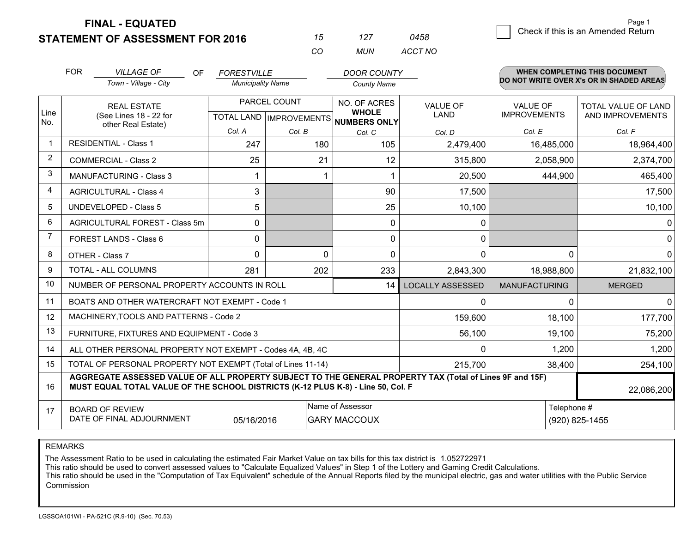**FINAL - EQUATED**

|                | <b>STATEMENT OF ASSESSMENT FOR 2016</b>                                                                                                                                                      |                          |                                   | 127                                     | 0458                    |                                          | Crieck if this is an American Return |  |  |
|----------------|----------------------------------------------------------------------------------------------------------------------------------------------------------------------------------------------|--------------------------|-----------------------------------|-----------------------------------------|-------------------------|------------------------------------------|--------------------------------------|--|--|
|                |                                                                                                                                                                                              |                          | CO                                | <b>MUN</b>                              | ACCT NO                 |                                          |                                      |  |  |
|                | <b>FOR</b><br><b>VILLAGE OF</b><br>OF.                                                                                                                                                       | <b>FORESTVILLE</b>       |                                   | <b>DOOR COUNTY</b>                      |                         |                                          | <b>WHEN COMPLETING THIS DOCUMENT</b> |  |  |
|                | Town - Village - City                                                                                                                                                                        | <b>Municipality Name</b> |                                   | <b>County Name</b>                      |                         | DO NOT WRITE OVER X's OR IN SHADED AREAS |                                      |  |  |
|                | <b>REAL ESTATE</b>                                                                                                                                                                           |                          | PARCEL COUNT                      | NO. OF ACRES                            | <b>VALUE OF</b>         | <b>VALUE OF</b>                          | <b>TOTAL VALUE OF LAND</b>           |  |  |
| Line<br>No.    | (See Lines 18 - 22 for<br>other Real Estate)                                                                                                                                                 |                          | <b>TOTAL LAND   IMPROVEMENTS </b> | <b>WHOLE</b><br>NUMBERS ONLY            | LAND                    | <b>IMPROVEMENTS</b>                      | AND IMPROVEMENTS                     |  |  |
|                |                                                                                                                                                                                              | Col. A                   | Col. B                            | Col. C                                  | Col. D                  | Col. E                                   | Col. F                               |  |  |
| $\mathbf{1}$   | <b>RESIDENTIAL - Class 1</b>                                                                                                                                                                 | 247                      | 180                               | 105                                     | 2,479,400               | 16,485,000                               | 18,964,400                           |  |  |
| 2              | <b>COMMERCIAL - Class 2</b>                                                                                                                                                                  | 25                       | 21                                | 12                                      | 315,800                 | 2,058,900                                | 2,374,700                            |  |  |
| 3              | <b>MANUFACTURING - Class 3</b>                                                                                                                                                               |                          |                                   | 1                                       | 20,500                  | 444,900                                  | 465,400                              |  |  |
| 4              | <b>AGRICULTURAL - Class 4</b>                                                                                                                                                                | 3                        |                                   | 90                                      | 17,500                  |                                          | 17,500                               |  |  |
| 5              | UNDEVELOPED - Class 5                                                                                                                                                                        | 5                        |                                   | 25                                      | 10,100                  |                                          | 10,100                               |  |  |
| 6              | AGRICULTURAL FOREST - Class 5m                                                                                                                                                               | 0                        |                                   | 0                                       | 0                       |                                          | $\overline{0}$                       |  |  |
| $\overline{7}$ | <b>FOREST LANDS - Class 6</b>                                                                                                                                                                | $\Omega$                 |                                   | 0                                       | 0                       |                                          | $\overline{0}$                       |  |  |
| 8              | OTHER - Class 7                                                                                                                                                                              | $\Omega$                 |                                   | $\mathbf 0$<br>$\Omega$                 | 0                       | 0                                        | $\overline{0}$                       |  |  |
| 9              | TOTAL - ALL COLUMNS                                                                                                                                                                          | 281                      | 202                               | 233                                     | 2,843,300               | 18,988,800                               | 21,832,100                           |  |  |
| 10             | NUMBER OF PERSONAL PROPERTY ACCOUNTS IN ROLL                                                                                                                                                 |                          |                                   | 14                                      | <b>LOCALLY ASSESSED</b> | <b>MANUFACTURING</b>                     | <b>MERGED</b>                        |  |  |
| 11             | BOATS AND OTHER WATERCRAFT NOT EXEMPT - Code 1                                                                                                                                               |                          |                                   |                                         | 0                       | $\Omega$                                 | $\Omega$                             |  |  |
| 12             | MACHINERY, TOOLS AND PATTERNS - Code 2                                                                                                                                                       |                          |                                   |                                         | 159,600                 | 18,100                                   | 177,700                              |  |  |
| 13             | FURNITURE, FIXTURES AND EQUIPMENT - Code 3                                                                                                                                                   |                          |                                   |                                         | 56,100                  | 19,100                                   | 75,200                               |  |  |
| 14             | ALL OTHER PERSONAL PROPERTY NOT EXEMPT - Codes 4A, 4B, 4C                                                                                                                                    |                          |                                   |                                         | 0                       | 1,200                                    | 1,200                                |  |  |
| 15             | TOTAL OF PERSONAL PROPERTY NOT EXEMPT (Total of Lines 11-14)                                                                                                                                 |                          |                                   |                                         | 215,700                 | 38,400                                   | 254,100                              |  |  |
| 16             | AGGREGATE ASSESSED VALUE OF ALL PROPERTY SUBJECT TO THE GENERAL PROPERTY TAX (Total of Lines 9F and 15F)<br>MUST EQUAL TOTAL VALUE OF THE SCHOOL DISTRICTS (K-12 PLUS K-8) - Line 50, Col. F |                          |                                   |                                         |                         |                                          | 22,086,200                           |  |  |
| 17             | <b>BOARD OF REVIEW</b><br>DATE OF FINAL ADJOURNMENT                                                                                                                                          | 05/16/2016               |                                   | Name of Assessor<br><b>GARY MACCOUX</b> |                         |                                          | Telephone #<br>(920) 825-1455        |  |  |

REMARKS

The Assessment Ratio to be used in calculating the estimated Fair Market Value on tax bills for this tax district is 1.052722971

This ratio should be used to convert assessed values to "Calculate Equalized Values" in Step 1 of the Lottery and Gaming Credit Calculations.<br>This ratio should be used in the "Computation of Tax Equivalent" schedule of the Commission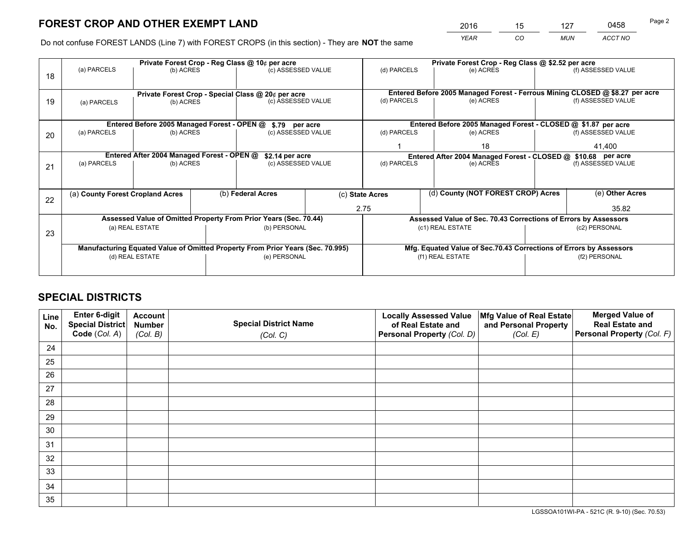*YEAR CO MUN ACCT NO* <sup>2016</sup> <sup>15</sup> <sup>127</sup> <sup>0458</sup>

Do not confuse FOREST LANDS (Line 7) with FOREST CROPS (in this section) - They are **NOT** the same

|    |                                                               |                                            |  | Private Forest Crop - Reg Class @ 10¢ per acre                                 |  |                                                               | Private Forest Crop - Reg Class @ \$2.52 per acre                            |  |                    |  |
|----|---------------------------------------------------------------|--------------------------------------------|--|--------------------------------------------------------------------------------|--|---------------------------------------------------------------|------------------------------------------------------------------------------|--|--------------------|--|
| 18 | (a) PARCELS                                                   | (b) ACRES                                  |  | (c) ASSESSED VALUE                                                             |  | (d) PARCELS                                                   | (e) ACRES                                                                    |  | (f) ASSESSED VALUE |  |
|    |                                                               |                                            |  |                                                                                |  |                                                               |                                                                              |  |                    |  |
|    |                                                               |                                            |  | Private Forest Crop - Special Class @ 20¢ per acre                             |  |                                                               | Entered Before 2005 Managed Forest - Ferrous Mining CLOSED @ \$8.27 per acre |  |                    |  |
| 19 | (a) PARCELS<br>(b) ACRES                                      |                                            |  | (c) ASSESSED VALUE                                                             |  | (d) PARCELS                                                   | (e) ACRES                                                                    |  | (f) ASSESSED VALUE |  |
|    |                                                               |                                            |  |                                                                                |  |                                                               |                                                                              |  |                    |  |
|    | Entered Before 2005 Managed Forest - OPEN @<br>\$.79 per acre |                                            |  |                                                                                |  |                                                               | Entered Before 2005 Managed Forest - CLOSED @ \$1.87 per acre                |  |                    |  |
| 20 | (a) PARCELS                                                   | (b) ACRES                                  |  | (c) ASSESSED VALUE                                                             |  | (d) PARCELS                                                   | (e) ACRES                                                                    |  | (f) ASSESSED VALUE |  |
|    |                                                               |                                            |  |                                                                                |  |                                                               | 18                                                                           |  | 41,400             |  |
|    |                                                               | Entered After 2004 Managed Forest - OPEN @ |  | \$2.14 per acre<br>(c) ASSESSED VALUE                                          |  | Entered After 2004 Managed Forest - CLOSED @ \$10.68 per acre |                                                                              |  |                    |  |
| 21 | (a) PARCELS                                                   | (b) ACRES                                  |  |                                                                                |  | (d) PARCELS<br>(e) ACRES                                      |                                                                              |  | (f) ASSESSED VALUE |  |
|    |                                                               |                                            |  |                                                                                |  |                                                               |                                                                              |  |                    |  |
|    | (a) County Forest Cropland Acres                              |                                            |  | (b) Federal Acres                                                              |  | (c) State Acres                                               | (d) County (NOT FOREST CROP) Acres                                           |  | (e) Other Acres    |  |
| 22 |                                                               |                                            |  |                                                                                |  |                                                               |                                                                              |  |                    |  |
|    |                                                               |                                            |  |                                                                                |  | 2.75                                                          |                                                                              |  | 35.82              |  |
|    |                                                               |                                            |  | Assessed Value of Omitted Property From Prior Years (Sec. 70.44)               |  |                                                               | Assessed Value of Sec. 70.43 Corrections of Errors by Assessors              |  |                    |  |
| 23 |                                                               | (a) REAL ESTATE                            |  | (b) PERSONAL                                                                   |  |                                                               | (c1) REAL ESTATE                                                             |  | (c2) PERSONAL      |  |
|    |                                                               |                                            |  |                                                                                |  |                                                               |                                                                              |  |                    |  |
|    |                                                               |                                            |  | Manufacturing Equated Value of Omitted Property From Prior Years (Sec. 70.995) |  |                                                               | Mfg. Equated Value of Sec.70.43 Corrections of Errors by Assessors           |  |                    |  |
|    | (d) REAL ESTATE                                               |                                            |  | (e) PERSONAL                                                                   |  | (f1) REAL ESTATE                                              |                                                                              |  | (f2) PERSONAL      |  |
|    |                                                               |                                            |  |                                                                                |  |                                                               |                                                                              |  |                    |  |

## **SPECIAL DISTRICTS**

| Line<br>No. | Enter 6-digit<br>Special District<br>Code (Col. A) | <b>Account</b><br><b>Number</b><br>(Col. B) | <b>Special District Name</b><br>(Col. C) | <b>Locally Assessed Value</b><br>of Real Estate and<br>Personal Property (Col. D) | Mfg Value of Real Estate<br>and Personal Property<br>(Col. E) | <b>Merged Value of</b><br><b>Real Estate and</b><br>Personal Property (Col. F) |
|-------------|----------------------------------------------------|---------------------------------------------|------------------------------------------|-----------------------------------------------------------------------------------|---------------------------------------------------------------|--------------------------------------------------------------------------------|
| 24          |                                                    |                                             |                                          |                                                                                   |                                                               |                                                                                |
| 25          |                                                    |                                             |                                          |                                                                                   |                                                               |                                                                                |
| 26          |                                                    |                                             |                                          |                                                                                   |                                                               |                                                                                |
| 27          |                                                    |                                             |                                          |                                                                                   |                                                               |                                                                                |
| 28          |                                                    |                                             |                                          |                                                                                   |                                                               |                                                                                |
| 29          |                                                    |                                             |                                          |                                                                                   |                                                               |                                                                                |
| 30          |                                                    |                                             |                                          |                                                                                   |                                                               |                                                                                |
| 31          |                                                    |                                             |                                          |                                                                                   |                                                               |                                                                                |
| 32          |                                                    |                                             |                                          |                                                                                   |                                                               |                                                                                |
| 33          |                                                    |                                             |                                          |                                                                                   |                                                               |                                                                                |
| 34          |                                                    |                                             |                                          |                                                                                   |                                                               |                                                                                |
| 35          |                                                    |                                             |                                          |                                                                                   |                                                               |                                                                                |

LGSSOA101WI-PA - 521C (R. 9-10) (Sec. 70.53)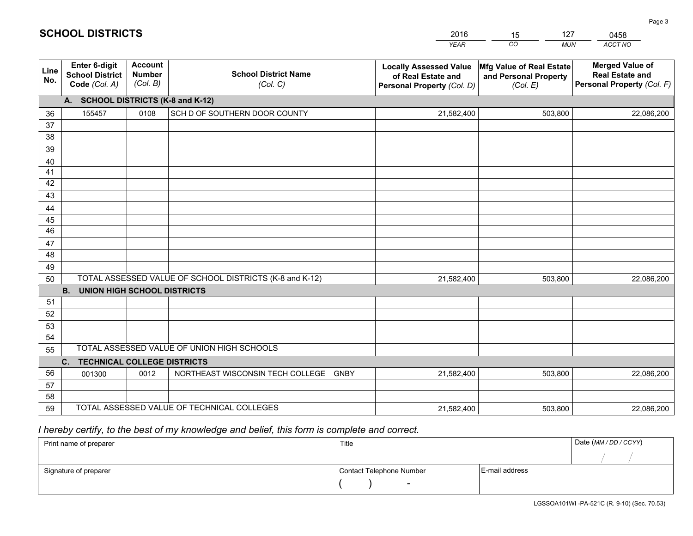|             |                                                                 |                                             |                                                         | <b>YEAR</b>                                                                       | CO<br><b>MUN</b>                                              | ACCT NO                                                                        |  |  |  |  |
|-------------|-----------------------------------------------------------------|---------------------------------------------|---------------------------------------------------------|-----------------------------------------------------------------------------------|---------------------------------------------------------------|--------------------------------------------------------------------------------|--|--|--|--|
| Line<br>No. | <b>Enter 6-digit</b><br><b>School District</b><br>Code (Col. A) | <b>Account</b><br><b>Number</b><br>(Col. B) | <b>School District Name</b><br>(Col. C)                 | <b>Locally Assessed Value</b><br>of Real Estate and<br>Personal Property (Col. D) | Mfg Value of Real Estate<br>and Personal Property<br>(Col. E) | <b>Merged Value of</b><br><b>Real Estate and</b><br>Personal Property (Col. F) |  |  |  |  |
|             | A. SCHOOL DISTRICTS (K-8 and K-12)                              |                                             |                                                         |                                                                                   |                                                               |                                                                                |  |  |  |  |
| 36          | 155457                                                          | 0108                                        | SCH D OF SOUTHERN DOOR COUNTY                           | 21,582,400                                                                        | 503,800                                                       | 22,086,200                                                                     |  |  |  |  |
| 37          |                                                                 |                                             |                                                         |                                                                                   |                                                               |                                                                                |  |  |  |  |
| 38          |                                                                 |                                             |                                                         |                                                                                   |                                                               |                                                                                |  |  |  |  |
| 39          |                                                                 |                                             |                                                         |                                                                                   |                                                               |                                                                                |  |  |  |  |
| 40          |                                                                 |                                             |                                                         |                                                                                   |                                                               |                                                                                |  |  |  |  |
| 41<br>42    |                                                                 |                                             |                                                         |                                                                                   |                                                               |                                                                                |  |  |  |  |
| 43          |                                                                 |                                             |                                                         |                                                                                   |                                                               |                                                                                |  |  |  |  |
| 44          |                                                                 |                                             |                                                         |                                                                                   |                                                               |                                                                                |  |  |  |  |
| 45          |                                                                 |                                             |                                                         |                                                                                   |                                                               |                                                                                |  |  |  |  |
| 46          |                                                                 |                                             |                                                         |                                                                                   |                                                               |                                                                                |  |  |  |  |
| 47          |                                                                 |                                             |                                                         |                                                                                   |                                                               |                                                                                |  |  |  |  |
| 48          |                                                                 |                                             |                                                         |                                                                                   |                                                               |                                                                                |  |  |  |  |
| 49          |                                                                 |                                             |                                                         |                                                                                   |                                                               |                                                                                |  |  |  |  |
| 50          |                                                                 |                                             | TOTAL ASSESSED VALUE OF SCHOOL DISTRICTS (K-8 and K-12) | 21,582,400                                                                        | 503,800                                                       | 22,086,200                                                                     |  |  |  |  |
|             | <b>B.</b><br>UNION HIGH SCHOOL DISTRICTS                        |                                             |                                                         |                                                                                   |                                                               |                                                                                |  |  |  |  |
| 51          |                                                                 |                                             |                                                         |                                                                                   |                                                               |                                                                                |  |  |  |  |
| 52          |                                                                 |                                             |                                                         |                                                                                   |                                                               |                                                                                |  |  |  |  |
| 53          |                                                                 |                                             |                                                         |                                                                                   |                                                               |                                                                                |  |  |  |  |
| 54          |                                                                 |                                             |                                                         |                                                                                   |                                                               |                                                                                |  |  |  |  |
| 55          |                                                                 |                                             | TOTAL ASSESSED VALUE OF UNION HIGH SCHOOLS              |                                                                                   |                                                               |                                                                                |  |  |  |  |
|             | C.<br><b>TECHNICAL COLLEGE DISTRICTS</b>                        |                                             |                                                         |                                                                                   |                                                               |                                                                                |  |  |  |  |
| 56          | 001300                                                          | 0012                                        | NORTHEAST WISCONSIN TECH COLLEGE<br><b>GNBY</b>         | 21,582,400                                                                        | 503,800                                                       | 22,086,200                                                                     |  |  |  |  |
| 57<br>58    |                                                                 |                                             |                                                         |                                                                                   |                                                               |                                                                                |  |  |  |  |
| 59          |                                                                 |                                             | TOTAL ASSESSED VALUE OF TECHNICAL COLLEGES              | 21,582,400                                                                        | 503,800                                                       | 22,086,200                                                                     |  |  |  |  |
|             |                                                                 |                                             |                                                         |                                                                                   |                                                               |                                                                                |  |  |  |  |

15

127

 *I hereby certify, to the best of my knowledge and belief, this form is complete and correct.*

**SCHOOL DISTRICTS**

| Print name of preparer | Title                    |                | Date (MM / DD / CCYY) |
|------------------------|--------------------------|----------------|-----------------------|
|                        |                          |                |                       |
| Signature of preparer  | Contact Telephone Number | E-mail address |                       |
|                        | $\sim$                   |                |                       |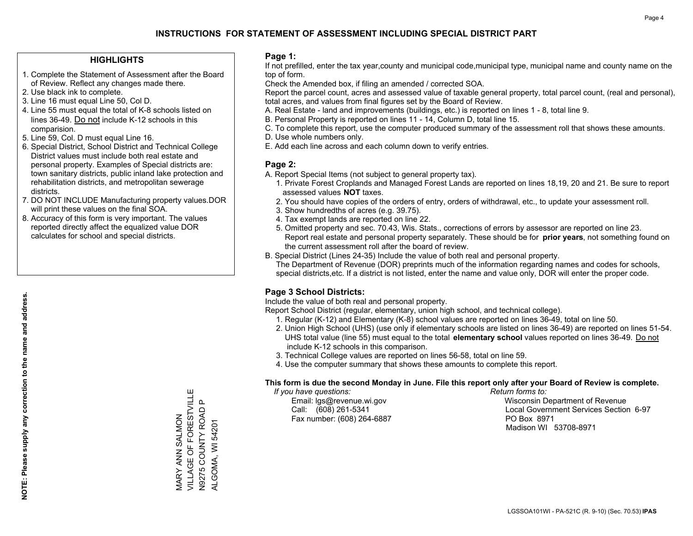### **HIGHLIGHTS**

- 1. Complete the Statement of Assessment after the Board of Review. Reflect any changes made there.
- 2. Use black ink to complete.
- 3. Line 16 must equal Line 50, Col D.
- 4. Line 55 must equal the total of K-8 schools listed on lines 36-49. Do not include K-12 schools in this comparision.
- 5. Line 59, Col. D must equal Line 16.
- 6. Special District, School District and Technical College District values must include both real estate and personal property. Examples of Special districts are: town sanitary districts, public inland lake protection and rehabilitation districts, and metropolitan sewerage districts.
- 7. DO NOT INCLUDE Manufacturing property values.DOR will print these values on the final SOA.
- 8. Accuracy of this form is very important. The values reported directly affect the equalized value DOR calculates for school and special districts.

#### **Page 1:**

 If not prefilled, enter the tax year,county and municipal code,municipal type, municipal name and county name on the top of form.

Check the Amended box, if filing an amended / corrected SOA.

 Report the parcel count, acres and assessed value of taxable general property, total parcel count, (real and personal), total acres, and values from final figures set by the Board of Review.

- A. Real Estate land and improvements (buildings, etc.) is reported on lines 1 8, total line 9.
- B. Personal Property is reported on lines 11 14, Column D, total line 15.
- C. To complete this report, use the computer produced summary of the assessment roll that shows these amounts.
- D. Use whole numbers only.
- E. Add each line across and each column down to verify entries.

### **Page 2:**

- A. Report Special Items (not subject to general property tax).
- 1. Private Forest Croplands and Managed Forest Lands are reported on lines 18,19, 20 and 21. Be sure to report assessed values **NOT** taxes.
- 2. You should have copies of the orders of entry, orders of withdrawal, etc., to update your assessment roll.
	- 3. Show hundredths of acres (e.g. 39.75).
- 4. Tax exempt lands are reported on line 22.
- 5. Omitted property and sec. 70.43, Wis. Stats., corrections of errors by assessor are reported on line 23. Report real estate and personal property separately. These should be for **prior years**, not something found on the current assessment roll after the board of review.
- B. Special District (Lines 24-35) Include the value of both real and personal property.
- The Department of Revenue (DOR) preprints much of the information regarding names and codes for schools, special districts,etc. If a district is not listed, enter the name and value only, DOR will enter the proper code.

## **Page 3 School Districts:**

Include the value of both real and personal property.

Report School District (regular, elementary, union high school, and technical college).

- 1. Regular (K-12) and Elementary (K-8) school values are reported on lines 36-49, total on line 50.
- 2. Union High School (UHS) (use only if elementary schools are listed on lines 36-49) are reported on lines 51-54. UHS total value (line 55) must equal to the total **elementary school** values reported on lines 36-49. Do notinclude K-12 schools in this comparison.
- 3. Technical College values are reported on lines 56-58, total on line 59.
- 4. Use the computer summary that shows these amounts to complete this report.

#### **This form is due the second Monday in June. File this report only after your Board of Review is complete.**

 *If you have questions: Return forms to:*

Fax number: (608) 264-6887 PO Box 8971

 Email: lgs@revenue.wi.gov Wisconsin Department of Revenue Call: (608) 261-5341 Local Government Services Section 6-97Madison WI 53708-8971

VILLAGE OF FORESTVILLE MARY ANN SALMON<br>VILLAGE OF FORESTVILLE  $\Omega$ N9275 COUNTY ROAD P N9275 COUNTY ROAD MARY ANN SALMON **ALGOMA, WI 54201** ALGOMA, WI 54201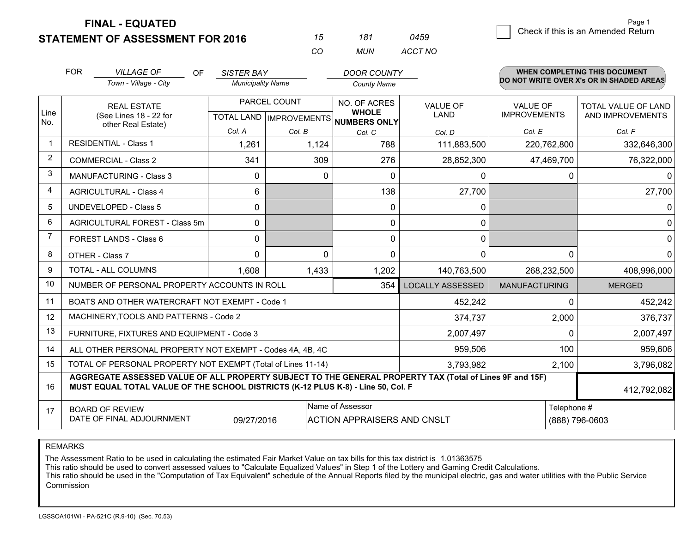**FINAL - EQUATED**

|                | <b>FOR</b>                                   | <b>VILLAGE OF</b><br><b>OF</b>                                                   | <b>SISTER BAY</b> |                                                          | <b>DOOR COUNTY</b>                 |                                                                                                          |                      | <b>WHEN COMPLETING THIS DOCUMENT</b><br>DO NOT WRITE OVER X's OR IN SHADED AREAS |  |
|----------------|----------------------------------------------|----------------------------------------------------------------------------------|-------------------|----------------------------------------------------------|------------------------------------|----------------------------------------------------------------------------------------------------------|----------------------|----------------------------------------------------------------------------------|--|
|                |                                              | Town - Village - City                                                            |                   | <b>Municipality Name</b>                                 |                                    | <b>County Name</b>                                                                                       |                      |                                                                                  |  |
|                |                                              | <b>REAL ESTATE</b>                                                               |                   | PARCEL COUNT<br>TOTAL LAND   IMPROVEMENTS   NUMBERS ONLY |                                    | <b>VALUE OF</b>                                                                                          | <b>VALUE OF</b>      | <b>TOTAL VALUE OF LAND</b>                                                       |  |
| Line<br>No.    | (See Lines 18 - 22 for<br>other Real Estate) |                                                                                  |                   |                                                          |                                    | <b>LAND</b>                                                                                              | <b>IMPROVEMENTS</b>  | AND IMPROVEMENTS                                                                 |  |
|                |                                              |                                                                                  | Col. A            | Col. B                                                   | Col. C                             | Col. D                                                                                                   | Col. E               | Col. F                                                                           |  |
| 1              | <b>RESIDENTIAL - Class 1</b>                 |                                                                                  | 1,261             | 1,124                                                    | 788                                | 111,883,500                                                                                              | 220,762,800          | 332,646,300                                                                      |  |
| 2              | <b>COMMERCIAL - Class 2</b>                  |                                                                                  | 341               |                                                          | 309<br>276                         | 28,852,300                                                                                               | 47,469,700           | 76,322,000                                                                       |  |
| 3              |                                              | <b>MANUFACTURING - Class 3</b>                                                   | 0                 |                                                          | $\Omega$<br>$\Omega$               | $\mathbf 0$                                                                                              |                      | 0<br>0                                                                           |  |
| 4              | <b>AGRICULTURAL - Class 4</b>                |                                                                                  | 6                 |                                                          | 138                                | 27,700                                                                                                   |                      | 27,700                                                                           |  |
| 5              | <b>UNDEVELOPED - Class 5</b>                 |                                                                                  | $\Omega$          |                                                          | $\Omega$                           | 0                                                                                                        |                      | 0                                                                                |  |
| 6              | AGRICULTURAL FOREST - Class 5m               |                                                                                  | 0                 |                                                          | 0                                  | 0                                                                                                        |                      | $\Omega$                                                                         |  |
| $\overline{7}$ | FOREST LANDS - Class 6                       |                                                                                  | 0                 |                                                          | $\Omega$                           | $\mathbf{0}$                                                                                             |                      | 0                                                                                |  |
| 8              | OTHER - Class 7                              |                                                                                  | $\Omega$          |                                                          | $\Omega$<br>$\Omega$               | 0                                                                                                        |                      | $\Omega$<br>$\Omega$                                                             |  |
| 9              | <b>TOTAL - ALL COLUMNS</b>                   |                                                                                  | 1.608             | 1,433                                                    | 1,202                              | 140,763,500                                                                                              | 268,232,500          | 408,996,000                                                                      |  |
| 10             |                                              | NUMBER OF PERSONAL PROPERTY ACCOUNTS IN ROLL                                     |                   |                                                          | 354                                | <b>LOCALLY ASSESSED</b>                                                                                  | <b>MANUFACTURING</b> | <b>MERGED</b>                                                                    |  |
| 11             |                                              | BOATS AND OTHER WATERCRAFT NOT EXEMPT - Code 1                                   |                   |                                                          |                                    | 452,242                                                                                                  |                      | 452,242<br>0                                                                     |  |
| 12             |                                              | MACHINERY, TOOLS AND PATTERNS - Code 2                                           |                   |                                                          |                                    | 374,737                                                                                                  | 2,000                | 376,737                                                                          |  |
| 13             |                                              | FURNITURE, FIXTURES AND EQUIPMENT - Code 3                                       |                   |                                                          |                                    | 2,007,497                                                                                                |                      | 2,007,497<br>0                                                                   |  |
| 14             |                                              | ALL OTHER PERSONAL PROPERTY NOT EXEMPT - Codes 4A, 4B, 4C                        |                   |                                                          |                                    | 959,506                                                                                                  | 100                  | 959,606                                                                          |  |
| 15             |                                              | TOTAL OF PERSONAL PROPERTY NOT EXEMPT (Total of Lines 11-14)                     |                   |                                                          |                                    | 3,793,982                                                                                                | 2,100                | 3,796,082                                                                        |  |
| 16             |                                              | MUST EQUAL TOTAL VALUE OF THE SCHOOL DISTRICTS (K-12 PLUS K-8) - Line 50, Col. F |                   |                                                          |                                    | AGGREGATE ASSESSED VALUE OF ALL PROPERTY SUBJECT TO THE GENERAL PROPERTY TAX (Total of Lines 9F and 15F) |                      | 412,792,082                                                                      |  |
| 17             | <b>BOARD OF REVIEW</b>                       |                                                                                  |                   |                                                          | Name of Assessor                   |                                                                                                          |                      | Telephone #                                                                      |  |
|                |                                              | DATE OF FINAL ADJOURNMENT                                                        | 09/27/2016        |                                                          | <b>ACTION APPRAISERS AND CNSLT</b> |                                                                                                          |                      | (888) 796-0603                                                                   |  |

*CO*

*MUN*

*ACCT NO0459*

*<sup>15</sup> <sup>181</sup>*

REMARKS

The Assessment Ratio to be used in calculating the estimated Fair Market Value on tax bills for this tax district is 1.01363575<br>This ratio should be used to convert assessed values to "Calculate Equalized Values" in Step 1 Commission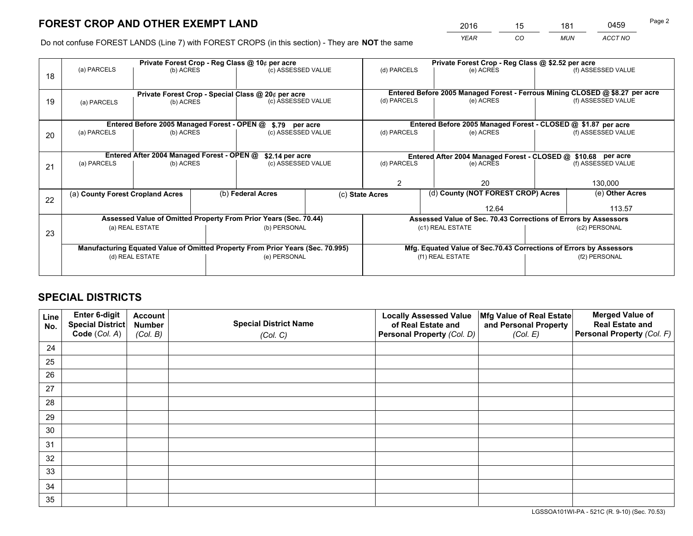*YEAR CO MUN ACCT NO* <sup>2016</sup> <sup>15</sup> <sup>181</sup> <sup>0459</sup>

Do not confuse FOREST LANDS (Line 7) with FOREST CROPS (in this section) - They are **NOT** the same

|    |                                                                                |                                                    |  | Private Forest Crop - Reg Class @ 10¢ per acre                   |                                                                              | Private Forest Crop - Reg Class @ \$2.52 per acre |                                                                    |                                    |                    |  |
|----|--------------------------------------------------------------------------------|----------------------------------------------------|--|------------------------------------------------------------------|------------------------------------------------------------------------------|---------------------------------------------------|--------------------------------------------------------------------|------------------------------------|--------------------|--|
| 18 | (a) PARCELS                                                                    | (b) ACRES                                          |  | (c) ASSESSED VALUE                                               |                                                                              | (d) PARCELS                                       | (e) ACRES                                                          |                                    | (f) ASSESSED VALUE |  |
|    |                                                                                | Private Forest Crop - Special Class @ 20¢ per acre |  |                                                                  | Entered Before 2005 Managed Forest - Ferrous Mining CLOSED @ \$8.27 per acre |                                                   |                                                                    |                                    |                    |  |
| 19 | (a) PARCELS                                                                    | (b) ACRES                                          |  | (c) ASSESSED VALUE                                               |                                                                              | (d) PARCELS                                       | (e) ACRES                                                          |                                    | (f) ASSESSED VALUE |  |
|    |                                                                                |                                                    |  |                                                                  |                                                                              |                                                   |                                                                    |                                    |                    |  |
|    |                                                                                | Entered Before 2005 Managed Forest - OPEN @        |  | \$.79 per acre                                                   |                                                                              |                                                   | Entered Before 2005 Managed Forest - CLOSED @ \$1.87 per acre      |                                    |                    |  |
| 20 | (a) PARCELS                                                                    | (b) ACRES                                          |  | (c) ASSESSED VALUE                                               |                                                                              | (d) PARCELS                                       | (e) ACRES                                                          |                                    | (f) ASSESSED VALUE |  |
|    | Entered After 2004 Managed Forest - OPEN @<br>\$2.14 per acre                  |                                                    |  |                                                                  |                                                                              |                                                   | Entered After 2004 Managed Forest - CLOSED @ \$10.68 per acre      |                                    |                    |  |
| 21 | (a) PARCELS                                                                    | (b) ACRES                                          |  | (c) ASSESSED VALUE                                               |                                                                              | (d) PARCELS<br>(e) ACRES                          |                                                                    |                                    | (f) ASSESSED VALUE |  |
|    |                                                                                |                                                    |  |                                                                  |                                                                              |                                                   |                                                                    |                                    |                    |  |
|    |                                                                                |                                                    |  |                                                                  |                                                                              | $\mathfrak{D}$                                    | 20                                                                 |                                    | 130,000            |  |
|    | (a) County Forest Cropland Acres                                               |                                                    |  | (b) Federal Acres                                                | (c) State Acres                                                              |                                                   |                                                                    | (d) County (NOT FOREST CROP) Acres |                    |  |
| 22 |                                                                                |                                                    |  |                                                                  |                                                                              |                                                   | 12.64                                                              |                                    | 113.57             |  |
|    |                                                                                |                                                    |  | Assessed Value of Omitted Property From Prior Years (Sec. 70.44) |                                                                              |                                                   | Assessed Value of Sec. 70.43 Corrections of Errors by Assessors    |                                    |                    |  |
|    |                                                                                | (a) REAL ESTATE                                    |  | (b) PERSONAL                                                     |                                                                              |                                                   | (c1) REAL ESTATE                                                   |                                    | (c2) PERSONAL      |  |
| 23 |                                                                                |                                                    |  |                                                                  |                                                                              |                                                   |                                                                    |                                    |                    |  |
|    | Manufacturing Equated Value of Omitted Property From Prior Years (Sec. 70.995) |                                                    |  |                                                                  |                                                                              |                                                   | Mfg. Equated Value of Sec.70.43 Corrections of Errors by Assessors |                                    |                    |  |
|    |                                                                                | (d) REAL ESTATE                                    |  | (e) PERSONAL                                                     |                                                                              | (f1) REAL ESTATE                                  |                                                                    | (f2) PERSONAL                      |                    |  |
|    |                                                                                |                                                    |  |                                                                  |                                                                              |                                                   |                                                                    |                                    |                    |  |

## **SPECIAL DISTRICTS**

| Line<br>No. | Enter 6-digit<br>Special District<br>Code (Col. A) | <b>Account</b><br><b>Number</b> | <b>Special District Name</b> | <b>Locally Assessed Value</b><br>of Real Estate and | Mfg Value of Real Estate<br>and Personal Property | <b>Merged Value of</b><br><b>Real Estate and</b><br>Personal Property (Col. F) |
|-------------|----------------------------------------------------|---------------------------------|------------------------------|-----------------------------------------------------|---------------------------------------------------|--------------------------------------------------------------------------------|
|             |                                                    | (Col. B)                        | (Col. C)                     | Personal Property (Col. D)                          | (Col. E)                                          |                                                                                |
| 24          |                                                    |                                 |                              |                                                     |                                                   |                                                                                |
| 25          |                                                    |                                 |                              |                                                     |                                                   |                                                                                |
| 26          |                                                    |                                 |                              |                                                     |                                                   |                                                                                |
| 27          |                                                    |                                 |                              |                                                     |                                                   |                                                                                |
| 28          |                                                    |                                 |                              |                                                     |                                                   |                                                                                |
| 29          |                                                    |                                 |                              |                                                     |                                                   |                                                                                |
| 30          |                                                    |                                 |                              |                                                     |                                                   |                                                                                |
| 31          |                                                    |                                 |                              |                                                     |                                                   |                                                                                |
| 32          |                                                    |                                 |                              |                                                     |                                                   |                                                                                |
| 33          |                                                    |                                 |                              |                                                     |                                                   |                                                                                |
| 34          |                                                    |                                 |                              |                                                     |                                                   |                                                                                |
| 35          |                                                    |                                 |                              |                                                     |                                                   |                                                                                |

LGSSOA101WI-PA - 521C (R. 9-10) (Sec. 70.53)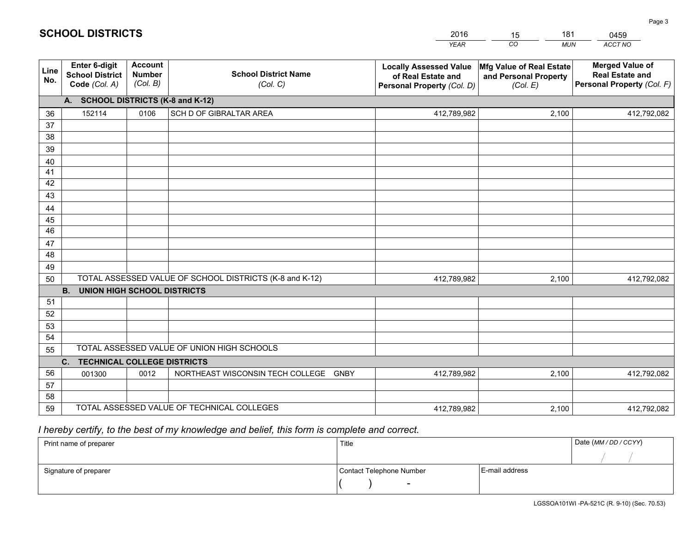|             |                                                                 |                                             |                                                         | <b>YEAR</b>                                                                       | CO<br><b>MUN</b>                                              | ACCT NO                                                                        |  |  |  |  |
|-------------|-----------------------------------------------------------------|---------------------------------------------|---------------------------------------------------------|-----------------------------------------------------------------------------------|---------------------------------------------------------------|--------------------------------------------------------------------------------|--|--|--|--|
| Line<br>No. | <b>Enter 6-digit</b><br><b>School District</b><br>Code (Col. A) | <b>Account</b><br><b>Number</b><br>(Col. B) | <b>School District Name</b><br>(Col. C)                 | <b>Locally Assessed Value</b><br>of Real Estate and<br>Personal Property (Col. D) | Mfg Value of Real Estate<br>and Personal Property<br>(Col. E) | <b>Merged Value of</b><br><b>Real Estate and</b><br>Personal Property (Col. F) |  |  |  |  |
|             | A. SCHOOL DISTRICTS (K-8 and K-12)                              |                                             |                                                         |                                                                                   |                                                               |                                                                                |  |  |  |  |
| 36          | 152114                                                          | 0106                                        | SCH D OF GIBRALTAR AREA                                 | 412,789,982                                                                       | 2,100                                                         | 412,792,082                                                                    |  |  |  |  |
| 37          |                                                                 |                                             |                                                         |                                                                                   |                                                               |                                                                                |  |  |  |  |
| 38          |                                                                 |                                             |                                                         |                                                                                   |                                                               |                                                                                |  |  |  |  |
| 39          |                                                                 |                                             |                                                         |                                                                                   |                                                               |                                                                                |  |  |  |  |
| 40          |                                                                 |                                             |                                                         |                                                                                   |                                                               |                                                                                |  |  |  |  |
| 41<br>42    |                                                                 |                                             |                                                         |                                                                                   |                                                               |                                                                                |  |  |  |  |
| 43          |                                                                 |                                             |                                                         |                                                                                   |                                                               |                                                                                |  |  |  |  |
|             |                                                                 |                                             |                                                         |                                                                                   |                                                               |                                                                                |  |  |  |  |
| 44<br>45    |                                                                 |                                             |                                                         |                                                                                   |                                                               |                                                                                |  |  |  |  |
| 46          |                                                                 |                                             |                                                         |                                                                                   |                                                               |                                                                                |  |  |  |  |
| 47          |                                                                 |                                             |                                                         |                                                                                   |                                                               |                                                                                |  |  |  |  |
| 48          |                                                                 |                                             |                                                         |                                                                                   |                                                               |                                                                                |  |  |  |  |
| 49          |                                                                 |                                             |                                                         |                                                                                   |                                                               |                                                                                |  |  |  |  |
| 50          |                                                                 |                                             | TOTAL ASSESSED VALUE OF SCHOOL DISTRICTS (K-8 and K-12) | 412,789,982                                                                       | 2,100                                                         | 412,792,082                                                                    |  |  |  |  |
|             | <b>B. UNION HIGH SCHOOL DISTRICTS</b>                           |                                             |                                                         |                                                                                   |                                                               |                                                                                |  |  |  |  |
| 51          |                                                                 |                                             |                                                         |                                                                                   |                                                               |                                                                                |  |  |  |  |
| 52          |                                                                 |                                             |                                                         |                                                                                   |                                                               |                                                                                |  |  |  |  |
| 53          |                                                                 |                                             |                                                         |                                                                                   |                                                               |                                                                                |  |  |  |  |
| 54          |                                                                 |                                             |                                                         |                                                                                   |                                                               |                                                                                |  |  |  |  |
| 55          |                                                                 |                                             | TOTAL ASSESSED VALUE OF UNION HIGH SCHOOLS              |                                                                                   |                                                               |                                                                                |  |  |  |  |
|             | C.<br><b>TECHNICAL COLLEGE DISTRICTS</b>                        |                                             |                                                         |                                                                                   |                                                               |                                                                                |  |  |  |  |
| 56          | 001300                                                          | 0012                                        | NORTHEAST WISCONSIN TECH COLLEGE<br><b>GNBY</b>         | 412,789,982                                                                       | 2,100                                                         | 412,792,082                                                                    |  |  |  |  |
| 57          |                                                                 |                                             |                                                         |                                                                                   |                                                               |                                                                                |  |  |  |  |
| 58<br>59    |                                                                 |                                             | TOTAL ASSESSED VALUE OF TECHNICAL COLLEGES              |                                                                                   |                                                               |                                                                                |  |  |  |  |
|             |                                                                 |                                             |                                                         | 412,789,982                                                                       | 2,100                                                         | 412,792,082                                                                    |  |  |  |  |

15

181

 *I hereby certify, to the best of my knowledge and belief, this form is complete and correct.*

**SCHOOL DISTRICTS**

| Print name of preparer | Title                    |                | Date (MM/DD/CCYY) |
|------------------------|--------------------------|----------------|-------------------|
|                        |                          |                |                   |
| Signature of preparer  | Contact Telephone Number | E-mail address |                   |
|                        | $\overline{\phantom{a}}$ |                |                   |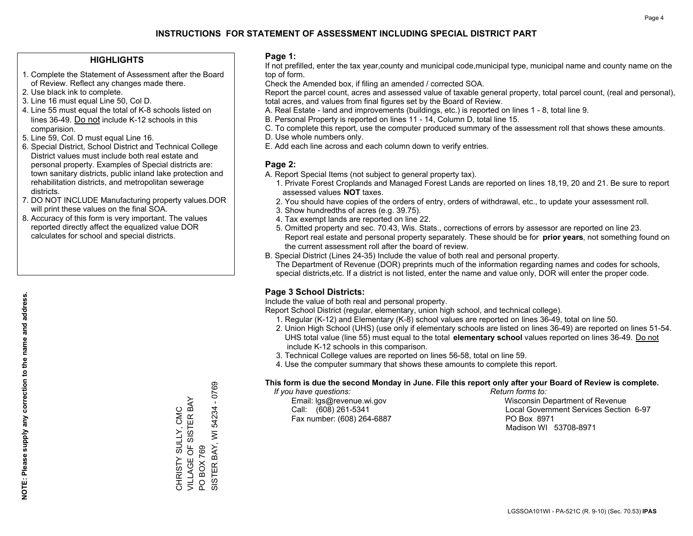### **HIGHLIGHTS**

- 1. Complete the Statement of Assessment after the Board of Review. Reflect any changes made there.
- 2. Use black ink to complete.
- 3. Line 16 must equal Line 50, Col D.
- 4. Line 55 must equal the total of K-8 schools listed on lines 36-49. Do not include K-12 schools in this comparision.
- 5. Line 59, Col. D must equal Line 16.
- 6. Special District, School District and Technical College District values must include both real estate and personal property. Examples of Special districts are: town sanitary districts, public inland lake protection and rehabilitation districts, and metropolitan sewerage districts.
- 7. DO NOT INCLUDE Manufacturing property values.DOR will print these values on the final SOA.

CHRISTY SULLY, CMC VILLAGE OF SISTER BAY

CHRISTY SULLY, CMC<br>VILLAGE OF SISTER BAY

PO BOX 769

 $\overline{S}$ 

BOX 769

SISTER BAY, WI 54234 - 0769

SISTER BAY, WI 54234

0769

 $\mathbf{I}$ 

 8. Accuracy of this form is very important. The values reported directly affect the equalized value DOR calculates for school and special districts.

### **Page 1:**

 If not prefilled, enter the tax year,county and municipal code,municipal type, municipal name and county name on the top of form.

Check the Amended box, if filing an amended / corrected SOA.

 Report the parcel count, acres and assessed value of taxable general property, total parcel count, (real and personal), total acres, and values from final figures set by the Board of Review.

- A. Real Estate land and improvements (buildings, etc.) is reported on lines 1 8, total line 9.
- B. Personal Property is reported on lines 11 14, Column D, total line 15.
- C. To complete this report, use the computer produced summary of the assessment roll that shows these amounts.
- D. Use whole numbers only.
- E. Add each line across and each column down to verify entries.

### **Page 2:**

- A. Report Special Items (not subject to general property tax).
- 1. Private Forest Croplands and Managed Forest Lands are reported on lines 18,19, 20 and 21. Be sure to report assessed values **NOT** taxes.
- 2. You should have copies of the orders of entry, orders of withdrawal, etc., to update your assessment roll.
	- 3. Show hundredths of acres (e.g. 39.75).
- 4. Tax exempt lands are reported on line 22.
- 5. Omitted property and sec. 70.43, Wis. Stats., corrections of errors by assessor are reported on line 23. Report real estate and personal property separately. These should be for **prior years**, not something found on the current assessment roll after the board of review.
- B. Special District (Lines 24-35) Include the value of both real and personal property.
- The Department of Revenue (DOR) preprints much of the information regarding names and codes for schools, special districts,etc. If a district is not listed, enter the name and value only, DOR will enter the proper code.

## **Page 3 School Districts:**

Include the value of both real and personal property.

Report School District (regular, elementary, union high school, and technical college).

- 1. Regular (K-12) and Elementary (K-8) school values are reported on lines 36-49, total on line 50.
- 2. Union High School (UHS) (use only if elementary schools are listed on lines 36-49) are reported on lines 51-54. UHS total value (line 55) must equal to the total **elementary school** values reported on lines 36-49. Do notinclude K-12 schools in this comparison.
- 3. Technical College values are reported on lines 56-58, total on line 59.
- 4. Use the computer summary that shows these amounts to complete this report.

#### **This form is due the second Monday in June. File this report only after your Board of Review is complete.**

 *If you have questions: Return forms to:*

Fax number: (608) 264-6887 PO Box 8971

 Email: lgs@revenue.wi.gov Wisconsin Department of Revenue Call: (608) 261-5341 Local Government Services Section 6-97Madison WI 53708-8971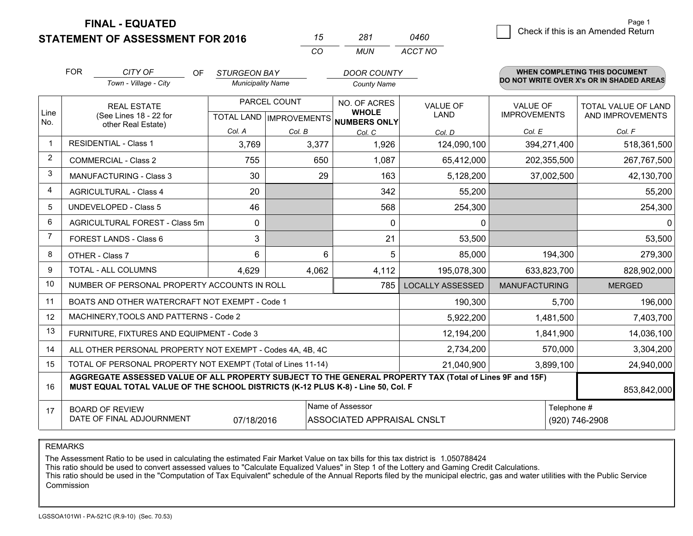**STATEMENT OF ASSESSMENT FOR 2016** 

**FINAL - EQUATED**

|                |                                                                                                                                                                                                             |                          | CO                      | <b>MUN</b>                                           | ACCT NO                    |                     |                                          |
|----------------|-------------------------------------------------------------------------------------------------------------------------------------------------------------------------------------------------------------|--------------------------|-------------------------|------------------------------------------------------|----------------------------|---------------------|------------------------------------------|
|                | <b>FOR</b><br>CITY OF<br><b>OF</b>                                                                                                                                                                          | <b>STURGEON BAY</b>      |                         | <b>DOOR COUNTY</b>                                   |                            |                     | <b>WHEN COMPLETING THIS DOCUMENT</b>     |
|                | Town - Village - City                                                                                                                                                                                       | <b>Municipality Name</b> |                         | <b>County Name</b>                                   |                            |                     | DO NOT WRITE OVER X's OR IN SHADED AREAS |
|                | <b>REAL ESTATE</b>                                                                                                                                                                                          | PARCEL COUNT             |                         | NO. OF ACRES                                         | <b>VALUE OF</b>            | <b>VALUE OF</b>     | TOTAL VALUE OF LAND                      |
| Line<br>No.    | (See Lines 18 - 22 for                                                                                                                                                                                      |                          |                         | <b>WHOLE</b><br>TOTAL LAND IMPROVEMENTS NUMBERS ONLY | LAND                       | <b>IMPROVEMENTS</b> | AND IMPROVEMENTS                         |
|                | other Real Estate)                                                                                                                                                                                          | Col. A                   | Col. B                  | Col. C                                               | Col. D                     | Col. E              | Col. F                                   |
| $\mathbf 1$    | <b>RESIDENTIAL - Class 1</b>                                                                                                                                                                                | 3,769                    | 3,377                   | 1,926                                                | 124,090,100                | 394,271,400         | 518,361,500                              |
| $\overline{2}$ | <b>COMMERCIAL - Class 2</b>                                                                                                                                                                                 | 755                      | 650                     | 1,087                                                | 65,412,000                 | 202,355,500         | 267,767,500                              |
| 3              | <b>MANUFACTURING - Class 3</b>                                                                                                                                                                              | 30                       | 29                      | 163                                                  | 5,128,200                  | 37,002,500          | 42,130,700                               |
| 4              | <b>AGRICULTURAL - Class 4</b>                                                                                                                                                                               | 20                       |                         | 342                                                  | 55,200                     |                     | 55,200                                   |
| 5              | <b>UNDEVELOPED - Class 5</b>                                                                                                                                                                                | 46                       |                         | 568                                                  | 254,300                    |                     | 254,300                                  |
| 6              | AGRICULTURAL FOREST - Class 5m                                                                                                                                                                              | $\mathbf 0$              |                         | 0                                                    | 0                          |                     | 0                                        |
| $\overline{7}$ | FOREST LANDS - Class 6                                                                                                                                                                                      | 3                        |                         | 21                                                   | 53,500                     |                     | 53,500                                   |
| 8              | OTHER - Class 7                                                                                                                                                                                             | 6                        | 6                       | 5                                                    | 85,000                     | 194,300             | 279,300                                  |
| 9              | TOTAL - ALL COLUMNS                                                                                                                                                                                         | 4,629                    | 4,062                   | 4,112                                                | 195,078,300                | 633,823,700         | 828,902,000                              |
| 10             | NUMBER OF PERSONAL PROPERTY ACCOUNTS IN ROLL                                                                                                                                                                |                          | <b>LOCALLY ASSESSED</b> | <b>MANUFACTURING</b>                                 | <b>MERGED</b>              |                     |                                          |
| 11             | BOATS AND OTHER WATERCRAFT NOT EXEMPT - Code 1                                                                                                                                                              |                          | 190,300                 | 5,700                                                | 196,000                    |                     |                                          |
| 12             | MACHINERY, TOOLS AND PATTERNS - Code 2                                                                                                                                                                      |                          | 5,922,200               | 1,481,500                                            | 7,403,700                  |                     |                                          |
| 13             | FURNITURE, FIXTURES AND EQUIPMENT - Code 3                                                                                                                                                                  |                          | 12,194,200              | 1,841,900                                            | 14,036,100                 |                     |                                          |
| 14             | ALL OTHER PERSONAL PROPERTY NOT EXEMPT - Codes 4A, 4B, 4C                                                                                                                                                   | 2,734,200                | 570,000                 | 3,304,200                                            |                            |                     |                                          |
| 15             | TOTAL OF PERSONAL PROPERTY NOT EXEMPT (Total of Lines 11-14)<br>21,040,900                                                                                                                                  |                          |                         |                                                      |                            |                     | 3,899,100<br>24,940,000                  |
| 16             | AGGREGATE ASSESSED VALUE OF ALL PROPERTY SUBJECT TO THE GENERAL PROPERTY TAX (Total of Lines 9F and 15F)<br>MUST EQUAL TOTAL VALUE OF THE SCHOOL DISTRICTS (K-12 PLUS K-8) - Line 50, Col. F<br>853,842,000 |                          |                         |                                                      |                            |                     |                                          |
| 17             | <b>BOARD OF REVIEW</b>                                                                                                                                                                                      |                          |                         | Name of Assessor                                     | ASSOCIATED APPRAISAL CNSLT |                     | Telephone #                              |
|                | DATE OF FINAL ADJOURNMENT                                                                                                                                                                                   | 07/18/2016               |                         |                                                      |                            |                     | (920) 746-2908                           |

*0460*

*<sup>15</sup> <sup>281</sup>*

REMARKS

The Assessment Ratio to be used in calculating the estimated Fair Market Value on tax bills for this tax district is 1.050788424<br>This ratio should be used to convert assessed values to "Calculate Equalized Values" in Step Commission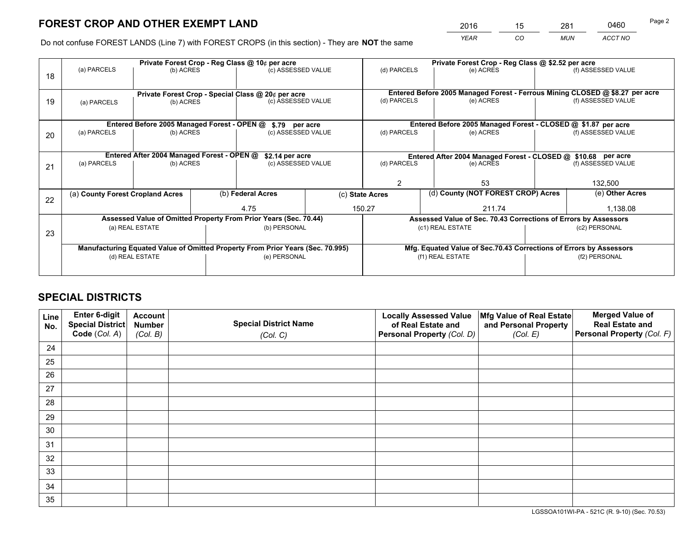# **FOREST CROP AND OTHER EXEMPT LAND**

 *YEAR CO MUN ACCT NO* <sup>2016</sup> <sup>15</sup> <sup>281</sup> <sup>0460</sup>

Do not confuse FOREST LANDS (Line 7) with FOREST CROPS (in this section) - They are **NOT** the same

|    | Private Forest Crop - Reg Class @ 10¢ per acre                                 |                                             |                    |                                      |                  | Private Forest Crop - Reg Class @ \$2.52 per acre                                                                 |                                    |                    |                    |  |
|----|--------------------------------------------------------------------------------|---------------------------------------------|--------------------|--------------------------------------|------------------|-------------------------------------------------------------------------------------------------------------------|------------------------------------|--------------------|--------------------|--|
| 18 | (a) PARCELS                                                                    | (b) ACRES                                   |                    | (c) ASSESSED VALUE                   |                  | (d) PARCELS                                                                                                       | (e) ACRES                          |                    | (f) ASSESSED VALUE |  |
|    |                                                                                |                                             |                    |                                      |                  |                                                                                                                   |                                    |                    |                    |  |
|    | Private Forest Crop - Special Class @ 20¢ per acre                             |                                             |                    |                                      |                  | Entered Before 2005 Managed Forest - Ferrous Mining CLOSED @ \$8.27 per acre<br>(d) PARCELS<br>(f) ASSESSED VALUE |                                    |                    |                    |  |
| 19 | (b) ACRES<br>(a) PARCELS                                                       |                                             | (c) ASSESSED VALUE |                                      |                  | (e) ACRES                                                                                                         |                                    |                    |                    |  |
|    |                                                                                |                                             |                    |                                      |                  |                                                                                                                   |                                    |                    |                    |  |
|    |                                                                                | Entered Before 2005 Managed Forest - OPEN @ |                    | \$.79 per acre                       |                  | Entered Before 2005 Managed Forest - CLOSED @ \$1.87 per acre                                                     |                                    |                    |                    |  |
| 20 | (a) PARCELS<br>(b) ACRES                                                       |                                             |                    | (c) ASSESSED VALUE                   |                  | (d) PARCELS                                                                                                       | (e) ACRES                          |                    | (f) ASSESSED VALUE |  |
|    |                                                                                |                                             |                    |                                      |                  |                                                                                                                   |                                    |                    |                    |  |
|    | Entered After 2004 Managed Forest - OPEN @<br>\$2.14 per acre                  |                                             |                    |                                      |                  | Entered After 2004 Managed Forest - CLOSED @ \$10.68 per acre                                                     |                                    |                    |                    |  |
| 21 | (a) PARCELS                                                                    | (b) ACRES                                   |                    | (c) ASSESSED VALUE                   |                  | (d) PARCELS<br>(e) ACRES                                                                                          |                                    | (f) ASSESSED VALUE |                    |  |
|    |                                                                                |                                             |                    |                                      |                  |                                                                                                                   |                                    |                    |                    |  |
|    |                                                                                |                                             |                    |                                      |                  | 2<br>53                                                                                                           |                                    | 132,500            |                    |  |
|    | (a) County Forest Cropland Acres                                               |                                             |                    | (b) Federal Acres<br>(c) State Acres |                  |                                                                                                                   | (d) County (NOT FOREST CROP) Acres |                    | (e) Other Acres    |  |
| 22 |                                                                                |                                             |                    |                                      |                  |                                                                                                                   |                                    |                    |                    |  |
|    |                                                                                |                                             | 4.75               |                                      | 150.27<br>211.74 |                                                                                                                   |                                    | 1,138.08           |                    |  |
|    | Assessed Value of Omitted Property From Prior Years (Sec. 70.44)               |                                             |                    |                                      |                  | Assessed Value of Sec. 70.43 Corrections of Errors by Assessors                                                   |                                    |                    |                    |  |
|    | (a) REAL ESTATE<br>(b) PERSONAL                                                |                                             |                    |                                      |                  | (c1) REAL ESTATE<br>(c2) PERSONAL                                                                                 |                                    |                    |                    |  |
| 23 |                                                                                |                                             |                    |                                      |                  |                                                                                                                   |                                    |                    |                    |  |
|    | Manufacturing Equated Value of Omitted Property From Prior Years (Sec. 70.995) |                                             |                    |                                      |                  | Mfg. Equated Value of Sec.70.43 Corrections of Errors by Assessors                                                |                                    |                    |                    |  |
|    | (d) REAL ESTATE                                                                |                                             |                    | (e) PERSONAL                         |                  | (f1) REAL ESTATE                                                                                                  |                                    | (f2) PERSONAL      |                    |  |
|    |                                                                                |                                             |                    |                                      |                  |                                                                                                                   |                                    |                    |                    |  |
|    |                                                                                |                                             |                    |                                      |                  |                                                                                                                   |                                    |                    |                    |  |

## **SPECIAL DISTRICTS**

| Line<br>No. | Enter 6-digit<br><b>Special District</b> | <b>Account</b><br><b>Number</b> | <b>Special District Name</b> | <b>Locally Assessed Value</b><br>of Real Estate and | Mfg Value of Real Estate<br>and Personal Property | <b>Merged Value of</b><br><b>Real Estate and</b> |
|-------------|------------------------------------------|---------------------------------|------------------------------|-----------------------------------------------------|---------------------------------------------------|--------------------------------------------------|
|             | Code (Col. A)                            | (Col. B)                        | (Col. C)                     | Personal Property (Col. D)                          | (Col. E)                                          | Personal Property (Col. F)                       |
| 24          |                                          |                                 |                              |                                                     |                                                   |                                                  |
| 25          |                                          |                                 |                              |                                                     |                                                   |                                                  |
| 26          |                                          |                                 |                              |                                                     |                                                   |                                                  |
| 27          |                                          |                                 |                              |                                                     |                                                   |                                                  |
| 28          |                                          |                                 |                              |                                                     |                                                   |                                                  |
| 29          |                                          |                                 |                              |                                                     |                                                   |                                                  |
| 30          |                                          |                                 |                              |                                                     |                                                   |                                                  |
| 31          |                                          |                                 |                              |                                                     |                                                   |                                                  |
| 32          |                                          |                                 |                              |                                                     |                                                   |                                                  |
| 33          |                                          |                                 |                              |                                                     |                                                   |                                                  |
| 34          |                                          |                                 |                              |                                                     |                                                   |                                                  |
| 35          |                                          |                                 |                              |                                                     |                                                   |                                                  |

LGSSOA101WI-PA - 521C (R. 9-10) (Sec. 70.53)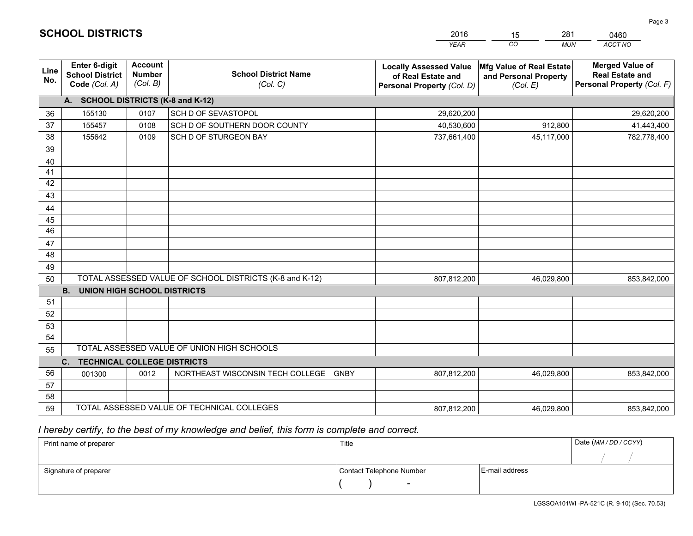|             |                                                                                                     |                                             |                                                 | <b>YEAR</b>                                                                       | CO<br><b>MUN</b>                                              | ACCT NO                                                                        |  |  |  |
|-------------|-----------------------------------------------------------------------------------------------------|---------------------------------------------|-------------------------------------------------|-----------------------------------------------------------------------------------|---------------------------------------------------------------|--------------------------------------------------------------------------------|--|--|--|
| Line<br>No. | Enter 6-digit<br><b>School District</b><br>Code (Col. A)                                            | <b>Account</b><br><b>Number</b><br>(Col. B) | <b>School District Name</b><br>(Col. C)         | <b>Locally Assessed Value</b><br>of Real Estate and<br>Personal Property (Col. D) | Mfg Value of Real Estate<br>and Personal Property<br>(Col. E) | <b>Merged Value of</b><br><b>Real Estate and</b><br>Personal Property (Col. F) |  |  |  |
|             | A. SCHOOL DISTRICTS (K-8 and K-12)                                                                  |                                             |                                                 |                                                                                   |                                                               |                                                                                |  |  |  |
| 36          | 155130                                                                                              | 0107                                        | SCH D OF SEVASTOPOL                             | 29,620,200                                                                        |                                                               | 29,620,200                                                                     |  |  |  |
| 37          | 155457                                                                                              | 0108                                        | SCH D OF SOUTHERN DOOR COUNTY                   | 40,530,600                                                                        | 912,800                                                       | 41,443,400                                                                     |  |  |  |
| 38          | 155642                                                                                              | 0109                                        | SCH D OF STURGEON BAY                           | 737,661,400                                                                       | 45,117,000                                                    | 782,778,400                                                                    |  |  |  |
| 39          |                                                                                                     |                                             |                                                 |                                                                                   |                                                               |                                                                                |  |  |  |
| 40          |                                                                                                     |                                             |                                                 |                                                                                   |                                                               |                                                                                |  |  |  |
| 41          |                                                                                                     |                                             |                                                 |                                                                                   |                                                               |                                                                                |  |  |  |
| 42          |                                                                                                     |                                             |                                                 |                                                                                   |                                                               |                                                                                |  |  |  |
| 43          |                                                                                                     |                                             |                                                 |                                                                                   |                                                               |                                                                                |  |  |  |
| 44          |                                                                                                     |                                             |                                                 |                                                                                   |                                                               |                                                                                |  |  |  |
| 45          |                                                                                                     |                                             |                                                 |                                                                                   |                                                               |                                                                                |  |  |  |
| 46          |                                                                                                     |                                             |                                                 |                                                                                   |                                                               |                                                                                |  |  |  |
| 47          |                                                                                                     |                                             |                                                 |                                                                                   |                                                               |                                                                                |  |  |  |
| 48          |                                                                                                     |                                             |                                                 |                                                                                   |                                                               |                                                                                |  |  |  |
| 49          |                                                                                                     |                                             |                                                 |                                                                                   |                                                               |                                                                                |  |  |  |
| 50          | TOTAL ASSESSED VALUE OF SCHOOL DISTRICTS (K-8 and K-12)<br>807,812,200<br>46,029,800<br>853,842,000 |                                             |                                                 |                                                                                   |                                                               |                                                                                |  |  |  |
|             | <b>B.</b><br><b>UNION HIGH SCHOOL DISTRICTS</b>                                                     |                                             |                                                 |                                                                                   |                                                               |                                                                                |  |  |  |
| 51          |                                                                                                     |                                             |                                                 |                                                                                   |                                                               |                                                                                |  |  |  |
| 52          |                                                                                                     |                                             |                                                 |                                                                                   |                                                               |                                                                                |  |  |  |
| 53<br>54    |                                                                                                     |                                             |                                                 |                                                                                   |                                                               |                                                                                |  |  |  |
|             |                                                                                                     |                                             |                                                 |                                                                                   |                                                               |                                                                                |  |  |  |
|             | TOTAL ASSESSED VALUE OF UNION HIGH SCHOOLS<br>55<br><b>TECHNICAL COLLEGE DISTRICTS</b>              |                                             |                                                 |                                                                                   |                                                               |                                                                                |  |  |  |
| 56          | C.                                                                                                  | 0012                                        | NORTHEAST WISCONSIN TECH COLLEGE<br><b>GNBY</b> | 807,812,200                                                                       | 46,029,800                                                    |                                                                                |  |  |  |
| 57          | 001300                                                                                              |                                             |                                                 |                                                                                   |                                                               | 853,842,000                                                                    |  |  |  |
| 58          |                                                                                                     |                                             |                                                 |                                                                                   |                                                               |                                                                                |  |  |  |
| 59          |                                                                                                     |                                             | TOTAL ASSESSED VALUE OF TECHNICAL COLLEGES      | 807,812,200                                                                       | 46,029,800                                                    | 853,842,000                                                                    |  |  |  |
|             |                                                                                                     |                                             |                                                 |                                                                                   |                                                               |                                                                                |  |  |  |

2016

15

281

 *I hereby certify, to the best of my knowledge and belief, this form is complete and correct.*

**SCHOOL DISTRICTS**

| Print name of preparer | Title                    | Date (MM / DD / CCYY) |  |
|------------------------|--------------------------|-----------------------|--|
|                        |                          |                       |  |
| Signature of preparer  | Contact Telephone Number | E-mail address        |  |
|                        | $\sim$                   |                       |  |

Page 3

0460